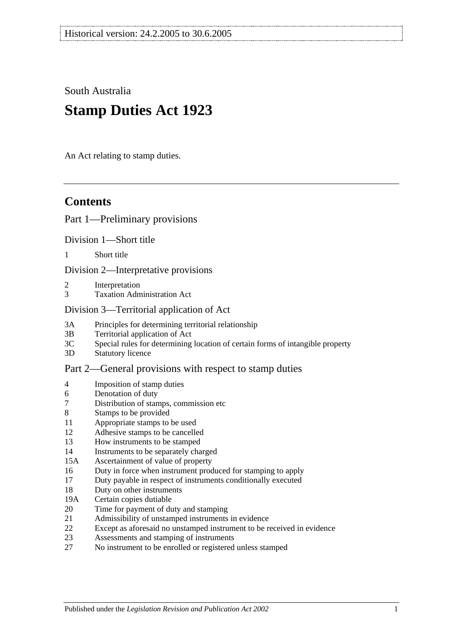South Australia

# **Stamp Duties Act 1923**

An Act relating to stamp duties.

# **Contents**

#### [Part 1—Preliminary provisions](#page-6-0)

[Division 1—Short title](#page-6-1)

1 [Short title](#page-6-2)

[Division 2—Interpretative provisions](#page-6-3)

- 2 [Interpretation](#page-6-4)
- 3 [Taxation Administration Act](#page-9-0)

#### [Division 3—Territorial application of Act](#page-9-1)

- 3A [Principles for determining territorial relationship](#page-9-2)
- 3B [Territorial application of Act](#page-10-0)
- 3C [Special rules for determining location of certain forms of intangible property](#page-10-1)
- 3D [Statutory licence](#page-11-0)

#### [Part 2—General provisions with respect to stamp duties](#page-12-0)

- 4 [Imposition of stamp duties](#page-12-1)
- 6 [Denotation of duty](#page-12-2)
- 7 [Distribution of stamps, commission etc](#page-12-3)
- 8 [Stamps to be provided](#page-12-4)
- 11 [Appropriate stamps to be used](#page-12-5)
- 12 [Adhesive stamps to be cancelled](#page-13-0)
- 13 [How instruments to be stamped](#page-13-1)
- 14 [Instruments to be separately charged](#page-13-2)
- 15A [Ascertainment of value of property](#page-13-3)
- 16 [Duty in force when instrument produced for stamping to apply](#page-14-0)
- 17 [Duty payable in respect of instruments conditionally executed](#page-14-1)
- 18 [Duty on other instruments](#page-14-2)
- 19A [Certain copies dutiable](#page-14-3)
- 20 [Time for payment of duty and stamping](#page-15-0)
- 21 [Admissibility of unstamped instruments in evidence](#page-15-1)
- 22 [Except as aforesaid no unstamped instrument to be received in evidence](#page-15-2)
- 23 [Assessments and stamping of instruments](#page-16-0)
- 27 [No instrument to be enrolled or registered unless stamped](#page-16-1)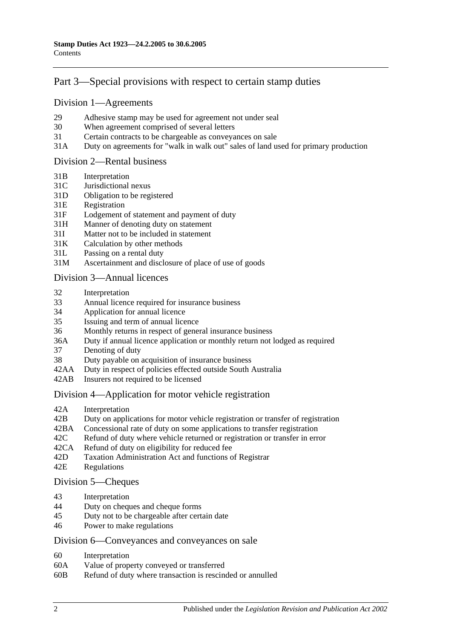# [Part 3—Special provisions with respect to certain stamp duties](#page-18-0)

#### [Division 1—Agreements](#page-18-1)

- 29 [Adhesive stamp may be used for agreement not under seal](#page-18-2)
- 30 [When agreement comprised of several letters](#page-18-3)
- 31 [Certain contracts to be chargeable as conveyances on sale](#page-18-4)
- 31A [Duty on agreements for "walk in walk out" sales of land used for primary production](#page-19-0)

#### [Division 2—Rental business](#page-19-1)

- 31B [Interpretation](#page-19-2)
- 31C [Jurisdictional nexus](#page-21-0)
- 31D [Obligation to be registered](#page-21-1)
- 31E [Registration](#page-21-2)
- 31F [Lodgement of statement and payment of duty](#page-21-3)
- 31H [Manner of denoting duty on statement](#page-22-0)
- 31I [Matter not to be included in statement](#page-23-0)
- 31K [Calculation by other methods](#page-24-0)
- 31L [Passing on a rental duty](#page-25-0)
- 31M [Ascertainment and disclosure of place of use of goods](#page-25-1)

#### [Division 3—Annual licences](#page-26-0)

- 32 [Interpretation](#page-26-1)
- 33 [Annual licence required for insurance business](#page-26-2)
- 34 [Application for annual licence](#page-27-0)
- 35 [Issuing and term of annual licence](#page-27-1)
- 36 [Monthly returns in respect of general insurance business](#page-27-2)
- 36A [Duty if annual licence application or monthly return not lodged as required](#page-27-3)
- 37 [Denoting of duty](#page-28-0)
- 38 [Duty payable on acquisition of insurance business](#page-28-1)
- 42AA [Duty in respect of policies effected outside South Australia](#page-28-2)
- 42AB [Insurers not required to be licensed](#page-28-3)

#### [Division 4—Application for motor vehicle registration](#page-29-0)

- 42A [Interpretation](#page-29-1)
- 42B [Duty on applications for motor vehicle registration or transfer of registration](#page-30-0)
- 42BA [Concessional rate of duty on some applications to transfer registration](#page-32-0)
- 42C [Refund of duty where vehicle returned or registration or transfer in error](#page-33-0)
- 42CA [Refund of duty on eligibility for reduced fee](#page-33-1)
- 42D [Taxation Administration Act and functions of Registrar](#page-33-2)
- 42E [Regulations](#page-33-3)

#### [Division 5—Cheques](#page-33-4)

- 43 [Interpretation](#page-33-5)<br>44 Duty on chequ
- [Duty on cheques and cheque forms](#page-34-0)
- 45 [Duty not to be chargeable after certain date](#page-34-1)
- 46 [Power to make regulations](#page-35-0)

#### [Division 6—Conveyances and conveyances on sale](#page-35-1)

- 60 [Interpretation](#page-35-2)
- 60A [Value of property conveyed or transferred](#page-35-3)
- 60B [Refund of duty where transaction is rescinded or annulled](#page-37-0)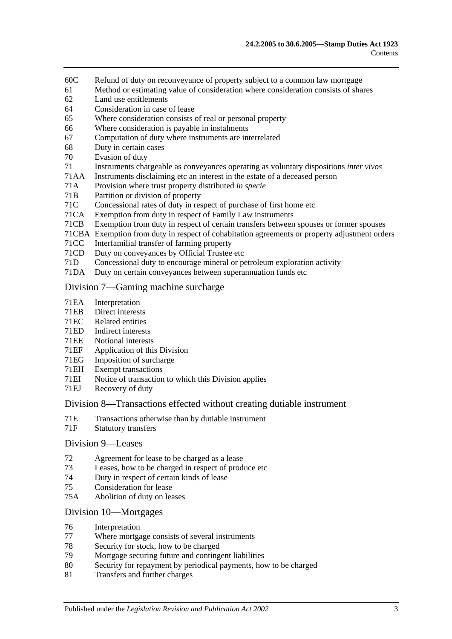- 60C [Refund of duty on reconveyance of property subject to a common law mortgage](#page-38-0)
- 61 [Method or estimating value of consideration where consideration consists of shares](#page-38-1)
- 62 [Land use entitlements](#page-38-2)
- 64 [Consideration in case of lease](#page-39-0)
- 65 [Where consideration consists of real or personal property](#page-39-1)
- 66 [Where consideration is payable in instalments](#page-39-2)
- 67 [Computation of duty where instruments are interrelated](#page-39-3)
- 68 [Duty in certain cases](#page-40-0)
- 70 [Evasion of duty](#page-40-1)
- 71 [Instruments chargeable as conveyances operating as voluntary dispositions](#page-41-0) *inter vivos*
- 71AA [Instruments disclaiming etc an interest in the estate of a deceased person](#page-44-0)
- 71A [Provision where trust property distributed](#page-45-0) *in specie*
- 71B [Partition or division of property](#page-45-1)
- 71C [Concessional rates of duty in respect of purchase of first home etc](#page-45-2)
- 71CA [Exemption from duty in respect of Family Law instruments](#page-49-0)
- 71CB [Exemption from duty in respect of certain transfers between spouses or former spouses](#page-51-0)
- 71CBA [Exemption from duty in respect of cohabitation agreements or property adjustment orders](#page-52-0)
- 71CC [Interfamilial transfer of farming property](#page-54-0)
- 71CD [Duty on conveyances by Official Trustee etc](#page-56-0)
- 71D [Concessional duty to encourage mineral or petroleum exploration activity](#page-56-1)
- 71DA [Duty on certain conveyances between superannuation funds etc](#page-57-0)

#### [Division 7—Gaming machine surcharge](#page-59-0)

- 71EA [Interpretation](#page-59-1)
- 71EB [Direct interests](#page-60-0)
- 71EC [Related entities](#page-61-0)
- 71ED [Indirect interests](#page-61-1)
- 71EE [Notional interests](#page-61-2)
- 71EF [Application of this](#page-62-0) Division
- 71EG [Imposition of surcharge](#page-62-1)
- 71EH [Exempt transactions](#page-63-0)
- 71EI [Notice of transaction to which this Division applies](#page-63-1)
- 71EJ [Recovery of duty](#page-63-2)

#### [Division 8—Transactions effected without creating dutiable instrument](#page-64-0)

- 71E [Transactions otherwise than by dutiable instrument](#page-64-1)
- 71F [Statutory transfers](#page-65-0)

#### [Division 9—Leases](#page-66-0)

- 72 [Agreement for lease to be charged as a lease](#page-66-1)
- 73 [Leases, how to be charged in respect of produce etc](#page-66-2)
- 74 [Duty in respect of certain kinds of lease](#page-67-0)
- 75 [Consideration for lease](#page-67-1)
- 75A [Abolition of duty on leases](#page-68-0)

#### [Division 10—Mortgages](#page-68-1)

- 76 [Interpretation](#page-68-2)
- 77 [Where mortgage consists of several instruments](#page-69-0)<br>78 Security for stock how to be charged
- [Security for stock, how to be charged](#page-69-1)
- 79 [Mortgage securing future and contingent liabilities](#page-69-2)
- 80 [Security for repayment by periodical payments, how to be charged](#page-71-0)
- 81 [Transfers and further charges](#page-71-1)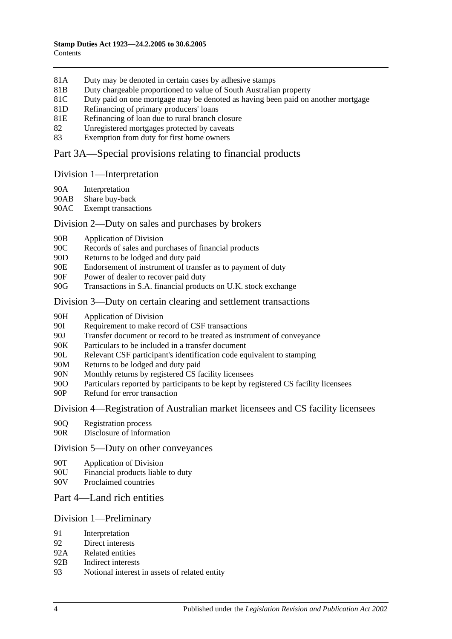- 81A [Duty may be denoted in certain cases by adhesive stamps](#page-71-2)
- 81B [Duty chargeable proportioned to value of South Australian property](#page-71-3)
- 81C [Duty paid on one mortgage may be denoted as having been paid on another mortgage](#page-72-0)
- 81D [Refinancing of primary producers' loans](#page-73-0)
- 81E [Refinancing of loan due to rural branch closure](#page-73-1)
- 82 [Unregistered mortgages protected by caveats](#page-74-0)
- 83 [Exemption from duty for first home owners](#page-75-0)

# [Part 3A—Special provisions relating to financial products](#page-76-0)

#### [Division 1—Interpretation](#page-76-1)

- 90A [Interpretation](#page-76-2)
- 90AB [Share buy-back](#page-78-0)
- 90AC [Exempt transactions](#page-78-1)

#### [Division 2—Duty on sales and purchases by brokers](#page-78-2)

- 90B [Application of Division](#page-78-3)
- 90C [Records of sales and purchases of financial products](#page-79-0)
- 90D [Returns to be lodged and duty paid](#page-80-0)
- 90E [Endorsement of instrument of transfer as to payment of duty](#page-81-0)
- 90F [Power of dealer to recover paid duty](#page-81-1)
- 90G [Transactions in S.A. financial products on U.K. stock exchange](#page-81-2)

#### [Division 3—Duty on certain clearing and settlement transactions](#page-83-0)

- 90H [Application of Division](#page-83-1)
- 90I [Requirement to make record of CSF transactions](#page-84-0)
- 90J Transfer [document or record to be treated as instrument of conveyance](#page-84-1)
- 90K [Particulars to be included in a transfer document](#page-85-0)
- 90L [Relevant CSF participant's identification code equivalent to stamping](#page-85-1)
- 90M [Returns to be lodged and duty paid](#page-85-2)
- 90N [Monthly returns by registered CS facility licensees](#page-85-3)
- 90O [Particulars reported by participants to be kept by registered CS facility licensees](#page-86-0)
- 90P [Refund for error transaction](#page-86-1)

#### [Division 4—Registration of Australian market licensees and CS facility licensees](#page-86-2)

- 90Q [Registration process](#page-86-3)
- 90R [Disclosure of information](#page-87-0)

#### [Division 5—Duty on other conveyances](#page-87-1)

- 90T [Application of Division](#page-87-2)
- 90U [Financial products liable to duty](#page-87-3)
- 90V [Proclaimed countries](#page-87-4)

# [Part 4—Land rich entities](#page-88-0)

#### [Division 1—Preliminary](#page-88-1)

- 91 [Interpretation](#page-88-2)
- 92 [Direct interests](#page-90-0)
- 92A [Related entities](#page-91-0)
- 92B [Indirect interests](#page-91-1)
- 93 [Notional interest in assets of related entity](#page-91-2)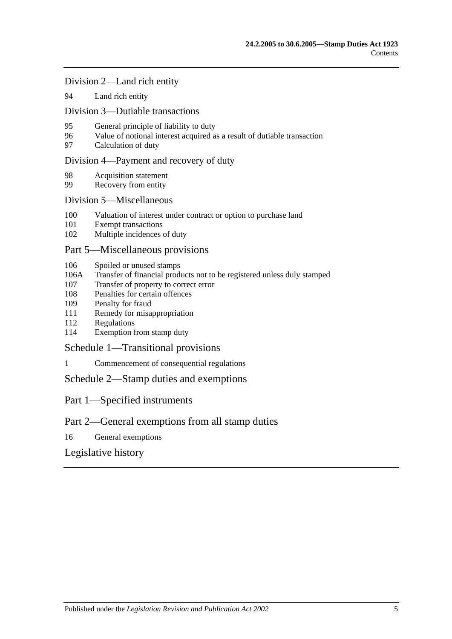[Division 2—Land rich entity](#page-92-0)

94 [Land rich entity](#page-92-1)

[Division 3—Dutiable transactions](#page-93-0)

- 95 [General principle of liability to duty](#page-93-1)
- 96 [Value of notional interest acquired as a result of dutiable transaction](#page-93-2)
- 97 [Calculation of duty](#page-94-0)

#### [Division 4—Payment and recovery of duty](#page-95-0)

- 98 [Acquisition statement](#page-95-1)
- 99 [Recovery from entity](#page-95-2)

#### [Division 5—Miscellaneous](#page-96-0)

- 100 [Valuation of interest under contract or option to purchase land](#page-96-1)
- 101 [Exempt transactions](#page-96-2)
- 102 [Multiple incidences of duty](#page-97-0)

#### [Part 5—Miscellaneous provisions](#page-98-0)

- 106 [Spoiled or unused stamps](#page-98-1)
- 106A [Transfer of financial products not to be registered unless duly stamped](#page-98-2)
- 107 [Transfer of property to correct error](#page-99-0)
- 108 [Penalties for certain offences](#page-99-1)
- 109 [Penalty for fraud](#page-100-0)
- 111 [Remedy for misappropriation](#page-100-1)
- 112 [Regulations](#page-100-2)
- 114 [Exemption from stamp duty](#page-101-0)

[Schedule 1—Transitional provisions](#page-102-0)

1 [Commencement of consequential regulations](#page-102-1)

[Schedule 2—Stamp duties and exemptions](#page-102-2)

Part 1—Specified instruments

# Part 2—General exemptions from all stamp duties

16 [General exemptions](#page-115-0)

[Legislative history](#page-120-0)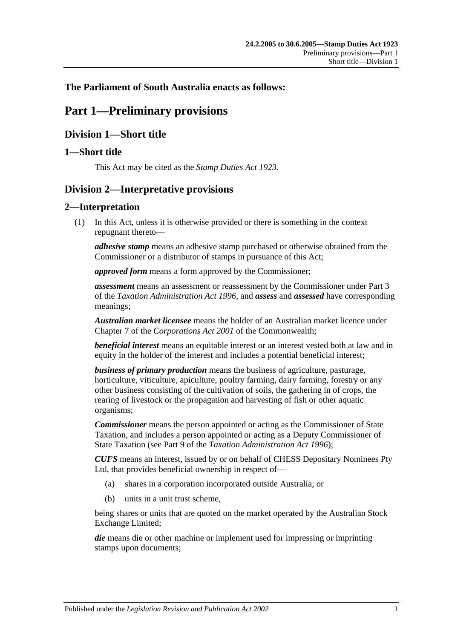# <span id="page-6-0"></span>**The Parliament of South Australia enacts as follows:**

# **Part 1—Preliminary provisions**

# <span id="page-6-1"></span>**Division 1—Short title**

# <span id="page-6-2"></span>**1—Short title**

This Act may be cited as the *Stamp Duties Act 1923*.

# <span id="page-6-3"></span>**Division 2—Interpretative provisions**

# <span id="page-6-4"></span>**2—Interpretation**

(1) In this Act, unless it is otherwise provided or there is something in the context repugnant thereto—

*adhesive stamp* means an adhesive stamp purchased or otherwise obtained from the Commissioner or a distributor of stamps in pursuance of this Act;

*approved form* means a form approved by the Commissioner;

*assessment* means an assessment or reassessment by the Commissioner under Part 3 of the *[Taxation Administration Act](http://www.legislation.sa.gov.au/index.aspx?action=legref&type=act&legtitle=Taxation%20Administration%20Act%201996) 1996*, and *assess* and *assessed* have corresponding meanings;

*Australian market licensee* means the holder of an Australian market licence under Chapter 7 of the *Corporations Act 2001* of the Commonwealth;

*beneficial interest* means an equitable interest or an interest vested both at law and in equity in the holder of the interest and includes a potential beneficial interest;

*business of primary production* means the business of agriculture, pasturage, horticulture, viticulture, apiculture, poultry farming, dairy farming, forestry or any other business consisting of the cultivation of soils, the gathering in of crops, the rearing of livestock or the propagation and harvesting of fish or other aquatic organisms;

*Commissioner* means the person appointed or acting as the Commissioner of State Taxation, and includes a person appointed or acting as a Deputy Commissioner of State Taxation (see Part 9 of the *[Taxation Administration Act](http://www.legislation.sa.gov.au/index.aspx?action=legref&type=act&legtitle=Taxation%20Administration%20Act%201996) 1996*);

*CUFS* means an interest, issued by or on behalf of CHESS Depositary Nominees Pty Ltd, that provides beneficial ownership in respect of—

- (a) shares in a corporation incorporated outside Australia; or
- (b) units in a unit trust scheme,

being shares or units that are quoted on the market operated by the Australian Stock Exchange Limited;

*die* means die or other machine or implement used for impressing or imprinting stamps upon documents;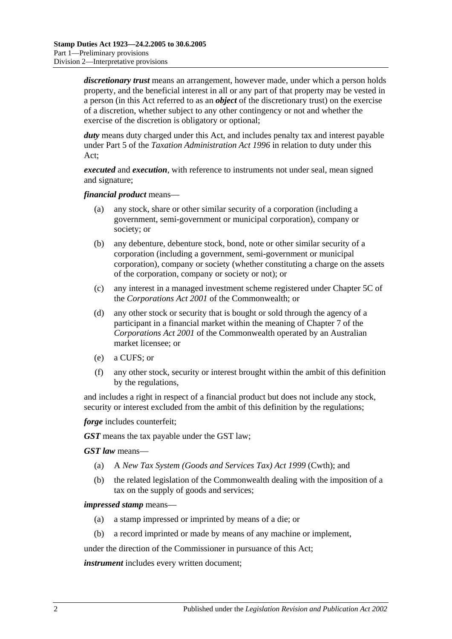*discretionary trust* means an arrangement, however made, under which a person holds property, and the beneficial interest in all or any part of that property may be vested in a person (in this Act referred to as an *object* of the discretionary trust) on the exercise of a discretion, whether subject to any other contingency or not and whether the exercise of the discretion is obligatory or optional;

*duty* means duty charged under this Act, and includes penalty tax and interest payable under Part 5 of the *[Taxation Administration Act](http://www.legislation.sa.gov.au/index.aspx?action=legref&type=act&legtitle=Taxation%20Administration%20Act%201996) 1996* in relation to duty under this Act;

*executed* and *execution*, with reference to instruments not under seal, mean signed and signature;

*financial product* means—

- (a) any stock, share or other similar security of a corporation (including a government, semi-government or municipal corporation), company or society; or
- (b) any debenture, debenture stock, bond, note or other similar security of a corporation (including a government, semi-government or municipal corporation), company or society (whether constituting a charge on the assets of the corporation, company or society or not); or
- (c) any interest in a managed investment scheme registered under Chapter 5C of the *Corporations Act 2001* of the Commonwealth; or
- (d) any other stock or security that is bought or sold through the agency of a participant in a financial market within the meaning of Chapter 7 of the *Corporations Act 2001* of the Commonwealth operated by an Australian market licensee; or
- (e) a CUFS; or
- (f) any other stock, security or interest brought within the ambit of this definition by the regulations,

and includes a right in respect of a financial product but does not include any stock, security or interest excluded from the ambit of this definition by the regulations;

*forge* includes counterfeit;

*GST* means the tax payable under the GST law;

*GST law* means—

- (a) A *New Tax System (Goods and Services Tax) Act 1999* (Cwth); and
- (b) the related legislation of the Commonwealth dealing with the imposition of a tax on the supply of goods and services;

#### *impressed stamp* means—

- (a) a stamp impressed or imprinted by means of a die; or
- (b) a record imprinted or made by means of any machine or implement,

under the direction of the Commissioner in pursuance of this Act;

*instrument* includes every written document;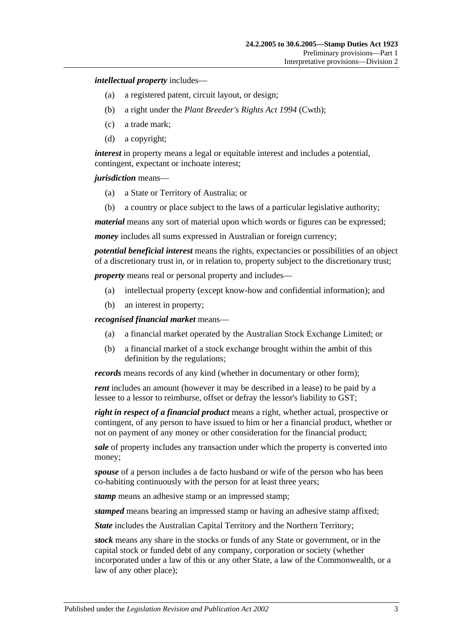*intellectual property* includes—

- (a) a registered patent, circuit layout, or design;
- (b) a right under the *Plant Breeder's Rights Act 1994* (Cwth);
- (c) a trade mark;
- (d) a copyright;

*interest* in property means a legal or equitable interest and includes a potential, contingent, expectant or inchoate interest;

*jurisdiction* means—

- (a) a State or Territory of Australia; or
- (b) a country or place subject to the laws of a particular legislative authority;

*material* means any sort of material upon which words or figures can be expressed;

*money* includes all sums expressed in Australian or foreign currency;

*potential beneficial interest* means the rights, expectancies or possibilities of an object of a discretionary trust in, or in relation to, property subject to the discretionary trust;

*property* means real or personal property and includes—

- (a) intellectual property (except know-how and confidential information); and
- (b) an interest in property;

*recognised financial market* means—

- (a) a financial market operated by the Australian Stock Exchange Limited; or
- (b) a financial market of a stock exchange brought within the ambit of this definition by the regulations;

*records* means records of any kind (whether in documentary or other form);

*rent* includes an amount (however it may be described in a lease) to be paid by a lessee to a lessor to reimburse, offset or defray the lessor's liability to GST;

*right in respect of a financial product* means a right, whether actual, prospective or contingent, of any person to have issued to him or her a financial product, whether or not on payment of any money or other consideration for the financial product;

*sale* of property includes any transaction under which the property is converted into money;

*spouse* of a person includes a de facto husband or wife of the person who has been co-habiting continuously with the person for at least three years;

*stamp* means an adhesive stamp or an impressed stamp;

*stamped* means bearing an impressed stamp or having an adhesive stamp affixed;

*State* includes the Australian Capital Territory and the Northern Territory;

*stock* means any share in the stocks or funds of any State or government, or in the capital stock or funded debt of any company, corporation or society (whether incorporated under a law of this or any other State, a law of the Commonwealth, or a law of any other place);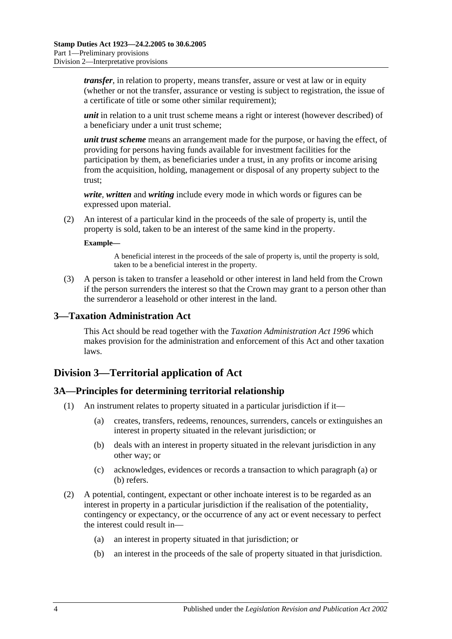*transfer*, in relation to property, means transfer, assure or vest at law or in equity (whether or not the transfer, assurance or vesting is subject to registration, the issue of a certificate of title or some other similar requirement);

*unit* in relation to a unit trust scheme means a right or interest (however described) of a beneficiary under a unit trust scheme;

*unit trust scheme* means an arrangement made for the purpose, or having the effect, of providing for persons having funds available for investment facilities for the participation by them, as beneficiaries under a trust, in any profits or income arising from the acquisition, holding, management or disposal of any property subject to the trust;

*write*, *written* and *writing* include every mode in which words or figures can be expressed upon material.

(2) An interest of a particular kind in the proceeds of the sale of property is, until the property is sold, taken to be an interest of the same kind in the property.

#### **Example—**

A beneficial interest in the proceeds of the sale of property is, until the property is sold, taken to be a beneficial interest in the property.

(3) A person is taken to transfer a leasehold or other interest in land held from the Crown if the person surrenders the interest so that the Crown may grant to a person other than the surrenderor a leasehold or other interest in the land.

#### <span id="page-9-0"></span>**3—Taxation Administration Act**

This Act should be read together with the *[Taxation Administration Act](http://www.legislation.sa.gov.au/index.aspx?action=legref&type=act&legtitle=Taxation%20Administration%20Act%201996) 1996* which makes provision for the administration and enforcement of this Act and other taxation laws.

# <span id="page-9-1"></span>**Division 3—Territorial application of Act**

#### <span id="page-9-2"></span>**3A—Principles for determining territorial relationship**

- <span id="page-9-4"></span><span id="page-9-3"></span>(1) An instrument relates to property situated in a particular jurisdiction if it—
	- (a) creates, transfers, redeems, renounces, surrenders, cancels or extinguishes an interest in property situated in the relevant jurisdiction; or
	- (b) deals with an interest in property situated in the relevant jurisdiction in any other way; or
	- (c) acknowledges, evidences or records a transaction to which [paragraph](#page-9-3) (a) or [\(b\)](#page-9-4) refers.
- (2) A potential, contingent, expectant or other inchoate interest is to be regarded as an interest in property in a particular jurisdiction if the realisation of the potentiality, contingency or expectancy, or the occurrence of any act or event necessary to perfect the interest could result in—
	- (a) an interest in property situated in that jurisdiction; or
	- (b) an interest in the proceeds of the sale of property situated in that jurisdiction.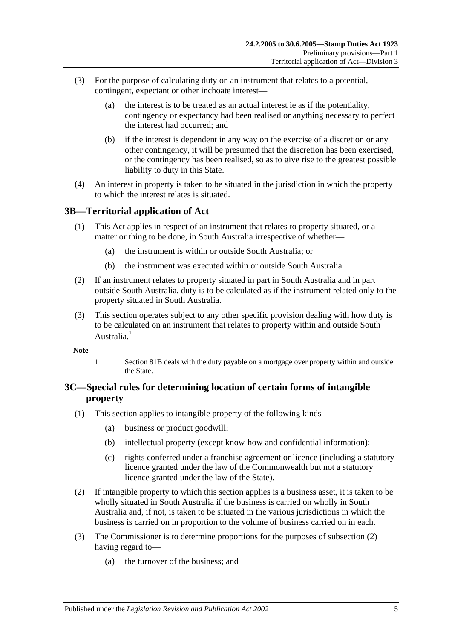- (3) For the purpose of calculating duty on an instrument that relates to a potential, contingent, expectant or other inchoate interest—
	- (a) the interest is to be treated as an actual interest ie as if the potentiality, contingency or expectancy had been realised or anything necessary to perfect the interest had occurred; and
	- (b) if the interest is dependent in any way on the exercise of a discretion or any other contingency, it will be presumed that the discretion has been exercised, or the contingency has been realised, so as to give rise to the greatest possible liability to duty in this State.
- (4) An interest in property is taken to be situated in the jurisdiction in which the property to which the interest relates is situated.

# <span id="page-10-0"></span>**3B—Territorial application of Act**

- (1) This Act applies in respect of an instrument that relates to property situated, or a matter or thing to be done, in South Australia irrespective of whether—
	- (a) the instrument is within or outside South Australia; or
	- (b) the instrument was executed within or outside South Australia.
- (2) If an instrument relates to property situated in part in South Australia and in part outside South Australia, duty is to be calculated as if the instrument related only to the property situated in South Australia.
- (3) This section operates subject to any other specific provision dealing with how duty is to be calculated on an instrument that relates to property within and outside South Australia<sup>1</sup>
- **Note—**
	- 1 [Section](#page-71-3) 81B deals with the duty payable on a mortgage over property within and outside the State.

# <span id="page-10-1"></span>**3C—Special rules for determining location of certain forms of intangible property**

- (1) This section applies to intangible property of the following kinds—
	- (a) business or product goodwill;
	- (b) intellectual property (except know-how and confidential information);
	- (c) rights conferred under a franchise agreement or licence (including a statutory licence granted under the law of the Commonwealth but not a statutory licence granted under the law of the State).
- <span id="page-10-2"></span>(2) If intangible property to which this section applies is a business asset, it is taken to be wholly situated in South Australia if the business is carried on wholly in South Australia and, if not, is taken to be situated in the various jurisdictions in which the business is carried on in proportion to the volume of business carried on in each.
- (3) The Commissioner is to determine proportions for the purposes of [subsection](#page-10-2) (2) having regard to—
	- (a) the turnover of the business; and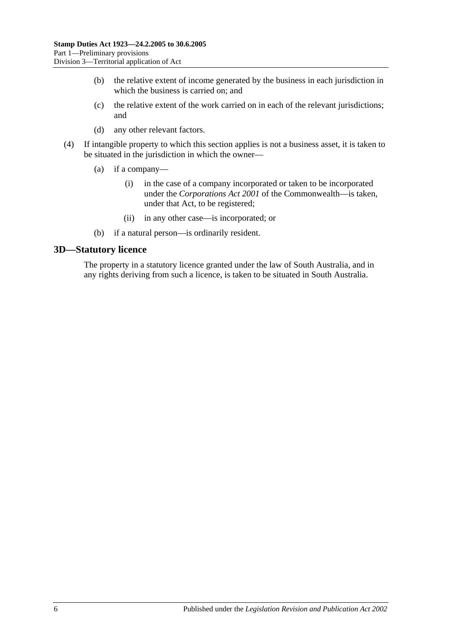- (b) the relative extent of income generated by the business in each jurisdiction in which the business is carried on; and
- (c) the relative extent of the work carried on in each of the relevant jurisdictions; and
- (d) any other relevant factors.
- (4) If intangible property to which this section applies is not a business asset, it is taken to be situated in the jurisdiction in which the owner—
	- (a) if a company—
		- (i) in the case of a company incorporated or taken to be incorporated under the *Corporations Act 2001* of the Commonwealth—is taken, under that Act, to be registered;
		- (ii) in any other case—is incorporated; or
	- (b) if a natural person—is ordinarily resident.

#### <span id="page-11-0"></span>**3D—Statutory licence**

The property in a statutory licence granted under the law of South Australia, and in any rights deriving from such a licence, is taken to be situated in South Australia.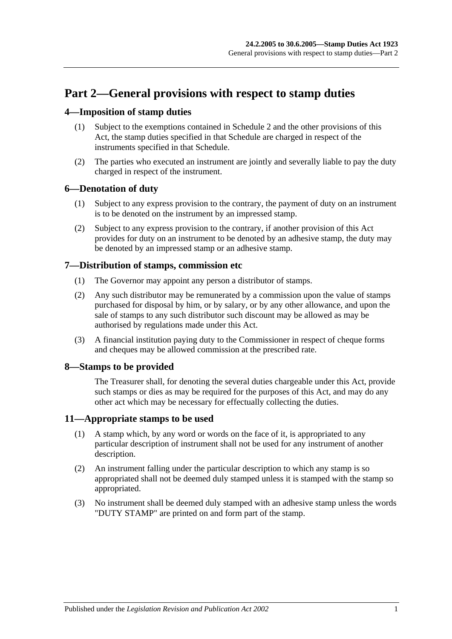# <span id="page-12-0"></span>**Part 2—General provisions with respect to stamp duties**

# <span id="page-12-1"></span>**4—Imposition of stamp duties**

- (1) Subject to the exemptions contained in [Schedule 2](#page-102-2) and the other provisions of this Act, the stamp duties specified in that Schedule are charged in respect of the instruments specified in that Schedule.
- (2) The parties who executed an instrument are jointly and severally liable to pay the duty charged in respect of the instrument.

# <span id="page-12-2"></span>**6—Denotation of duty**

- (1) Subject to any express provision to the contrary, the payment of duty on an instrument is to be denoted on the instrument by an impressed stamp.
- (2) Subject to any express provision to the contrary, if another provision of this Act provides for duty on an instrument to be denoted by an adhesive stamp, the duty may be denoted by an impressed stamp or an adhesive stamp.

# <span id="page-12-3"></span>**7—Distribution of stamps, commission etc**

- (1) The Governor may appoint any person a distributor of stamps.
- (2) Any such distributor may be remunerated by a commission upon the value of stamps purchased for disposal by him, or by salary, or by any other allowance, and upon the sale of stamps to any such distributor such discount may be allowed as may be authorised by regulations made under this Act.
- (3) A financial institution paying duty to the Commissioner in respect of cheque forms and cheques may be allowed commission at the prescribed rate.

# <span id="page-12-4"></span>**8—Stamps to be provided**

The Treasurer shall, for denoting the several duties chargeable under this Act, provide such stamps or dies as may be required for the purposes of this Act, and may do any other act which may be necessary for effectually collecting the duties.

# <span id="page-12-5"></span>**11—Appropriate stamps to be used**

- (1) A stamp which, by any word or words on the face of it, is appropriated to any particular description of instrument shall not be used for any instrument of another description.
- (2) An instrument falling under the particular description to which any stamp is so appropriated shall not be deemed duly stamped unless it is stamped with the stamp so appropriated.
- (3) No instrument shall be deemed duly stamped with an adhesive stamp unless the words "DUTY STAMP" are printed on and form part of the stamp.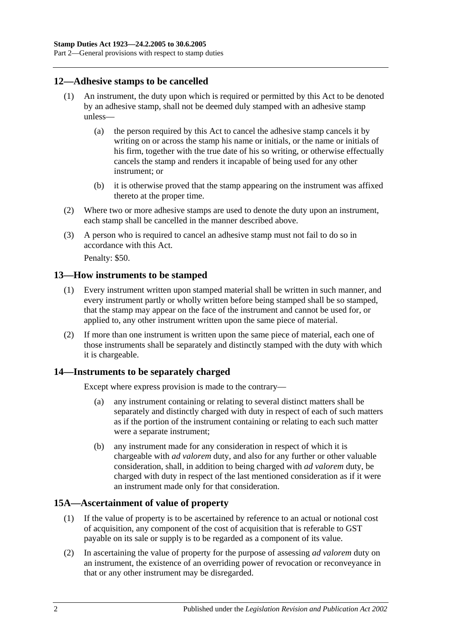# <span id="page-13-0"></span>**12—Adhesive stamps to be cancelled**

- (1) An instrument, the duty upon which is required or permitted by this Act to be denoted by an adhesive stamp, shall not be deemed duly stamped with an adhesive stamp unless—
	- (a) the person required by this Act to cancel the adhesive stamp cancels it by writing on or across the stamp his name or initials, or the name or initials of his firm, together with the true date of his so writing, or otherwise effectually cancels the stamp and renders it incapable of being used for any other instrument; or
	- (b) it is otherwise proved that the stamp appearing on the instrument was affixed thereto at the proper time.
- (2) Where two or more adhesive stamps are used to denote the duty upon an instrument, each stamp shall be cancelled in the manner described above.
- (3) A person who is required to cancel an adhesive stamp must not fail to do so in accordance with this Act.

Penalty: \$50.

#### <span id="page-13-1"></span>**13—How instruments to be stamped**

- (1) Every instrument written upon stamped material shall be written in such manner, and every instrument partly or wholly written before being stamped shall be so stamped, that the stamp may appear on the face of the instrument and cannot be used for, or applied to, any other instrument written upon the same piece of material.
- (2) If more than one instrument is written upon the same piece of material, each one of those instruments shall be separately and distinctly stamped with the duty with which it is chargeable.

# <span id="page-13-2"></span>**14—Instruments to be separately charged**

Except where express provision is made to the contrary—

- (a) any instrument containing or relating to several distinct matters shall be separately and distinctly charged with duty in respect of each of such matters as if the portion of the instrument containing or relating to each such matter were a separate instrument;
- (b) any instrument made for any consideration in respect of which it is chargeable with *ad valorem* duty, and also for any further or other valuable consideration, shall, in addition to being charged with *ad valorem* duty, be charged with duty in respect of the last mentioned consideration as if it were an instrument made only for that consideration.

# <span id="page-13-3"></span>**15A—Ascertainment of value of property**

- (1) If the value of property is to be ascertained by reference to an actual or notional cost of acquisition, any component of the cost of acquisition that is referable to GST payable on its sale or supply is to be regarded as a component of its value.
- (2) In ascertaining the value of property for the purpose of assessing *ad valorem* duty on an instrument, the existence of an overriding power of revocation or reconveyance in that or any other instrument may be disregarded.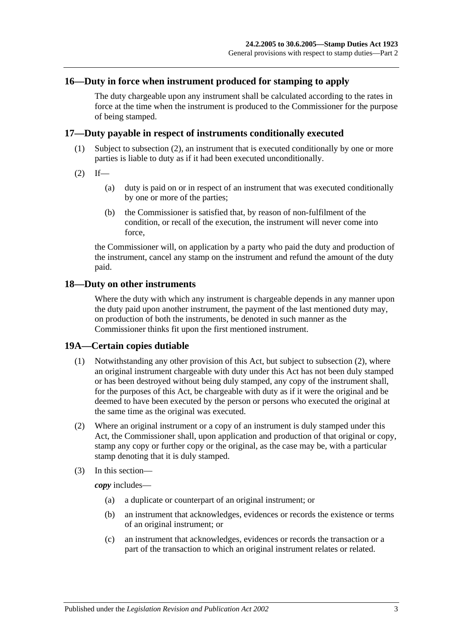# <span id="page-14-0"></span>**16—Duty in force when instrument produced for stamping to apply**

The duty chargeable upon any instrument shall be calculated according to the rates in force at the time when the instrument is produced to the Commissioner for the purpose of being stamped.

#### <span id="page-14-1"></span>**17—Duty payable in respect of instruments conditionally executed**

- (1) Subject to [subsection](#page-14-4) (2), an instrument that is executed conditionally by one or more parties is liable to duty as if it had been executed unconditionally.
- <span id="page-14-4"></span> $(2)$  If—
	- (a) duty is paid on or in respect of an instrument that was executed conditionally by one or more of the parties;
	- (b) the Commissioner is satisfied that, by reason of non-fulfilment of the condition, or recall of the execution, the instrument will never come into force,

the Commissioner will, on application by a party who paid the duty and production of the instrument, cancel any stamp on the instrument and refund the amount of the duty paid.

#### <span id="page-14-2"></span>**18—Duty on other instruments**

Where the duty with which any instrument is chargeable depends in any manner upon the duty paid upon another instrument, the payment of the last mentioned duty may, on production of both the instruments, be denoted in such manner as the Commissioner thinks fit upon the first mentioned instrument.

#### <span id="page-14-3"></span>**19A—Certain copies dutiable**

- (1) Notwithstanding any other provision of this Act, but subject to [subsection](#page-14-5) (2), where an original instrument chargeable with duty under this Act has not been duly stamped or has been destroyed without being duly stamped, any copy of the instrument shall, for the purposes of this Act, be chargeable with duty as if it were the original and be deemed to have been executed by the person or persons who executed the original at the same time as the original was executed.
- <span id="page-14-5"></span>(2) Where an original instrument or a copy of an instrument is duly stamped under this Act, the Commissioner shall, upon application and production of that original or copy, stamp any copy or further copy or the original, as the case may be, with a particular stamp denoting that it is duly stamped.
- (3) In this section—

*copy* includes—

- (a) a duplicate or counterpart of an original instrument; or
- (b) an instrument that acknowledges, evidences or records the existence or terms of an original instrument; or
- (c) an instrument that acknowledges, evidences or records the transaction or a part of the transaction to which an original instrument relates or related.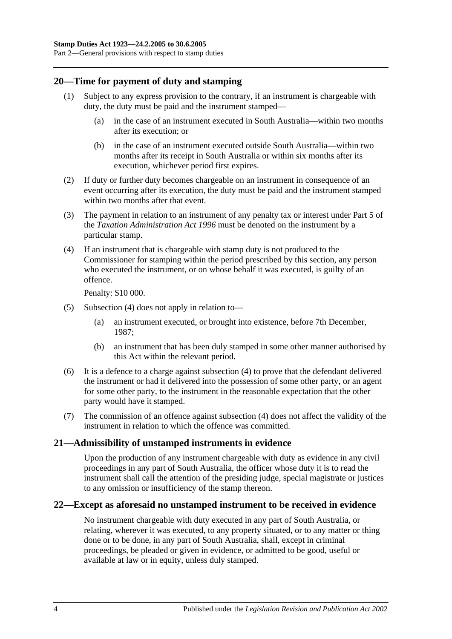# <span id="page-15-0"></span>**20—Time for payment of duty and stamping**

- (1) Subject to any express provision to the contrary, if an instrument is chargeable with duty, the duty must be paid and the instrument stamped—
	- (a) in the case of an instrument executed in South Australia—within two months after its execution; or
	- (b) in the case of an instrument executed outside South Australia—within two months after its receipt in South Australia or within six months after its execution, whichever period first expires.
- (2) If duty or further duty becomes chargeable on an instrument in consequence of an event occurring after its execution, the duty must be paid and the instrument stamped within two months after that event.
- (3) The payment in relation to an instrument of any penalty tax or interest under Part 5 of the *[Taxation Administration Act](http://www.legislation.sa.gov.au/index.aspx?action=legref&type=act&legtitle=Taxation%20Administration%20Act%201996) 1996* must be denoted on the instrument by a particular stamp.
- <span id="page-15-3"></span>(4) If an instrument that is chargeable with stamp duty is not produced to the Commissioner for stamping within the period prescribed by this section, any person who executed the instrument, or on whose behalf it was executed, is guilty of an offence.

Penalty: \$10 000.

- (5) [Subsection](#page-15-3) (4) does not apply in relation to—
	- (a) an instrument executed, or brought into existence, before 7th December, 1987;
	- (b) an instrument that has been duly stamped in some other manner authorised by this Act within the relevant period.
- (6) It is a defence to a charge against [subsection](#page-15-3) (4) to prove that the defendant delivered the instrument or had it delivered into the possession of some other party, or an agent for some other party, to the instrument in the reasonable expectation that the other party would have it stamped.
- (7) The commission of an offence against [subsection](#page-15-3) (4) does not affect the validity of the instrument in relation to which the offence was committed.

# <span id="page-15-1"></span>**21—Admissibility of unstamped instruments in evidence**

Upon the production of any instrument chargeable with duty as evidence in any civil proceedings in any part of South Australia, the officer whose duty it is to read the instrument shall call the attention of the presiding judge, special magistrate or justices to any omission or insufficiency of the stamp thereon.

# <span id="page-15-2"></span>**22—Except as aforesaid no unstamped instrument to be received in evidence**

No instrument chargeable with duty executed in any part of South Australia, or relating, wherever it was executed, to any property situated, or to any matter or thing done or to be done, in any part of South Australia, shall, except in criminal proceedings, be pleaded or given in evidence, or admitted to be good, useful or available at law or in equity, unless duly stamped.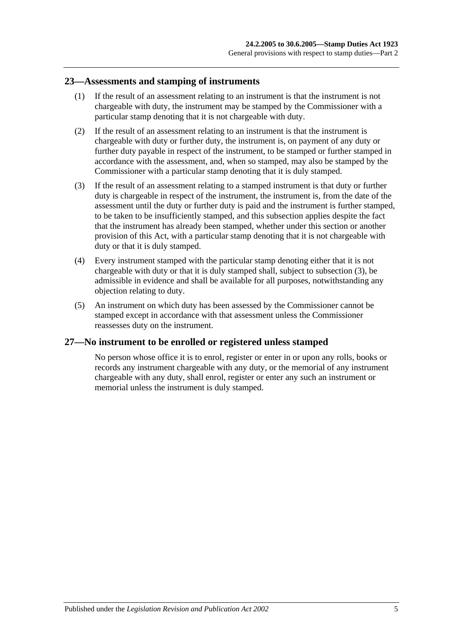#### <span id="page-16-0"></span>**23—Assessments and stamping of instruments**

- (1) If the result of an assessment relating to an instrument is that the instrument is not chargeable with duty, the instrument may be stamped by the Commissioner with a particular stamp denoting that it is not chargeable with duty.
- (2) If the result of an assessment relating to an instrument is that the instrument is chargeable with duty or further duty, the instrument is, on payment of any duty or further duty payable in respect of the instrument, to be stamped or further stamped in accordance with the assessment, and, when so stamped, may also be stamped by the Commissioner with a particular stamp denoting that it is duly stamped.
- <span id="page-16-2"></span>(3) If the result of an assessment relating to a stamped instrument is that duty or further duty is chargeable in respect of the instrument, the instrument is, from the date of the assessment until the duty or further duty is paid and the instrument is further stamped, to be taken to be insufficiently stamped, and this subsection applies despite the fact that the instrument has already been stamped, whether under this section or another provision of this Act, with a particular stamp denoting that it is not chargeable with duty or that it is duly stamped.
- (4) Every instrument stamped with the particular stamp denoting either that it is not chargeable with duty or that it is duly stamped shall, subject to [subsection](#page-16-2) (3), be admissible in evidence and shall be available for all purposes, notwithstanding any objection relating to duty.
- (5) An instrument on which duty has been assessed by the Commissioner cannot be stamped except in accordance with that assessment unless the Commissioner reassesses duty on the instrument.

# <span id="page-16-1"></span>**27—No instrument to be enrolled or registered unless stamped**

No person whose office it is to enrol, register or enter in or upon any rolls, books or records any instrument chargeable with any duty, or the memorial of any instrument chargeable with any duty, shall enrol, register or enter any such an instrument or memorial unless the instrument is duly stamped.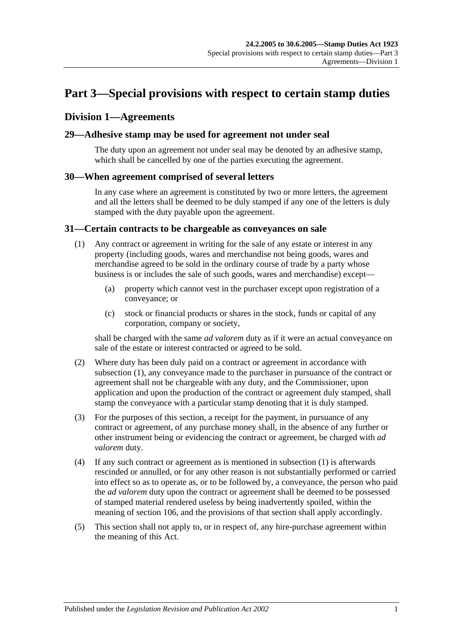# <span id="page-18-0"></span>**Part 3—Special provisions with respect to certain stamp duties**

# <span id="page-18-1"></span>**Division 1—Agreements**

#### <span id="page-18-2"></span>**29—Adhesive stamp may be used for agreement not under seal**

The duty upon an agreement not under seal may be denoted by an adhesive stamp, which shall be cancelled by one of the parties executing the agreement.

#### <span id="page-18-3"></span>**30—When agreement comprised of several letters**

In any case where an agreement is constituted by two or more letters, the agreement and all the letters shall be deemed to be duly stamped if any one of the letters is duly stamped with the duty payable upon the agreement.

#### <span id="page-18-5"></span><span id="page-18-4"></span>**31—Certain contracts to be chargeable as conveyances on sale**

- (1) Any contract or agreement in writing for the sale of any estate or interest in any property (including goods, wares and merchandise not being goods, wares and merchandise agreed to be sold in the ordinary course of trade by a party whose business is or includes the sale of such goods, wares and merchandise) except—
	- (a) property which cannot vest in the purchaser except upon registration of a conveyance; or
	- (c) stock or financial products or shares in the stock, funds or capital of any corporation, company or society,

shall be charged with the same *ad valorem* duty as if it were an actual conveyance on sale of the estate or interest contracted or agreed to be sold.

- (2) Where duty has been duly paid on a contract or agreement in accordance with [subsection](#page-18-5) (1), any conveyance made to the purchaser in pursuance of the contract or agreement shall not be chargeable with any duty, and the Commissioner, upon application and upon the production of the contract or agreement duly stamped, shall stamp the conveyance with a particular stamp denoting that it is duly stamped.
- (3) For the purposes of this section, a receipt for the payment, in pursuance of any contract or agreement, of any purchase money shall, in the absence of any further or other instrument being or evidencing the contract or agreement, be charged with *ad valorem* duty.
- (4) If any such contract or agreement as is mentioned in [subsection](#page-18-5) (1) is afterwards rescinded or annulled, or for any other reason is not substantially performed or carried into effect so as to operate as, or to be followed by, a conveyance, the person who paid the *ad valorem* duty upon the contract or agreement shall be deemed to be possessed of stamped material rendered useless by being inadvertently spoiled, within the meaning of [section](#page-98-1) 106, and the provisions of that section shall apply accordingly.
- (5) This section shall not apply to, or in respect of, any hire-purchase agreement within the meaning of this Act.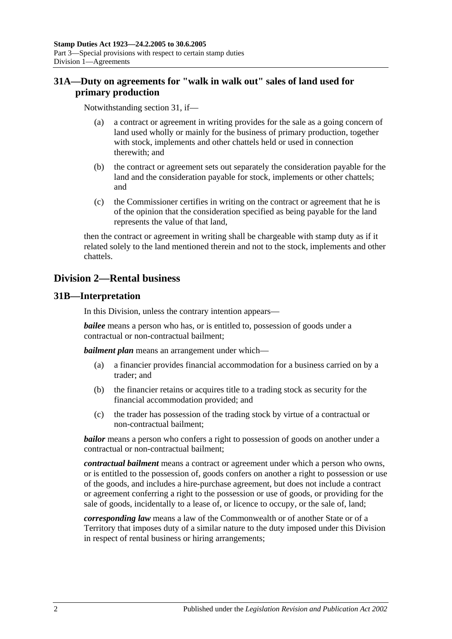# <span id="page-19-0"></span>**31A—Duty on agreements for "walk in walk out" sales of land used for primary production**

Notwithstanding [section](#page-18-4) 31, if—

- (a) a contract or agreement in writing provides for the sale as a going concern of land used wholly or mainly for the business of primary production, together with stock, implements and other chattels held or used in connection therewith; and
- (b) the contract or agreement sets out separately the consideration payable for the land and the consideration payable for stock, implements or other chattels; and
- (c) the Commissioner certifies in writing on the contract or agreement that he is of the opinion that the consideration specified as being payable for the land represents the value of that land,

then the contract or agreement in writing shall be chargeable with stamp duty as if it related solely to the land mentioned therein and not to the stock, implements and other chattels.

# <span id="page-19-1"></span>**Division 2—Rental business**

# <span id="page-19-2"></span>**31B—Interpretation**

In this Division, unless the contrary intention appears—

*bailee* means a person who has, or is entitled to, possession of goods under a contractual or non-contractual bailment;

*bailment plan* means an arrangement under which—

- (a) a financier provides financial accommodation for a business carried on by a trader; and
- (b) the financier retains or acquires title to a trading stock as security for the financial accommodation provided; and
- (c) the trader has possession of the trading stock by virtue of a contractual or non-contractual bailment;

*bailor* means a person who confers a right to possession of goods on another under a contractual or non-contractual bailment;

*contractual bailment* means a contract or agreement under which a person who owns, or is entitled to the possession of, goods confers on another a right to possession or use of the goods, and includes a hire-purchase agreement, but does not include a contract or agreement conferring a right to the possession or use of goods, or providing for the sale of goods, incidentally to a lease of, or licence to occupy, or the sale of, land;

*corresponding law* means a law of the Commonwealth or of another State or of a Territory that imposes duty of a similar nature to the duty imposed under this Division in respect of rental business or hiring arrangements;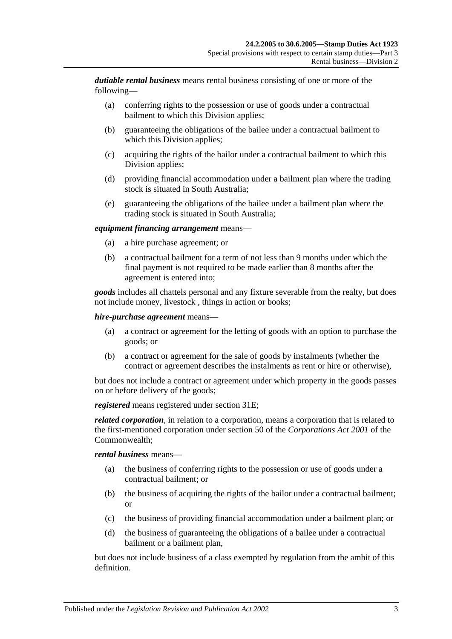*dutiable rental business* means rental business consisting of one or more of the following—

- (a) conferring rights to the possession or use of goods under a contractual bailment to which this Division applies;
- (b) guaranteeing the obligations of the bailee under a contractual bailment to which this Division applies;
- (c) acquiring the rights of the bailor under a contractual bailment to which this Division applies;
- (d) providing financial accommodation under a bailment plan where the trading stock is situated in South Australia;
- (e) guaranteeing the obligations of the bailee under a bailment plan where the trading stock is situated in South Australia;

#### *equipment financing arrangement* means—

- (a) a hire purchase agreement; or
- (b) a contractual bailment for a term of not less than 9 months under which the final payment is not required to be made earlier than 8 months after the agreement is entered into;

*goods* includes all chattels personal and any fixture severable from the realty, but does not include money, livestock , things in action or books;

#### *hire-purchase agreement* means—

- (a) a contract or agreement for the letting of goods with an option to purchase the goods; or
- (b) a contract or agreement for the sale of goods by instalments (whether the contract or agreement describes the instalments as rent or hire or otherwise),

but does not include a contract or agreement under which property in the goods passes on or before delivery of the goods;

*registered* means registered under [section](#page-21-2) 31E;

*related corporation*, in relation to a corporation, means a corporation that is related to the first-mentioned corporation under section 50 of the *Corporations Act 2001* of the Commonwealth;

#### *rental business* means—

- (a) the business of conferring rights to the possession or use of goods under a contractual bailment; or
- (b) the business of acquiring the rights of the bailor under a contractual bailment; or
- (c) the business of providing financial accommodation under a bailment plan; or
- (d) the business of guaranteeing the obligations of a bailee under a contractual bailment or a bailment plan,

but does not include business of a class exempted by regulation from the ambit of this definition.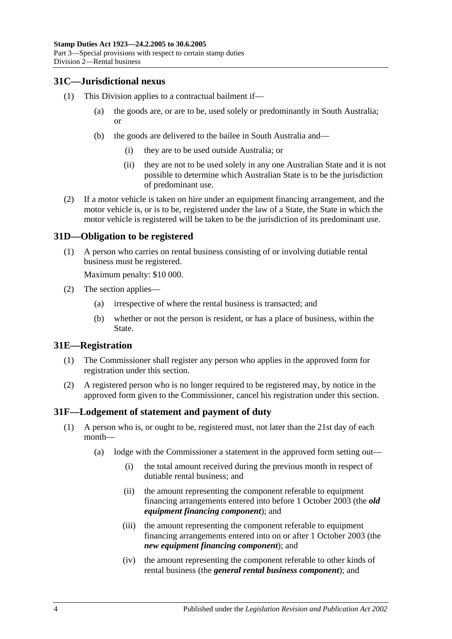# <span id="page-21-0"></span>**31C—Jurisdictional nexus**

- (1) This Division applies to a contractual bailment if—
	- (a) the goods are, or are to be, used solely or predominantly in South Australia; or
	- (b) the goods are delivered to the bailee in South Australia and—
		- (i) they are to be used outside Australia; or
		- (ii) they are not to be used solely in any one Australian State and it is not possible to determine which Australian State is to be the jurisdiction of predominant use.
- (2) If a motor vehicle is taken on hire under an equipment financing arrangement, and the motor vehicle is, or is to be, registered under the law of a State, the State in which the motor vehicle is registered will be taken to be the jurisdiction of its predominant use.

#### <span id="page-21-1"></span>**31D—Obligation to be registered**

(1) A person who carries on rental business consisting of or involving dutiable rental business must be registered.

Maximum penalty: \$10 000.

- (2) The section applies—
	- (a) irrespective of where the rental business is transacted; and
	- (b) whether or not the person is resident, or has a place of business, within the State.

#### <span id="page-21-2"></span>**31E—Registration**

- (1) The Commissioner shall register any person who applies in the approved form for registration under this section.
- (2) A registered person who is no longer required to be registered may, by notice in the approved form given to the Commissioner, cancel his registration under this section.

#### <span id="page-21-4"></span><span id="page-21-3"></span>**31F—Lodgement of statement and payment of duty**

- (1) A person who is, or ought to be, registered must, not later than the 21st day of each month—
	- (a) lodge with the Commissioner a statement in the approved form setting out—
		- (i) the total amount received during the previous month in respect of dutiable rental business; and
		- (ii) the amount representing the component referable to equipment financing arrangements entered into before 1 October 2003 (the *old equipment financing component*); and
		- (iii) the amount representing the component referable to equipment financing arrangements entered into on or after 1 October 2003 (the *new equipment financing component*); and
		- (iv) the amount representing the component referable to other kinds of rental business (the *general rental business component*); and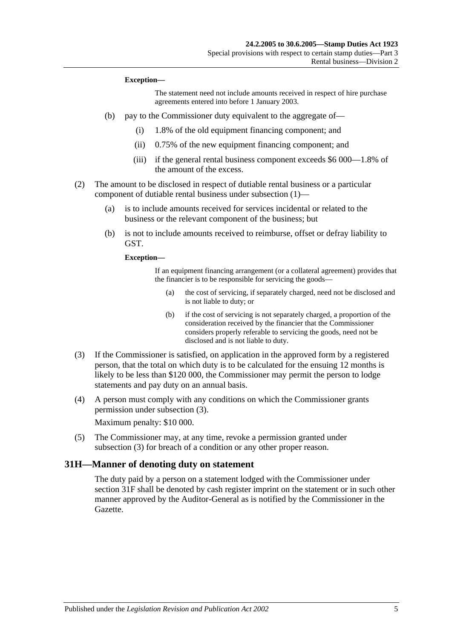#### **Exception—**

The statement need not include amounts received in respect of hire purchase agreements entered into before 1 January 2003.

- (b) pay to the Commissioner duty equivalent to the aggregate of—
	- (i) 1.8% of the old equipment financing component; and
	- (ii) 0.75% of the new equipment financing component; and
	- (iii) if the general rental business component exceeds \$6 000—1.8% of the amount of the excess.
- (2) The amount to be disclosed in respect of dutiable rental business or a particular component of dutiable rental business under [subsection](#page-21-4) (1)—
	- (a) is to include amounts received for services incidental or related to the business or the relevant component of the business; but
	- (b) is not to include amounts received to reimburse, offset or defray liability to GST.

**Exception—**

If an equipment financing arrangement (or a collateral agreement) provides that the financier is to be responsible for servicing the goods—

- (a) the cost of servicing, if separately charged, need not be disclosed and is not liable to duty; or
- (b) if the cost of servicing is not separately charged, a proportion of the consideration received by the financier that the Commissioner considers properly referable to servicing the goods, need not be disclosed and is not liable to duty.
- <span id="page-22-1"></span>(3) If the Commissioner is satisfied, on application in the approved form by a registered person, that the total on which duty is to be calculated for the ensuing 12 months is likely to be less than \$120 000, the Commissioner may permit the person to lodge statements and pay duty on an annual basis.
- (4) A person must comply with any conditions on which the Commissioner grants permission under [subsection](#page-22-1) (3).

Maximum penalty: \$10 000.

(5) The Commissioner may, at any time, revoke a permission granted under [subsection](#page-22-1) (3) for breach of a condition or any other proper reason.

#### <span id="page-22-0"></span>**31H—Manner of denoting duty on statement**

The duty paid by a person on a statement lodged with the Commissioner under [section](#page-21-3) 31F shall be denoted by cash register imprint on the statement or in such other manner approved by the Auditor-General as is notified by the Commissioner in the Gazette.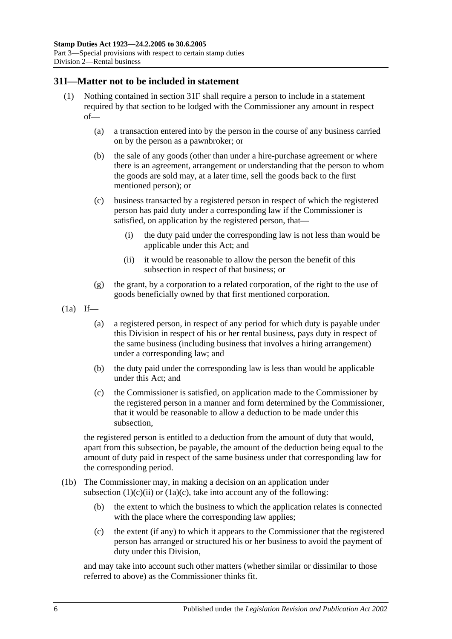#### <span id="page-23-0"></span>**31I—Matter not to be included in statement**

- (1) Nothing contained in [section](#page-21-3) 31F shall require a person to include in a statement required by that section to be lodged with the Commissioner any amount in respect of—
	- (a) a transaction entered into by the person in the course of any business carried on by the person as a pawnbroker; or
	- (b) the sale of any goods (other than under a hire-purchase agreement or where there is an agreement, arrangement or understanding that the person to whom the goods are sold may, at a later time, sell the goods back to the first mentioned person); or
	- (c) business transacted by a registered person in respect of which the registered person has paid duty under a corresponding law if the Commissioner is satisfied, on application by the registered person, that—
		- (i) the duty paid under the corresponding law is not less than would be applicable under this Act; and
		- (ii) it would be reasonable to allow the person the benefit of this subsection in respect of that business; or
	- (g) the grant, by a corporation to a related corporation, of the right to the use of goods beneficially owned by that first mentioned corporation.
- <span id="page-23-1"></span> $(1a)$  If—
	- (a) a registered person, in respect of any period for which duty is payable under this Division in respect of his or her rental business, pays duty in respect of the same business (including business that involves a hiring arrangement) under a corresponding law; and
	- (b) the duty paid under the corresponding law is less than would be applicable under this Act; and
	- (c) the Commissioner is satisfied, on application made to the Commissioner by the registered person in a manner and form determined by the Commissioner, that it would be reasonable to allow a deduction to be made under this subsection,

<span id="page-23-2"></span>the registered person is entitled to a deduction from the amount of duty that would, apart from this subsection, be payable, the amount of the deduction being equal to the amount of duty paid in respect of the same business under that corresponding law for the corresponding period.

- (1b) The Commissioner may, in making a decision on an application under [subsection](#page-23-1)  $(1)(c)(ii)$  or  $(1a)(c)$ , take into account any of the following:
	- (b) the extent to which the business to which the application relates is connected with the place where the corresponding law applies;
	- (c) the extent (if any) to which it appears to the Commissioner that the registered person has arranged or structured his or her business to avoid the payment of duty under this Division,

and may take into account such other matters (whether similar or dissimilar to those referred to above) as the Commissioner thinks fit.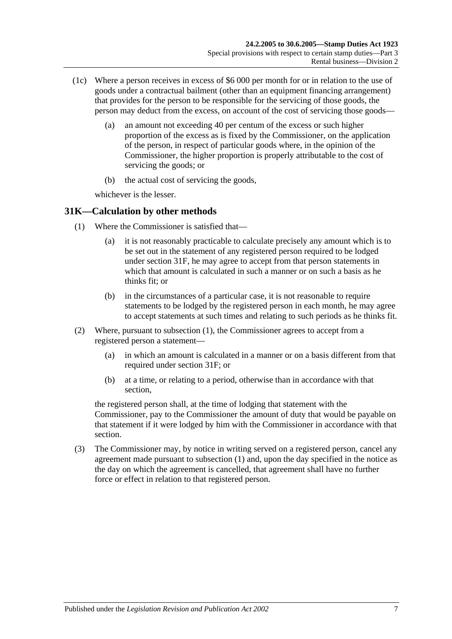- (1c) Where a person receives in excess of \$6 000 per month for or in relation to the use of goods under a contractual bailment (other than an equipment financing arrangement) that provides for the person to be responsible for the servicing of those goods, the person may deduct from the excess, on account of the cost of servicing those goods—
	- (a) an amount not exceeding 40 per centum of the excess or such higher proportion of the excess as is fixed by the Commissioner, on the application of the person, in respect of particular goods where, in the opinion of the Commissioner, the higher proportion is properly attributable to the cost of servicing the goods; or
	- (b) the actual cost of servicing the goods,

whichever is the lesser.

# <span id="page-24-1"></span><span id="page-24-0"></span>**31K—Calculation by other methods**

- (1) Where the Commissioner is satisfied that—
	- (a) it is not reasonably practicable to calculate precisely any amount which is to be set out in the statement of any registered person required to be lodged under [section](#page-21-3) 31F, he may agree to accept from that person statements in which that amount is calculated in such a manner or on such a basis as he thinks fit: or
	- (b) in the circumstances of a particular case, it is not reasonable to require statements to be lodged by the registered person in each month, he may agree to accept statements at such times and relating to such periods as he thinks fit.
- (2) Where, pursuant to [subsection](#page-24-1) (1), the Commissioner agrees to accept from a registered person a statement—
	- (a) in which an amount is calculated in a manner or on a basis different from that required under [section](#page-21-3) 31F; or
	- (b) at a time, or relating to a period, otherwise than in accordance with that section,

the registered person shall, at the time of lodging that statement with the Commissioner, pay to the Commissioner the amount of duty that would be payable on that statement if it were lodged by him with the Commissioner in accordance with that section.

(3) The Commissioner may, by notice in writing served on a registered person, cancel any agreement made pursuant to [subsection](#page-24-1) (1) and, upon the day specified in the notice as the day on which the agreement is cancelled, that agreement shall have no further force or effect in relation to that registered person.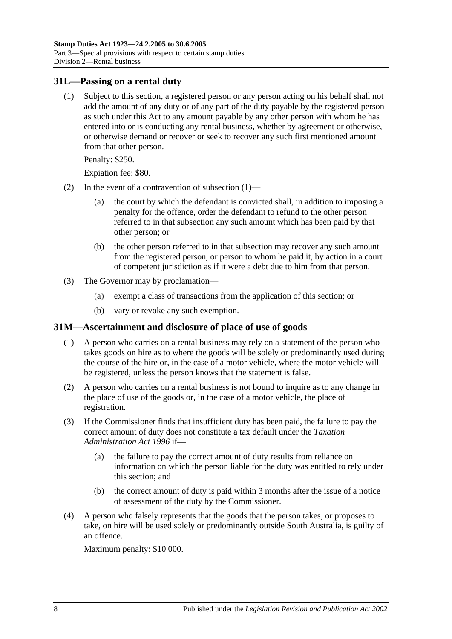#### <span id="page-25-2"></span><span id="page-25-0"></span>**31L—Passing on a rental duty**

(1) Subject to this section, a registered person or any person acting on his behalf shall not add the amount of any duty or of any part of the duty payable by the registered person as such under this Act to any amount payable by any other person with whom he has entered into or is conducting any rental business, whether by agreement or otherwise, or otherwise demand or recover or seek to recover any such first mentioned amount from that other person.

Penalty: \$250.

Expiation fee: \$80.

- (2) In the event of a contravention of [subsection](#page-25-2) (1)—
	- (a) the court by which the defendant is convicted shall, in addition to imposing a penalty for the offence, order the defendant to refund to the other person referred to in that subsection any such amount which has been paid by that other person; or
	- (b) the other person referred to in that subsection may recover any such amount from the registered person, or person to whom he paid it, by action in a court of competent jurisdiction as if it were a debt due to him from that person.
- (3) The Governor may by proclamation—
	- (a) exempt a class of transactions from the application of this section; or
	- (b) vary or revoke any such exemption.

#### <span id="page-25-1"></span>**31M—Ascertainment and disclosure of place of use of goods**

- (1) A person who carries on a rental business may rely on a statement of the person who takes goods on hire as to where the goods will be solely or predominantly used during the course of the hire or, in the case of a motor vehicle, where the motor vehicle will be registered, unless the person knows that the statement is false.
- (2) A person who carries on a rental business is not bound to inquire as to any change in the place of use of the goods or, in the case of a motor vehicle, the place of registration.
- (3) If the Commissioner finds that insufficient duty has been paid, the failure to pay the correct amount of duty does not constitute a tax default under the *[Taxation](http://www.legislation.sa.gov.au/index.aspx?action=legref&type=act&legtitle=Taxation%20Administration%20Act%201996)  [Administration Act](http://www.legislation.sa.gov.au/index.aspx?action=legref&type=act&legtitle=Taxation%20Administration%20Act%201996) 1996* if—
	- (a) the failure to pay the correct amount of duty results from reliance on information on which the person liable for the duty was entitled to rely under this section; and
	- (b) the correct amount of duty is paid within 3 months after the issue of a notice of assessment of the duty by the Commissioner.
- (4) A person who falsely represents that the goods that the person takes, or proposes to take, on hire will be used solely or predominantly outside South Australia, is guilty of an offence.

Maximum penalty: \$10 000.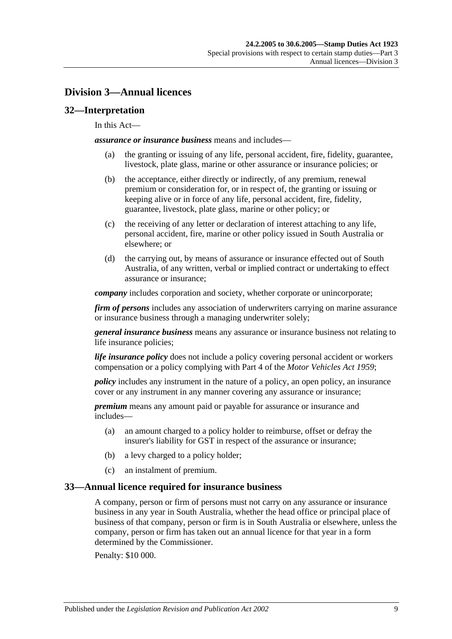# <span id="page-26-0"></span>**Division 3—Annual licences**

# <span id="page-26-1"></span>**32—Interpretation**

#### In this Act—

*assurance or insurance business* means and includes—

- (a) the granting or issuing of any life, personal accident, fire, fidelity, guarantee, livestock, plate glass, marine or other assurance or insurance policies; or
- (b) the acceptance, either directly or indirectly, of any premium, renewal premium or consideration for, or in respect of, the granting or issuing or keeping alive or in force of any life, personal accident, fire, fidelity, guarantee, livestock, plate glass, marine or other policy; or
- (c) the receiving of any letter or declaration of interest attaching to any life, personal accident, fire, marine or other policy issued in South Australia or elsewhere; or
- (d) the carrying out, by means of assurance or insurance effected out of South Australia, of any written, verbal or implied contract or undertaking to effect assurance or insurance;

*company* includes corporation and society, whether corporate or unincorporate;

*firm of persons* includes any association of underwriters carrying on marine assurance or insurance business through a managing underwriter solely;

*general insurance business* means any assurance or insurance business not relating to life insurance policies;

*life insurance policy* does not include a policy covering personal accident or workers compensation or a policy complying with Part 4 of the *[Motor Vehicles Act](http://www.legislation.sa.gov.au/index.aspx?action=legref&type=act&legtitle=Motor%20Vehicles%20Act%201959) 1959*;

*policy* includes any instrument in the nature of a policy, an open policy, an insurance cover or any instrument in any manner covering any assurance or insurance;

*premium* means any amount paid or payable for assurance or insurance and includes—

- (a) an amount charged to a policy holder to reimburse, offset or defray the insurer's liability for GST in respect of the assurance or insurance;
- (b) a levy charged to a policy holder;
- (c) an instalment of premium.

# <span id="page-26-2"></span>**33—Annual licence required for insurance business**

A company, person or firm of persons must not carry on any assurance or insurance business in any year in South Australia, whether the head office or principal place of business of that company, person or firm is in South Australia or elsewhere, unless the company, person or firm has taken out an annual licence for that year in a form determined by the Commissioner.

Penalty: \$10 000.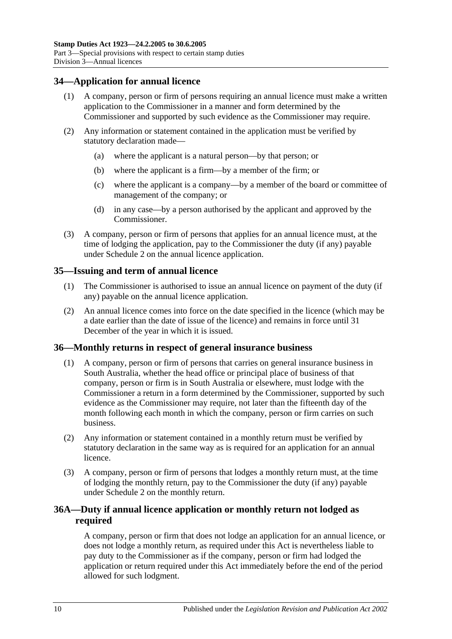# <span id="page-27-0"></span>**34—Application for annual licence**

- (1) A company, person or firm of persons requiring an annual licence must make a written application to the Commissioner in a manner and form determined by the Commissioner and supported by such evidence as the Commissioner may require.
- (2) Any information or statement contained in the application must be verified by statutory declaration made—
	- (a) where the applicant is a natural person—by that person; or
	- (b) where the applicant is a firm—by a member of the firm; or
	- (c) where the applicant is a company—by a member of the board or committee of management of the company; or
	- (d) in any case—by a person authorised by the applicant and approved by the Commissioner.
- (3) A company, person or firm of persons that applies for an annual licence must, at the time of lodging the application, pay to the Commissioner the duty (if any) payable under [Schedule 2](#page-102-2) on the annual licence application.

# <span id="page-27-1"></span>**35—Issuing and term of annual licence**

- (1) The Commissioner is authorised to issue an annual licence on payment of the duty (if any) payable on the annual licence application.
- (2) An annual licence comes into force on the date specified in the licence (which may be a date earlier than the date of issue of the licence) and remains in force until 31 December of the year in which it is issued.

#### <span id="page-27-2"></span>**36—Monthly returns in respect of general insurance business**

- (1) A company, person or firm of persons that carries on general insurance business in South Australia, whether the head office or principal place of business of that company, person or firm is in South Australia or elsewhere, must lodge with the Commissioner a return in a form determined by the Commissioner, supported by such evidence as the Commissioner may require, not later than the fifteenth day of the month following each month in which the company, person or firm carries on such business.
- (2) Any information or statement contained in a monthly return must be verified by statutory declaration in the same way as is required for an application for an annual licence.
- (3) A company, person or firm of persons that lodges a monthly return must, at the time of lodging the monthly return, pay to the Commissioner the duty (if any) payable under [Schedule 2](#page-102-2) on the monthly return.

# <span id="page-27-3"></span>**36A—Duty if annual licence application or monthly return not lodged as required**

A company, person or firm that does not lodge an application for an annual licence, or does not lodge a monthly return, as required under this Act is nevertheless liable to pay duty to the Commissioner as if the company, person or firm had lodged the application or return required under this Act immediately before the end of the period allowed for such lodgment.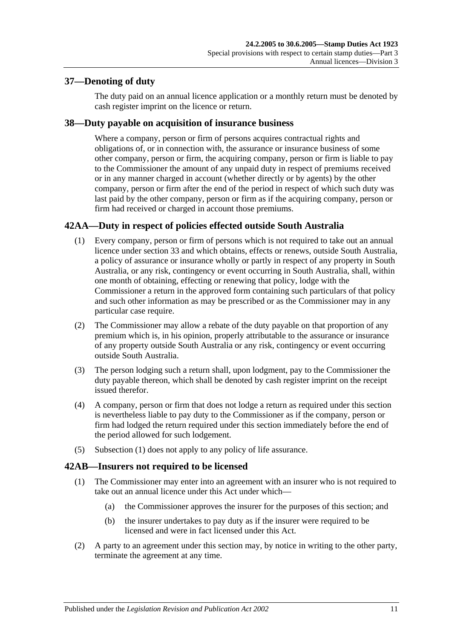# <span id="page-28-0"></span>**37—Denoting of duty**

The duty paid on an annual licence application or a monthly return must be denoted by cash register imprint on the licence or return.

# <span id="page-28-1"></span>**38—Duty payable on acquisition of insurance business**

Where a company, person or firm of persons acquires contractual rights and obligations of, or in connection with, the assurance or insurance business of some other company, person or firm, the acquiring company, person or firm is liable to pay to the Commissioner the amount of any unpaid duty in respect of premiums received or in any manner charged in account (whether directly or by agents) by the other company, person or firm after the end of the period in respect of which such duty was last paid by the other company, person or firm as if the acquiring company, person or firm had received or charged in account those premiums.

# <span id="page-28-4"></span><span id="page-28-2"></span>**42AA—Duty in respect of policies effected outside South Australia**

- (1) Every company, person or firm of persons which is not required to take out an annual licence under [section](#page-26-2) 33 and which obtains, effects or renews, outside South Australia, a policy of assurance or insurance wholly or partly in respect of any property in South Australia, or any risk, contingency or event occurring in South Australia, shall, within one month of obtaining, effecting or renewing that policy, lodge with the Commissioner a return in the approved form containing such particulars of that policy and such other information as may be prescribed or as the Commissioner may in any particular case require.
- (2) The Commissioner may allow a rebate of the duty payable on that proportion of any premium which is, in his opinion, properly attributable to the assurance or insurance of any property outside South Australia or any risk, contingency or event occurring outside South Australia.
- (3) The person lodging such a return shall, upon lodgment, pay to the Commissioner the duty payable thereon, which shall be denoted by cash register imprint on the receipt issued therefor.
- (4) A company, person or firm that does not lodge a return as required under this section is nevertheless liable to pay duty to the Commissioner as if the company, person or firm had lodged the return required under this section immediately before the end of the period allowed for such lodgement.
- (5) [Subsection](#page-28-4) (1) does not apply to any policy of life assurance.

# <span id="page-28-3"></span>**42AB—Insurers not required to be licensed**

- (1) The Commissioner may enter into an agreement with an insurer who is not required to take out an annual licence under this Act under which—
	- (a) the Commissioner approves the insurer for the purposes of this section; and
	- (b) the insurer undertakes to pay duty as if the insurer were required to be licensed and were in fact licensed under this Act.
- (2) A party to an agreement under this section may, by notice in writing to the other party, terminate the agreement at any time.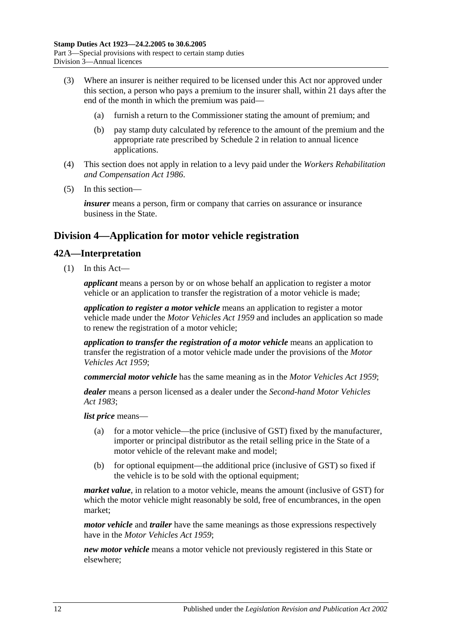- (3) Where an insurer is neither required to be licensed under this Act nor approved under this section, a person who pays a premium to the insurer shall, within 21 days after the end of the month in which the premium was paid—
	- (a) furnish a return to the Commissioner stating the amount of premium; and
	- (b) pay stamp duty calculated by reference to the amount of the premium and the appropriate rate prescribed by [Schedule 2](#page-102-2) in relation to annual licence applications.
- (4) This section does not apply in relation to a levy paid under the *[Workers Rehabilitation](http://www.legislation.sa.gov.au/index.aspx?action=legref&type=act&legtitle=Workers%20Rehabilitation%20and%20Compensation%20Act%201986)  [and Compensation Act](http://www.legislation.sa.gov.au/index.aspx?action=legref&type=act&legtitle=Workers%20Rehabilitation%20and%20Compensation%20Act%201986) 1986*.
- (5) In this section—

*insurer* means a person, firm or company that carries on assurance or insurance business in the State.

# <span id="page-29-0"></span>**Division 4—Application for motor vehicle registration**

# <span id="page-29-1"></span>**42A—Interpretation**

(1) In this Act—

*applicant* means a person by or on whose behalf an application to register a motor vehicle or an application to transfer the registration of a motor vehicle is made;

*application to register a motor vehicle* means an application to register a motor vehicle made under the *[Motor Vehicles Act](http://www.legislation.sa.gov.au/index.aspx?action=legref&type=act&legtitle=Motor%20Vehicles%20Act%201959) 1959* and includes an application so made to renew the registration of a motor vehicle;

*application to transfer the registration of a motor vehicle* means an application to transfer the registration of a motor vehicle made under the provisions of the *[Motor](http://www.legislation.sa.gov.au/index.aspx?action=legref&type=act&legtitle=Motor%20Vehicles%20Act%201959)  [Vehicles Act](http://www.legislation.sa.gov.au/index.aspx?action=legref&type=act&legtitle=Motor%20Vehicles%20Act%201959) 1959*;

*commercial motor vehicle* has the same meaning as in the *[Motor Vehicles Act](http://www.legislation.sa.gov.au/index.aspx?action=legref&type=act&legtitle=Motor%20Vehicles%20Act%201959) 1959*;

*dealer* means a person licensed as a dealer under the *[Second-hand Motor Vehicles](http://www.legislation.sa.gov.au/index.aspx?action=legref&type=act&legtitle=Second-hand%20Motor%20Vehicles%20Act%201983)  Act [1983](http://www.legislation.sa.gov.au/index.aspx?action=legref&type=act&legtitle=Second-hand%20Motor%20Vehicles%20Act%201983)*;

*list price* means—

- (a) for a motor vehicle—the price (inclusive of GST) fixed by the manufacturer, importer or principal distributor as the retail selling price in the State of a motor vehicle of the relevant make and model;
- (b) for optional equipment—the additional price (inclusive of GST) so fixed if the vehicle is to be sold with the optional equipment;

*market value*, in relation to a motor vehicle, means the amount (inclusive of GST) for which the motor vehicle might reasonably be sold, free of encumbrances, in the open market;

*motor vehicle* and *trailer* have the same meanings as those expressions respectively have in the *[Motor Vehicles Act](http://www.legislation.sa.gov.au/index.aspx?action=legref&type=act&legtitle=Motor%20Vehicles%20Act%201959) 1959*;

*new motor vehicle* means a motor vehicle not previously registered in this State or elsewhere;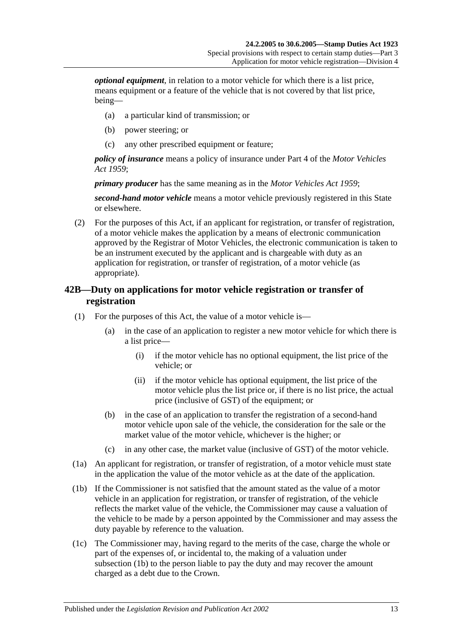*optional equipment*, in relation to a motor vehicle for which there is a list price, means equipment or a feature of the vehicle that is not covered by that list price, being—

- (a) a particular kind of transmission; or
- (b) power steering; or
- (c) any other prescribed equipment or feature;

*policy of insurance* means a policy of insurance under Part 4 of the *[Motor Vehicles](http://www.legislation.sa.gov.au/index.aspx?action=legref&type=act&legtitle=Motor%20Vehicles%20Act%201959)  Act [1959](http://www.legislation.sa.gov.au/index.aspx?action=legref&type=act&legtitle=Motor%20Vehicles%20Act%201959)*;

*primary producer* has the same meaning as in the *[Motor Vehicles Act](http://www.legislation.sa.gov.au/index.aspx?action=legref&type=act&legtitle=Motor%20Vehicles%20Act%201959) 1959*;

*second-hand motor vehicle* means a motor vehicle previously registered in this State or elsewhere.

(2) For the purposes of this Act, if an applicant for registration, or transfer of registration, of a motor vehicle makes the application by a means of electronic communication approved by the Registrar of Motor Vehicles, the electronic communication is taken to be an instrument executed by the applicant and is chargeable with duty as an application for registration, or transfer of registration, of a motor vehicle (as appropriate).

# <span id="page-30-0"></span>**42B—Duty on applications for motor vehicle registration or transfer of registration**

- (1) For the purposes of this Act, the value of a motor vehicle is—
	- (a) in the case of an application to register a new motor vehicle for which there is a list price—
		- (i) if the motor vehicle has no optional equipment, the list price of the vehicle; or
		- (ii) if the motor vehicle has optional equipment, the list price of the motor vehicle plus the list price or, if there is no list price, the actual price (inclusive of GST) of the equipment; or
	- (b) in the case of an application to transfer the registration of a second-hand motor vehicle upon sale of the vehicle, the consideration for the sale or the market value of the motor vehicle, whichever is the higher; or
	- (c) in any other case, the market value (inclusive of GST) of the motor vehicle.
- (1a) An applicant for registration, or transfer of registration, of a motor vehicle must state in the application the value of the motor vehicle as at the date of the application.
- <span id="page-30-1"></span>(1b) If the Commissioner is not satisfied that the amount stated as the value of a motor vehicle in an application for registration, or transfer of registration, of the vehicle reflects the market value of the vehicle, the Commissioner may cause a valuation of the vehicle to be made by a person appointed by the Commissioner and may assess the duty payable by reference to the valuation.
- (1c) The Commissioner may, having regard to the merits of the case, charge the whole or part of the expenses of, or incidental to, the making of a valuation under [subsection](#page-30-1) (1b) to the person liable to pay the duty and may recover the amount charged as a debt due to the Crown.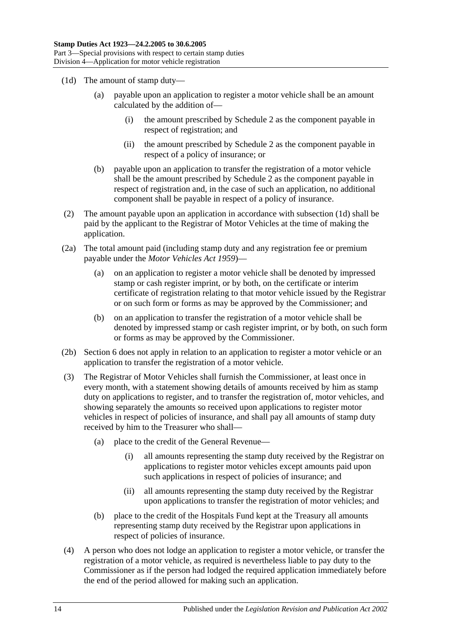- <span id="page-31-0"></span>(1d) The amount of stamp duty—
	- (a) payable upon an application to register a motor vehicle shall be an amount calculated by the addition of—
		- (i) the amount prescribed by [Schedule 2](#page-102-2) as the component payable in respect of registration; and
		- (ii) the amount prescribed by [Schedule 2](#page-102-2) as the component payable in respect of a policy of insurance; or
	- (b) payable upon an application to transfer the registration of a motor vehicle shall be the amount prescribed by [Schedule 2](#page-102-2) as the component payable in respect of registration and, in the case of such an application, no additional component shall be payable in respect of a policy of insurance.
- (2) The amount payable upon an application in accordance with [subsection](#page-31-0) (1d) shall be paid by the applicant to the Registrar of Motor Vehicles at the time of making the application.
- (2a) The total amount paid (including stamp duty and any registration fee or premium payable under the *[Motor Vehicles Act](http://www.legislation.sa.gov.au/index.aspx?action=legref&type=act&legtitle=Motor%20Vehicles%20Act%201959) 1959*)—
	- (a) on an application to register a motor vehicle shall be denoted by impressed stamp or cash register imprint, or by both, on the certificate or interim certificate of registration relating to that motor vehicle issued by the Registrar or on such form or forms as may be approved by the Commissioner; and
	- (b) on an application to transfer the registration of a motor vehicle shall be denoted by impressed stamp or cash register imprint, or by both, on such form or forms as may be approved by the Commissioner.
- (2b) Section 6 does not apply in relation to an application to register a motor vehicle or an application to transfer the registration of a motor vehicle.
- (3) The Registrar of Motor Vehicles shall furnish the Commissioner, at least once in every month, with a statement showing details of amounts received by him as stamp duty on applications to register, and to transfer the registration of, motor vehicles, and showing separately the amounts so received upon applications to register motor vehicles in respect of policies of insurance, and shall pay all amounts of stamp duty received by him to the Treasurer who shall—
	- (a) place to the credit of the General Revenue—
		- (i) all amounts representing the stamp duty received by the Registrar on applications to register motor vehicles except amounts paid upon such applications in respect of policies of insurance; and
		- (ii) all amounts representing the stamp duty received by the Registrar upon applications to transfer the registration of motor vehicles; and
	- (b) place to the credit of the Hospitals Fund kept at the Treasury all amounts representing stamp duty received by the Registrar upon applications in respect of policies of insurance.
- (4) A person who does not lodge an application to register a motor vehicle, or transfer the registration of a motor vehicle, as required is nevertheless liable to pay duty to the Commissioner as if the person had lodged the required application immediately before the end of the period allowed for making such an application.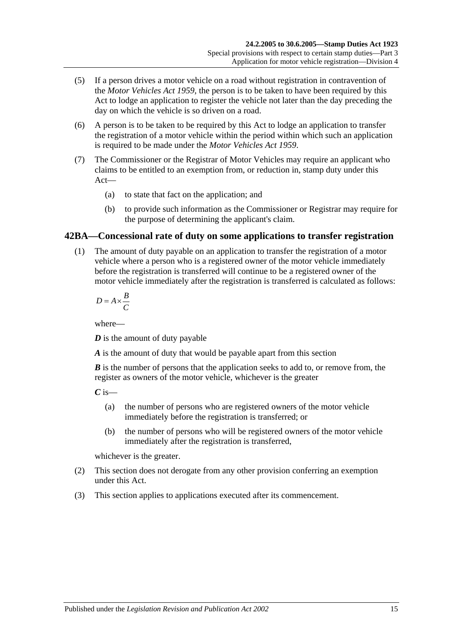- (5) If a person drives a motor vehicle on a road without registration in contravention of the *[Motor Vehicles Act](http://www.legislation.sa.gov.au/index.aspx?action=legref&type=act&legtitle=Motor%20Vehicles%20Act%201959) 1959*, the person is to be taken to have been required by this Act to lodge an application to register the vehicle not later than the day preceding the day on which the vehicle is so driven on a road.
- (6) A person is to be taken to be required by this Act to lodge an application to transfer the registration of a motor vehicle within the period within which such an application is required to be made under the *[Motor Vehicles Act](http://www.legislation.sa.gov.au/index.aspx?action=legref&type=act&legtitle=Motor%20Vehicles%20Act%201959) 1959*.
- (7) The Commissioner or the Registrar of Motor Vehicles may require an applicant who claims to be entitled to an exemption from, or reduction in, stamp duty under this Act—
	- (a) to state that fact on the application; and
	- (b) to provide such information as the Commissioner or Registrar may require for the purpose of determining the applicant's claim.

# <span id="page-32-0"></span>**42BA—Concessional rate of duty on some applications to transfer registration**

(1) The amount of duty payable on an application to transfer the registration of a motor vehicle where a person who is a registered owner of the motor vehicle immediately before the registration is transferred will continue to be a registered owner of the motor vehicle immediately after the registration is transferred is calculated as follows:

$$
D = A \times \frac{B}{C}
$$

where—

*D* is the amount of duty payable

*A* is the amount of duty that would be payable apart from this section

*B* is the number of persons that the application seeks to add to, or remove from, the register as owners of the motor vehicle, whichever is the greater

 $C$  is—

- (a) the number of persons who are registered owners of the motor vehicle immediately before the registration is transferred; or
- (b) the number of persons who will be registered owners of the motor vehicle immediately after the registration is transferred,

whichever is the greater.

- (2) This section does not derogate from any other provision conferring an exemption under this Act.
- (3) This section applies to applications executed after its commencement.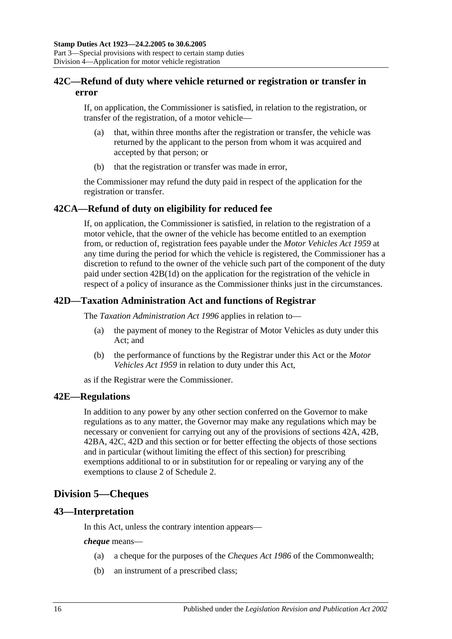# <span id="page-33-0"></span>**42C—Refund of duty where vehicle returned or registration or transfer in error**

If, on application, the Commissioner is satisfied, in relation to the registration, or transfer of the registration, of a motor vehicle—

- (a) that, within three months after the registration or transfer, the vehicle was returned by the applicant to the person from whom it was acquired and accepted by that person; or
- (b) that the registration or transfer was made in error,

the Commissioner may refund the duty paid in respect of the application for the registration or transfer.

# <span id="page-33-1"></span>**42CA—Refund of duty on eligibility for reduced fee**

If, on application, the Commissioner is satisfied, in relation to the registration of a motor vehicle, that the owner of the vehicle has become entitled to an exemption from, or reduction of, registration fees payable under the *[Motor Vehicles Act](http://www.legislation.sa.gov.au/index.aspx?action=legref&type=act&legtitle=Motor%20Vehicles%20Act%201959) 1959* at any time during the period for which the vehicle is registered, the Commissioner has a discretion to refund to the owner of the vehicle such part of the component of the duty paid under section [42B\(1d\)](#page-31-0) on the application for the registration of the vehicle in respect of a policy of insurance as the Commissioner thinks just in the circumstances.

# <span id="page-33-2"></span>**42D—Taxation Administration Act and functions of Registrar**

The *[Taxation Administration Act](http://www.legislation.sa.gov.au/index.aspx?action=legref&type=act&legtitle=Taxation%20Administration%20Act%201996) 1996* applies in relation to—

- (a) the payment of money to the Registrar of Motor Vehicles as duty under this Act; and
- (b) the performance of functions by the Registrar under this Act or the *[Motor](http://www.legislation.sa.gov.au/index.aspx?action=legref&type=act&legtitle=Motor%20Vehicles%20Act%201959)  [Vehicles Act](http://www.legislation.sa.gov.au/index.aspx?action=legref&type=act&legtitle=Motor%20Vehicles%20Act%201959) 1959* in relation to duty under this Act,

as if the Registrar were the Commissioner.

#### <span id="page-33-3"></span>**42E—Regulations**

In addition to any power by any other section conferred on the Governor to make regulations as to any matter, the Governor may make any regulations which may be necessary or convenient for carrying out any of the provisions of [sections](#page-29-1) 42A, [42B,](#page-30-0) [42BA,](#page-32-0) [42C,](#page-33-0) [42D](#page-33-2) and this section or for better effecting the objects of those sections and in particular (without limiting the effect of this section) for prescribing exemptions additional to or in substitution for or repealing or varying any of the exemptions to clause 2 of [Schedule 2.](#page-102-2)

# <span id="page-33-4"></span>**Division 5—Cheques**

# <span id="page-33-5"></span>**43—Interpretation**

In this Act, unless the contrary intention appears—

*cheque* means—

- (a) a cheque for the purposes of the *Cheques Act 1986* of the Commonwealth;
- (b) an instrument of a prescribed class;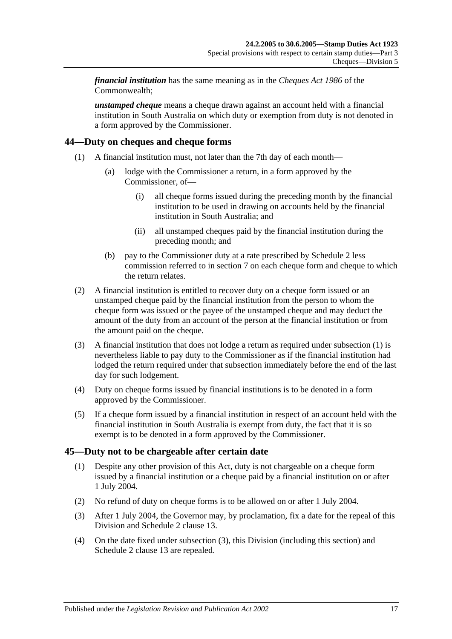*financial institution* has the same meaning as in the *Cheques Act 1986* of the Commonwealth;

*unstamped cheque* means a cheque drawn against an account held with a financial institution in South Australia on which duty or exemption from duty is not denoted in a form approved by the Commissioner.

# <span id="page-34-2"></span><span id="page-34-0"></span>**44—Duty on cheques and cheque forms**

- (1) A financial institution must, not later than the 7th day of each month—
	- (a) lodge with the Commissioner a return, in a form approved by the Commissioner, of—
		- (i) all cheque forms issued during the preceding month by the financial institution to be used in drawing on accounts held by the financial institution in South Australia; and
		- (ii) all unstamped cheques paid by the financial institution during the preceding month; and
	- (b) pay to the Commissioner duty at a rate prescribed by [Schedule 2](#page-102-2) less commission referred to in [section](#page-12-3) 7 on each cheque form and cheque to which the return relates.
- (2) A financial institution is entitled to recover duty on a cheque form issued or an unstamped cheque paid by the financial institution from the person to whom the cheque form was issued or the payee of the unstamped cheque and may deduct the amount of the duty from an account of the person at the financial institution or from the amount paid on the cheque.
- (3) A financial institution that does not lodge a return as required under [subsection](#page-34-2) (1) is nevertheless liable to pay duty to the Commissioner as if the financial institution had lodged the return required under that subsection immediately before the end of the last day for such lodgement.
- (4) Duty on cheque forms issued by financial institutions is to be denoted in a form approved by the Commissioner.
- (5) If a cheque form issued by a financial institution in respect of an account held with the financial institution in South Australia is exempt from duty, the fact that it is so exempt is to be denoted in a form approved by the Commissioner.

# <span id="page-34-1"></span>**45—Duty not to be chargeable after certain date**

- (1) Despite any other provision of this Act, duty is not chargeable on a cheque form issued by a financial institution or a cheque paid by a financial institution on or after 1 July 2004.
- (2) No refund of duty on cheque forms is to be allowed on or after 1 July 2004.
- <span id="page-34-3"></span>(3) After 1 July 2004, the Governor may, by proclamation, fix a date for the repeal of this Division and Schedule 2 clause 13.
- (4) On the date fixed under [subsection](#page-34-3) (3), this Division (including this section) and Schedule 2 clause 13 are repealed.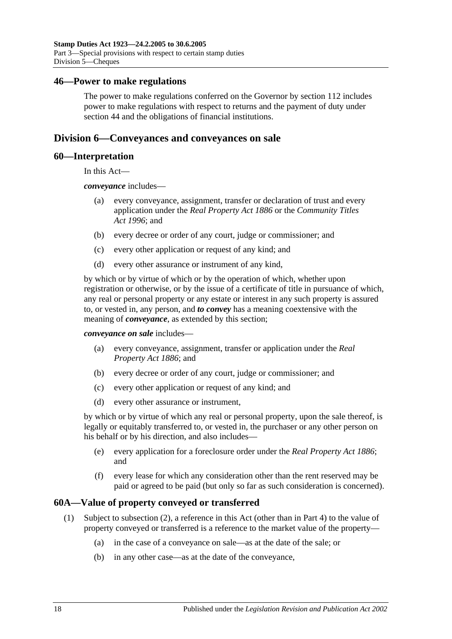#### <span id="page-35-0"></span>**46—Power to make regulations**

The power to make regulations conferred on the Governor by [section](#page-100-2) 112 includes power to make regulations with respect to returns and the payment of duty under [section](#page-34-0) 44 and the obligations of financial institutions.

# <span id="page-35-1"></span>**Division 6—Conveyances and conveyances on sale**

#### <span id="page-35-2"></span>**60—Interpretation**

In this Act—

*conveyance* includes—

- (a) every conveyance, assignment, transfer or declaration of trust and every application under the *[Real Property Act](http://www.legislation.sa.gov.au/index.aspx?action=legref&type=act&legtitle=Real%20Property%20Act%201886) 1886* or the *[Community Titles](http://www.legislation.sa.gov.au/index.aspx?action=legref&type=act&legtitle=Community%20Titles%20Act%201996)  Act [1996](http://www.legislation.sa.gov.au/index.aspx?action=legref&type=act&legtitle=Community%20Titles%20Act%201996)*; and
- (b) every decree or order of any court, judge or commissioner; and
- (c) every other application or request of any kind; and
- (d) every other assurance or instrument of any kind,

by which or by virtue of which or by the operation of which, whether upon registration or otherwise, or by the issue of a certificate of title in pursuance of which, any real or personal property or any estate or interest in any such property is assured to, or vested in, any person, and *to convey* has a meaning coextensive with the meaning of *conveyance*, as extended by this section;

*conveyance on sale* includes—

- (a) every conveyance, assignment, transfer or application under the *[Real](http://www.legislation.sa.gov.au/index.aspx?action=legref&type=act&legtitle=Real%20Property%20Act%201886)  [Property Act](http://www.legislation.sa.gov.au/index.aspx?action=legref&type=act&legtitle=Real%20Property%20Act%201886) 1886*; and
- (b) every decree or order of any court, judge or commissioner; and
- (c) every other application or request of any kind; and
- (d) every other assurance or instrument,

by which or by virtue of which any real or personal property, upon the sale thereof, is legally or equitably transferred to, or vested in, the purchaser or any other person on his behalf or by his direction, and also includes—

- (e) every application for a foreclosure order under the *[Real Property Act](http://www.legislation.sa.gov.au/index.aspx?action=legref&type=act&legtitle=Real%20Property%20Act%201886) 1886*; and
- (f) every lease for which any consideration other than the rent reserved may be paid or agreed to be paid (but only so far as such consideration is concerned).

#### <span id="page-35-3"></span>**60A—Value of property conveyed or transferred**

- (1) Subject to [subsection](#page-36-0) (2), a reference in this Act (other than in [Part 4\)](#page-88-0) to the value of property conveyed or transferred is a reference to the market value of the property—
	- (a) in the case of a conveyance on sale—as at the date of the sale; or
	- (b) in any other case—as at the date of the conveyance,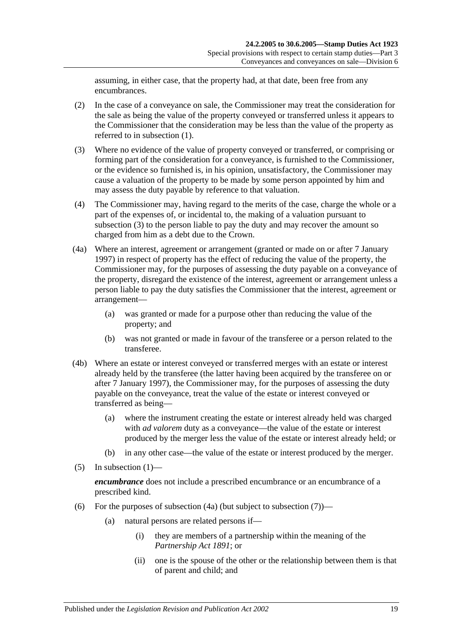assuming, in either case, that the property had, at that date, been free from any encumbrances.

- (2) In the case of a conveyance on sale, the Commissioner may treat the consideration for the sale as being the value of the property conveyed or transferred unless it appears to the Commissioner that the consideration may be less than the value of the property as referred to in [subsection](#page-35-0) (1).
- <span id="page-36-0"></span>(3) Where no evidence of the value of property conveyed or transferred, or comprising or forming part of the consideration for a conveyance, is furnished to the Commissioner, or the evidence so furnished is, in his opinion, unsatisfactory, the Commissioner may cause a valuation of the property to be made by some person appointed by him and may assess the duty payable by reference to that valuation.
- (4) The Commissioner may, having regard to the merits of the case, charge the whole or a part of the expenses of, or incidental to, the making of a valuation pursuant to [subsection](#page-36-0) (3) to the person liable to pay the duty and may recover the amount so charged from him as a debt due to the Crown.
- <span id="page-36-1"></span>(4a) Where an interest, agreement or arrangement (granted or made on or after 7 January 1997) in respect of property has the effect of reducing the value of the property, the Commissioner may, for the purposes of assessing the duty payable on a conveyance of the property, disregard the existence of the interest, agreement or arrangement unless a person liable to pay the duty satisfies the Commissioner that the interest, agreement or arrangement—
	- (a) was granted or made for a purpose other than reducing the value of the property; and
	- (b) was not granted or made in favour of the transferee or a person related to the transferee.
- (4b) Where an estate or interest conveyed or transferred merges with an estate or interest already held by the transferee (the latter having been acquired by the transferee on or after 7 January 1997), the Commissioner may, for the purposes of assessing the duty payable on the conveyance, treat the value of the estate or interest conveyed or transferred as being—
	- (a) where the instrument creating the estate or interest already held was charged with *ad valorem* duty as a conveyance—the value of the estate or interest produced by the merger less the value of the estate or interest already held; or
	- (b) in any other case—the value of the estate or interest produced by the merger.
- $(5)$  In [subsection](#page-35-0)  $(1)$ —

*encumbrance* does not include a prescribed encumbrance or an encumbrance of a prescribed kind.

- <span id="page-36-2"></span>(6) For the purposes of [subsection](#page-37-0)  $(4a)$  (but subject to subsection  $(7)$ )—
	- (a) natural persons are related persons if—
		- (i) they are members of a partnership within the meaning of the *[Partnership Act](http://www.legislation.sa.gov.au/index.aspx?action=legref&type=act&legtitle=Partnership%20Act%201891) 1891*; or
		- (ii) one is the spouse of the other or the relationship between them is that of parent and child; and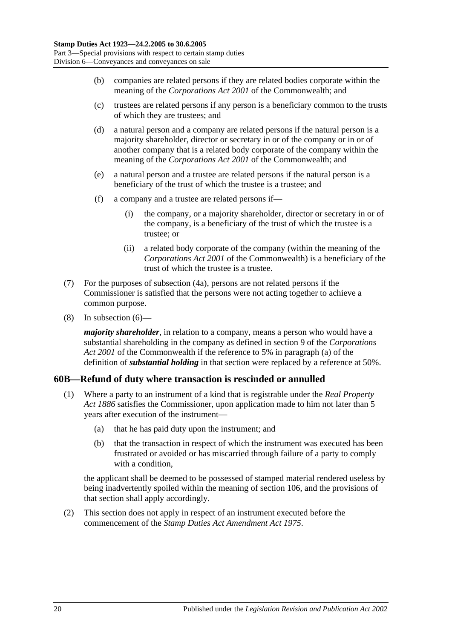- (b) companies are related persons if they are related bodies corporate within the meaning of the *Corporations Act 2001* of the Commonwealth; and
- (c) trustees are related persons if any person is a beneficiary common to the trusts of which they are trustees; and
- (d) a natural person and a company are related persons if the natural person is a majority shareholder, director or secretary in or of the company or in or of another company that is a related body corporate of the company within the meaning of the *Corporations Act 2001* of the Commonwealth; and
- (e) a natural person and a trustee are related persons if the natural person is a beneficiary of the trust of which the trustee is a trustee; and
- (f) a company and a trustee are related persons if—
	- (i) the company, or a majority shareholder, director or secretary in or of the company, is a beneficiary of the trust of which the trustee is a trustee; or
	- (ii) a related body corporate of the company (within the meaning of the *Corporations Act 2001* of the Commonwealth) is a beneficiary of the trust of which the trustee is a trustee.
- <span id="page-37-0"></span>(7) For the purposes of [subsection](#page-36-1) (4a), persons are not related persons if the Commissioner is satisfied that the persons were not acting together to achieve a common purpose.
- (8) In [subsection](#page-36-2) (6)—

*majority shareholder*, in relation to a company, means a person who would have a substantial shareholding in the company as defined in section 9 of the *Corporations Act 2001* of the Commonwealth if the reference to 5% in paragraph (a) of the definition of *substantial holding* in that section were replaced by a reference at 50%.

# **60B—Refund of duty where transaction is rescinded or annulled**

- (1) Where a party to an instrument of a kind that is registrable under the *[Real Property](http://www.legislation.sa.gov.au/index.aspx?action=legref&type=act&legtitle=Real%20Property%20Act%201886)  Act [1886](http://www.legislation.sa.gov.au/index.aspx?action=legref&type=act&legtitle=Real%20Property%20Act%201886)* satisfies the Commissioner, upon application made to him not later than 5 years after execution of the instrument—
	- (a) that he has paid duty upon the instrument; and
	- (b) that the transaction in respect of which the instrument was executed has been frustrated or avoided or has miscarried through failure of a party to comply with a condition.

the applicant shall be deemed to be possessed of stamped material rendered useless by being inadvertently spoiled within the meaning of [section](#page-98-0) 106, and the provisions of that section shall apply accordingly.

(2) This section does not apply in respect of an instrument executed before the commencement of the *[Stamp Duties Act Amendment Act](http://www.legislation.sa.gov.au/index.aspx?action=legref&type=act&legtitle=Stamp%20Duties%20Act%20Amendment%20Act%201975) 1975*.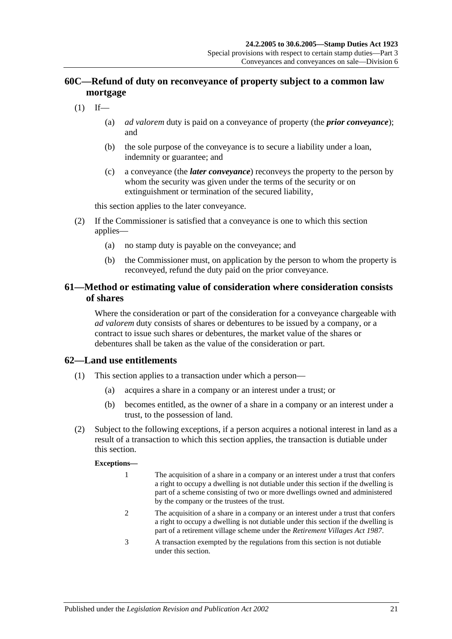# **60C—Refund of duty on reconveyance of property subject to a common law mortgage**

- $(1)$  If—
	- (a) *ad valorem* duty is paid on a conveyance of property (the *prior conveyance*); and
	- (b) the sole purpose of the conveyance is to secure a liability under a loan, indemnity or guarantee; and
	- (c) a conveyance (the *later conveyance*) reconveys the property to the person by whom the security was given under the terms of the security or on extinguishment or termination of the secured liability,

this section applies to the later conveyance.

- (2) If the Commissioner is satisfied that a conveyance is one to which this section applies—
	- (a) no stamp duty is payable on the conveyance; and
	- (b) the Commissioner must, on application by the person to whom the property is reconveyed, refund the duty paid on the prior conveyance.

## **61—Method or estimating value of consideration where consideration consists of shares**

Where the consideration or part of the consideration for a conveyance chargeable with *ad valorem* duty consists of shares or debentures to be issued by a company, or a contract to issue such shares or debentures, the market value of the shares or debentures shall be taken as the value of the consideration or part.

## **62—Land use entitlements**

- (1) This section applies to a transaction under which a person—
	- (a) acquires a share in a company or an interest under a trust; or
	- (b) becomes entitled, as the owner of a share in a company or an interest under a trust, to the possession of land.
- (2) Subject to the following exceptions, if a person acquires a notional interest in land as a result of a transaction to which this section applies, the transaction is dutiable under this section.

#### **Exceptions—**

- 1 The acquisition of a share in a company or an interest under a trust that confers a right to occupy a dwelling is not dutiable under this section if the dwelling is part of a scheme consisting of two or more dwellings owned and administered by the company or the trustees of the trust.
- 2 The acquisition of a share in a company or an interest under a trust that confers a right to occupy a dwelling is not dutiable under this section if the dwelling is part of a retirement village scheme under the *[Retirement Villages Act](http://www.legislation.sa.gov.au/index.aspx?action=legref&type=act&legtitle=Retirement%20Villages%20Act%201987) 1987*.
- 3 A transaction exempted by the regulations from this section is not dutiable under this section.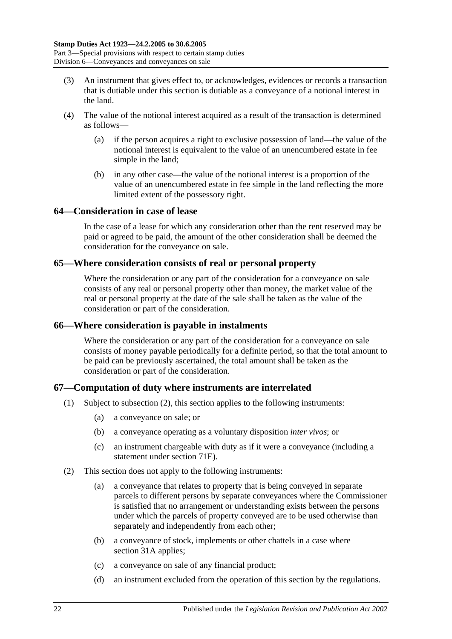- (3) An instrument that gives effect to, or acknowledges, evidences or records a transaction that is dutiable under this section is dutiable as a conveyance of a notional interest in the land.
- (4) The value of the notional interest acquired as a result of the transaction is determined as follows—
	- (a) if the person acquires a right to exclusive possession of land—the value of the notional interest is equivalent to the value of an unencumbered estate in fee simple in the land;
	- (b) in any other case—the value of the notional interest is a proportion of the value of an unencumbered estate in fee simple in the land reflecting the more limited extent of the possessory right.

### **64—Consideration in case of lease**

In the case of a lease for which any consideration other than the rent reserved may be paid or agreed to be paid, the amount of the other consideration shall be deemed the consideration for the conveyance on sale.

### **65—Where consideration consists of real or personal property**

Where the consideration or any part of the consideration for a conveyance on sale consists of any real or personal property other than money, the market value of the real or personal property at the date of the sale shall be taken as the value of the consideration or part of the consideration.

## **66—Where consideration is payable in instalments**

Where the consideration or any part of the consideration for a conveyance on sale consists of money payable periodically for a definite period, so that the total amount to be paid can be previously ascertained, the total amount shall be taken as the consideration or part of the consideration.

## **67—Computation of duty where instruments are interrelated**

- (1) Subject to [subsection](#page-39-0) (2), this section applies to the following instruments:
	- (a) a conveyance on sale; or
	- (b) a conveyance operating as a voluntary disposition *inter vivos*; or
	- (c) an instrument chargeable with duty as if it were a conveyance (including a statement under [section](#page-64-0) 71E).
- <span id="page-39-0"></span>(2) This section does not apply to the following instruments:
	- (a) a conveyance that relates to property that is being conveyed in separate parcels to different persons by separate conveyances where the Commissioner is satisfied that no arrangement or understanding exists between the persons under which the parcels of property conveyed are to be used otherwise than separately and independently from each other;
	- (b) a conveyance of stock, implements or other chattels in a case where [section](#page-19-0) 31A applies;
	- (c) a conveyance on sale of any financial product;
	- (d) an instrument excluded from the operation of this section by the regulations.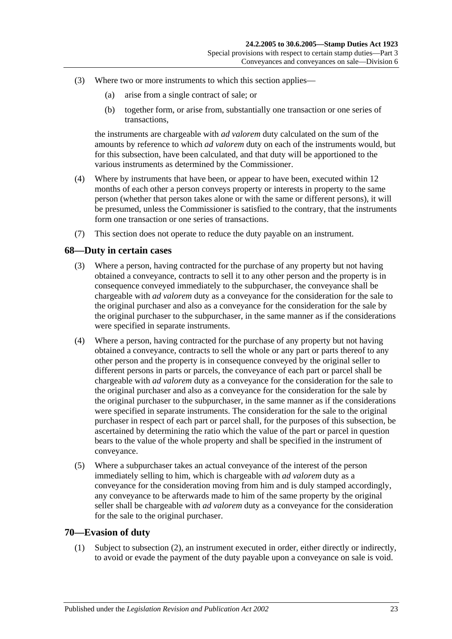- (3) Where two or more instruments to which this section applies—
	- (a) arise from a single contract of sale; or
	- (b) together form, or arise from, substantially one transaction or one series of transactions,

the instruments are chargeable with *ad valorem* duty calculated on the sum of the amounts by reference to which *ad valorem* duty on each of the instruments would, but for this subsection, have been calculated, and that duty will be apportioned to the various instruments as determined by the Commissioner.

- (4) Where by instruments that have been, or appear to have been, executed within 12 months of each other a person conveys property or interests in property to the same person (whether that person takes alone or with the same or different persons), it will be presumed, unless the Commissioner is satisfied to the contrary, that the instruments form one transaction or one series of transactions.
- (7) This section does not operate to reduce the duty payable on an instrument.

### **68—Duty in certain cases**

- (3) Where a person, having contracted for the purchase of any property but not having obtained a conveyance, contracts to sell it to any other person and the property is in consequence conveyed immediately to the subpurchaser, the conveyance shall be chargeable with *ad valorem* duty as a conveyance for the consideration for the sale to the original purchaser and also as a conveyance for the consideration for the sale by the original purchaser to the subpurchaser, in the same manner as if the considerations were specified in separate instruments.
- (4) Where a person, having contracted for the purchase of any property but not having obtained a conveyance, contracts to sell the whole or any part or parts thereof to any other person and the property is in consequence conveyed by the original seller to different persons in parts or parcels, the conveyance of each part or parcel shall be chargeable with *ad valorem* duty as a conveyance for the consideration for the sale to the original purchaser and also as a conveyance for the consideration for the sale by the original purchaser to the subpurchaser, in the same manner as if the considerations were specified in separate instruments. The consideration for the sale to the original purchaser in respect of each part or parcel shall, for the purposes of this subsection, be ascertained by determining the ratio which the value of the part or parcel in question bears to the value of the whole property and shall be specified in the instrument of conveyance.
- (5) Where a subpurchaser takes an actual conveyance of the interest of the person immediately selling to him, which is chargeable with *ad valorem* duty as a conveyance for the consideration moving from him and is duly stamped accordingly, any conveyance to be afterwards made to him of the same property by the original seller shall be chargeable with *ad valorem* duty as a conveyance for the consideration for the sale to the original purchaser.

### <span id="page-40-0"></span>**70—Evasion of duty**

(1) Subject to [subsection](#page-41-0) (2), an instrument executed in order, either directly or indirectly, to avoid or evade the payment of the duty payable upon a conveyance on sale is void.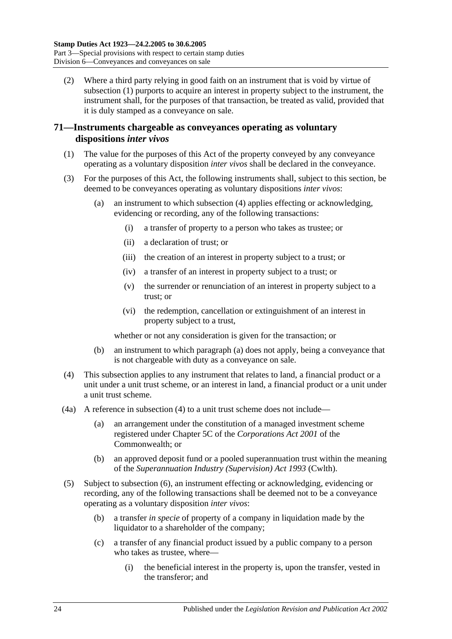<span id="page-41-0"></span>(2) Where a third party relying in good faith on an instrument that is void by virtue of [subsection](#page-40-0) (1) purports to acquire an interest in property subject to the instrument, the instrument shall, for the purposes of that transaction, be treated as valid, provided that it is duly stamped as a conveyance on sale.

## **71—Instruments chargeable as conveyances operating as voluntary dispositions** *inter vivos*

- (1) The value for the purposes of this Act of the property conveyed by any conveyance operating as a voluntary disposition *inter vivos* shall be declared in the conveyance.
- <span id="page-41-2"></span>(3) For the purposes of this Act, the following instruments shall, subject to this section, be deemed to be conveyances operating as voluntary dispositions *inter vivos*:
	- (a) an instrument to which [subsection](#page-41-1) (4) applies effecting or acknowledging, evidencing or recording, any of the following transactions:
		- (i) a transfer of property to a person who takes as trustee; or
		- (ii) a declaration of trust; or
		- (iii) the creation of an interest in property subject to a trust; or
		- (iv) a transfer of an interest in property subject to a trust; or
		- (v) the surrender or renunciation of an interest in property subject to a trust; or
		- (vi) the redemption, cancellation or extinguishment of an interest in property subject to a trust,

whether or not any consideration is given for the transaction; or

- (b) an instrument to which [paragraph](#page-41-2) (a) does not apply, being a conveyance that is not chargeable with duty as a conveyance on sale.
- <span id="page-41-1"></span>(4) This subsection applies to any instrument that relates to land, a financial product or a unit under a unit trust scheme, or an interest in land, a financial product or a unit under a unit trust scheme.
- (4a) A reference in [subsection](#page-41-1) (4) to a unit trust scheme does not include—
	- (a) an arrangement under the constitution of a managed investment scheme registered under Chapter 5C of the *Corporations Act 2001* of the Commonwealth; or
	- (b) an approved deposit fund or a pooled superannuation trust within the meaning of the *Superannuation Industry (Supervision) Act 1993* (Cwlth).
- <span id="page-41-3"></span>(5) Subject to [subsection](#page-43-0) (6), an instrument effecting or acknowledging, evidencing or recording, any of the following transactions shall be deemed not to be a conveyance operating as a voluntary disposition *inter vivos*:
	- (b) a transfer *in specie* of property of a company in liquidation made by the liquidator to a shareholder of the company;
	- (c) a transfer of any financial product issued by a public company to a person who takes as trustee, where—
		- (i) the beneficial interest in the property is, upon the transfer, vested in the transferor; and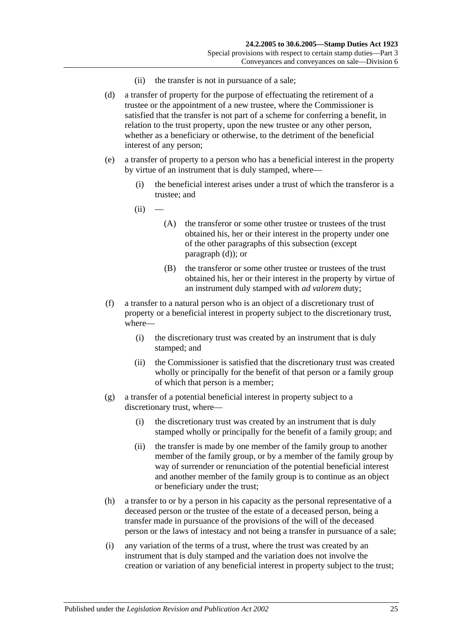- (ii) the transfer is not in pursuance of a sale;
- <span id="page-42-0"></span>(d) a transfer of property for the purpose of effectuating the retirement of a trustee or the appointment of a new trustee, where the Commissioner is satisfied that the transfer is not part of a scheme for conferring a benefit, in relation to the trust property, upon the new trustee or any other person, whether as a beneficiary or otherwise, to the detriment of the beneficial interest of any person;
- <span id="page-42-1"></span>(e) a transfer of property to a person who has a beneficial interest in the property by virtue of an instrument that is duly stamped, where—
	- (i) the beneficial interest arises under a trust of which the transferor is a trustee; and
	- $(ii)$ 
		- (A) the transferor or some other trustee or trustees of the trust obtained his, her or their interest in the property under one of the other paragraphs of this subsection (except [paragraph](#page-42-0) (d)); or
		- (B) the transferor or some other trustee or trustees of the trust obtained his, her or their interest in the property by virtue of an instrument duly stamped with *ad valorem* duty;
- (f) a transfer to a natural person who is an object of a discretionary trust of property or a beneficial interest in property subject to the discretionary trust, where—
	- (i) the discretionary trust was created by an instrument that is duly stamped; and
	- (ii) the Commissioner is satisfied that the discretionary trust was created wholly or principally for the benefit of that person or a family group of which that person is a member;
- (g) a transfer of a potential beneficial interest in property subject to a discretionary trust, where—
	- (i) the discretionary trust was created by an instrument that is duly stamped wholly or principally for the benefit of a family group; and
	- (ii) the transfer is made by one member of the family group to another member of the family group, or by a member of the family group by way of surrender or renunciation of the potential beneficial interest and another member of the family group is to continue as an object or beneficiary under the trust;
- (h) a transfer to or by a person in his capacity as the personal representative of a deceased person or the trustee of the estate of a deceased person, being a transfer made in pursuance of the provisions of the will of the deceased person or the laws of intestacy and not being a transfer in pursuance of a sale;
- (i) any variation of the terms of a trust, where the trust was created by an instrument that is duly stamped and the variation does not involve the creation or variation of any beneficial interest in property subject to the trust;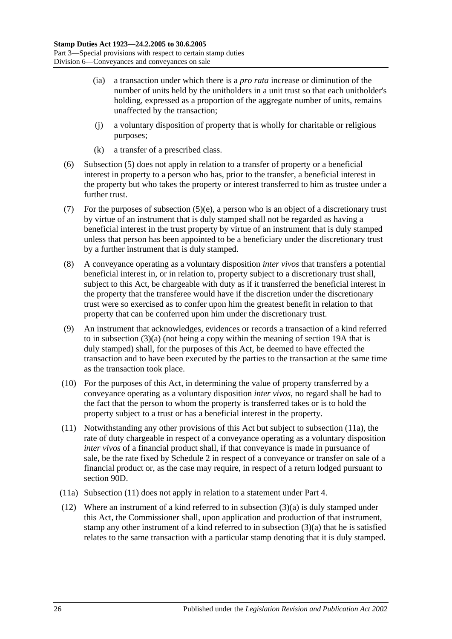- (ia) a transaction under which there is a *pro rata* increase or diminution of the number of units held by the unitholders in a unit trust so that each unitholder's holding, expressed as a proportion of the aggregate number of units, remains unaffected by the transaction;
- (j) a voluntary disposition of property that is wholly for charitable or religious purposes;
- (k) a transfer of a prescribed class.
- <span id="page-43-0"></span>(6) [Subsection](#page-41-3) (5) does not apply in relation to a transfer of property or a beneficial interest in property to a person who has, prior to the transfer, a beneficial interest in the property but who takes the property or interest transferred to him as trustee under a further trust.
- (7) For the purposes of [subsection](#page-42-1) (5)(e), a person who is an object of a discretionary trust by virtue of an instrument that is duly stamped shall not be regarded as having a beneficial interest in the trust property by virtue of an instrument that is duly stamped unless that person has been appointed to be a beneficiary under the discretionary trust by a further instrument that is duly stamped.
- (8) A conveyance operating as a voluntary disposition *inter vivos* that transfers a potential beneficial interest in, or in relation to, property subject to a discretionary trust shall, subject to this Act, be chargeable with duty as if it transferred the beneficial interest in the property that the transferee would have if the discretion under the discretionary trust were so exercised as to confer upon him the greatest benefit in relation to that property that can be conferred upon him under the discretionary trust.
- (9) An instrument that acknowledges, evidences or records a transaction of a kind referred to in [subsection](#page-41-2) (3)(a) (not being a copy within the meaning of [section](#page-14-0) 19A that is duly stamped) shall, for the purposes of this Act, be deemed to have effected the transaction and to have been executed by the parties to the transaction at the same time as the transaction took place.
- (10) For the purposes of this Act, in determining the value of property transferred by a conveyance operating as a voluntary disposition *inter vivos*, no regard shall be had to the fact that the person to whom the property is transferred takes or is to hold the property subject to a trust or has a beneficial interest in the property.
- <span id="page-43-2"></span>(11) Notwithstanding any other provisions of this Act but subject to [subsection](#page-43-1) (11a), the rate of duty chargeable in respect of a conveyance operating as a voluntary disposition *inter vivos* of a financial product shall, if that conveyance is made in pursuance of sale, be the rate fixed by [Schedule 2](#page-102-0) in respect of a conveyance or transfer on sale of a financial product or, as the case may require, in respect of a return lodged pursuant to [section](#page-80-0) 90D.
- <span id="page-43-1"></span>(11a) [Subsection](#page-43-2) (11) does not apply in relation to a statement under [Part 4.](#page-88-0)
- <span id="page-43-3"></span>(12) Where an instrument of a kind referred to in [subsection](#page-41-2) (3)(a) is duly stamped under this Act, the Commissioner shall, upon application and production of that instrument, stamp any other instrument of a kind referred to in [subsection](#page-41-2) (3)(a) that he is satisfied relates to the same transaction with a particular stamp denoting that it is duly stamped.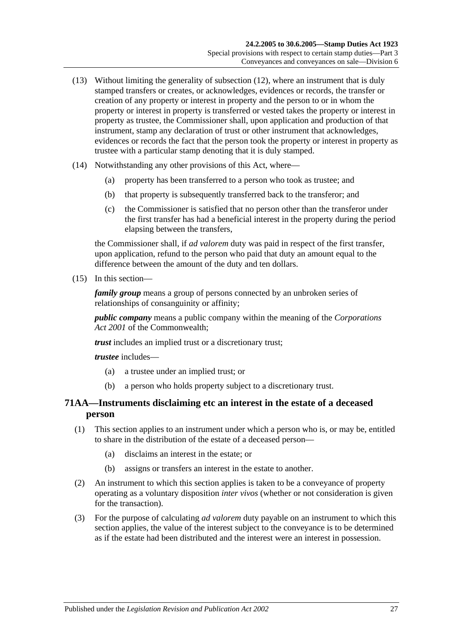- (13) Without limiting the generality of [subsection](#page-43-3) (12), where an instrument that is duly stamped transfers or creates, or acknowledges, evidences or records, the transfer or creation of any property or interest in property and the person to or in whom the property or interest in property is transferred or vested takes the property or interest in property as trustee, the Commissioner shall, upon application and production of that instrument, stamp any declaration of trust or other instrument that acknowledges, evidences or records the fact that the person took the property or interest in property as trustee with a particular stamp denoting that it is duly stamped.
- (14) Notwithstanding any other provisions of this Act, where—
	- (a) property has been transferred to a person who took as trustee; and
	- (b) that property is subsequently transferred back to the transferor; and
	- (c) the Commissioner is satisfied that no person other than the transferor under the first transfer has had a beneficial interest in the property during the period elapsing between the transfers,

the Commissioner shall, if *ad valorem* duty was paid in respect of the first transfer, upon application, refund to the person who paid that duty an amount equal to the difference between the amount of the duty and ten dollars.

<span id="page-44-0"></span>(15) In this section—

*family group* means a group of persons connected by an unbroken series of relationships of consanguinity or affinity;

*public company* means a public company within the meaning of the *Corporations Act 2001* of the Commonwealth;

*trust* includes an implied trust or a discretionary trust;

*trustee* includes—

- (a) a trustee under an implied trust; or
- (b) a person who holds property subject to a discretionary trust.

# **71AA—Instruments disclaiming etc an interest in the estate of a deceased person**

- (1) This section applies to an instrument under which a person who is, or may be, entitled to share in the distribution of the estate of a deceased person—
	- (a) disclaims an interest in the estate; or
	- (b) assigns or transfers an interest in the estate to another.
- (2) An instrument to which this section applies is taken to be a conveyance of property operating as a voluntary disposition *inter vivos* (whether or not consideration is given for the transaction).
- (3) For the purpose of calculating *ad valorem* duty payable on an instrument to which this section applies, the value of the interest subject to the conveyance is to be determined as if the estate had been distributed and the interest were an interest in possession.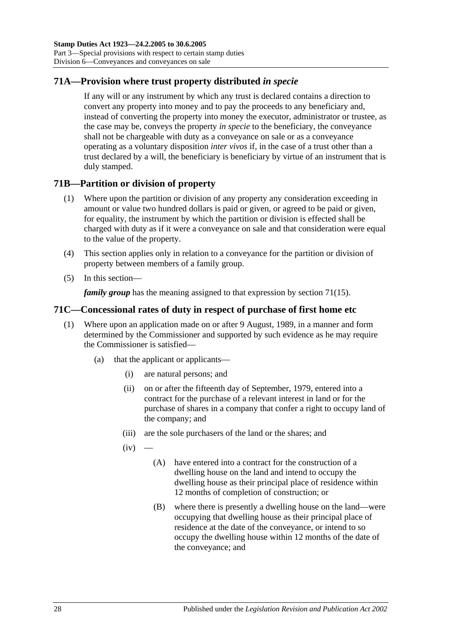# **71A—Provision where trust property distributed** *in specie*

If any will or any instrument by which any trust is declared contains a direction to convert any property into money and to pay the proceeds to any beneficiary and, instead of converting the property into money the executor, administrator or trustee, as the case may be, conveys the property *in specie* to the beneficiary, the conveyance shall not be chargeable with duty as a conveyance on sale or as a conveyance operating as a voluntary disposition *inter vivos* if, in the case of a trust other than a trust declared by a will, the beneficiary is beneficiary by virtue of an instrument that is duly stamped.

# **71B—Partition or division of property**

- (1) Where upon the partition or division of any property any consideration exceeding in amount or value two hundred dollars is paid or given, or agreed to be paid or given, for equality, the instrument by which the partition or division is effected shall be charged with duty as if it were a conveyance on sale and that consideration were equal to the value of the property.
- (4) This section applies only in relation to a conveyance for the partition or division of property between members of a family group.
- (5) In this section—

*family group* has the meaning assigned to that expression by [section](#page-44-0) 71(15).

## **71C—Concessional rates of duty in respect of purchase of first home etc**

- <span id="page-45-1"></span><span id="page-45-0"></span>(1) Where upon an application made on or after 9 August, 1989, in a manner and form determined by the Commissioner and supported by such evidence as he may require the Commissioner is satisfied—
	- (a) that the applicant or applicants—
		- (i) are natural persons; and
		- (ii) on or after the fifteenth day of September, 1979, entered into a contract for the purchase of a relevant interest in land or for the purchase of shares in a company that confer a right to occupy land of the company; and
		- (iii) are the sole purchasers of the land or the shares; and
		- $(iv)$ 
			- (A) have entered into a contract for the construction of a dwelling house on the land and intend to occupy the dwelling house as their principal place of residence within 12 months of completion of construction; or
			- (B) where there is presently a dwelling house on the land—were occupying that dwelling house as their principal place of residence at the date of the conveyance, or intend to so occupy the dwelling house within 12 months of the date of the conveyance; and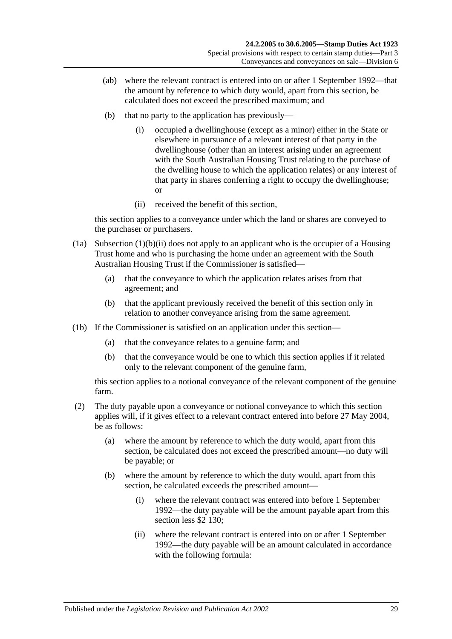- (ab) where the relevant contract is entered into on or after 1 September 1992—that the amount by reference to which duty would, apart from this section, be calculated does not exceed the prescribed maximum; and
- (b) that no party to the application has previously—
	- (i) occupied a dwellinghouse (except as a minor) either in the State or elsewhere in pursuance of a relevant interest of that party in the dwellinghouse (other than an interest arising under an agreement with the South Australian Housing Trust relating to the purchase of the dwelling house to which the application relates) or any interest of that party in shares conferring a right to occupy the dwellinghouse; or
	- (ii) received the benefit of this section,

<span id="page-46-0"></span>this section applies to a conveyance under which the land or shares are conveyed to the purchaser or purchasers.

- (1a) [Subsection](#page-46-0)  $(1)(b)(ii)$  does not apply to an applicant who is the occupier of a Housing Trust home and who is purchasing the home under an agreement with the South Australian Housing Trust if the Commissioner is satisfied—
	- (a) that the conveyance to which the application relates arises from that agreement; and
	- (b) that the applicant previously received the benefit of this section only in relation to another conveyance arising from the same agreement.
- (1b) If the Commissioner is satisfied on an application under this section—
	- (a) that the conveyance relates to a genuine farm; and
	- (b) that the conveyance would be one to which this section applies if it related only to the relevant component of the genuine farm,

this section applies to a notional conveyance of the relevant component of the genuine farm.

- (2) The duty payable upon a conveyance or notional conveyance to which this section applies will, if it gives effect to a relevant contract entered into before 27 May 2004, be as follows:
	- (a) where the amount by reference to which the duty would, apart from this section, be calculated does not exceed the prescribed amount—no duty will be payable; or
	- (b) where the amount by reference to which the duty would, apart from this section, be calculated exceeds the prescribed amount—
		- (i) where the relevant contract was entered into before 1 September 1992—the duty payable will be the amount payable apart from this section less \$2 130;
		- (ii) where the relevant contract is entered into on or after 1 September 1992—the duty payable will be an amount calculated in accordance with the following formula: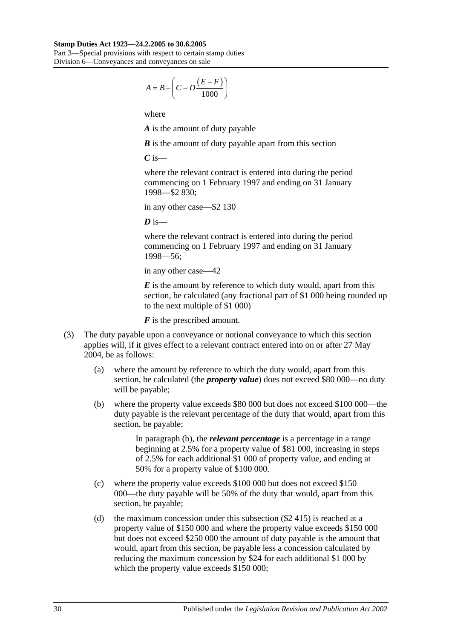#### **Stamp Duties Act 1923—24.2.2005 to 30.6.2005**

Part 3—Special provisions with respect to certain stamp duties Division 6—Conveyances and conveyances on sale

$$
A = B - \left(C - D \frac{(E - F)}{1000}\right)
$$

where

*A* is the amount of duty payable

*B* is the amount of duty payable apart from this section

*C* is—

where the relevant contract is entered into during the period commencing on 1 February 1997 and ending on 31 January 1998—\$2 830;

in any other case—\$2 130

 $\boldsymbol{D}$  is—

where the relevant contract is entered into during the period commencing on 1 February 1997 and ending on 31 January 1998—56;

in any other case—42

*E* is the amount by reference to which duty would, apart from this section, be calculated (any fractional part of \$1 000 being rounded up to the next multiple of \$1 000)

*F* is the prescribed amount.

- <span id="page-47-0"></span>(3) The duty payable upon a conveyance or notional conveyance to which this section applies will, if it gives effect to a relevant contract entered into on or after 27 May 2004, be as follows:
	- (a) where the amount by reference to which the duty would, apart from this section, be calculated (the *property value*) does not exceed \$80 000—no duty will be payable;
	- (b) where the property value exceeds \$80 000 but does not exceed \$100 000—the duty payable is the relevant percentage of the duty that would, apart from this section, be payable;

In [paragraph](#page-47-0) (b), the *relevant percentage* is a percentage in a range beginning at 2.5% for a property value of \$81 000, increasing in steps of 2.5% for each additional \$1 000 of property value, and ending at 50% for a property value of \$100 000.

- (c) where the property value exceeds \$100 000 but does not exceed \$150 000—the duty payable will be 50% of the duty that would, apart from this section, be payable;
- (d) the maximum concession under this subsection (\$2 415) is reached at a property value of \$150 000 and where the property value exceeds \$150 000 but does not exceed \$250 000 the amount of duty payable is the amount that would, apart from this section, be payable less a concession calculated by reducing the maximum concession by \$24 for each additional \$1 000 by which the property value exceeds \$150 000;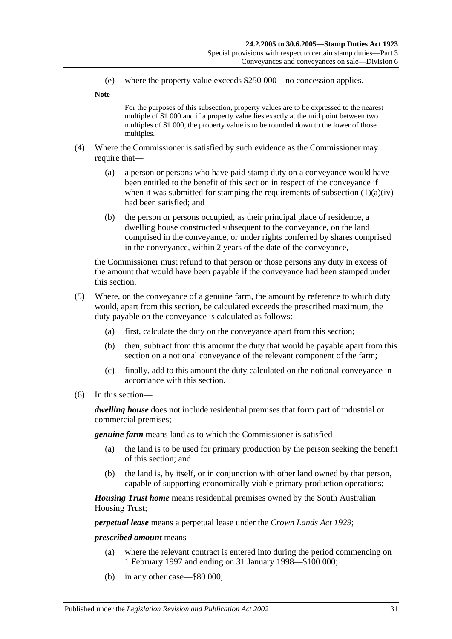(e) where the property value exceeds \$250 000—no concession applies.

**Note—**

For the purposes of this subsection, property values are to be expressed to the nearest multiple of \$1 000 and if a property value lies exactly at the mid point between two multiples of \$1 000, the property value is to be rounded down to the lower of those multiples.

- (4) Where the Commissioner is satisfied by such evidence as the Commissioner may require that—
	- (a) a person or persons who have paid stamp duty on a conveyance would have been entitled to the benefit of this section in respect of the conveyance if when it was submitted for stamping the requirements of [subsection](#page-45-0)  $(1)(a)(iv)$ had been satisfied; and
	- (b) the person or persons occupied, as their principal place of residence, a dwelling house constructed subsequent to the conveyance, on the land comprised in the conveyance, or under rights conferred by shares comprised in the conveyance, within 2 years of the date of the conveyance,

the Commissioner must refund to that person or those persons any duty in excess of the amount that would have been payable if the conveyance had been stamped under this section.

- (5) Where, on the conveyance of a genuine farm, the amount by reference to which duty would, apart from this section, be calculated exceeds the prescribed maximum, the duty payable on the conveyance is calculated as follows:
	- (a) first, calculate the duty on the conveyance apart from this section;
	- (b) then, subtract from this amount the duty that would be payable apart from this section on a notional conveyance of the relevant component of the farm;
	- (c) finally, add to this amount the duty calculated on the notional conveyance in accordance with this section.
- (6) In this section—

*dwelling house* does not include residential premises that form part of industrial or commercial premises;

*genuine farm* means land as to which the Commissioner is satisfied—

- (a) the land is to be used for primary production by the person seeking the benefit of this section; and
- (b) the land is, by itself, or in conjunction with other land owned by that person, capable of supporting economically viable primary production operations;

*Housing Trust home* means residential premises owned by the South Australian Housing Trust;

*perpetual lease* means a perpetual lease under the *[Crown Lands Act](http://www.legislation.sa.gov.au/index.aspx?action=legref&type=act&legtitle=Crown%20Lands%20Act%201929) 1929*;

*prescribed amount* means—

- (a) where the relevant contract is entered into during the period commencing on 1 February 1997 and ending on 31 January 1998—\$100 000;
- (b) in any other case—\$80 000;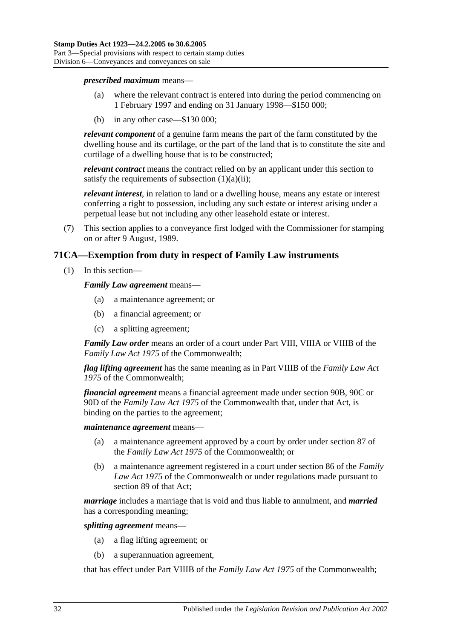*prescribed maximum* means—

- (a) where the relevant contract is entered into during the period commencing on 1 February 1997 and ending on 31 January 1998—\$150 000;
- (b) in any other case—\$130 000;

*relevant component* of a genuine farm means the part of the farm constituted by the dwelling house and its curtilage, or the part of the land that is to constitute the site and curtilage of a dwelling house that is to be constructed;

*relevant contract* means the contract relied on by an applicant under this section to satisfy the requirements of [subsection](#page-45-1)  $(1)(a)(ii)$ ;

*relevant interest*, in relation to land or a dwelling house, means any estate or interest conferring a right to possession, including any such estate or interest arising under a perpetual lease but not including any other leasehold estate or interest.

(7) This section applies to a conveyance first lodged with the Commissioner for stamping on or after 9 August, 1989.

## **71CA—Exemption from duty in respect of Family Law instruments**

(1) In this section—

*Family Law agreement* means—

- (a) a maintenance agreement; or
- (b) a financial agreement; or
- (c) a splitting agreement;

*Family Law order* means an order of a court under Part VIII, VIIIA or VIIIB of the *Family Law Act 1975* of the Commonwealth;

*flag lifting agreement* has the same meaning as in Part VIIIB of the *Family Law Act 1975* of the Commonwealth;

*financial agreement* means a financial agreement made under section 90B, 90C or 90D of the *Family Law Act 1975* of the Commonwealth that, under that Act, is binding on the parties to the agreement;

*maintenance agreement* means—

- (a) a maintenance agreement approved by a court by order under section 87 of the *Family Law Act 1975* of the Commonwealth; or
- (b) a maintenance agreement registered in a court under section 86 of the *Family Law Act 1975* of the Commonwealth or under regulations made pursuant to section 89 of that Act;

*marriage* includes a marriage that is void and thus liable to annulment, and *married* has a corresponding meaning;

*splitting agreement* means—

- (a) a flag lifting agreement; or
- (b) a superannuation agreement,

that has effect under Part VIIIB of the *Family Law Act 1975* of the Commonwealth;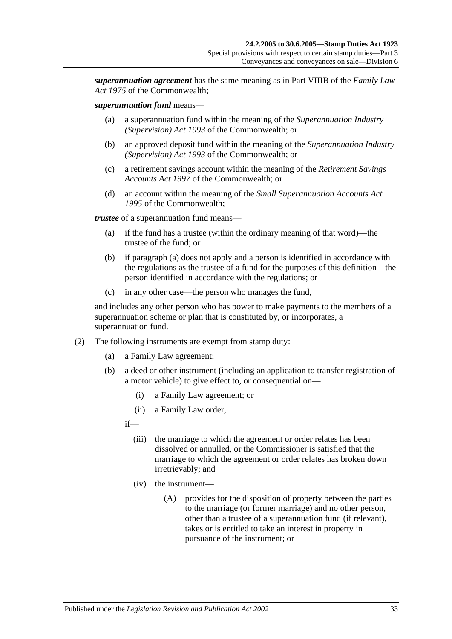*superannuation agreement* has the same meaning as in Part VIIIB of the *Family Law Act 1975* of the Commonwealth;

#### *superannuation fund* means—

- (a) a superannuation fund within the meaning of the *Superannuation Industry (Supervision) Act 1993* of the Commonwealth; or
- (b) an approved deposit fund within the meaning of the *Superannuation Industry (Supervision) Act 1993* of the Commonwealth; or
- (c) a retirement savings account within the meaning of the *Retirement Savings Accounts Act 1997* of the Commonwealth; or
- (d) an account within the meaning of the *Small Superannuation Accounts Act 1995* of the Commonwealth;

<span id="page-50-0"></span>*trustee* of a superannuation fund means—

- (a) if the fund has a trustee (within the ordinary meaning of that word)—the trustee of the fund; or
- (b) if [paragraph](#page-50-0) (a) does not apply and a person is identified in accordance with the regulations as the trustee of a fund for the purposes of this definition—the person identified in accordance with the regulations; or
- (c) in any other case—the person who manages the fund,

and includes any other person who has power to make payments to the members of a superannuation scheme or plan that is constituted by, or incorporates, a superannuation fund.

- (2) The following instruments are exempt from stamp duty:
	- (a) a Family Law agreement;
	- (b) a deed or other instrument (including an application to transfer registration of a motor vehicle) to give effect to, or consequential on—
		- (i) a Family Law agreement; or
		- (ii) a Family Law order,

if—

- (iii) the marriage to which the agreement or order relates has been dissolved or annulled, or the Commissioner is satisfied that the marriage to which the agreement or order relates has broken down irretrievably; and
- (iv) the instrument—
	- (A) provides for the disposition of property between the parties to the marriage (or former marriage) and no other person, other than a trustee of a superannuation fund (if relevant), takes or is entitled to take an interest in property in pursuance of the instrument; or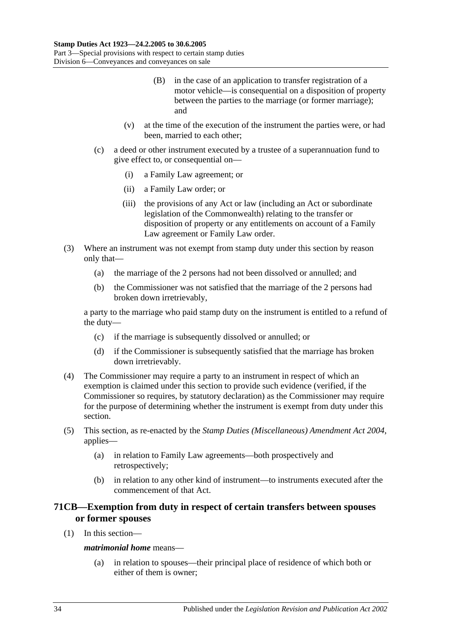- (B) in the case of an application to transfer registration of a motor vehicle—is consequential on a disposition of property between the parties to the marriage (or former marriage); and
- (v) at the time of the execution of the instrument the parties were, or had been, married to each other;
- (c) a deed or other instrument executed by a trustee of a superannuation fund to give effect to, or consequential on—
	- (i) a Family Law agreement; or
	- (ii) a Family Law order; or
	- (iii) the provisions of any Act or law (including an Act or subordinate legislation of the Commonwealth) relating to the transfer or disposition of property or any entitlements on account of a Family Law agreement or Family Law order.
- (3) Where an instrument was not exempt from stamp duty under this section by reason only that—
	- (a) the marriage of the 2 persons had not been dissolved or annulled; and
	- (b) the Commissioner was not satisfied that the marriage of the 2 persons had broken down irretrievably,

a party to the marriage who paid stamp duty on the instrument is entitled to a refund of the duty—

- (c) if the marriage is subsequently dissolved or annulled; or
- (d) if the Commissioner is subsequently satisfied that the marriage has broken down irretrievably.
- (4) The Commissioner may require a party to an instrument in respect of which an exemption is claimed under this section to provide such evidence (verified, if the Commissioner so requires, by statutory declaration) as the Commissioner may require for the purpose of determining whether the instrument is exempt from duty under this section.
- (5) This section, as re-enacted by the *[Stamp Duties \(Miscellaneous\) Amendment Act 2004](http://www.legislation.sa.gov.au/index.aspx?action=legref&type=act&legtitle=Stamp%20Duties%20(Miscellaneous)%20Amendment%20Act%202004)*, applies—
	- (a) in relation to Family Law agreements—both prospectively and retrospectively;
	- (b) in relation to any other kind of instrument—to instruments executed after the commencement of that Act.

# **71CB—Exemption from duty in respect of certain transfers between spouses or former spouses**

(1) In this section—

### *matrimonial home* means—

(a) in relation to spouses—their principal place of residence of which both or either of them is owner;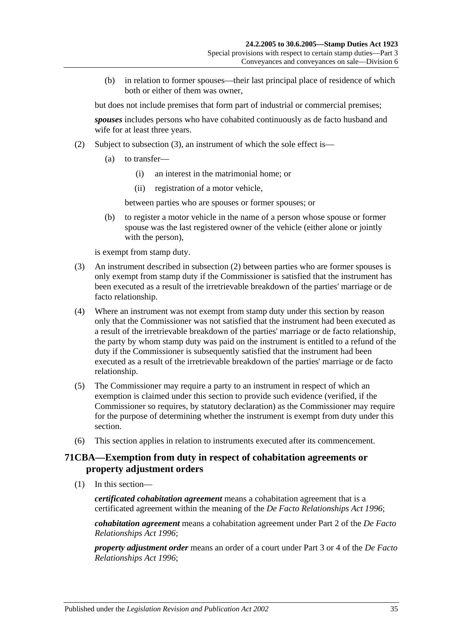(b) in relation to former spouses—their last principal place of residence of which both or either of them was owner,

but does not include premises that form part of industrial or commercial premises; *spouses* includes persons who have cohabited continuously as de facto husband and wife for at least three years.

- (2) Subject to [subsection](#page-52-0) (3), an instrument of which the sole effect is—
	- (a) to transfer—
		- (i) an interest in the matrimonial home; or
		- (ii) registration of a motor vehicle,

between parties who are spouses or former spouses; or

(b) to register a motor vehicle in the name of a person whose spouse or former spouse was the last registered owner of the vehicle (either alone or jointly with the person),

is exempt from stamp duty.

- <span id="page-52-0"></span>(3) An instrument described in subsection (2) between parties who are former spouses is only exempt from stamp duty if the Commissioner is satisfied that the instrument has been executed as a result of the irretrievable breakdown of the parties' marriage or de facto relationship.
- (4) Where an instrument was not exempt from stamp duty under this section by reason only that the Commissioner was not satisfied that the instrument had been executed as a result of the irretrievable breakdown of the parties' marriage or de facto relationship, the party by whom stamp duty was paid on the instrument is entitled to a refund of the duty if the Commissioner is subsequently satisfied that the instrument had been executed as a result of the irretrievable breakdown of the parties' marriage or de facto relationship.
- (5) The Commissioner may require a party to an instrument in respect of which an exemption is claimed under this section to provide such evidence (verified, if the Commissioner so requires, by statutory declaration) as the Commissioner may require for the purpose of determining whether the instrument is exempt from duty under this section.
- (6) This section applies in relation to instruments executed after its commencement.

# **71CBA—Exemption from duty in respect of cohabitation agreements or property adjustment orders**

(1) In this section—

*certificated cohabitation agreement* means a cohabitation agreement that is a certificated agreement within the meaning of the *[De Facto Relationships Act](http://www.legislation.sa.gov.au/index.aspx?action=legref&type=act&legtitle=De%20Facto%20Relationships%20Act%201996) 1996*;

*cohabitation agreement* means a cohabitation agreement under Part 2 of the *[De Facto](http://www.legislation.sa.gov.au/index.aspx?action=legref&type=act&legtitle=De%20Facto%20Relationships%20Act%201996)  [Relationships Act](http://www.legislation.sa.gov.au/index.aspx?action=legref&type=act&legtitle=De%20Facto%20Relationships%20Act%201996) 1996*;

*property adjustment order* means an order of a court under Part 3 or 4 of the *[De Facto](http://www.legislation.sa.gov.au/index.aspx?action=legref&type=act&legtitle=De%20Facto%20Relationships%20Act%201996)  [Relationships Act](http://www.legislation.sa.gov.au/index.aspx?action=legref&type=act&legtitle=De%20Facto%20Relationships%20Act%201996) 1996*;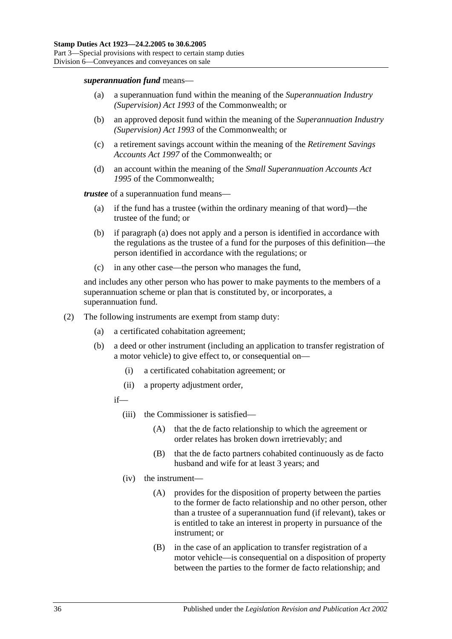#### *superannuation fund* means—

- (a) a superannuation fund within the meaning of the *Superannuation Industry (Supervision) Act 1993* of the Commonwealth; or
- (b) an approved deposit fund within the meaning of the *Superannuation Industry (Supervision) Act 1993* of the Commonwealth; or
- (c) a retirement savings account within the meaning of the *Retirement Savings Accounts Act 1997* of the Commonwealth; or
- (d) an account within the meaning of the *Small Superannuation Accounts Act 1995* of the Commonwealth;

<span id="page-53-0"></span>*trustee* of a superannuation fund means—

- (a) if the fund has a trustee (within the ordinary meaning of that word)—the trustee of the fund; or
- (b) if [paragraph](#page-53-0) (a) does not apply and a person is identified in accordance with the regulations as the trustee of a fund for the purposes of this definition—the person identified in accordance with the regulations; or
- (c) in any other case—the person who manages the fund,

and includes any other person who has power to make payments to the members of a superannuation scheme or plan that is constituted by, or incorporates, a superannuation fund.

- (2) The following instruments are exempt from stamp duty:
	- (a) a certificated cohabitation agreement;
	- (b) a deed or other instrument (including an application to transfer registration of a motor vehicle) to give effect to, or consequential on—
		- (i) a certificated cohabitation agreement; or
		- (ii) a property adjustment order,

if—

- (iii) the Commissioner is satisfied—
	- (A) that the de facto relationship to which the agreement or order relates has broken down irretrievably; and
	- (B) that the de facto partners cohabited continuously as de facto husband and wife for at least 3 years; and
- (iv) the instrument—
	- (A) provides for the disposition of property between the parties to the former de facto relationship and no other person, other than a trustee of a superannuation fund (if relevant), takes or is entitled to take an interest in property in pursuance of the instrument; or
	- (B) in the case of an application to transfer registration of a motor vehicle—is consequential on a disposition of property between the parties to the former de facto relationship; and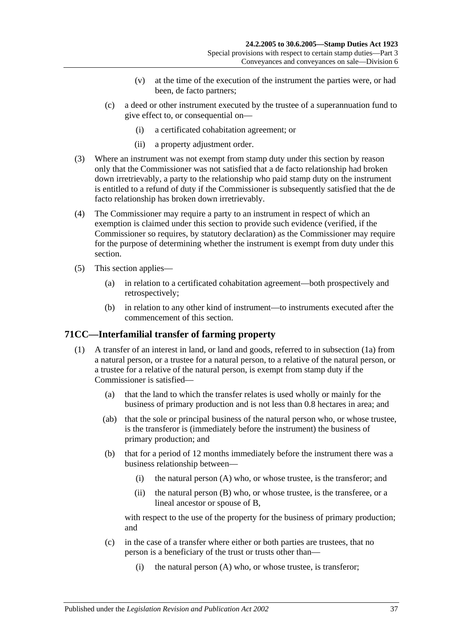- (v) at the time of the execution of the instrument the parties were, or had been, de facto partners;
- (c) a deed or other instrument executed by the trustee of a superannuation fund to give effect to, or consequential on—
	- (i) a certificated cohabitation agreement; or
	- (ii) a property adjustment order.
- (3) Where an instrument was not exempt from stamp duty under this section by reason only that the Commissioner was not satisfied that a de facto relationship had broken down irretrievably, a party to the relationship who paid stamp duty on the instrument is entitled to a refund of duty if the Commissioner is subsequently satisfied that the de facto relationship has broken down irretrievably.
- (4) The Commissioner may require a party to an instrument in respect of which an exemption is claimed under this section to provide such evidence (verified, if the Commissioner so requires, by statutory declaration) as the Commissioner may require for the purpose of determining whether the instrument is exempt from duty under this section.
- (5) This section applies—
	- (a) in relation to a certificated cohabitation agreement—both prospectively and retrospectively;
	- (b) in relation to any other kind of instrument—to instruments executed after the commencement of this section.

## <span id="page-54-0"></span>**71CC—Interfamilial transfer of farming property**

- (1) A transfer of an interest in land, or land and goods, referred to in [subsection](#page-55-0) (1a) from a natural person, or a trustee for a natural person, to a relative of the natural person, or a trustee for a relative of the natural person, is exempt from stamp duty if the Commissioner is satisfied—
	- (a) that the land to which the transfer relates is used wholly or mainly for the business of primary production and is not less than 0.8 hectares in area; and
	- (ab) that the sole or principal business of the natural person who, or whose trustee, is the transferor is (immediately before the instrument) the business of primary production; and
	- (b) that for a period of 12 months immediately before the instrument there was a business relationship between—
		- (i) the natural person (A) who, or whose trustee, is the transferor; and
		- (ii) the natural person (B) who, or whose trustee, is the transferee, or a lineal ancestor or spouse of B,

<span id="page-54-1"></span>with respect to the use of the property for the business of primary production; and

- (c) in the case of a transfer where either or both parties are trustees, that no person is a beneficiary of the trust or trusts other than—
	- (i) the natural person (A) who, or whose trustee, is transferor;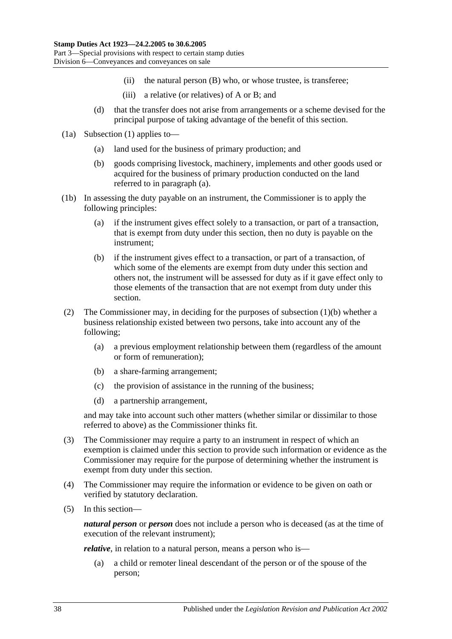- (ii) the natural person (B) who, or whose trustee, is transferee;
- (iii) a relative (or relatives) of A or B; and
- (d) that the transfer does not arise from arrangements or a scheme devised for the principal purpose of taking advantage of the benefit of this section.
- <span id="page-55-1"></span><span id="page-55-0"></span>(1a) [Subsection](#page-54-0) (1) applies to—
	- (a) land used for the business of primary production; and
	- (b) goods comprising livestock, machinery, implements and other goods used or acquired for the business of primary production conducted on the land referred to in [paragraph](#page-55-1) (a).
- (1b) In assessing the duty payable on an instrument, the Commissioner is to apply the following principles:
	- (a) if the instrument gives effect solely to a transaction, or part of a transaction, that is exempt from duty under this section, then no duty is payable on the instrument;
	- (b) if the instrument gives effect to a transaction, or part of a transaction, of which some of the elements are exempt from duty under this section and others not, the instrument will be assessed for duty as if it gave effect only to those elements of the transaction that are not exempt from duty under this section.
- (2) The Commissioner may, in deciding for the purposes of [subsection](#page-54-1) (1)(b) whether a business relationship existed between two persons, take into account any of the following;
	- (a) a previous employment relationship between them (regardless of the amount or form of remuneration);
	- (b) a share-farming arrangement;
	- (c) the provision of assistance in the running of the business;
	- (d) a partnership arrangement,

and may take into account such other matters (whether similar or dissimilar to those referred to above) as the Commissioner thinks fit.

- (3) The Commissioner may require a party to an instrument in respect of which an exemption is claimed under this section to provide such information or evidence as the Commissioner may require for the purpose of determining whether the instrument is exempt from duty under this section.
- (4) The Commissioner may require the information or evidence to be given on oath or verified by statutory declaration.
- (5) In this section—

*natural person* or *person* does not include a person who is deceased (as at the time of execution of the relevant instrument);

<span id="page-55-2"></span>*relative*, in relation to a natural person, means a person who is—

(a) a child or remoter lineal descendant of the person or of the spouse of the person;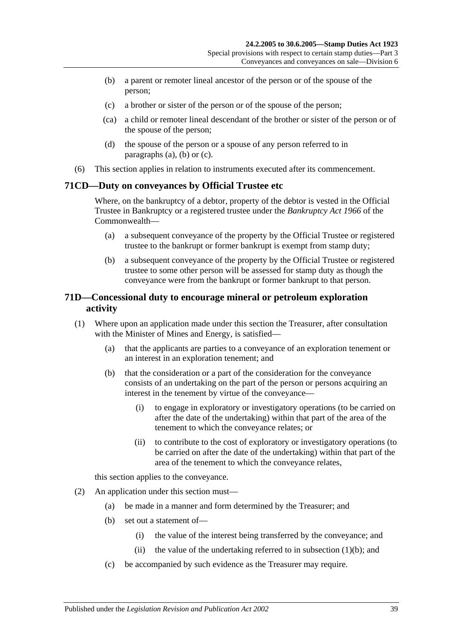- <span id="page-56-0"></span>(b) a parent or remoter lineal ancestor of the person or of the spouse of the person;
- <span id="page-56-1"></span>(c) a brother or sister of the person or of the spouse of the person;
- (ca) a child or remoter lineal descendant of the brother or sister of the person or of the spouse of the person;
- (d) the spouse of the person or a spouse of any person referred to in [paragraphs](#page-55-2) (a), [\(b\)](#page-56-0) or [\(c\).](#page-56-1)
- (6) This section applies in relation to instruments executed after its commencement.

## **71CD—Duty on conveyances by Official Trustee etc**

Where, on the bankruptcy of a debtor, property of the debtor is vested in the Official Trustee in Bankruptcy or a registered trustee under the *Bankruptcy Act 1966* of the Commonwealth—

- (a) a subsequent conveyance of the property by the Official Trustee or registered trustee to the bankrupt or former bankrupt is exempt from stamp duty;
- (b) a subsequent conveyance of the property by the Official Trustee or registered trustee to some other person will be assessed for stamp duty as though the conveyance were from the bankrupt or former bankrupt to that person.

## **71D—Concessional duty to encourage mineral or petroleum exploration activity**

- <span id="page-56-2"></span>(1) Where upon an application made under this section the Treasurer, after consultation with the Minister of Mines and Energy, is satisfied—
	- (a) that the applicants are parties to a conveyance of an exploration tenement or an interest in an exploration tenement; and
	- (b) that the consideration or a part of the consideration for the conveyance consists of an undertaking on the part of the person or persons acquiring an interest in the tenement by virtue of the conveyance—
		- (i) to engage in exploratory or investigatory operations (to be carried on after the date of the undertaking) within that part of the area of the tenement to which the conveyance relates; or
		- (ii) to contribute to the cost of exploratory or investigatory operations (to be carried on after the date of the undertaking) within that part of the area of the tenement to which the conveyance relates,

this section applies to the conveyance.

- (2) An application under this section must—
	- (a) be made in a manner and form determined by the Treasurer; and
	- (b) set out a statement of—
		- (i) the value of the interest being transferred by the conveyance; and
		- (ii) the value of the undertaking referred to in [subsection](#page-56-2)  $(1)(b)$ ; and
	- (c) be accompanied by such evidence as the Treasurer may require.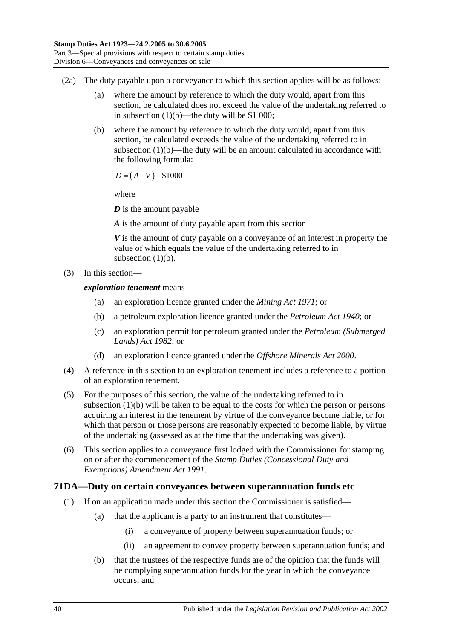- (2a) The duty payable upon a conveyance to which this section applies will be as follows:
	- (a) where the amount by reference to which the duty would, apart from this section, be calculated does not exceed the value of the undertaking referred to in [subsection](#page-56-2) (1)(b)—the duty will be \$1 000;
	- (b) where the amount by reference to which the duty would, apart from this section, be calculated exceeds the value of the undertaking referred to in [subsection](#page-56-2)  $(1)(b)$ —the duty will be an amount calculated in accordance with the following formula:

 $D = (A-V) + $1000$ 

where

*D* is the amount payable

*A* is the amount of duty payable apart from this section

*V* is the amount of duty payable on a conveyance of an interest in property the value of which equals the value of the undertaking referred to in [subsection](#page-56-2)  $(1)(b)$ .

(3) In this section—

*exploration tenement* means—

- (a) an exploration licence granted under the *[Mining Act](http://www.legislation.sa.gov.au/index.aspx?action=legref&type=act&legtitle=Mining%20Act%201971) 1971*; or
- (b) a petroleum exploration licence granted under the *[Petroleum Act](http://www.legislation.sa.gov.au/index.aspx?action=legref&type=act&legtitle=Petroleum%20Act%201940) 1940*; or
- (c) an exploration permit for petroleum granted under the *[Petroleum \(Submerged](http://www.legislation.sa.gov.au/index.aspx?action=legref&type=act&legtitle=Petroleum%20(Submerged%20Lands)%20Act%201982)  [Lands\) Act](http://www.legislation.sa.gov.au/index.aspx?action=legref&type=act&legtitle=Petroleum%20(Submerged%20Lands)%20Act%201982) 1982*; or
- (d) an exploration licence granted under the *[Offshore Minerals Act](http://www.legislation.sa.gov.au/index.aspx?action=legref&type=act&legtitle=Offshore%20Minerals%20Act%202000) 2000*.
- (4) A reference in this section to an exploration tenement includes a reference to a portion of an exploration tenement.
- (5) For the purposes of this section, the value of the undertaking referred to in [subsection](#page-56-2) (1)(b) will be taken to be equal to the costs for which the person or persons acquiring an interest in the tenement by virtue of the conveyance become liable, or for which that person or those persons are reasonably expected to become liable, by virtue of the undertaking (assessed as at the time that the undertaking was given).
- (6) This section applies to a conveyance first lodged with the Commissioner for stamping on or after the commencement of the *[Stamp Duties \(Concessional Duty and](http://www.legislation.sa.gov.au/index.aspx?action=legref&type=act&legtitle=Stamp%20Duties%20(Concessional%20Duty%20and%20Exemptions)%20Amendment%20Act%201991)  [Exemptions\) Amendment Act](http://www.legislation.sa.gov.au/index.aspx?action=legref&type=act&legtitle=Stamp%20Duties%20(Concessional%20Duty%20and%20Exemptions)%20Amendment%20Act%201991) 1991*.

## <span id="page-57-0"></span>**71DA—Duty on certain conveyances between superannuation funds etc**

- (1) If on an application made under this section the Commissioner is satisfied—
	- (a) that the applicant is a party to an instrument that constitutes—
		- (i) a conveyance of property between superannuation funds; or
		- (ii) an agreement to convey property between superannuation funds; and
	- (b) that the trustees of the respective funds are of the opinion that the funds will be complying superannuation funds for the year in which the conveyance occurs; and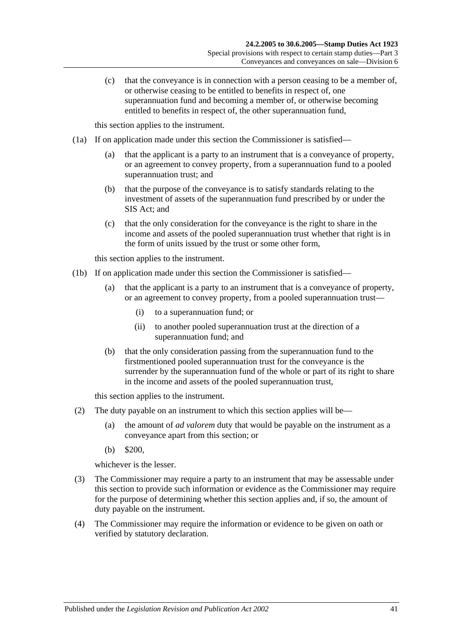(c) that the conveyance is in connection with a person ceasing to be a member of, or otherwise ceasing to be entitled to benefits in respect of, one superannuation fund and becoming a member of, or otherwise becoming entitled to benefits in respect of, the other superannuation fund,

this section applies to the instrument.

- <span id="page-58-0"></span>(1a) If on application made under this section the Commissioner is satisfied—
	- (a) that the applicant is a party to an instrument that is a conveyance of property, or an agreement to convey property, from a superannuation fund to a pooled superannuation trust; and
	- (b) that the purpose of the conveyance is to satisfy standards relating to the investment of assets of the superannuation fund prescribed by or under the SIS Act; and
	- (c) that the only consideration for the conveyance is the right to share in the income and assets of the pooled superannuation trust whether that right is in the form of units issued by the trust or some other form,

this section applies to the instrument.

- <span id="page-58-1"></span>(1b) If on application made under this section the Commissioner is satisfied—
	- (a) that the applicant is a party to an instrument that is a conveyance of property, or an agreement to convey property, from a pooled superannuation trust—
		- (i) to a superannuation fund; or
		- (ii) to another pooled superannuation trust at the direction of a superannuation fund; and
	- (b) that the only consideration passing from the superannuation fund to the firstmentioned pooled superannuation trust for the conveyance is the surrender by the superannuation fund of the whole or part of its right to share in the income and assets of the pooled superannuation trust,

this section applies to the instrument.

- (2) The duty payable on an instrument to which this section applies will be—
	- (a) the amount of *ad valorem* duty that would be payable on the instrument as a conveyance apart from this section; or
	- (b) \$200,

whichever is the lesser.

- (3) The Commissioner may require a party to an instrument that may be assessable under this section to provide such information or evidence as the Commissioner may require for the purpose of determining whether this section applies and, if so, the amount of duty payable on the instrument.
- (4) The Commissioner may require the information or evidence to be given on oath or verified by statutory declaration.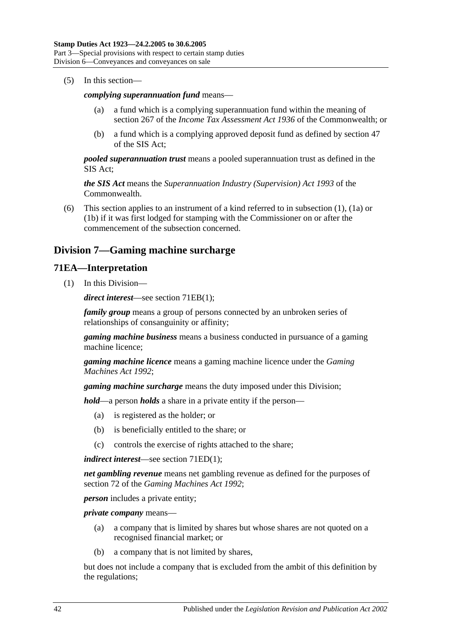(5) In this section—

#### *complying superannuation fund* means—

- (a) a fund which is a complying superannuation fund within the meaning of section 267 of the *Income Tax Assessment Act 1936* of the Commonwealth; or
- (b) a fund which is a complying approved deposit fund as defined by section 47 of the SIS Act;

*pooled superannuation trust* means a pooled superannuation trust as defined in the SIS Act;

*the SIS Act* means the *Superannuation Industry (Supervision) Act 1993* of the Commonwealth.

(6) This section applies to an instrument of a kind referred to in [subsection](#page-57-0) (1), [\(1a\)](#page-58-0) or [\(1b\)](#page-58-1) if it was first lodged for stamping with the Commissioner on or after the commencement of the subsection concerned.

# **Division 7—Gaming machine surcharge**

### **71EA—Interpretation**

(1) In this Division—

*direct interest*—see section [71EB\(1\);](#page-60-0)

*family group* means a group of persons connected by an unbroken series of relationships of consanguinity or affinity;

*gaming machine business* means a business conducted in pursuance of a gaming machine licence;

*gaming machine licence* means a gaming machine licence under the *[Gaming](http://www.legislation.sa.gov.au/index.aspx?action=legref&type=act&legtitle=Gaming%20Machines%20Act%201992)  [Machines Act](http://www.legislation.sa.gov.au/index.aspx?action=legref&type=act&legtitle=Gaming%20Machines%20Act%201992) 1992*;

*gaming machine surcharge* means the duty imposed under this Division;

*hold*—a person *holds* a share in a private entity if the person—

- (a) is registered as the holder; or
- (b) is beneficially entitled to the share; or
- (c) controls the exercise of rights attached to the share;

*indirect interest*—see section [71ED\(1\);](#page-61-0)

*net gambling revenue* means net gambling revenue as defined for the purposes of section 72 of the *[Gaming Machines Act](http://www.legislation.sa.gov.au/index.aspx?action=legref&type=act&legtitle=Gaming%20Machines%20Act%201992) 1992*;

*person* includes a private entity;

*private company* means—

- (a) a company that is limited by shares but whose shares are not quoted on a recognised financial market; or
- (b) a company that is not limited by shares,

but does not include a company that is excluded from the ambit of this definition by the regulations;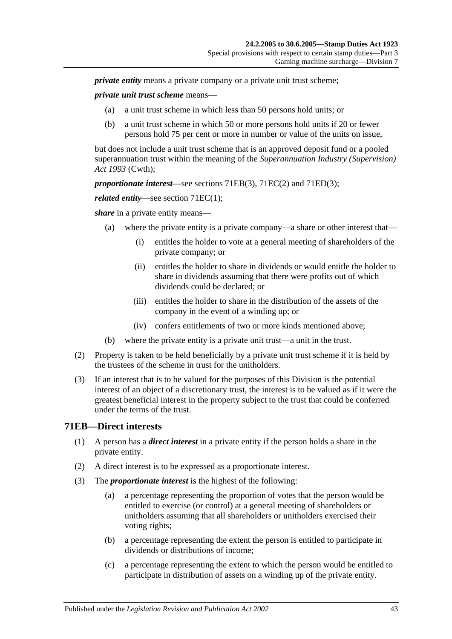*private entity* means a private company or a private unit trust scheme:

*private unit trust scheme* means—

- (a) a unit trust scheme in which less than 50 persons hold units; or
- (b) a unit trust scheme in which 50 or more persons hold units if 20 or fewer persons hold 75 per cent or more in number or value of the units on issue,

but does not include a unit trust scheme that is an approved deposit fund or a pooled superannuation trust within the meaning of the *Superannuation Industry (Supervision) Act 1993* (Cwth);

*proportionate interest*—see sections [71EB\(3\),](#page-60-1) [71EC\(2\)](#page-61-1) and [71ED\(3\);](#page-61-2)

*related entity—see section 71EC(1):* 

*share* in a private entity means—

- (a) where the private entity is a private company—a share or other interest that—
	- (i) entitles the holder to vote at a general meeting of shareholders of the private company; or
	- (ii) entitles the holder to share in dividends or would entitle the holder to share in dividends assuming that there were profits out of which dividends could be declared; or
	- (iii) entitles the holder to share in the distribution of the assets of the company in the event of a winding up; or
	- (iv) confers entitlements of two or more kinds mentioned above;
- (b) where the private entity is a private unit trust—a unit in the trust.
- (2) Property is taken to be held beneficially by a private unit trust scheme if it is held by the trustees of the scheme in trust for the unitholders.
- (3) If an interest that is to be valued for the purposes of this Division is the potential interest of an object of a discretionary trust, the interest is to be valued as if it were the greatest beneficial interest in the property subject to the trust that could be conferred under the terms of the trust.

### <span id="page-60-0"></span>**71EB—Direct interests**

- (1) A person has a *direct interest* in a private entity if the person holds a share in the private entity.
- (2) A direct interest is to be expressed as a proportionate interest.
- <span id="page-60-1"></span>(3) The *proportionate interest* is the highest of the following:
	- (a) a percentage representing the proportion of votes that the person would be entitled to exercise (or control) at a general meeting of shareholders or unitholders assuming that all shareholders or unitholders exercised their voting rights;
	- (b) a percentage representing the extent the person is entitled to participate in dividends or distributions of income;
	- (c) a percentage representing the extent to which the person would be entitled to participate in distribution of assets on a winding up of the private entity.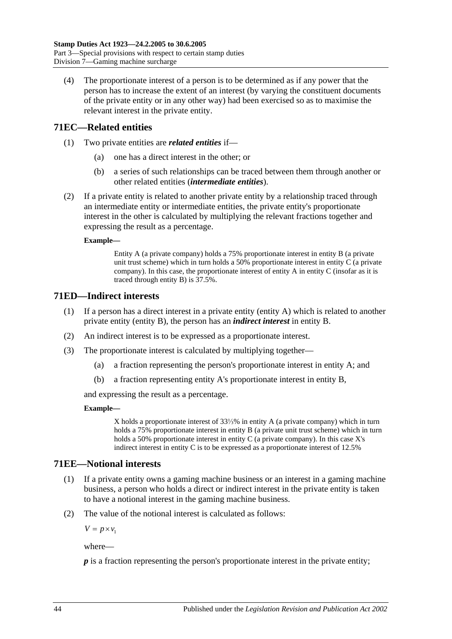(4) The proportionate interest of a person is to be determined as if any power that the person has to increase the extent of an interest (by varying the constituent documents of the private entity or in any other way) had been exercised so as to maximise the relevant interest in the private entity.

# <span id="page-61-3"></span>**71EC—Related entities**

- (1) Two private entities are *related entities* if—
	- (a) one has a direct interest in the other; or
	- (b) a series of such relationships can be traced between them through another or other related entities (*intermediate entities*).
- <span id="page-61-1"></span>(2) If a private entity is related to another private entity by a relationship traced through an intermediate entity or intermediate entities, the private entity's proportionate interest in the other is calculated by multiplying the relevant fractions together and expressing the result as a percentage.

#### **Example—**

Entity A (a private company) holds a 75% proportionate interest in entity B (a private unit trust scheme) which in turn holds a 50% proportionate interest in entity C (a private company). In this case, the proportionate interest of entity A in entity C (insofar as it is traced through entity B) is 37.5%.

## <span id="page-61-0"></span>**71ED—Indirect interests**

- (1) If a person has a direct interest in a private entity (entity A) which is related to another private entity (entity B), the person has an *indirect interest* in entity B.
- (2) An indirect interest is to be expressed as a proportionate interest.
- <span id="page-61-2"></span>(3) The proportionate interest is calculated by multiplying together—
	- (a) a fraction representing the person's proportionate interest in entity A; and
	- (b) a fraction representing entity A's proportionate interest in entity B,

and expressing the result as a percentage.

#### **Example—**

X holds a proportionate interest of 33⅓% in entity A (a private company) which in turn holds a 75% proportionate interest in entity B (a private unit trust scheme) which in turn holds a 50% proportionate interest in entity C (a private company). In this case X's indirect interest in entity C is to be expressed as a proportionate interest of 12.5%

## **71EE—Notional interests**

- (1) If a private entity owns a gaming machine business or an interest in a gaming machine business, a person who holds a direct or indirect interest in the private entity is taken to have a notional interest in the gaming machine business.
- (2) The value of the notional interest is calculated as follows:

 $V = p \times v_1$ 

where—

*p* is a fraction representing the person's proportionate interest in the private entity;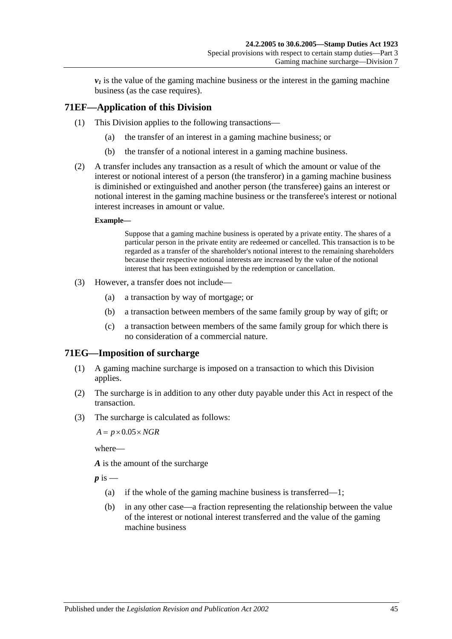$\nu_1$  is the value of the gaming machine business or the interest in the gaming machine business (as the case requires).

# **71EF—Application of this Division**

- (1) This Division applies to the following transactions—
	- (a) the transfer of an interest in a gaming machine business; or
	- (b) the transfer of a notional interest in a gaming machine business.
- (2) A transfer includes any transaction as a result of which the amount or value of the interest or notional interest of a person (the transferor) in a gaming machine business is diminished or extinguished and another person (the transferee) gains an interest or notional interest in the gaming machine business or the transferee's interest or notional interest increases in amount or value.

#### **Example—**

Suppose that a gaming machine business is operated by a private entity. The shares of a particular person in the private entity are redeemed or cancelled. This transaction is to be regarded as a transfer of the shareholder's notional interest to the remaining shareholders because their respective notional interests are increased by the value of the notional interest that has been extinguished by the redemption or cancellation.

- (3) However, a transfer does not include—
	- (a) a transaction by way of mortgage; or
	- (b) a transaction between members of the same family group by way of gift; or
	- (c) a transaction between members of the same family group for which there is no consideration of a commercial nature.

### **71EG—Imposition of surcharge**

- (1) A gaming machine surcharge is imposed on a transaction to which this Division applies.
- (2) The surcharge is in addition to any other duty payable under this Act in respect of the transaction.
- (3) The surcharge is calculated as follows:

 $A = p \times 0.05 \times NGR$ 

where—

*A* is the amount of the surcharge

 $p$  is  $-$ 

- (a) if the whole of the gaming machine business is transferred—1;
- (b) in any other case—a fraction representing the relationship between the value of the interest or notional interest transferred and the value of the gaming machine business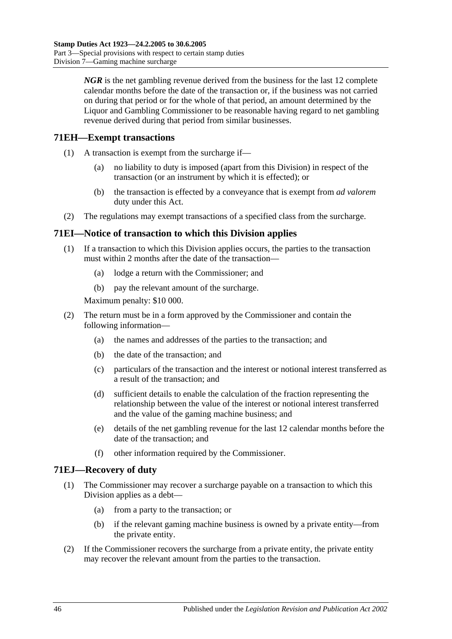*NGR* is the net gambling revenue derived from the business for the last 12 complete calendar months before the date of the transaction or, if the business was not carried on during that period or for the whole of that period, an amount determined by the Liquor and Gambling Commissioner to be reasonable having regard to net gambling revenue derived during that period from similar businesses.

## **71EH—Exempt transactions**

- (1) A transaction is exempt from the surcharge if—
	- (a) no liability to duty is imposed (apart from this Division) in respect of the transaction (or an instrument by which it is effected); or
	- (b) the transaction is effected by a conveyance that is exempt from *ad valorem* duty under this Act.
- (2) The regulations may exempt transactions of a specified class from the surcharge.

# **71EI—Notice of transaction to which this Division applies**

- (1) If a transaction to which this Division applies occurs, the parties to the transaction must within 2 months after the date of the transaction—
	- (a) lodge a return with the Commissioner; and
	- (b) pay the relevant amount of the surcharge.

Maximum penalty: \$10 000.

- (2) The return must be in a form approved by the Commissioner and contain the following information—
	- (a) the names and addresses of the parties to the transaction; and
	- (b) the date of the transaction; and
	- (c) particulars of the transaction and the interest or notional interest transferred as a result of the transaction; and
	- (d) sufficient details to enable the calculation of the fraction representing the relationship between the value of the interest or notional interest transferred and the value of the gaming machine business; and
	- (e) details of the net gambling revenue for the last 12 calendar months before the date of the transaction; and
	- (f) other information required by the Commissioner.

## **71EJ—Recovery of duty**

- (1) The Commissioner may recover a surcharge payable on a transaction to which this Division applies as a debt—
	- (a) from a party to the transaction; or
	- (b) if the relevant gaming machine business is owned by a private entity—from the private entity.
- (2) If the Commissioner recovers the surcharge from a private entity, the private entity may recover the relevant amount from the parties to the transaction.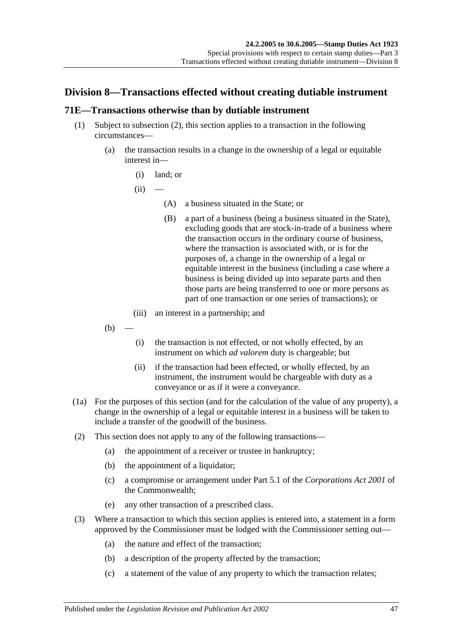# **Division 8—Transactions effected without creating dutiable instrument**

## <span id="page-64-0"></span>**71E—Transactions otherwise than by dutiable instrument**

- (1) Subject to [subsection](#page-64-1) (2), this section applies to a transaction in the following circumstances—
	- (a) the transaction results in a change in the ownership of a legal or equitable interest in—
		- (i) land; or

 $(ii)$ 

- (A) a business situated in the State; or
- (B) a part of a business (being a business situated in the State), excluding goods that are stock-in-trade of a business where the transaction occurs in the ordinary course of business, where the transaction is associated with, or is for the purposes of, a change in the ownership of a legal or equitable interest in the business (including a case where a business is being divided up into separate parts and then those parts are being transferred to one or more persons as part of one transaction or one series of transactions); or
- (iii) an interest in a partnership; and
- $(b)$
- (i) the transaction is not effected, or not wholly effected, by an instrument on which *ad valorem* duty is chargeable; but
- (ii) if the transaction had been effected, or wholly effected, by an instrument, the instrument would be chargeable with duty as a conveyance or as if it were a conveyance.
- (1a) For the purposes of this section (and for the calculation of the value of any property), a change in the ownership of a legal or equitable interest in a business will be taken to include a transfer of the goodwill of the business.
- <span id="page-64-1"></span>(2) This section does not apply to any of the following transactions—
	- (a) the appointment of a receiver or trustee in bankruptcy;
	- (b) the appointment of a liquidator;
	- (c) a compromise or arrangement under Part 5.1 of the *Corporations Act 2001* of the Commonwealth;
	- (e) any other transaction of a prescribed class.
- (3) Where a transaction to which this section applies is entered into, a statement in a form approved by the Commissioner must be lodged with the Commissioner setting out—
	- (a) the nature and effect of the transaction;
	- (b) a description of the property affected by the transaction;
	- (c) a statement of the value of any property to which the transaction relates;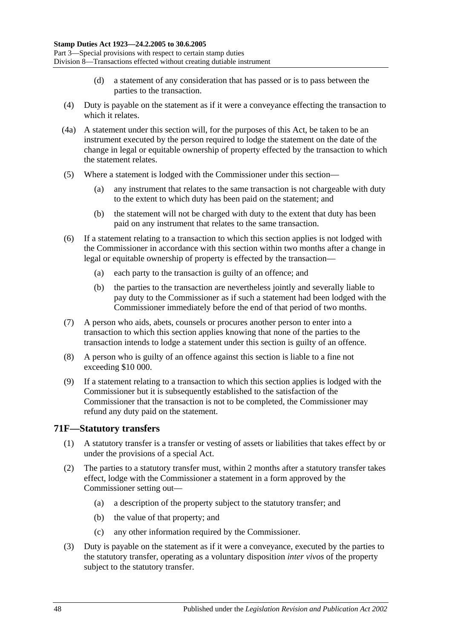- (d) a statement of any consideration that has passed or is to pass between the parties to the transaction.
- (4) Duty is payable on the statement as if it were a conveyance effecting the transaction to which it relates.
- (4a) A statement under this section will, for the purposes of this Act, be taken to be an instrument executed by the person required to lodge the statement on the date of the change in legal or equitable ownership of property effected by the transaction to which the statement relates.
- (5) Where a statement is lodged with the Commissioner under this section—
	- (a) any instrument that relates to the same transaction is not chargeable with duty to the extent to which duty has been paid on the statement; and
	- (b) the statement will not be charged with duty to the extent that duty has been paid on any instrument that relates to the same transaction.
- (6) If a statement relating to a transaction to which this section applies is not lodged with the Commissioner in accordance with this section within two months after a change in legal or equitable ownership of property is effected by the transaction—
	- (a) each party to the transaction is guilty of an offence; and
	- (b) the parties to the transaction are nevertheless jointly and severally liable to pay duty to the Commissioner as if such a statement had been lodged with the Commissioner immediately before the end of that period of two months.
- (7) A person who aids, abets, counsels or procures another person to enter into a transaction to which this section applies knowing that none of the parties to the transaction intends to lodge a statement under this section is guilty of an offence.
- (8) A person who is guilty of an offence against this section is liable to a fine not exceeding \$10 000.
- (9) If a statement relating to a transaction to which this section applies is lodged with the Commissioner but it is subsequently established to the satisfaction of the Commissioner that the transaction is not to be completed, the Commissioner may refund any duty paid on the statement.

## **71F—Statutory transfers**

- (1) A statutory transfer is a transfer or vesting of assets or liabilities that takes effect by or under the provisions of a special Act.
- (2) The parties to a statutory transfer must, within 2 months after a statutory transfer takes effect, lodge with the Commissioner a statement in a form approved by the Commissioner setting out—
	- (a) a description of the property subject to the statutory transfer; and
	- (b) the value of that property; and
	- (c) any other information required by the Commissioner.
- (3) Duty is payable on the statement as if it were a conveyance, executed by the parties to the statutory transfer, operating as a voluntary disposition *inter vivos* of the property subject to the statutory transfer.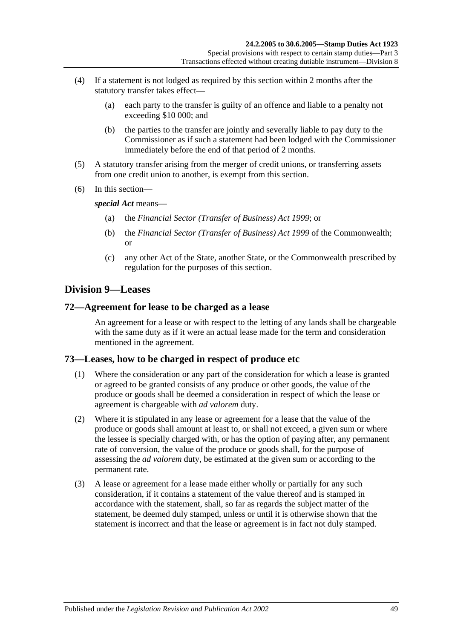- (4) If a statement is not lodged as required by this section within 2 months after the statutory transfer takes effect—
	- (a) each party to the transfer is guilty of an offence and liable to a penalty not exceeding \$10 000; and
	- (b) the parties to the transfer are jointly and severally liable to pay duty to the Commissioner as if such a statement had been lodged with the Commissioner immediately before the end of that period of 2 months.
- (5) A statutory transfer arising from the merger of credit unions, or transferring assets from one credit union to another, is exempt from this section.
- (6) In this section—

*special Act* means—

- (a) the *[Financial Sector \(Transfer of Business\) Act](http://www.legislation.sa.gov.au/index.aspx?action=legref&type=act&legtitle=Financial%20Sector%20(Transfer%20of%20Business)%20Act%201999) 1999*; or
- (b) the *Financial Sector (Transfer of Business) Act 1999* of the Commonwealth; or
- (c) any other Act of the State, another State, or the Commonwealth prescribed by regulation for the purposes of this section.

# **Division 9—Leases**

### **72—Agreement for lease to be charged as a lease**

An agreement for a lease or with respect to the letting of any lands shall be chargeable with the same duty as if it were an actual lease made for the term and consideration mentioned in the agreement.

## **73—Leases, how to be charged in respect of produce etc**

- (1) Where the consideration or any part of the consideration for which a lease is granted or agreed to be granted consists of any produce or other goods, the value of the produce or goods shall be deemed a consideration in respect of which the lease or agreement is chargeable with *ad valorem* duty.
- (2) Where it is stipulated in any lease or agreement for a lease that the value of the produce or goods shall amount at least to, or shall not exceed, a given sum or where the lessee is specially charged with, or has the option of paying after, any permanent rate of conversion, the value of the produce or goods shall, for the purpose of assessing the *ad valorem* duty, be estimated at the given sum or according to the permanent rate.
- (3) A lease or agreement for a lease made either wholly or partially for any such consideration, if it contains a statement of the value thereof and is stamped in accordance with the statement, shall, so far as regards the subject matter of the statement, be deemed duly stamped, unless or until it is otherwise shown that the statement is incorrect and that the lease or agreement is in fact not duly stamped.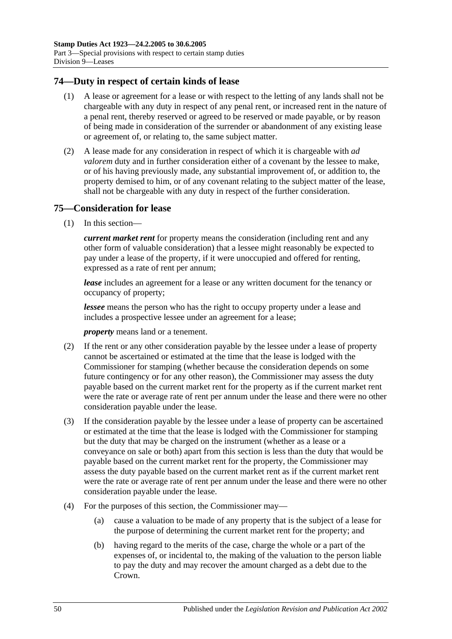## **74—Duty in respect of certain kinds of lease**

- (1) A lease or agreement for a lease or with respect to the letting of any lands shall not be chargeable with any duty in respect of any penal rent, or increased rent in the nature of a penal rent, thereby reserved or agreed to be reserved or made payable, or by reason of being made in consideration of the surrender or abandonment of any existing lease or agreement of, or relating to, the same subject matter.
- (2) A lease made for any consideration in respect of which it is chargeable with *ad valorem* duty and in further consideration either of a covenant by the lessee to make, or of his having previously made, any substantial improvement of, or addition to, the property demised to him, or of any covenant relating to the subject matter of the lease, shall not be chargeable with any duty in respect of the further consideration.

### **75—Consideration for lease**

(1) In this section—

*current market rent* for property means the consideration (including rent and any other form of valuable consideration) that a lessee might reasonably be expected to pay under a lease of the property, if it were unoccupied and offered for renting, expressed as a rate of rent per annum;

*lease* includes an agreement for a lease or any written document for the tenancy or occupancy of property;

*lessee* means the person who has the right to occupy property under a lease and includes a prospective lessee under an agreement for a lease;

*property* means land or a tenement.

- (2) If the rent or any other consideration payable by the lessee under a lease of property cannot be ascertained or estimated at the time that the lease is lodged with the Commissioner for stamping (whether because the consideration depends on some future contingency or for any other reason), the Commissioner may assess the duty payable based on the current market rent for the property as if the current market rent were the rate or average rate of rent per annum under the lease and there were no other consideration payable under the lease.
- (3) If the consideration payable by the lessee under a lease of property can be ascertained or estimated at the time that the lease is lodged with the Commissioner for stamping but the duty that may be charged on the instrument (whether as a lease or a conveyance on sale or both) apart from this section is less than the duty that would be payable based on the current market rent for the property, the Commissioner may assess the duty payable based on the current market rent as if the current market rent were the rate or average rate of rent per annum under the lease and there were no other consideration payable under the lease.
- (4) For the purposes of this section, the Commissioner may—
	- (a) cause a valuation to be made of any property that is the subject of a lease for the purpose of determining the current market rent for the property; and
	- (b) having regard to the merits of the case, charge the whole or a part of the expenses of, or incidental to, the making of the valuation to the person liable to pay the duty and may recover the amount charged as a debt due to the Crown.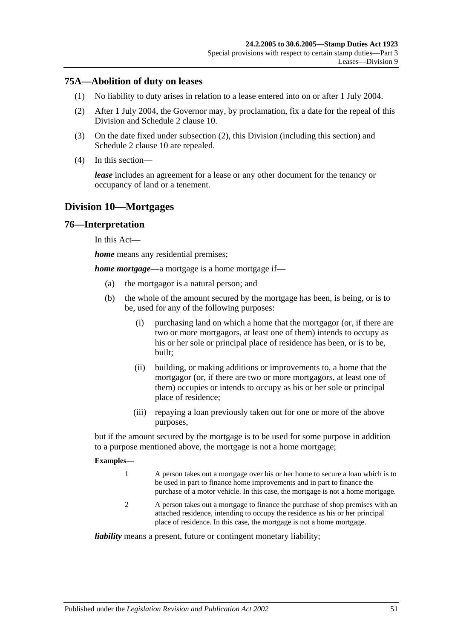### **75A—Abolition of duty on leases**

- (1) No liability to duty arises in relation to a lease entered into on or after 1 July 2004.
- <span id="page-68-0"></span>(2) After 1 July 2004, the Governor may, by proclamation, fix a date for the repeal of this Division and Schedule 2 clause 10.
- (3) On the date fixed under [subsection](#page-68-0) (2), this Division (including this section) and Schedule 2 clause 10 are repealed.
- (4) In this section—

*lease* includes an agreement for a lease or any other document for the tenancy or occupancy of land or a tenement.

# **Division 10—Mortgages**

### **76—Interpretation**

In this Act—

*home* means any residential premises;

*home mortgage*—a mortgage is a home mortgage if—

- (a) the mortgagor is a natural person; and
- (b) the whole of the amount secured by the mortgage has been, is being, or is to be, used for any of the following purposes:
	- (i) purchasing land on which a home that the mortgagor (or, if there are two or more mortgagors, at least one of them) intends to occupy as his or her sole or principal place of residence has been, or is to be, built;
	- (ii) building, or making additions or improvements to, a home that the mortgagor (or, if there are two or more mortgagors, at least one of them) occupies or intends to occupy as his or her sole or principal place of residence;
	- (iii) repaying a loan previously taken out for one or more of the above purposes,

but if the amount secured by the mortgage is to be used for some purpose in addition to a purpose mentioned above, the mortgage is not a home mortgage;

#### **Examples—**

- 1 A person takes out a mortgage over his or her home to secure a loan which is to be used in part to finance home improvements and in part to finance the purchase of a motor vehicle. In this case, the mortgage is not a home mortgage.
- 2 A person takes out a mortgage to finance the purchase of shop premises with an attached residence, intending to occupy the residence as his or her principal place of residence. In this case, the mortgage is not a home mortgage.

*liability* means a present, future or contingent monetary liability;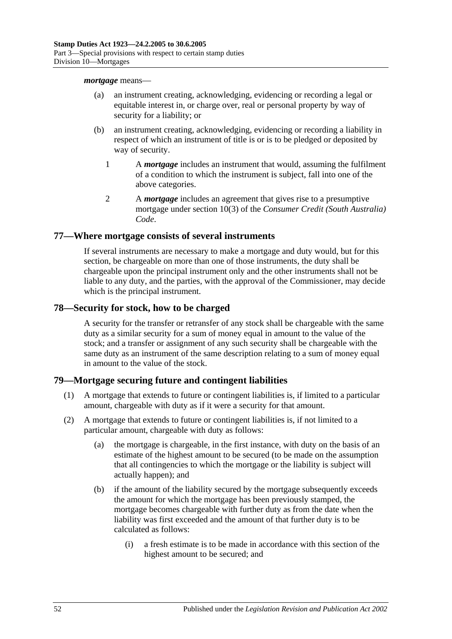#### *mortgage* means—

- (a) an instrument creating, acknowledging, evidencing or recording a legal or equitable interest in, or charge over, real or personal property by way of security for a liability; or
- (b) an instrument creating, acknowledging, evidencing or recording a liability in respect of which an instrument of title is or is to be pledged or deposited by way of security.
	- 1 A *mortgage* includes an instrument that would, assuming the fulfilment of a condition to which the instrument is subject, fall into one of the above categories.
	- 2 A *mortgage* includes an agreement that gives rise to a presumptive mortgage under section 10(3) of the *Consumer Credit (South Australia) Code*.

### **77—Where mortgage consists of several instruments**

If several instruments are necessary to make a mortgage and duty would, but for this section, be chargeable on more than one of those instruments, the duty shall be chargeable upon the principal instrument only and the other instruments shall not be liable to any duty, and the parties, with the approval of the Commissioner, may decide which is the principal instrument.

### **78—Security for stock, how to be charged**

A security for the transfer or retransfer of any stock shall be chargeable with the same duty as a similar security for a sum of money equal in amount to the value of the stock; and a transfer or assignment of any such security shall be chargeable with the same duty as an instrument of the same description relating to a sum of money equal in amount to the value of the stock.

## **79—Mortgage securing future and contingent liabilities**

- (1) A mortgage that extends to future or contingent liabilities is, if limited to a particular amount, chargeable with duty as if it were a security for that amount.
- <span id="page-69-1"></span><span id="page-69-0"></span>(2) A mortgage that extends to future or contingent liabilities is, if not limited to a particular amount, chargeable with duty as follows:
	- (a) the mortgage is chargeable, in the first instance, with duty on the basis of an estimate of the highest amount to be secured (to be made on the assumption that all contingencies to which the mortgage or the liability is subject will actually happen); and
	- (b) if the amount of the liability secured by the mortgage subsequently exceeds the amount for which the mortgage has been previously stamped, the mortgage becomes chargeable with further duty as from the date when the liability was first exceeded and the amount of that further duty is to be calculated as follows:
		- (i) a fresh estimate is to be made in accordance with this section of the highest amount to be secured; and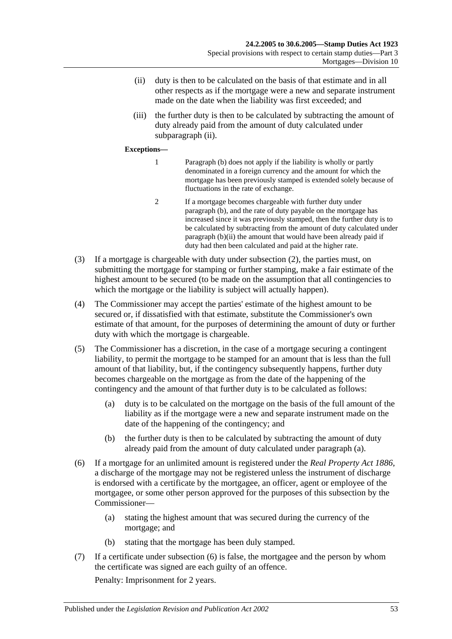- <span id="page-70-0"></span>(ii) duty is then to be calculated on the basis of that estimate and in all other respects as if the mortgage were a new and separate instrument made on the date when the liability was first exceeded; and
- (iii) the further duty is then to be calculated by subtracting the amount of duty already paid from the amount of duty calculated under [subparagraph](#page-70-0) (ii).

#### **Exceptions—**

- 1 [Paragraph](#page-69-0) (b) does not apply if the liability is wholly or partly denominated in a foreign currency and the amount for which the mortgage has been previously stamped is extended solely because of fluctuations in the rate of exchange.
- 2 If a mortgage becomes chargeable with further duty under [paragraph](#page-69-0) (b), and the rate of duty payable on the mortgage has increased since it was previously stamped, then the further duty is to be calculated by subtracting from the amount of duty calculated under [paragraph](#page-70-0) (b)(ii) the amount that would have been already paid if duty had then been calculated and paid at the higher rate.
- (3) If a mortgage is chargeable with duty under [subsection](#page-69-1) (2), the parties must, on submitting the mortgage for stamping or further stamping, make a fair estimate of the highest amount to be secured (to be made on the assumption that all contingencies to which the mortgage or the liability is subject will actually happen).
- (4) The Commissioner may accept the parties' estimate of the highest amount to be secured or, if dissatisfied with that estimate, substitute the Commissioner's own estimate of that amount, for the purposes of determining the amount of duty or further duty with which the mortgage is chargeable.
- <span id="page-70-1"></span>(5) The Commissioner has a discretion, in the case of a mortgage securing a contingent liability, to permit the mortgage to be stamped for an amount that is less than the full amount of that liability, but, if the contingency subsequently happens, further duty becomes chargeable on the mortgage as from the date of the happening of the contingency and the amount of that further duty is to be calculated as follows:
	- (a) duty is to be calculated on the mortgage on the basis of the full amount of the liability as if the mortgage were a new and separate instrument made on the date of the happening of the contingency; and
	- (b) the further duty is then to be calculated by subtracting the amount of duty already paid from the amount of duty calculated under [paragraph](#page-70-1) (a).
- <span id="page-70-2"></span>(6) If a mortgage for an unlimited amount is registered under the *[Real Property Act](http://www.legislation.sa.gov.au/index.aspx?action=legref&type=act&legtitle=Real%20Property%20Act%201886) 1886*, a discharge of the mortgage may not be registered unless the instrument of discharge is endorsed with a certificate by the mortgagee, an officer, agent or employee of the mortgagee, or some other person approved for the purposes of this subsection by the Commissioner—
	- (a) stating the highest amount that was secured during the currency of the mortgage; and
	- (b) stating that the mortgage has been duly stamped.
- (7) If a certificate under [subsection](#page-70-2) (6) is false, the mortgagee and the person by whom the certificate was signed are each guilty of an offence.

Penalty: Imprisonment for 2 years.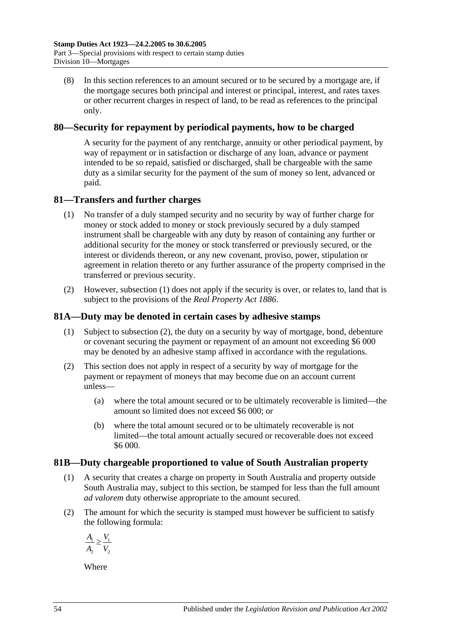(8) In this section references to an amount secured or to be secured by a mortgage are, if the mortgage secures both principal and interest or principal, interest, and rates taxes or other recurrent charges in respect of land, to be read as references to the principal only.

## **80—Security for repayment by periodical payments, how to be charged**

A security for the payment of any rentcharge, annuity or other periodical payment, by way of repayment or in satisfaction or discharge of any loan, advance or payment intended to be so repaid, satisfied or discharged, shall be chargeable with the same duty as a similar security for the payment of the sum of money so lent, advanced or paid.

# <span id="page-71-0"></span>**81—Transfers and further charges**

- (1) No transfer of a duly stamped security and no security by way of further charge for money or stock added to money or stock previously secured by a duly stamped instrument shall be chargeable with any duty by reason of containing any further or additional security for the money or stock transferred or previously secured, or the interest or dividends thereon, or any new covenant, proviso, power, stipulation or agreement in relation thereto or any further assurance of the property comprised in the transferred or previous security.
- (2) However, [subsection](#page-71-0) (1) does not apply if the security is over, or relates to, land that is subject to the provisions of the *[Real Property Act](http://www.legislation.sa.gov.au/index.aspx?action=legref&type=act&legtitle=Real%20Property%20Act%201886) 1886*.

# **81A—Duty may be denoted in certain cases by adhesive stamps**

- (1) Subject to [subsection](#page-71-1) (2), the duty on a security by way of mortgage, bond, debenture or covenant securing the payment or repayment of an amount not exceeding \$6 000 may be denoted by an adhesive stamp affixed in accordance with the regulations.
- <span id="page-71-1"></span>(2) This section does not apply in respect of a security by way of mortgage for the payment or repayment of moneys that may become due on an account current unless—
	- (a) where the total amount secured or to be ultimately recoverable is limited—the amount so limited does not exceed \$6 000; or
	- (b) where the total amount secured or to be ultimately recoverable is not limited—the total amount actually secured or recoverable does not exceed \$6 000.

## **81B—Duty chargeable proportioned to value of South Australian property**

- (1) A security that creates a charge on property in South Australia and property outside South Australia may, subject to this section, be stamped for less than the full amount *ad valorem* duty otherwise appropriate to the amount secured.
- (2) The amount for which the security is stamped must however be sufficient to satisfy the following formula:

$$
\frac{A_1}{A_2} \ge \frac{V_1}{V_2}
$$

Where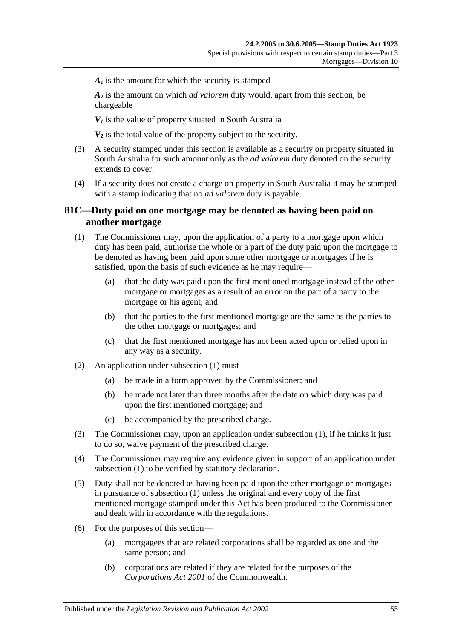$A<sub>i</sub>$  is the amount for which the security is stamped

*A2* is the amount on which *ad valorem* duty would, apart from this section, be chargeable

 $V_1$  is the value of property situated in South Australia

 $V_2$  is the total value of the property subject to the security.

- (3) A security stamped under this section is available as a security on property situated in South Australia for such amount only as the *ad valorem* duty denoted on the security extends to cover.
- (4) If a security does not create a charge on property in South Australia it may be stamped with a stamp indicating that no *ad valorem* duty is payable.

### **81C—Duty paid on one mortgage may be denoted as having been paid on another mortgage**

- <span id="page-72-0"></span>(1) The Commissioner may, upon the application of a party to a mortgage upon which duty has been paid, authorise the whole or a part of the duty paid upon the mortgage to be denoted as having been paid upon some other mortgage or mortgages if he is satisfied, upon the basis of such evidence as he may require—
	- (a) that the duty was paid upon the first mentioned mortgage instead of the other mortgage or mortgages as a result of an error on the part of a party to the mortgage or his agent; and
	- (b) that the parties to the first mentioned mortgage are the same as the parties to the other mortgage or mortgages; and
	- (c) that the first mentioned mortgage has not been acted upon or relied upon in any way as a security.
- (2) An application under [subsection](#page-72-0) (1) must—
	- (a) be made in a form approved by the Commissioner; and
	- (b) be made not later than three months after the date on which duty was paid upon the first mentioned mortgage; and
	- (c) be accompanied by the prescribed charge.
- (3) The Commissioner may, upon an application under [subsection](#page-72-0) (1), if he thinks it just to do so, waive payment of the prescribed charge.
- (4) The Commissioner may require any evidence given in support of an application under [subsection](#page-72-0) (1) to be verified by statutory declaration.
- (5) Duty shall not be denoted as having been paid upon the other mortgage or mortgages in pursuance of [subsection](#page-72-0) (1) unless the original and every copy of the first mentioned mortgage stamped under this Act has been produced to the Commissioner and dealt with in accordance with the regulations.
- (6) For the purposes of this section—
	- (a) mortgagees that are related corporations shall be regarded as one and the same person; and
	- (b) corporations are related if they are related for the purposes of the *Corporations Act 2001* of the Commonwealth.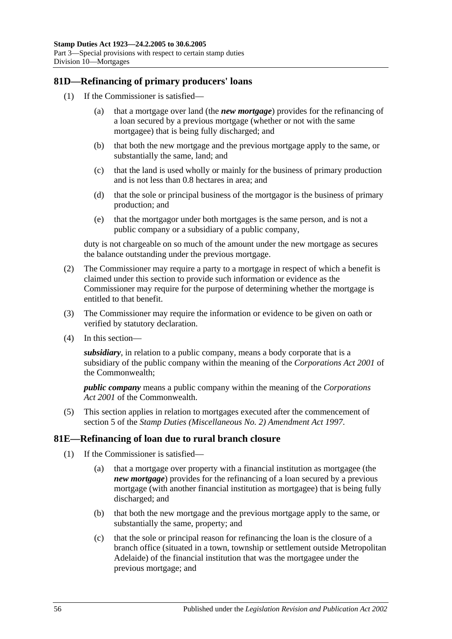## **81D—Refinancing of primary producers' loans**

- (1) If the Commissioner is satisfied—
	- (a) that a mortgage over land (the *new mortgage*) provides for the refinancing of a loan secured by a previous mortgage (whether or not with the same mortgagee) that is being fully discharged; and
	- (b) that both the new mortgage and the previous mortgage apply to the same, or substantially the same, land; and
	- (c) that the land is used wholly or mainly for the business of primary production and is not less than 0.8 hectares in area; and
	- (d) that the sole or principal business of the mortgagor is the business of primary production; and
	- (e) that the mortgagor under both mortgages is the same person, and is not a public company or a subsidiary of a public company,

duty is not chargeable on so much of the amount under the new mortgage as secures the balance outstanding under the previous mortgage.

- (2) The Commissioner may require a party to a mortgage in respect of which a benefit is claimed under this section to provide such information or evidence as the Commissioner may require for the purpose of determining whether the mortgage is entitled to that benefit.
- (3) The Commissioner may require the information or evidence to be given on oath or verified by statutory declaration.
- (4) In this section—

*subsidiary*, in relation to a public company, means a body corporate that is a subsidiary of the public company within the meaning of the *Corporations Act 2001* of the Commonwealth;

*public company* means a public company within the meaning of the *Corporations Act 2001* of the Commonwealth.

(5) This section applies in relation to mortgages executed after the commencement of section 5 of the *[Stamp Duties \(Miscellaneous No. 2\) Amendment Act](http://www.legislation.sa.gov.au/index.aspx?action=legref&type=act&legtitle=Stamp%20Duties%20(Miscellaneous%20No.%202)%20Amendment%20Act%201997) 1997*.

#### **81E—Refinancing of loan due to rural branch closure**

- (1) If the Commissioner is satisfied—
	- (a) that a mortgage over property with a financial institution as mortgagee (the *new mortgage*) provides for the refinancing of a loan secured by a previous mortgage (with another financial institution as mortgagee) that is being fully discharged; and
	- (b) that both the new mortgage and the previous mortgage apply to the same, or substantially the same, property; and
	- (c) that the sole or principal reason for refinancing the loan is the closure of a branch office (situated in a town, township or settlement outside Metropolitan Adelaide) of the financial institution that was the mortgagee under the previous mortgage; and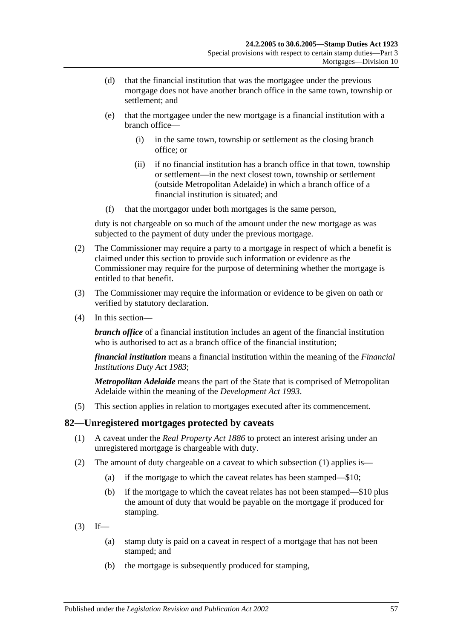- (d) that the financial institution that was the mortgagee under the previous mortgage does not have another branch office in the same town, township or settlement; and
- (e) that the mortgagee under the new mortgage is a financial institution with a branch office—
	- (i) in the same town, township or settlement as the closing branch office; or
	- (ii) if no financial institution has a branch office in that town, township or settlement—in the next closest town, township or settlement (outside Metropolitan Adelaide) in which a branch office of a financial institution is situated; and
- (f) that the mortgagor under both mortgages is the same person,

duty is not chargeable on so much of the amount under the new mortgage as was subjected to the payment of duty under the previous mortgage.

- (2) The Commissioner may require a party to a mortgage in respect of which a benefit is claimed under this section to provide such information or evidence as the Commissioner may require for the purpose of determining whether the mortgage is entitled to that benefit.
- (3) The Commissioner may require the information or evidence to be given on oath or verified by statutory declaration.
- (4) In this section—

*branch office* of a financial institution includes an agent of the financial institution who is authorised to act as a branch office of the financial institution:

*financial institution* means a financial institution within the meaning of the *[Financial](http://www.legislation.sa.gov.au/index.aspx?action=legref&type=act&legtitle=Financial%20Institutions%20Duty%20Act%201983)  [Institutions Duty Act](http://www.legislation.sa.gov.au/index.aspx?action=legref&type=act&legtitle=Financial%20Institutions%20Duty%20Act%201983) 1983*;

*Metropolitan Adelaide* means the part of the State that is comprised of Metropolitan Adelaide within the meaning of the *[Development Act](http://www.legislation.sa.gov.au/index.aspx?action=legref&type=act&legtitle=Development%20Act%201993) 1993*.

(5) This section applies in relation to mortgages executed after its commencement.

#### <span id="page-74-0"></span>**82—Unregistered mortgages protected by caveats**

- (1) A caveat under the *[Real Property Act](http://www.legislation.sa.gov.au/index.aspx?action=legref&type=act&legtitle=Real%20Property%20Act%201886) 1886* to protect an interest arising under an unregistered mortgage is chargeable with duty.
- (2) The amount of duty chargeable on a caveat to which [subsection](#page-74-0) (1) applies is—
	- (a) if the mortgage to which the caveat relates has been stamped—\$10;
	- (b) if the mortgage to which the caveat relates has not been stamped—\$10 plus the amount of duty that would be payable on the mortgage if produced for stamping.
- $(3)$  If—
	- (a) stamp duty is paid on a caveat in respect of a mortgage that has not been stamped; and
	- (b) the mortgage is subsequently produced for stamping,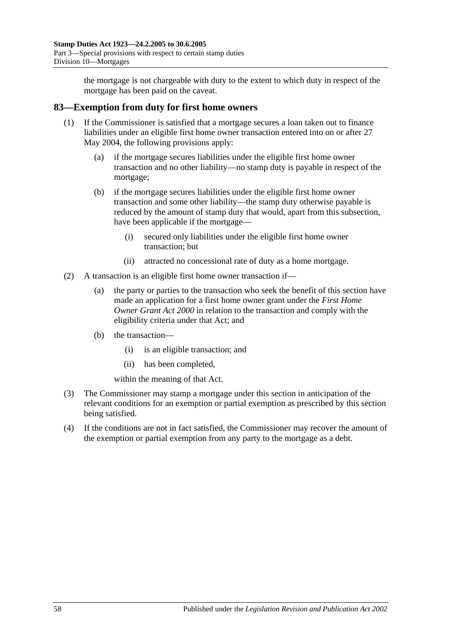the mortgage is not chargeable with duty to the extent to which duty in respect of the mortgage has been paid on the caveat.

## **83—Exemption from duty for first home owners**

- (1) If the Commissioner is satisfied that a mortgage secures a loan taken out to finance liabilities under an eligible first home owner transaction entered into on or after 27 May 2004, the following provisions apply:
	- (a) if the mortgage secures liabilities under the eligible first home owner transaction and no other liability—no stamp duty is payable in respect of the mortgage;
	- (b) if the mortgage secures liabilities under the eligible first home owner transaction and some other liability—the stamp duty otherwise payable is reduced by the amount of stamp duty that would, apart from this subsection, have been applicable if the mortgage—
		- (i) secured only liabilities under the eligible first home owner transaction; but
		- (ii) attracted no concessional rate of duty as a home mortgage.
- (2) A transaction is an eligible first home owner transaction if—
	- (a) the party or parties to the transaction who seek the benefit of this section have made an application for a first home owner grant under the *[First Home](http://www.legislation.sa.gov.au/index.aspx?action=legref&type=act&legtitle=First%20Home%20Owner%20Grant%20Act%202000)  [Owner Grant Act](http://www.legislation.sa.gov.au/index.aspx?action=legref&type=act&legtitle=First%20Home%20Owner%20Grant%20Act%202000) 2000* in relation to the transaction and comply with the eligibility criteria under that Act; and
	- (b) the transaction—
		- (i) is an eligible transaction; and
		- (ii) has been completed,

within the meaning of that Act.

- (3) The Commissioner may stamp a mortgage under this section in anticipation of the relevant conditions for an exemption or partial exemption as prescribed by this section being satisfied.
- (4) If the conditions are not in fact satisfied, the Commissioner may recover the amount of the exemption or partial exemption from any party to the mortgage as a debt.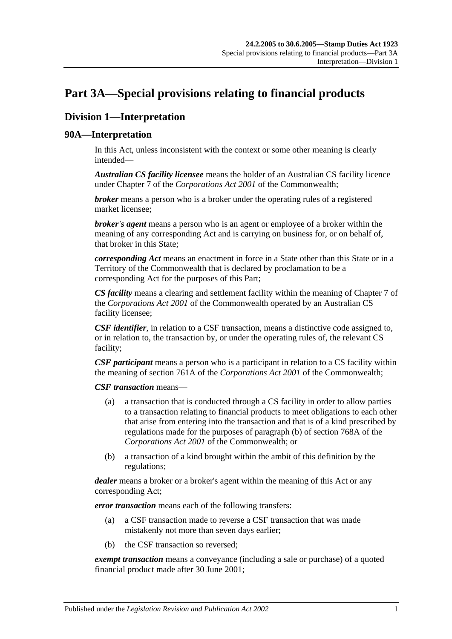# <span id="page-76-0"></span>**Part 3A—Special provisions relating to financial products**

# **Division 1—Interpretation**

## **90A—Interpretation**

In this Act, unless inconsistent with the context or some other meaning is clearly intended—

*Australian CS facility licensee* means the holder of an Australian CS facility licence under Chapter 7 of the *Corporations Act 2001* of the Commonwealth;

*broker* means a person who is a broker under the operating rules of a registered market licensee;

*broker's agent* means a person who is an agent or employee of a broker within the meaning of any corresponding Act and is carrying on business for, or on behalf of, that broker in this State;

*corresponding Act* means an enactment in force in a State other than this State or in a Territory of the Commonwealth that is declared by proclamation to be a corresponding Act for the purposes of this Part;

*CS facility* means a clearing and settlement facility within the meaning of Chapter 7 of the *Corporations Act 2001* of the Commonwealth operated by an Australian CS facility licensee;

*CSF identifier*, in relation to a CSF transaction, means a distinctive code assigned to, or in relation to, the transaction by, or under the operating rules of, the relevant CS facility;

*CSF participant* means a person who is a participant in relation to a CS facility within the meaning of section 761A of the *Corporations Act 2001* of the Commonwealth;

*CSF transaction* means—

- (a) a transaction that is conducted through a CS facility in order to allow parties to a transaction relating to financial products to meet obligations to each other that arise from entering into the transaction and that is of a kind prescribed by regulations made for the purposes of paragraph (b) of section 768A of the *Corporations Act 2001* of the Commonwealth; or
- (b) a transaction of a kind brought within the ambit of this definition by the regulations;

*dealer* means a broker or a broker's agent within the meaning of this Act or any corresponding Act;

*error transaction* means each of the following transfers:

- (a) a CSF transaction made to reverse a CSF transaction that was made mistakenly not more than seven days earlier;
- (b) the CSF transaction so reversed;

*exempt transaction* means a conveyance (including a sale or purchase) of a quoted financial product made after 30 June 2001;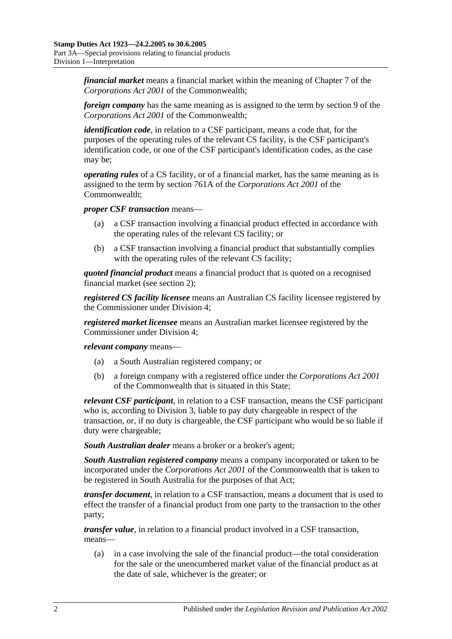*financial market* means a financial market within the meaning of Chapter 7 of the *Corporations Act 2001* of the Commonwealth;

*foreign company* has the same meaning as is assigned to the term by section 9 of the *Corporations Act 2001* of the Commonwealth;

*identification code*, in relation to a CSF participant, means a code that, for the purposes of the operating rules of the relevant CS facility, is the CSF participant's identification code, or one of the CSF participant's identification codes, as the case may be;

*operating rules* of a CS facility, or of a financial market, has the same meaning as is assigned to the term by section 761A of the *Corporations Act 2001* of the Commonwealth;

*proper CSF transaction* means—

- (a) a CSF transaction involving a financial product effected in accordance with the operating rules of the relevant CS facility; or
- (b) a CSF transaction involving a financial product that substantially complies with the operating rules of the relevant CS facility;

*quoted financial product* means a financial product that is quoted on a recognised financial market (see [section](#page-6-0) 2);

*registered CS facility licensee* means an Australian CS facility licensee registered by the Commissioner under [Division 4;](#page-86-0)

*registered market licensee* means an Australian market licensee registered by the Commissioner under [Division 4;](#page-86-0)

*relevant company* means—

- (a) a South Australian registered company; or
- (b) a foreign company with a registered office under the *Corporations Act 2001* of the Commonwealth that is situated in this State;

*relevant CSF participant*, in relation to a CSF transaction, means the CSF participant who is, according to [Division 3,](#page-83-0) liable to pay duty chargeable in respect of the transaction, or, if no duty is chargeable, the CSF participant who would be so liable if duty were chargeable;

*South Australian dealer* means a broker or a broker's agent;

*South Australian registered company* means a company incorporated or taken to be incorporated under the *Corporations Act 2001* of the Commonwealth that is taken to be registered in South Australia for the purposes of that Act;

*transfer document*, in relation to a CSF transaction, means a document that is used to effect the transfer of a financial product from one party to the transaction to the other party;

*transfer value*, in relation to a financial product involved in a CSF transaction, means—

(a) in a case involving the sale of the financial product—the total consideration for the sale or the unencumbered market value of the financial product as at the date of sale, whichever is the greater; or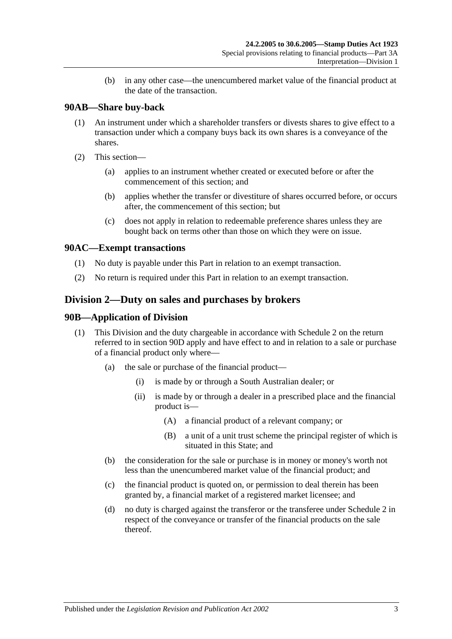(b) in any other case—the unencumbered market value of the financial product at the date of the transaction.

## **90AB—Share buy-back**

- (1) An instrument under which a shareholder transfers or divests shares to give effect to a transaction under which a company buys back its own shares is a conveyance of the shares.
- (2) This section—
	- (a) applies to an instrument whether created or executed before or after the commencement of this section; and
	- (b) applies whether the transfer or divestiture of shares occurred before, or occurs after, the commencement of this section; but
	- (c) does not apply in relation to redeemable preference shares unless they are bought back on terms other than those on which they were on issue.

## **90AC—Exempt transactions**

- (1) No duty is payable under this Part in relation to an exempt transaction.
- (2) No return is required under this Part in relation to an exempt transaction.

## <span id="page-78-0"></span>**Division 2—Duty on sales and purchases by brokers**

## **90B—Application of Division**

- (1) This Division and the duty chargeable in accordance with [Schedule 2](#page-102-0) on the return referred to in [section](#page-80-0) 90D apply and have effect to and in relation to a sale or purchase of a financial product only where—
	- (a) the sale or purchase of the financial product—
		- (i) is made by or through a South Australian dealer; or
		- (ii) is made by or through a dealer in a prescribed place and the financial product is—
			- (A) a financial product of a relevant company; or
			- (B) a unit of a unit trust scheme the principal register of which is situated in this State; and
	- (b) the consideration for the sale or purchase is in money or money's worth not less than the unencumbered market value of the financial product; and
	- (c) the financial product is quoted on, or permission to deal therein has been granted by, a financial market of a registered market licensee; and
	- (d) no duty is charged against the transferor or the transferee under [Schedule 2](#page-102-0) in respect of the conveyance or transfer of the financial products on the sale thereof.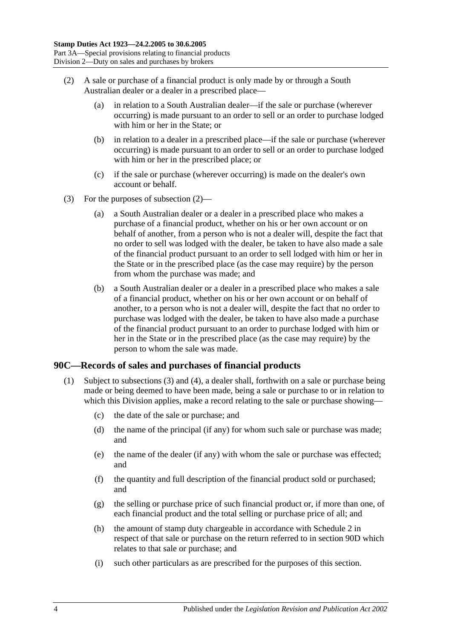- <span id="page-79-0"></span>(2) A sale or purchase of a financial product is only made by or through a South Australian dealer or a dealer in a prescribed place—
	- (a) in relation to a South Australian dealer—if the sale or purchase (wherever occurring) is made pursuant to an order to sell or an order to purchase lodged with him or her in the State; or
	- (b) in relation to a dealer in a prescribed place—if the sale or purchase (wherever occurring) is made pursuant to an order to sell or an order to purchase lodged with him or her in the prescribed place; or
	- (c) if the sale or purchase (wherever occurring) is made on the dealer's own account or behalf.
- (3) For the purposes of [subsection](#page-79-0) (2)—
	- (a) a South Australian dealer or a dealer in a prescribed place who makes a purchase of a financial product, whether on his or her own account or on behalf of another, from a person who is not a dealer will, despite the fact that no order to sell was lodged with the dealer, be taken to have also made a sale of the financial product pursuant to an order to sell lodged with him or her in the State or in the prescribed place (as the case may require) by the person from whom the purchase was made; and
	- (b) a South Australian dealer or a dealer in a prescribed place who makes a sale of a financial product, whether on his or her own account or on behalf of another, to a person who is not a dealer will, despite the fact that no order to purchase was lodged with the dealer, be taken to have also made a purchase of the financial product pursuant to an order to purchase lodged with him or her in the State or in the prescribed place (as the case may require) by the person to whom the sale was made.

## <span id="page-79-2"></span><span id="page-79-1"></span>**90C—Records of sales and purchases of financial products**

- (1) Subject to [subsections](#page-80-1) (3) and [\(4\),](#page-80-2) a dealer shall, forthwith on a sale or purchase being made or being deemed to have been made, being a sale or purchase to or in relation to which this Division applies, make a record relating to the sale or purchase showing—
	- (c) the date of the sale or purchase; and
	- (d) the name of the principal (if any) for whom such sale or purchase was made; and
	- (e) the name of the dealer (if any) with whom the sale or purchase was effected; and
	- (f) the quantity and full description of the financial product sold or purchased; and
	- (g) the selling or purchase price of such financial product or, if more than one, of each financial product and the total selling or purchase price of all; and
	- (h) the amount of stamp duty chargeable in accordance with [Schedule 2](#page-102-0) in respect of that sale or purchase on the return referred to in [section](#page-80-0) 90D which relates to that sale or purchase; and
	- (i) such other particulars as are prescribed for the purposes of this section.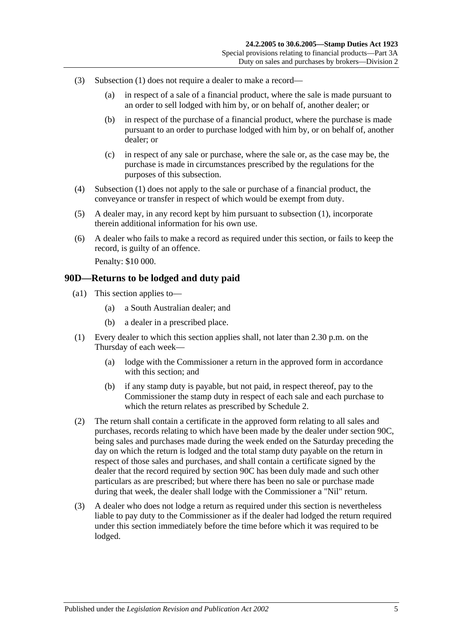- <span id="page-80-1"></span>(3) [Subsection](#page-79-1) (1) does not require a dealer to make a record—
	- (a) in respect of a sale of a financial product, where the sale is made pursuant to an order to sell lodged with him by, or on behalf of, another dealer; or
	- (b) in respect of the purchase of a financial product, where the purchase is made pursuant to an order to purchase lodged with him by, or on behalf of, another dealer; or
	- (c) in respect of any sale or purchase, where the sale or, as the case may be, the purchase is made in circumstances prescribed by the regulations for the purposes of this subsection.
- <span id="page-80-2"></span>(4) [Subsection](#page-79-1) (1) does not apply to the sale or purchase of a financial product, the conveyance or transfer in respect of which would be exempt from duty.
- (5) A dealer may, in any record kept by him pursuant to [subsection](#page-79-1) (1), incorporate therein additional information for his own use.
- (6) A dealer who fails to make a record as required under this section, or fails to keep the record, is guilty of an offence. Penalty: \$10 000.

#### <span id="page-80-0"></span>**90D—Returns to be lodged and duty paid**

- (a1) This section applies to—
	- (a) a South Australian dealer; and
	- (b) a dealer in a prescribed place.
- (1) Every dealer to which this section applies shall, not later than 2.30 p.m. on the Thursday of each week—
	- (a) lodge with the Commissioner a return in the approved form in accordance with this section; and
	- (b) if any stamp duty is payable, but not paid, in respect thereof, pay to the Commissioner the stamp duty in respect of each sale and each purchase to which the return relates as prescribed by [Schedule 2.](#page-102-0)
- (2) The return shall contain a certificate in the approved form relating to all sales and purchases, records relating to which have been made by the dealer under [section](#page-79-2) 90C, being sales and purchases made during the week ended on the Saturday preceding the day on which the return is lodged and the total stamp duty payable on the return in respect of those sales and purchases, and shall contain a certificate signed by the dealer that the record required by [section](#page-79-2) 90C has been duly made and such other particulars as are prescribed; but where there has been no sale or purchase made during that week, the dealer shall lodge with the Commissioner a "Nil" return.
- (3) A dealer who does not lodge a return as required under this section is nevertheless liable to pay duty to the Commissioner as if the dealer had lodged the return required under this section immediately before the time before which it was required to be lodged.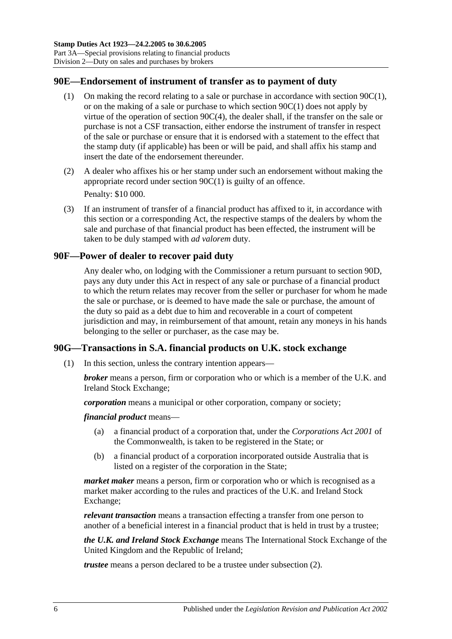## **90E—Endorsement of instrument of transfer as to payment of duty**

- (1) On making the record relating to a sale or purchase in accordance with [section](#page-79-1) 90C(1), or on the making of a sale or purchase to which [section](#page-79-1) 90C(1) does not apply by virtue of the operation of section [90C\(4\),](#page-80-2) the dealer shall, if the transfer on the sale or purchase is not a CSF transaction, either endorse the instrument of transfer in respect of the sale or purchase or ensure that it is endorsed with a statement to the effect that the stamp duty (if applicable) has been or will be paid, and shall affix his stamp and insert the date of the endorsement thereunder.
- (2) A dealer who affixes his or her stamp under such an endorsement without making the appropriate record under [section](#page-79-1) 90C(1) is guilty of an offence. Penalty: \$10 000.
- <span id="page-81-0"></span>(3) If an instrument of transfer of a financial product has affixed to it, in accordance with this section or a corresponding Act, the respective stamps of the dealers by whom the sale and purchase of that financial product has been effected, the instrument will be taken to be duly stamped with *ad valorem* duty.

## **90F—Power of dealer to recover paid duty**

Any dealer who, on lodging with the Commissioner a return pursuant to [section](#page-80-0) 90D, pays any duty under this Act in respect of any sale or purchase of a financial product to which the return relates may recover from the seller or purchaser for whom he made the sale or purchase, or is deemed to have made the sale or purchase, the amount of the duty so paid as a debt due to him and recoverable in a court of competent jurisdiction and may, in reimbursement of that amount, retain any moneys in his hands belonging to the seller or purchaser, as the case may be.

## **90G—Transactions in S.A. financial products on U.K. stock exchange**

(1) In this section, unless the contrary intention appears—

*broker* means a person, firm or corporation who or which is a member of the U.K. and Ireland Stock Exchange;

*corporation* means a municipal or other corporation, company or society;

*financial product* means—

- (a) a financial product of a corporation that, under the *Corporations Act 2001* of the Commonwealth, is taken to be registered in the State; or
- (b) a financial product of a corporation incorporated outside Australia that is listed on a register of the corporation in the State;

*market maker* means a person, firm or corporation who or which is recognised as a market maker according to the rules and practices of the U.K. and Ireland Stock Exchange;

*relevant transaction* means a transaction effecting a transfer from one person to another of a beneficial interest in a financial product that is held in trust by a trustee;

*the U.K. and Ireland Stock Exchange* means The International Stock Exchange of the United Kingdom and the Republic of Ireland;

*trustee* means a person declared to be a trustee under [subsection](#page-82-0) (2).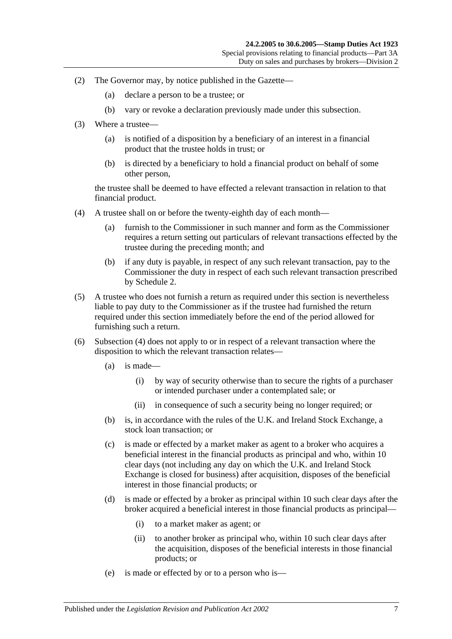- <span id="page-82-0"></span>(2) The Governor may, by notice published in the Gazette—
	- (a) declare a person to be a trustee; or
	- (b) vary or revoke a declaration previously made under this subsection.
- (3) Where a trustee—
	- (a) is notified of a disposition by a beneficiary of an interest in a financial product that the trustee holds in trust; or
	- (b) is directed by a beneficiary to hold a financial product on behalf of some other person,

the trustee shall be deemed to have effected a relevant transaction in relation to that financial product.

- <span id="page-82-1"></span>(4) A trustee shall on or before the twenty-eighth day of each month—
	- (a) furnish to the Commissioner in such manner and form as the Commissioner requires a return setting out particulars of relevant transactions effected by the trustee during the preceding month; and
	- (b) if any duty is payable, in respect of any such relevant transaction, pay to the Commissioner the duty in respect of each such relevant transaction prescribed by [Schedule 2.](#page-102-0)
- (5) A trustee who does not furnish a return as required under this section is nevertheless liable to pay duty to the Commissioner as if the trustee had furnished the return required under this section immediately before the end of the period allowed for furnishing such a return.
- (6) [Subsection](#page-82-1) (4) does not apply to or in respect of a relevant transaction where the disposition to which the relevant transaction relates—
	- (a) is made—
		- (i) by way of security otherwise than to secure the rights of a purchaser or intended purchaser under a contemplated sale; or
		- (ii) in consequence of such a security being no longer required; or
	- (b) is, in accordance with the rules of the U.K. and Ireland Stock Exchange, a stock loan transaction; or
	- (c) is made or effected by a market maker as agent to a broker who acquires a beneficial interest in the financial products as principal and who, within 10 clear days (not including any day on which the U.K. and Ireland Stock Exchange is closed for business) after acquisition, disposes of the beneficial interest in those financial products; or
	- (d) is made or effected by a broker as principal within 10 such clear days after the broker acquired a beneficial interest in those financial products as principal—
		- (i) to a market maker as agent; or
		- (ii) to another broker as principal who, within 10 such clear days after the acquisition, disposes of the beneficial interests in those financial products; or
	- (e) is made or effected by or to a person who is—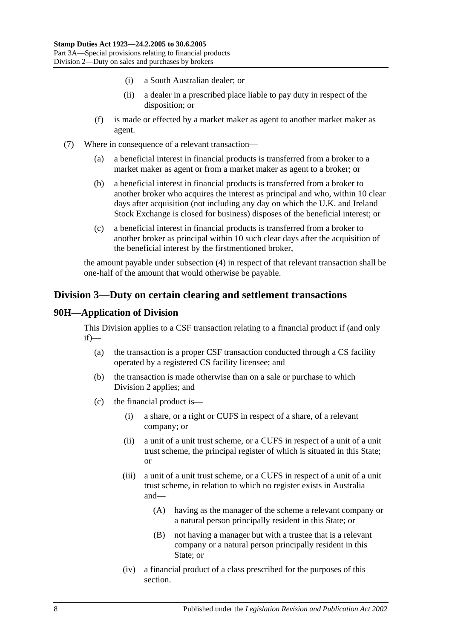- (i) a South Australian dealer; or
- (ii) a dealer in a prescribed place liable to pay duty in respect of the disposition; or
- (f) is made or effected by a market maker as agent to another market maker as agent.
- (7) Where in consequence of a relevant transaction—
	- (a) a beneficial interest in financial products is transferred from a broker to a market maker as agent or from a market maker as agent to a broker; or
	- (b) a beneficial interest in financial products is transferred from a broker to another broker who acquires the interest as principal and who, within 10 clear days after acquisition (not including any day on which the U.K. and Ireland Stock Exchange is closed for business) disposes of the beneficial interest; or
	- (c) a beneficial interest in financial products is transferred from a broker to another broker as principal within 10 such clear days after the acquisition of the beneficial interest by the firstmentioned broker,

the amount payable under [subsection](#page-82-1) (4) in respect of that relevant transaction shall be one-half of the amount that would otherwise be payable.

## <span id="page-83-0"></span>**Division 3—Duty on certain clearing and settlement transactions**

## **90H—Application of Division**

This Division applies to a CSF transaction relating to a financial product if (and only if)—

- (a) the transaction is a proper CSF transaction conducted through a CS facility operated by a registered CS facility licensee; and
- (b) the transaction is made otherwise than on a sale or purchase to which [Division 2](#page-78-0) applies; and
- (c) the financial product is—
	- (i) a share, or a right or CUFS in respect of a share, of a relevant company; or
	- (ii) a unit of a unit trust scheme, or a CUFS in respect of a unit of a unit trust scheme, the principal register of which is situated in this State; or
	- (iii) a unit of a unit trust scheme, or a CUFS in respect of a unit of a unit trust scheme, in relation to which no register exists in Australia and—
		- (A) having as the manager of the scheme a relevant company or a natural person principally resident in this State; or
		- (B) not having a manager but with a trustee that is a relevant company or a natural person principally resident in this State; or
	- (iv) a financial product of a class prescribed for the purposes of this section.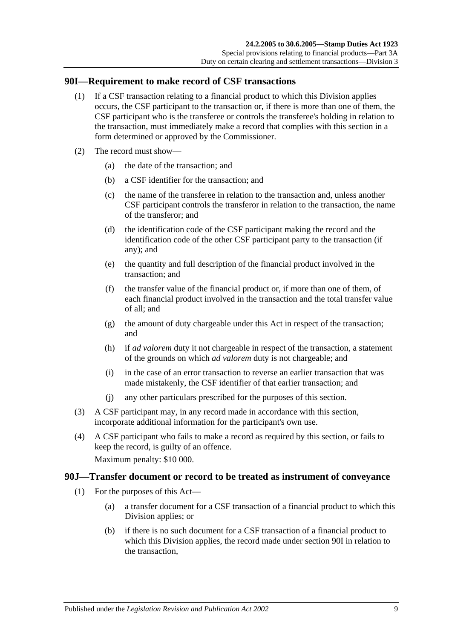### <span id="page-84-0"></span>**90I—Requirement to make record of CSF transactions**

- (1) If a CSF transaction relating to a financial product to which this Division applies occurs, the CSF participant to the transaction or, if there is more than one of them, the CSF participant who is the transferee or controls the transferee's holding in relation to the transaction, must immediately make a record that complies with this section in a form determined or approved by the Commissioner.
- (2) The record must show—
	- (a) the date of the transaction; and
	- (b) a CSF identifier for the transaction; and
	- (c) the name of the transferee in relation to the transaction and, unless another CSF participant controls the transferor in relation to the transaction, the name of the transferor; and
	- (d) the identification code of the CSF participant making the record and the identification code of the other CSF participant party to the transaction (if any); and
	- (e) the quantity and full description of the financial product involved in the transaction; and
	- (f) the transfer value of the financial product or, if more than one of them, of each financial product involved in the transaction and the total transfer value of all; and
	- (g) the amount of duty chargeable under this Act in respect of the transaction; and
	- (h) if *ad valorem* duty it not chargeable in respect of the transaction, a statement of the grounds on which *ad valorem* duty is not chargeable; and
	- (i) in the case of an error transaction to reverse an earlier transaction that was made mistakenly, the CSF identifier of that earlier transaction; and
	- (j) any other particulars prescribed for the purposes of this section.
- (3) A CSF participant may, in any record made in accordance with this section, incorporate additional information for the participant's own use.
- (4) A CSF participant who fails to make a record as required by this section, or fails to keep the record, is guilty of an offence.

Maximum penalty: \$10 000.

#### <span id="page-84-1"></span>**90J—Transfer document or record to be treated as instrument of conveyance**

- (1) For the purposes of this Act—
	- (a) a transfer document for a CSF transaction of a financial product to which this Division applies; or
	- (b) if there is no such document for a CSF transaction of a financial product to which this Division applies, the record made under [section](#page-84-0) 90I in relation to the transaction,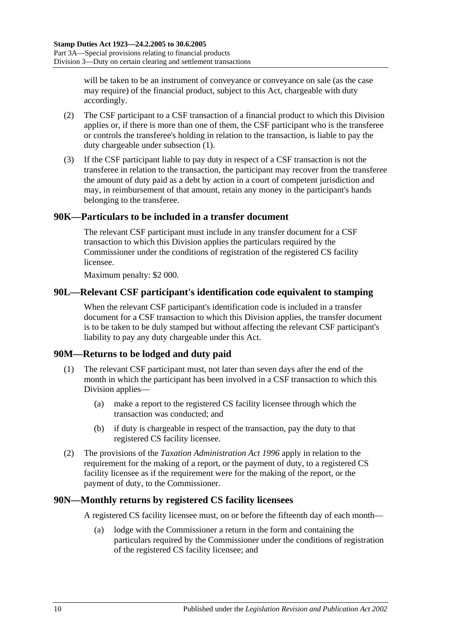will be taken to be an instrument of conveyance or conveyance on sale (as the case may require) of the financial product, subject to this Act, chargeable with duty accordingly.

- (2) The CSF participant to a CSF transaction of a financial product to which this Division applies or, if there is more than one of them, the CSF participant who is the transferee or controls the transferee's holding in relation to the transaction, is liable to pay the duty chargeable under [subsection](#page-84-1) (1).
- (3) If the CSF participant liable to pay duty in respect of a CSF transaction is not the transferee in relation to the transaction, the participant may recover from the transferee the amount of duty paid as a debt by action in a court of competent jurisdiction and may, in reimbursement of that amount, retain any money in the participant's hands belonging to the transferee.

## **90K—Particulars to be included in a transfer document**

The relevant CSF participant must include in any transfer document for a CSF transaction to which this Division applies the particulars required by the Commissioner under the conditions of registration of the registered CS facility licensee.

Maximum penalty: \$2 000.

## **90L—Relevant CSF participant's identification code equivalent to stamping**

When the relevant CSF participant's identification code is included in a transfer document for a CSF transaction to which this Division applies, the transfer document is to be taken to be duly stamped but without affecting the relevant CSF participant's liability to pay any duty chargeable under this Act.

## **90M—Returns to be lodged and duty paid**

- (1) The relevant CSF participant must, not later than seven days after the end of the month in which the participant has been involved in a CSF transaction to which this Division applies—
	- (a) make a report to the registered CS facility licensee through which the transaction was conducted; and
	- (b) if duty is chargeable in respect of the transaction, pay the duty to that registered CS facility licensee.
- (2) The provisions of the *[Taxation Administration Act](http://www.legislation.sa.gov.au/index.aspx?action=legref&type=act&legtitle=Taxation%20Administration%20Act%201996) 1996* apply in relation to the requirement for the making of a report, or the payment of duty, to a registered CS facility licensee as if the requirement were for the making of the report, or the payment of duty, to the Commissioner.

#### **90N—Monthly returns by registered CS facility licensees**

A registered CS facility licensee must, on or before the fifteenth day of each month—

(a) lodge with the Commissioner a return in the form and containing the particulars required by the Commissioner under the conditions of registration of the registered CS facility licensee; and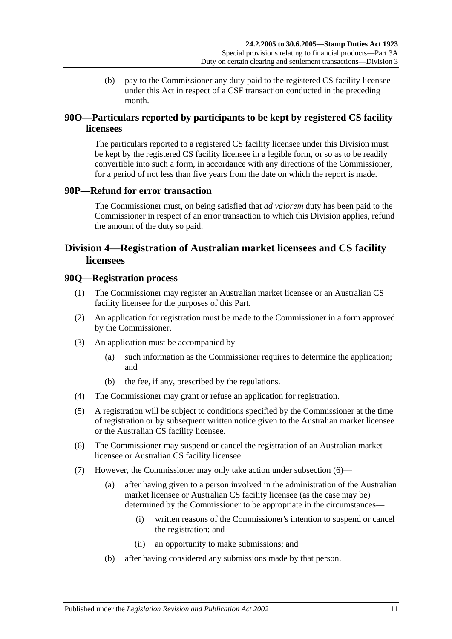(b) pay to the Commissioner any duty paid to the registered CS facility licensee under this Act in respect of a CSF transaction conducted in the preceding month.

## **90O—Particulars reported by participants to be kept by registered CS facility licensees**

The particulars reported to a registered CS facility licensee under this Division must be kept by the registered CS facility licensee in a legible form, or so as to be readily convertible into such a form, in accordance with any directions of the Commissioner, for a period of not less than five years from the date on which the report is made.

## **90P—Refund for error transaction**

The Commissioner must, on being satisfied that *ad valorem* duty has been paid to the Commissioner in respect of an error transaction to which this Division applies, refund the amount of the duty so paid.

## <span id="page-86-0"></span>**Division 4—Registration of Australian market licensees and CS facility licensees**

#### **90Q—Registration process**

- (1) The Commissioner may register an Australian market licensee or an Australian CS facility licensee for the purposes of this Part.
- (2) An application for registration must be made to the Commissioner in a form approved by the Commissioner.
- (3) An application must be accompanied by—
	- (a) such information as the Commissioner requires to determine the application; and
	- (b) the fee, if any, prescribed by the regulations.
- (4) The Commissioner may grant or refuse an application for registration.
- (5) A registration will be subject to conditions specified by the Commissioner at the time of registration or by subsequent written notice given to the Australian market licensee or the Australian CS facility licensee.
- <span id="page-86-1"></span>(6) The Commissioner may suspend or cancel the registration of an Australian market licensee or Australian CS facility licensee.
- <span id="page-86-2"></span>(7) However, the Commissioner may only take action under [subsection](#page-86-1) (6)—
	- (a) after having given to a person involved in the administration of the Australian market licensee or Australian CS facility licensee (as the case may be) determined by the Commissioner to be appropriate in the circumstances—
		- (i) written reasons of the Commissioner's intention to suspend or cancel the registration; and
		- (ii) an opportunity to make submissions; and
	- (b) after having considered any submissions made by that person.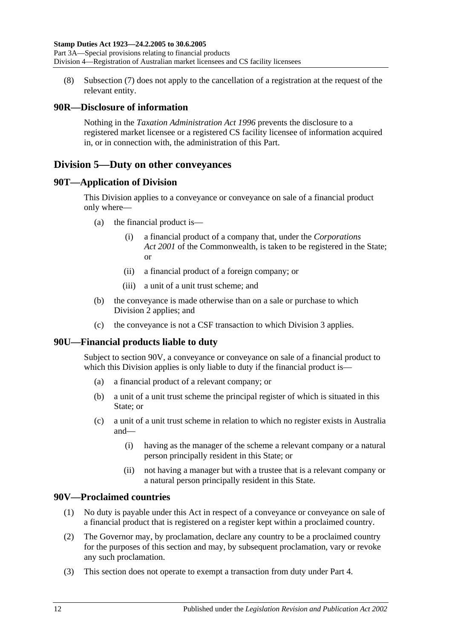(8) [Subsection](#page-86-2) (7) does not apply to the cancellation of a registration at the request of the relevant entity.

## **90R—Disclosure of information**

Nothing in the *[Taxation Administration Act](http://www.legislation.sa.gov.au/index.aspx?action=legref&type=act&legtitle=Taxation%20Administration%20Act%201996) 1996* prevents the disclosure to a registered market licensee or a registered CS facility licensee of information acquired in, or in connection with, the administration of this Part.

## <span id="page-87-1"></span>**Division 5—Duty on other conveyances**

## **90T—Application of Division**

This Division applies to a conveyance or conveyance on sale of a financial product only where—

- (a) the financial product is—
	- (i) a financial product of a company that, under the *Corporations Act 2001* of the Commonwealth, is taken to be registered in the State; or
	- (ii) a financial product of a foreign company; or
	- (iii) a unit of a unit trust scheme; and
- (b) the conveyance is made otherwise than on a sale or purchase to which [Division 2](#page-78-0) applies; and
- (c) the conveyance is not a CSF transaction to which [Division 3](#page-83-0) applies.

## **90U—Financial products liable to duty**

Subject to [section](#page-87-0) 90V, a conveyance or conveyance on sale of a financial product to which this Division applies is only liable to duty if the financial product is—

- (a) a financial product of a relevant company; or
- (b) a unit of a unit trust scheme the principal register of which is situated in this State; or
- (c) a unit of a unit trust scheme in relation to which no register exists in Australia and—
	- (i) having as the manager of the scheme a relevant company or a natural person principally resident in this State; or
	- (ii) not having a manager but with a trustee that is a relevant company or a natural person principally resident in this State.

## <span id="page-87-0"></span>**90V—Proclaimed countries**

- (1) No duty is payable under this Act in respect of a conveyance or conveyance on sale of a financial product that is registered on a register kept within a proclaimed country.
- (2) The Governor may, by proclamation, declare any country to be a proclaimed country for the purposes of this section and may, by subsequent proclamation, vary or revoke any such proclamation.
- (3) This section does not operate to exempt a transaction from duty under [Part 4.](#page-88-0)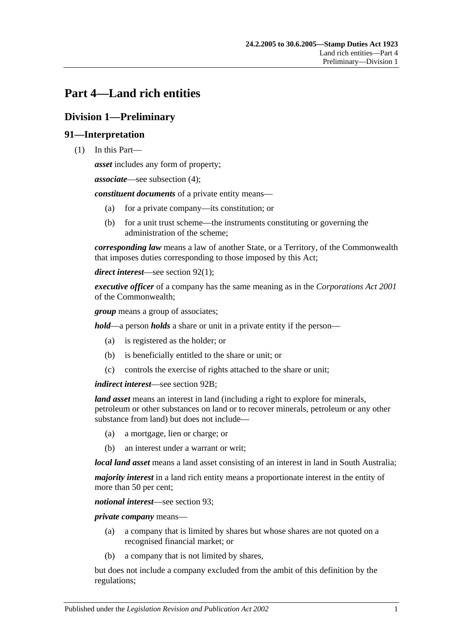# <span id="page-88-0"></span>**Part 4—Land rich entities**

# **Division 1—Preliminary**

## **91—Interpretation**

(1) In this Part—

*asset* includes any form of property;

*associate*—see [subsection](#page-90-0) (4);

*constituent documents* of a private entity means—

- (a) for a private company—its constitution; or
- (b) for a unit trust scheme—the instruments constituting or governing the administration of the scheme;

*corresponding law* means a law of another State, or a Territory, of the Commonwealth that imposes duties corresponding to those imposed by this Act;

*direct interest*—see [section](#page-90-1) 92(1);

*executive officer* of a company has the same meaning as in the *Corporations Act 2001* of the Commonwealth;

*group* means a group of associates;

*hold*—a person *holds* a share or unit in a private entity if the person—

- (a) is registered as the holder; or
- (b) is beneficially entitled to the share or unit; or
- (c) controls the exercise of rights attached to the share or unit;

*indirect interest*—see [section](#page-91-0) 92B;

*land asset* means an interest in land (including a right to explore for minerals, petroleum or other substances on land or to recover minerals, petroleum or any other substance from land) but does not include—

- (a) a mortgage, lien or charge; or
- (b) an interest under a warrant or writ;

*local land asset* means a land asset consisting of an interest in land in South Australia;

*majority interest* in a land rich entity means a proportionate interest in the entity of more than 50 per cent;

*notional interest*—see [section](#page-91-1) 93;

*private company* means—

- (a) a company that is limited by shares but whose shares are not quoted on a recognised financial market; or
- (b) a company that is not limited by shares,

but does not include a company excluded from the ambit of this definition by the regulations;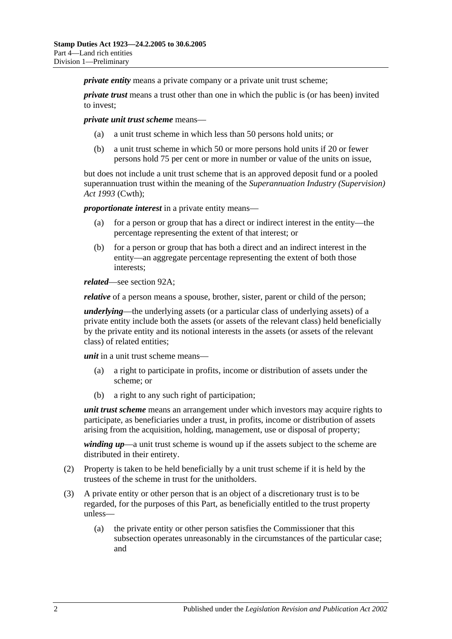*private entity* means a private company or a private unit trust scheme:

*private trust* means a trust other than one in which the public is (or has been) invited to invest;

*private unit trust scheme* means—

- (a) a unit trust scheme in which less than 50 persons hold units; or
- (b) a unit trust scheme in which 50 or more persons hold units if 20 or fewer persons hold 75 per cent or more in number or value of the units on issue,

but does not include a unit trust scheme that is an approved deposit fund or a pooled superannuation trust within the meaning of the *Superannuation Industry (Supervision) Act 1993* (Cwth);

*proportionate interest* in a private entity means—

- (a) for a person or group that has a direct or indirect interest in the entity—the percentage representing the extent of that interest; or
- (b) for a person or group that has both a direct and an indirect interest in the entity—an aggregate percentage representing the extent of both those interests;

*related*—see [section](#page-91-2) 92A;

*relative* of a person means a spouse, brother, sister, parent or child of the person;

*underlying*—the underlying assets (or a particular class of underlying assets) of a private entity include both the assets (or assets of the relevant class) held beneficially by the private entity and its notional interests in the assets (or assets of the relevant class) of related entities;

*unit* in a unit trust scheme means—

- (a) a right to participate in profits, income or distribution of assets under the scheme; or
- (b) a right to any such right of participation;

*unit trust scheme* means an arrangement under which investors may acquire rights to participate, as beneficiaries under a trust, in profits, income or distribution of assets arising from the acquisition, holding, management, use or disposal of property;

*winding up*—a unit trust scheme is wound up if the assets subject to the scheme are distributed in their entirety.

- (2) Property is taken to be held beneficially by a unit trust scheme if it is held by the trustees of the scheme in trust for the unitholders.
- (3) A private entity or other person that is an object of a discretionary trust is to be regarded, for the purposes of this Part, as beneficially entitled to the trust property unless—
	- (a) the private entity or other person satisfies the Commissioner that this subsection operates unreasonably in the circumstances of the particular case; and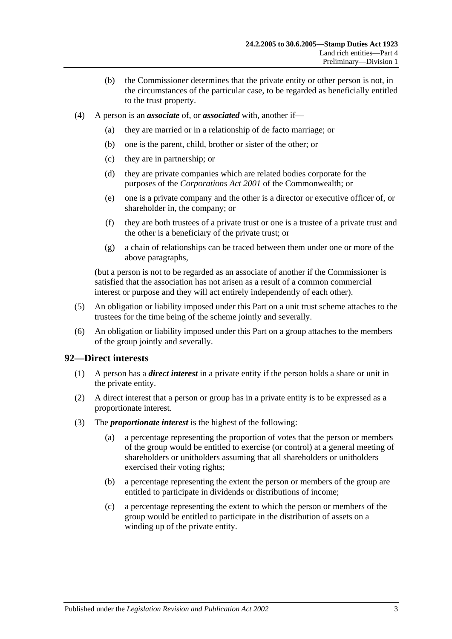- (b) the Commissioner determines that the private entity or other person is not, in the circumstances of the particular case, to be regarded as beneficially entitled to the trust property.
- <span id="page-90-0"></span>(4) A person is an *associate* of, or *associated* with, another if—
	- (a) they are married or in a relationship of de facto marriage; or
	- (b) one is the parent, child, brother or sister of the other; or
	- (c) they are in partnership; or
	- (d) they are private companies which are related bodies corporate for the purposes of the *Corporations Act 2001* of the Commonwealth; or
	- (e) one is a private company and the other is a director or executive officer of, or shareholder in, the company; or
	- (f) they are both trustees of a private trust or one is a trustee of a private trust and the other is a beneficiary of the private trust; or
	- (g) a chain of relationships can be traced between them under one or more of the above paragraphs,

(but a person is not to be regarded as an associate of another if the Commissioner is satisfied that the association has not arisen as a result of a common commercial interest or purpose and they will act entirely independently of each other).

- (5) An obligation or liability imposed under this Part on a unit trust scheme attaches to the trustees for the time being of the scheme jointly and severally.
- (6) An obligation or liability imposed under this Part on a group attaches to the members of the group jointly and severally.

#### <span id="page-90-1"></span>**92—Direct interests**

- (1) A person has a *direct interest* in a private entity if the person holds a share or unit in the private entity.
- (2) A direct interest that a person or group has in a private entity is to be expressed as a proportionate interest.
- (3) The *proportionate interest* is the highest of the following:
	- (a) a percentage representing the proportion of votes that the person or members of the group would be entitled to exercise (or control) at a general meeting of shareholders or unitholders assuming that all shareholders or unitholders exercised their voting rights;
	- (b) a percentage representing the extent the person or members of the group are entitled to participate in dividends or distributions of income;
	- (c) a percentage representing the extent to which the person or members of the group would be entitled to participate in the distribution of assets on a winding up of the private entity.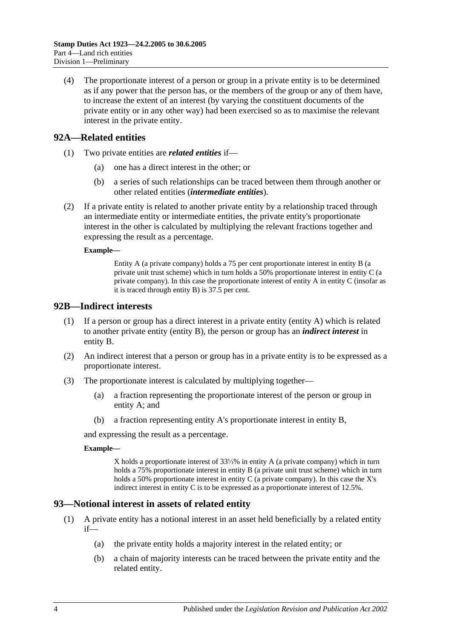(4) The proportionate interest of a person or group in a private entity is to be determined as if any power that the person has, or the members of the group or any of them have, to increase the extent of an interest (by varying the constituent documents of the private entity or in any other way) had been exercised so as to maximise the relevant interest in the private entity.

## <span id="page-91-2"></span>**92A—Related entities**

- (1) Two private entities are *related entities* if—
	- (a) one has a direct interest in the other; or
	- (b) a series of such relationships can be traced between them through another or other related entities (*intermediate entities*).
- (2) If a private entity is related to another private entity by a relationship traced through an intermediate entity or intermediate entities, the private entity's proportionate interest in the other is calculated by multiplying the relevant fractions together and expressing the result as a percentage.

#### **Example—**

Entity A (a private company) holds a 75 per cent proportionate interest in entity B (a private unit trust scheme) which in turn holds a 50% proportionate interest in entity C (a private company). In this case the proportionate interest of entity  $A$  in entity  $C$  (insofar as it is traced through entity B) is 37.5 per cent.

#### <span id="page-91-0"></span>**92B—Indirect interests**

- (1) If a person or group has a direct interest in a private entity (entity A) which is related to another private entity (entity B), the person or group has an *indirect interest* in entity B.
- (2) An indirect interest that a person or group has in a private entity is to be expressed as a proportionate interest.
- (3) The proportionate interest is calculated by multiplying together—
	- (a) a fraction representing the proportionate interest of the person or group in entity A; and
	- (b) a fraction representing entity A's proportionate interest in entity B,

and expressing the result as a percentage.

#### **Example—**

X holds a proportionate interest of 33⅓% in entity A (a private company) which in turn holds a 75% proportionate interest in entity B (a private unit trust scheme) which in turn holds a 50% proportionate interest in entity C (a private company). In this case the X's indirect interest in entity C is to be expressed as a proportionate interest of 12.5%.

## <span id="page-91-1"></span>**93—Notional interest in assets of related entity**

- (1) A private entity has a notional interest in an asset held beneficially by a related entity  $if$ —
	- (a) the private entity holds a majority interest in the related entity; or
	- (b) a chain of majority interests can be traced between the private entity and the related entity.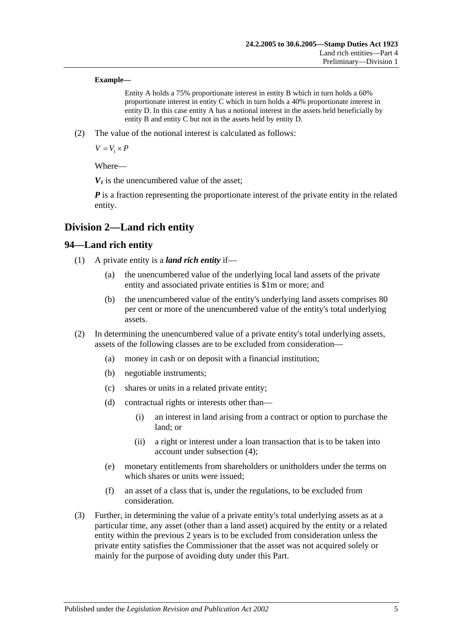#### **Example—**

Entity A holds a 75% proportionate interest in entity B which in turn holds a 60% proportionate interest in entity C which in turn holds a 40% proportionate interest in entity D. In this case entity A has a notional interest in the assets held beneficially by entity B and entity C but not in the assets held by entity D.

(2) The value of the notional interest is calculated as follows:

 $V = V_1 \times P$ 

Where—

 $V_1$  is the unencumbered value of the asset:

*P* is a fraction representing the proportionate interest of the private entity in the related entity.

## **Division 2—Land rich entity**

## **94—Land rich entity**

- (1) A private entity is a *land rich entity* if—
	- (a) the unencumbered value of the underlying local land assets of the private entity and associated private entities is \$1m or more; and
	- (b) the unencumbered value of the entity's underlying land assets comprises 80 per cent or more of the unencumbered value of the entity's total underlying assets.
- (2) In determining the unencumbered value of a private entity's total underlying assets, assets of the following classes are to be excluded from consideration—
	- (a) money in cash or on deposit with a financial institution;
	- (b) negotiable instruments;
	- (c) shares or units in a related private entity;
	- (d) contractual rights or interests other than—
		- (i) an interest in land arising from a contract or option to purchase the land; or
		- (ii) a right or interest under a loan transaction that is to be taken into account under [subsection](#page-93-0) (4);
	- (e) monetary entitlements from shareholders or unitholders under the terms on which shares or units were issued;
	- (f) an asset of a class that is, under the regulations, to be excluded from consideration.
- <span id="page-92-0"></span>(3) Further, in determining the value of a private entity's total underlying assets as at a particular time, any asset (other than a land asset) acquired by the entity or a related entity within the previous 2 years is to be excluded from consideration unless the private entity satisfies the Commissioner that the asset was not acquired solely or mainly for the purpose of avoiding duty under this Part.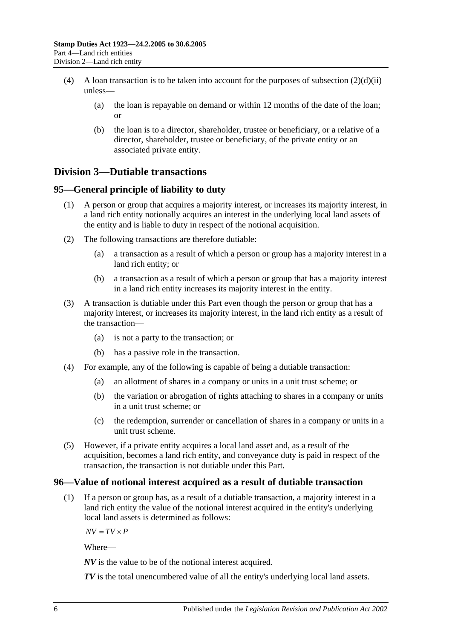- <span id="page-93-0"></span>(4) A loan transaction is to be taken into account for the purposes of [subsection](#page-92-0)  $(2)(d)(ii)$ unless—
	- (a) the loan is repayable on demand or within 12 months of the date of the loan; or
	- (b) the loan is to a director, shareholder, trustee or beneficiary, or a relative of a director, shareholder, trustee or beneficiary, of the private entity or an associated private entity.

# **Division 3—Dutiable transactions**

## **95—General principle of liability to duty**

- (1) A person or group that acquires a majority interest, or increases its majority interest, in a land rich entity notionally acquires an interest in the underlying local land assets of the entity and is liable to duty in respect of the notional acquisition.
- (2) The following transactions are therefore dutiable:
	- (a) a transaction as a result of which a person or group has a majority interest in a land rich entity; or
	- (b) a transaction as a result of which a person or group that has a majority interest in a land rich entity increases its majority interest in the entity.
- (3) A transaction is dutiable under this Part even though the person or group that has a majority interest, or increases its majority interest, in the land rich entity as a result of the transaction—
	- (a) is not a party to the transaction; or
	- (b) has a passive role in the transaction.
- (4) For example, any of the following is capable of being a dutiable transaction:
	- (a) an allotment of shares in a company or units in a unit trust scheme; or
	- (b) the variation or abrogation of rights attaching to shares in a company or units in a unit trust scheme; or
	- (c) the redemption, surrender or cancellation of shares in a company or units in a unit trust scheme.
- (5) However, if a private entity acquires a local land asset and, as a result of the acquisition, becomes a land rich entity, and conveyance duty is paid in respect of the transaction, the transaction is not dutiable under this Part.

## **96—Value of notional interest acquired as a result of dutiable transaction**

(1) If a person or group has, as a result of a dutiable transaction, a majority interest in a land rich entity the value of the notional interest acquired in the entity's underlying local land assets is determined as follows:

 $\overline{AV} = \overline{TV} \times \overline{P}$ 

Where—

*NV* is the value to be of the notional interest acquired.

*TV* is the total unencumbered value of all the entity's underlying local land assets.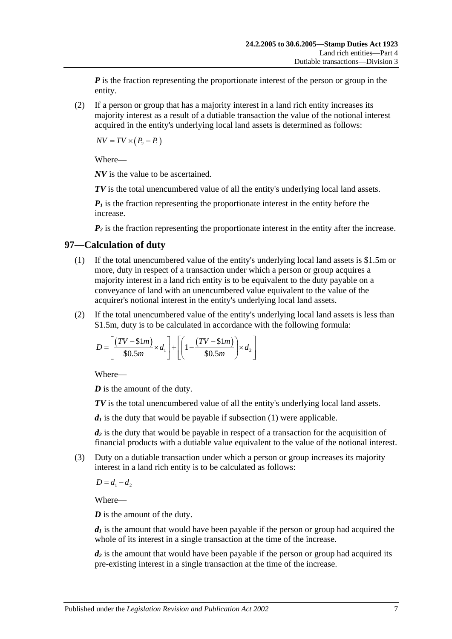*P* is the fraction representing the proportionate interest of the person or group in the entity.

(2) If a person or group that has a majority interest in a land rich entity increases its majority interest as a result of a dutiable transaction the value of the notional interest acquired in the entity's underlying local land assets is determined as follows:

 $\overline{NV} = \overline{TV} \times (P_2 - P_1)$ 

Where—

*NV* is the value to be ascertained.

*TV* is the total unencumbered value of all the entity's underlying local land assets.

 $P_1$  is the fraction representing the proportionate interest in the entity before the increase.

 $P_2$  is the fraction representing the proportionate interest in the entity after the increase.

## <span id="page-94-0"></span>**97—Calculation of duty**

- (1) If the total unencumbered value of the entity's underlying local land assets is \$1.5m or more, duty in respect of a transaction under which a person or group acquires a majority interest in a land rich entity is to be equivalent to the duty payable on a conveyance of land with an unencumbered value equivalent to the value of the acquirer's notional interest in the entity's underlying local land assets.
- (2) If the total unencumbered value of the entity's underlying local land assets is less than \$1.5m, duty is to be calculated in accordance with the following formula:

$$
D = \left[ \frac{(TV - \text{$\$1m$})}{\text{$\$0.5m$}} \times d_1 \right] + \left[ \left( 1 - \frac{(TV - \text{$\$1m$})}{\text{$\$0.5m$}} \right) \times d_2 \right]
$$

Where—

*D* is the amount of the duty.

*TV* is the total unencumbered value of all the entity's underlying local land assets.

 $d_1$  is the duty that would be payable if [subsection](#page-94-0)  $(1)$  were applicable.

*d2* is the duty that would be payable in respect of a transaction for the acquisition of financial products with a dutiable value equivalent to the value of the notional interest.

(3) Duty on a dutiable transaction under which a person or group increases its majority interest in a land rich entity is to be calculated as follows:

 $D = d_1 - d_2$ 

Where—

*D* is the amount of the duty.

 $d_1$  is the amount that would have been payable if the person or group had acquired the whole of its interest in a single transaction at the time of the increase.

*d<sub>2</sub>* is the amount that would have been payable if the person or group had acquired its pre-existing interest in a single transaction at the time of the increase.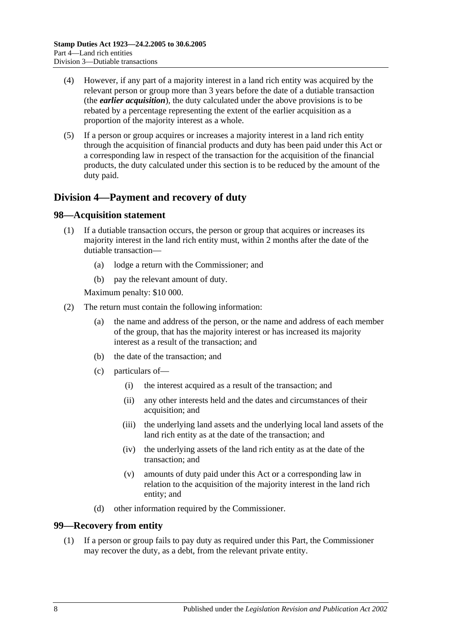- (4) However, if any part of a majority interest in a land rich entity was acquired by the relevant person or group more than 3 years before the date of a dutiable transaction (the *earlier acquisition*), the duty calculated under the above provisions is to be rebated by a percentage representing the extent of the earlier acquisition as a proportion of the majority interest as a whole.
- (5) If a person or group acquires or increases a majority interest in a land rich entity through the acquisition of financial products and duty has been paid under this Act or a corresponding law in respect of the transaction for the acquisition of the financial products, the duty calculated under this section is to be reduced by the amount of the duty paid.

# **Division 4—Payment and recovery of duty**

#### **98—Acquisition statement**

- (1) If a dutiable transaction occurs, the person or group that acquires or increases its majority interest in the land rich entity must, within 2 months after the date of the dutiable transaction—
	- (a) lodge a return with the Commissioner; and
	- (b) pay the relevant amount of duty.

Maximum penalty: \$10 000.

- (2) The return must contain the following information:
	- (a) the name and address of the person, or the name and address of each member of the group, that has the majority interest or has increased its majority interest as a result of the transaction; and
	- (b) the date of the transaction; and
	- (c) particulars of—
		- (i) the interest acquired as a result of the transaction; and
		- (ii) any other interests held and the dates and circumstances of their acquisition; and
		- (iii) the underlying land assets and the underlying local land assets of the land rich entity as at the date of the transaction; and
		- (iv) the underlying assets of the land rich entity as at the date of the transaction; and
		- (v) amounts of duty paid under this Act or a corresponding law in relation to the acquisition of the majority interest in the land rich entity; and
	- (d) other information required by the Commissioner.

#### **99—Recovery from entity**

(1) If a person or group fails to pay duty as required under this Part, the Commissioner may recover the duty, as a debt, from the relevant private entity.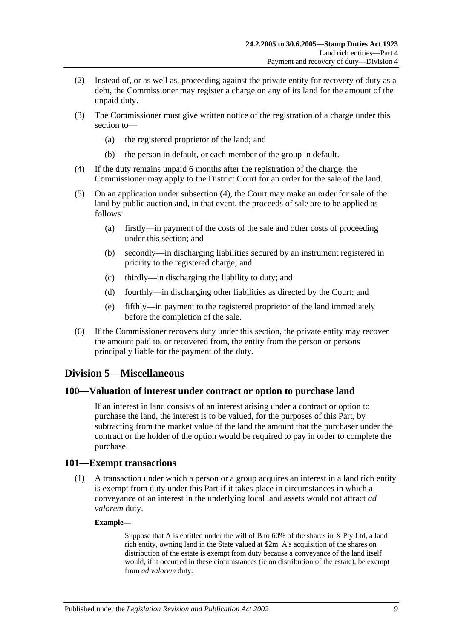- (2) Instead of, or as well as, proceeding against the private entity for recovery of duty as a debt, the Commissioner may register a charge on any of its land for the amount of the unpaid duty.
- (3) The Commissioner must give written notice of the registration of a charge under this section to—
	- (a) the registered proprietor of the land; and
	- (b) the person in default, or each member of the group in default.
- <span id="page-96-0"></span>(4) If the duty remains unpaid 6 months after the registration of the charge, the Commissioner may apply to the District Court for an order for the sale of the land.
- (5) On an application under [subsection](#page-96-0) (4), the Court may make an order for sale of the land by public auction and, in that event, the proceeds of sale are to be applied as follows:
	- (a) firstly—in payment of the costs of the sale and other costs of proceeding under this section; and
	- (b) secondly—in discharging liabilities secured by an instrument registered in priority to the registered charge; and
	- (c) thirdly—in discharging the liability to duty; and
	- (d) fourthly—in discharging other liabilities as directed by the Court; and
	- (e) fifthly—in payment to the registered proprietor of the land immediately before the completion of the sale.
- (6) If the Commissioner recovers duty under this section, the private entity may recover the amount paid to, or recovered from, the entity from the person or persons principally liable for the payment of the duty.

#### **Division 5—Miscellaneous**

#### **100—Valuation of interest under contract or option to purchase land**

If an interest in land consists of an interest arising under a contract or option to purchase the land, the interest is to be valued, for the purposes of this Part, by subtracting from the market value of the land the amount that the purchaser under the contract or the holder of the option would be required to pay in order to complete the purchase.

#### **101—Exempt transactions**

(1) A transaction under which a person or a group acquires an interest in a land rich entity is exempt from duty under this Part if it takes place in circumstances in which a conveyance of an interest in the underlying local land assets would not attract *ad valorem* duty.

#### **Example—**

Suppose that A is entitled under the will of B to 60% of the shares in X Pty Ltd, a land rich entity, owning land in the State valued at \$2m. A's acquisition of the shares on distribution of the estate is exempt from duty because a conveyance of the land itself would, if it occurred in these circumstances (ie on distribution of the estate), be exempt from *ad valorem* duty.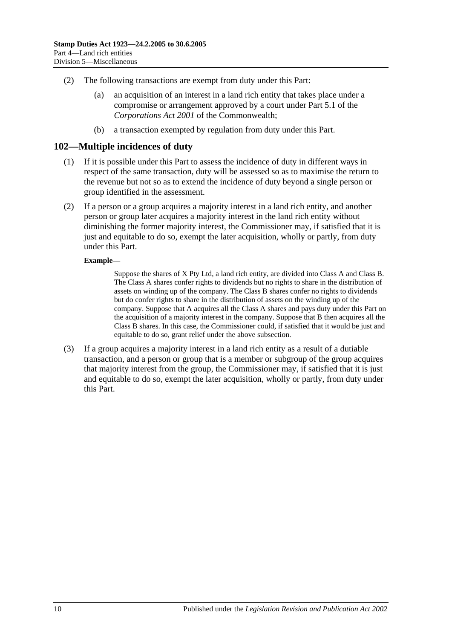- (2) The following transactions are exempt from duty under this Part:
	- (a) an acquisition of an interest in a land rich entity that takes place under a compromise or arrangement approved by a court under Part 5.1 of the *Corporations Act 2001* of the Commonwealth;
	- (b) a transaction exempted by regulation from duty under this Part.

#### **102—Multiple incidences of duty**

- (1) If it is possible under this Part to assess the incidence of duty in different ways in respect of the same transaction, duty will be assessed so as to maximise the return to the revenue but not so as to extend the incidence of duty beyond a single person or group identified in the assessment.
- (2) If a person or a group acquires a majority interest in a land rich entity, and another person or group later acquires a majority interest in the land rich entity without diminishing the former majority interest, the Commissioner may, if satisfied that it is just and equitable to do so, exempt the later acquisition, wholly or partly, from duty under this Part.

#### **Example—**

Suppose the shares of X Pty Ltd, a land rich entity, are divided into Class A and Class B. The Class A shares confer rights to dividends but no rights to share in the distribution of assets on winding up of the company. The Class B shares confer no rights to dividends but do confer rights to share in the distribution of assets on the winding up of the company. Suppose that A acquires all the Class A shares and pays duty under this Part on the acquisition of a majority interest in the company. Suppose that B then acquires all the Class B shares. In this case, the Commissioner could, if satisfied that it would be just and equitable to do so, grant relief under the above subsection.

(3) If a group acquires a majority interest in a land rich entity as a result of a dutiable transaction, and a person or group that is a member or subgroup of the group acquires that majority interest from the group, the Commissioner may, if satisfied that it is just and equitable to do so, exempt the later acquisition, wholly or partly, from duty under this Part.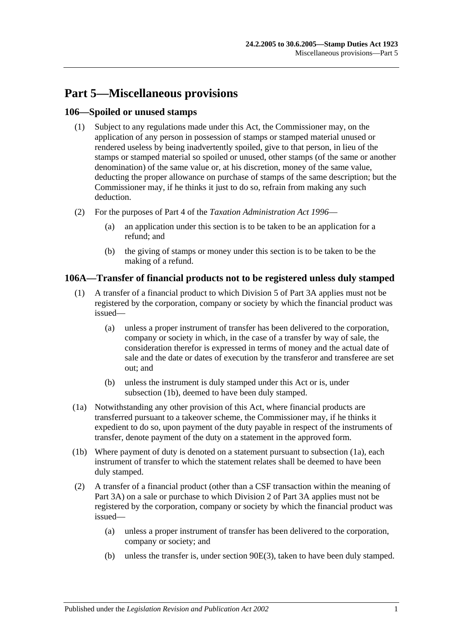# **Part 5—Miscellaneous provisions**

## **106—Spoiled or unused stamps**

- (1) Subject to any regulations made under this Act, the Commissioner may, on the application of any person in possession of stamps or stamped material unused or rendered useless by being inadvertently spoiled, give to that person, in lieu of the stamps or stamped material so spoiled or unused, other stamps (of the same or another denomination) of the same value or, at his discretion, money of the same value, deducting the proper allowance on purchase of stamps of the same description; but the Commissioner may, if he thinks it just to do so, refrain from making any such deduction.
- (2) For the purposes of Part 4 of the *[Taxation Administration Act](http://www.legislation.sa.gov.au/index.aspx?action=legref&type=act&legtitle=Taxation%20Administration%20Act%201996) 1996*
	- (a) an application under this section is to be taken to be an application for a refund; and
	- (b) the giving of stamps or money under this section is to be taken to be the making of a refund.

## **106A—Transfer of financial products not to be registered unless duly stamped**

- (1) A transfer of a financial product to which [Division 5](#page-87-1) of [Part 3A](#page-76-0) applies must not be registered by the corporation, company or society by which the financial product was issued—
	- (a) unless a proper instrument of transfer has been delivered to the corporation, company or society in which, in the case of a transfer by way of sale, the consideration therefor is expressed in terms of money and the actual date of sale and the date or dates of execution by the transferor and transferee are set out; and
	- (b) unless the instrument is duly stamped under this Act or is, under [subsection](#page-98-0) (1b), deemed to have been duly stamped.
- <span id="page-98-1"></span>(1a) Notwithstanding any other provision of this Act, where financial products are transferred pursuant to a takeover scheme, the Commissioner may, if he thinks it expedient to do so, upon payment of the duty payable in respect of the instruments of transfer, denote payment of the duty on a statement in the approved form.
- <span id="page-98-0"></span>(1b) Where payment of duty is denoted on a statement pursuant to [subsection](#page-98-1) (1a), each instrument of transfer to which the statement relates shall be deemed to have been duly stamped.
- (2) A transfer of a financial product (other than a CSF transaction within the meaning of [Part 3A\)](#page-76-0) on a sale or purchase to which [Division 2](#page-78-0) of [Part 3A](#page-76-0) applies must not be registered by the corporation, company or society by which the financial product was issued—
	- (a) unless a proper instrument of transfer has been delivered to the corporation, company or society; and
	- (b) unless the transfer is, under [section](#page-81-0) 90E(3), taken to have been duly stamped.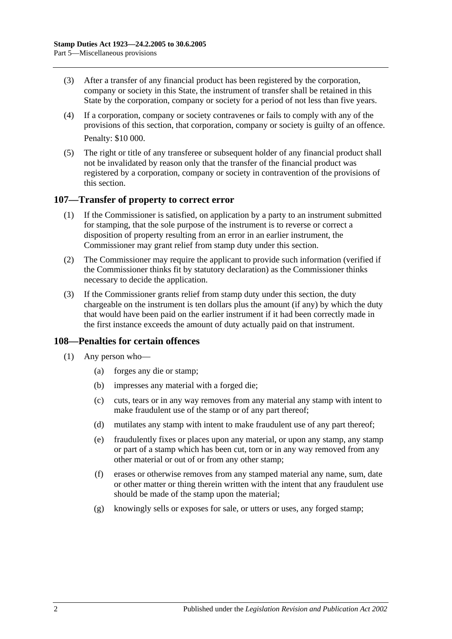- (3) After a transfer of any financial product has been registered by the corporation, company or society in this State, the instrument of transfer shall be retained in this State by the corporation, company or society for a period of not less than five years.
- (4) If a corporation, company or society contravenes or fails to comply with any of the provisions of this section, that corporation, company or society is guilty of an offence. Penalty: \$10 000.
- (5) The right or title of any transferee or subsequent holder of any financial product shall not be invalidated by reason only that the transfer of the financial product was registered by a corporation, company or society in contravention of the provisions of this section.

#### **107—Transfer of property to correct error**

- (1) If the Commissioner is satisfied, on application by a party to an instrument submitted for stamping, that the sole purpose of the instrument is to reverse or correct a disposition of property resulting from an error in an earlier instrument, the Commissioner may grant relief from stamp duty under this section.
- (2) The Commissioner may require the applicant to provide such information (verified if the Commissioner thinks fit by statutory declaration) as the Commissioner thinks necessary to decide the application.
- (3) If the Commissioner grants relief from stamp duty under this section, the duty chargeable on the instrument is ten dollars plus the amount (if any) by which the duty that would have been paid on the earlier instrument if it had been correctly made in the first instance exceeds the amount of duty actually paid on that instrument.

## **108—Penalties for certain offences**

- <span id="page-99-0"></span>(1) Any person who—
	- (a) forges any die or stamp;
	- (b) impresses any material with a forged die;
	- (c) cuts, tears or in any way removes from any material any stamp with intent to make fraudulent use of the stamp or of any part thereof;
	- (d) mutilates any stamp with intent to make fraudulent use of any part thereof;
	- (e) fraudulently fixes or places upon any material, or upon any stamp, any stamp or part of a stamp which has been cut, torn or in any way removed from any other material or out of or from any other stamp;
	- (f) erases or otherwise removes from any stamped material any name, sum, date or other matter or thing therein written with the intent that any fraudulent use should be made of the stamp upon the material;
	- (g) knowingly sells or exposes for sale, or utters or uses, any forged stamp;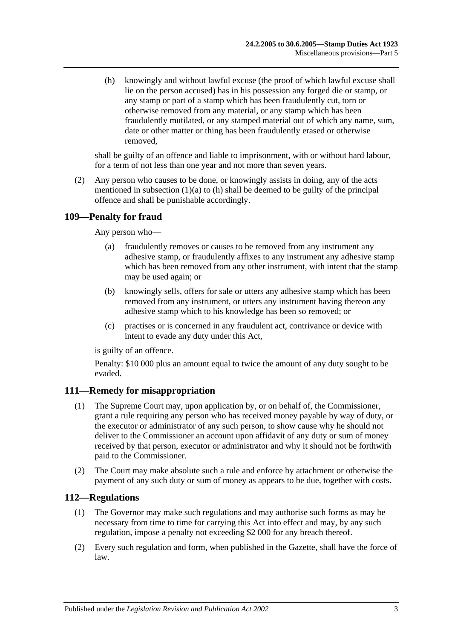<span id="page-100-0"></span>(h) knowingly and without lawful excuse (the proof of which lawful excuse shall lie on the person accused) has in his possession any forged die or stamp, or any stamp or part of a stamp which has been fraudulently cut, torn or otherwise removed from any material, or any stamp which has been fraudulently mutilated, or any stamped material out of which any name, sum, date or other matter or thing has been fraudulently erased or otherwise removed,

shall be guilty of an offence and liable to imprisonment, with or without hard labour, for a term of not less than one year and not more than seven years.

(2) Any person who causes to be done, or knowingly assists in doing, any of the acts mentioned in [subsection](#page-99-0)  $(1)(a)$  to  $(h)$  shall be deemed to be guilty of the principal offence and shall be punishable accordingly.

## **109—Penalty for fraud**

Any person who—

- (a) fraudulently removes or causes to be removed from any instrument any adhesive stamp, or fraudulently affixes to any instrument any adhesive stamp which has been removed from any other instrument, with intent that the stamp may be used again; or
- (b) knowingly sells, offers for sale or utters any adhesive stamp which has been removed from any instrument, or utters any instrument having thereon any adhesive stamp which to his knowledge has been so removed; or
- (c) practises or is concerned in any fraudulent act, contrivance or device with intent to evade any duty under this Act,

is guilty of an offence.

Penalty: \$10 000 plus an amount equal to twice the amount of any duty sought to be evaded.

## **111—Remedy for misappropriation**

- (1) The Supreme Court may, upon application by, or on behalf of, the Commissioner, grant a rule requiring any person who has received money payable by way of duty, or the executor or administrator of any such person, to show cause why he should not deliver to the Commissioner an account upon affidavit of any duty or sum of money received by that person, executor or administrator and why it should not be forthwith paid to the Commissioner.
- (2) The Court may make absolute such a rule and enforce by attachment or otherwise the payment of any such duty or sum of money as appears to be due, together with costs.

## **112—Regulations**

- (1) The Governor may make such regulations and may authorise such forms as may be necessary from time to time for carrying this Act into effect and may, by any such regulation, impose a penalty not exceeding \$2 000 for any breach thereof.
- (2) Every such regulation and form, when published in the Gazette, shall have the force of law.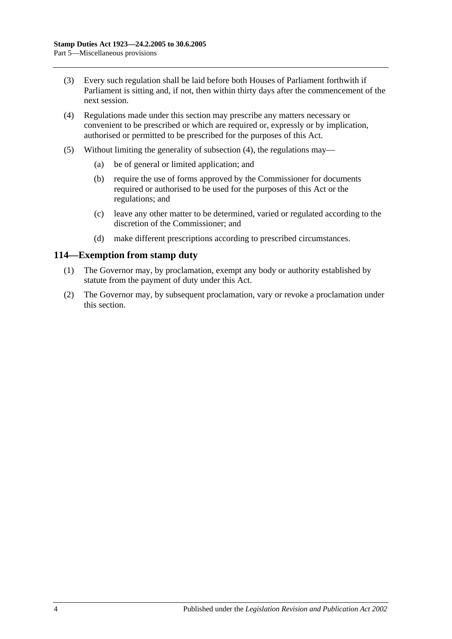- (3) Every such regulation shall be laid before both Houses of Parliament forthwith if Parliament is sitting and, if not, then within thirty days after the commencement of the next session.
- <span id="page-101-0"></span>(4) Regulations made under this section may prescribe any matters necessary or convenient to be prescribed or which are required or, expressly or by implication, authorised or permitted to be prescribed for the purposes of this Act.
- (5) Without limiting the generality of [subsection](#page-101-0) (4), the regulations may—
	- (a) be of general or limited application; and
	- (b) require the use of forms approved by the Commissioner for documents required or authorised to be used for the purposes of this Act or the regulations; and
	- (c) leave any other matter to be determined, varied or regulated according to the discretion of the Commissioner; and
	- (d) make different prescriptions according to prescribed circumstances.

#### **114—Exemption from stamp duty**

- (1) The Governor may, by proclamation, exempt any body or authority established by statute from the payment of duty under this Act.
- (2) The Governor may, by subsequent proclamation, vary or revoke a proclamation under this section.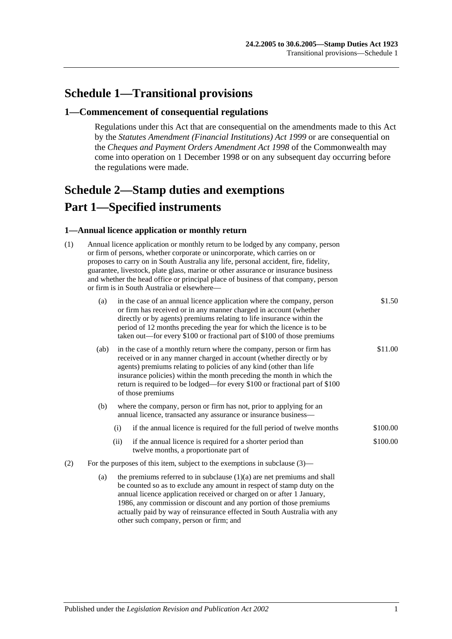# **Schedule 1—Transitional provisions**

#### **1—Commencement of consequential regulations**

Regulations under this Act that are consequential on the amendments made to this Act by the *[Statutes Amendment \(Financial Institutions\) Act](http://www.legislation.sa.gov.au/index.aspx?action=legref&type=act&legtitle=Statutes%20Amendment%20(Financial%20Institutions)%20Act%201999) 1999* or are consequential on the *Cheques and Payment Orders Amendment Act 1998* of the Commonwealth may come into operation on 1 December 1998 or on any subsequent day occurring before the regulations were made.

# <span id="page-102-0"></span>**Schedule 2—Stamp duties and exemptions Part 1—Specified instruments**

#### **1—Annual licence application or monthly return**

| (1) | Annual licence application or monthly return to be lodged by any company, person<br>or firm of persons, whether corporate or unincorporate, which carries on or<br>proposes to carry on in South Australia any life, personal accident, fire, fidelity,<br>guarantee, livestock, plate glass, marine or other assurance or insurance business<br>and whether the head office or principal place of business of that company, person<br>or firm is in South Australia or elsewhere- |                                                                                                                                                                                                                                                                                                                                                                                                  |                                                                                                       |          |  |  |  |
|-----|------------------------------------------------------------------------------------------------------------------------------------------------------------------------------------------------------------------------------------------------------------------------------------------------------------------------------------------------------------------------------------------------------------------------------------------------------------------------------------|--------------------------------------------------------------------------------------------------------------------------------------------------------------------------------------------------------------------------------------------------------------------------------------------------------------------------------------------------------------------------------------------------|-------------------------------------------------------------------------------------------------------|----------|--|--|--|
|     | (a)                                                                                                                                                                                                                                                                                                                                                                                                                                                                                | in the case of an annual licence application where the company, person<br>or firm has received or in any manner charged in account (whether<br>directly or by agents) premiums relating to life insurance within the<br>period of 12 months preceding the year for which the licence is to be<br>taken out—for every \$100 or fractional part of \$100 of those premiums                         | \$1.50                                                                                                |          |  |  |  |
|     | (ab)                                                                                                                                                                                                                                                                                                                                                                                                                                                                               | in the case of a monthly return where the company, person or firm has<br>received or in any manner charged in account (whether directly or by<br>agents) premiums relating to policies of any kind (other than life<br>insurance policies) within the month preceding the month in which the<br>return is required to be lodged—for every \$100 or fractional part of \$100<br>of those premiums |                                                                                                       |          |  |  |  |
|     | (b)                                                                                                                                                                                                                                                                                                                                                                                                                                                                                | where the company, person or firm has not, prior to applying for an<br>annual licence, transacted any assurance or insurance business-                                                                                                                                                                                                                                                           |                                                                                                       |          |  |  |  |
|     |                                                                                                                                                                                                                                                                                                                                                                                                                                                                                    | (i)                                                                                                                                                                                                                                                                                                                                                                                              | if the annual licence is required for the full period of twelve months                                | \$100.00 |  |  |  |
|     |                                                                                                                                                                                                                                                                                                                                                                                                                                                                                    | (ii)                                                                                                                                                                                                                                                                                                                                                                                             | if the annual licence is required for a shorter period than<br>twelve months, a proportionate part of | \$100.00 |  |  |  |
| (2) | For the purposes of this item, subject to the exemptions in subclause $(3)$ —                                                                                                                                                                                                                                                                                                                                                                                                      |                                                                                                                                                                                                                                                                                                                                                                                                  |                                                                                                       |          |  |  |  |
|     | (a)                                                                                                                                                                                                                                                                                                                                                                                                                                                                                | the premiums referred to in subclause $(1)(a)$ are net premiums and shall<br>be counted so as to exclude any amount in respect of stamp duty on the<br>annual licence application received or charged on or after 1 January,<br>1986, any commission or discount and any portion of those premiums<br>actually paid by way of reinsurance effected in South Australia with any                   |                                                                                                       |          |  |  |  |

other such company, person or firm; and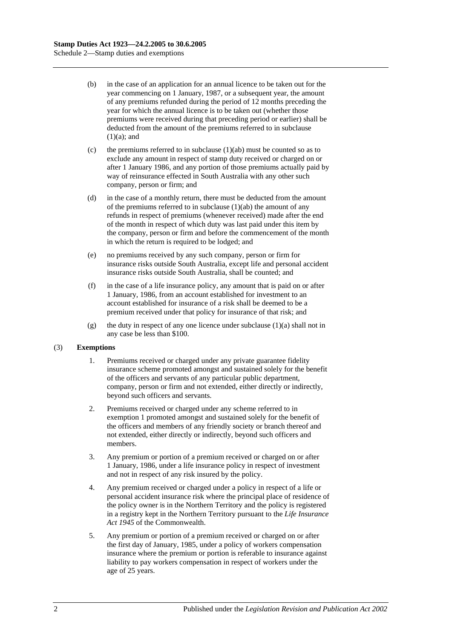- (b) in the case of an application for an annual licence to be taken out for the year commencing on 1 January, 1987, or a subsequent year, the amount of any premiums refunded during the period of 12 months preceding the year for which the annual licence is to be taken out (whether those premiums were received during that preceding period or earlier) shall be deducted from the amount of the premiums referred to in subclause  $(1)(a)$ ; and
- (c) the premiums referred to in subclause  $(1)(ab)$  must be counted so as to exclude any amount in respect of stamp duty received or charged on or after 1 January 1986, and any portion of those premiums actually paid by way of reinsurance effected in South Australia with any other such company, person or firm; and
- (d) in the case of a monthly return, there must be deducted from the amount of the premiums referred to in subclause  $(1)(ab)$  the amount of any refunds in respect of premiums (whenever received) made after the end of the month in respect of which duty was last paid under this item by the company, person or firm and before the commencement of the month in which the return is required to be lodged; and
- (e) no premiums received by any such company, person or firm for insurance risks outside South Australia, except life and personal accident insurance risks outside South Australia, shall be counted; and
- (f) in the case of a life insurance policy, any amount that is paid on or after 1 January, 1986, from an account established for investment to an account established for insurance of a risk shall be deemed to be a premium received under that policy for insurance of that risk; and
- (g) the duty in respect of any one licence under subclause  $(1)(a)$  shall not in any case be less than \$100.

#### (3) **Exemptions**

- 1. Premiums received or charged under any private guarantee fidelity insurance scheme promoted amongst and sustained solely for the benefit of the officers and servants of any particular public department, company, person or firm and not extended, either directly or indirectly, beyond such officers and servants.
- 2. Premiums received or charged under any scheme referred to in exemption 1 promoted amongst and sustained solely for the benefit of the officers and members of any friendly society or branch thereof and not extended, either directly or indirectly, beyond such officers and members.
- 3. Any premium or portion of a premium received or charged on or after 1 January, 1986, under a life insurance policy in respect of investment and not in respect of any risk insured by the policy.
- 4. Any premium received or charged under a policy in respect of a life or personal accident insurance risk where the principal place of residence of the policy owner is in the Northern Territory and the policy is registered in a registry kept in the Northern Territory pursuant to the *Life Insurance Act 1945* of the Commonwealth.
- 5. Any premium or portion of a premium received or charged on or after the first day of January, 1985, under a policy of workers compensation insurance where the premium or portion is referable to insurance against liability to pay workers compensation in respect of workers under the age of 25 years.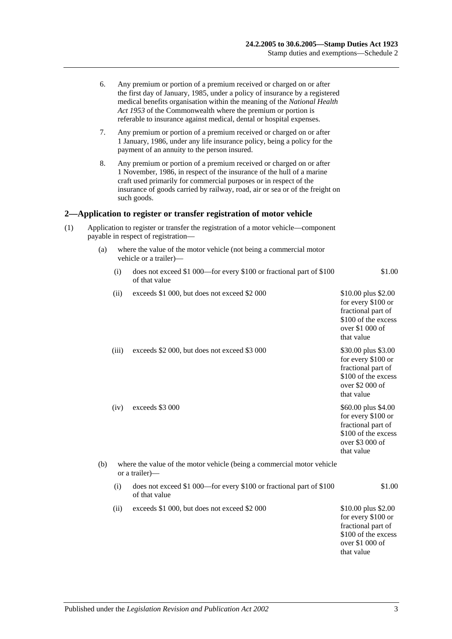|     | 6.  |                                                                                          | Any premium or portion of a premium received or charged on or after<br>the first day of January, 1985, under a policy of insurance by a registered<br>medical benefits organisation within the meaning of the National Health<br>Act 1953 of the Commonwealth where the premium or portion is<br>referable to insurance against medical, dental or hospital expenses. |                                                                                                                         |  |
|-----|-----|------------------------------------------------------------------------------------------|-----------------------------------------------------------------------------------------------------------------------------------------------------------------------------------------------------------------------------------------------------------------------------------------------------------------------------------------------------------------------|-------------------------------------------------------------------------------------------------------------------------|--|
|     | 7.  |                                                                                          | Any premium or portion of a premium received or charged on or after<br>1 January, 1986, under any life insurance policy, being a policy for the<br>payment of an annuity to the person insured.                                                                                                                                                                       |                                                                                                                         |  |
|     | 8.  |                                                                                          | Any premium or portion of a premium received or charged on or after<br>1 November, 1986, in respect of the insurance of the hull of a marine<br>craft used primarily for commercial purposes or in respect of the<br>insurance of goods carried by railway, road, air or sea or of the freight on<br>such goods.                                                      |                                                                                                                         |  |
|     |     |                                                                                          | 2—Application to register or transfer registration of motor vehicle                                                                                                                                                                                                                                                                                                   |                                                                                                                         |  |
| (1) |     |                                                                                          | Application to register or transfer the registration of a motor vehicle—component<br>payable in respect of registration-                                                                                                                                                                                                                                              |                                                                                                                         |  |
|     | (a) |                                                                                          | where the value of the motor vehicle (not being a commercial motor<br>vehicle or a trailer)-                                                                                                                                                                                                                                                                          |                                                                                                                         |  |
|     |     | (i)                                                                                      | does not exceed \$1 000—for every \$100 or fractional part of \$100<br>of that value                                                                                                                                                                                                                                                                                  | \$1.00                                                                                                                  |  |
|     |     | (ii)                                                                                     | exceeds \$1 000, but does not exceed \$2 000                                                                                                                                                                                                                                                                                                                          | \$10.00 plus \$2.00<br>for every \$100 or<br>fractional part of<br>\$100 of the excess<br>over \$1 000 of<br>that value |  |
|     |     | (iii)                                                                                    | exceeds \$2 000, but does not exceed \$3 000                                                                                                                                                                                                                                                                                                                          | \$30.00 plus \$3.00<br>for every \$100 or<br>fractional part of<br>\$100 of the excess<br>over \$2 000 of<br>that value |  |
|     |     | (iv)                                                                                     | exceeds \$3 000                                                                                                                                                                                                                                                                                                                                                       | \$60.00 plus \$4.00<br>for every \$100 or<br>fractional part of<br>\$100 of the excess<br>over \$3 000 of<br>that value |  |
|     | (b) | where the value of the motor vehicle (being a commercial motor vehicle<br>or a trailer)- |                                                                                                                                                                                                                                                                                                                                                                       |                                                                                                                         |  |
|     |     | (i)                                                                                      | does not exceed \$1 000—for every \$100 or fractional part of \$100<br>of that value                                                                                                                                                                                                                                                                                  | \$1.00                                                                                                                  |  |
|     |     | (ii)                                                                                     | exceeds \$1 000, but does not exceed \$2 000                                                                                                                                                                                                                                                                                                                          | \$10.00 plus \$2.00<br>for every \$100 or<br>fractional part of<br>\$100 of the excess<br>over \$1 000 of<br>that value |  |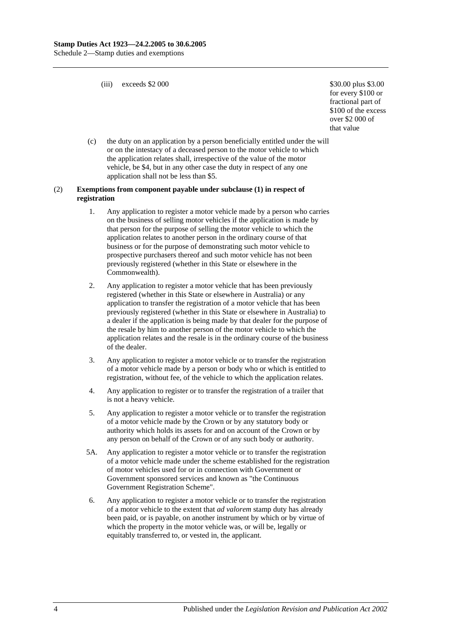(iii) exceeds  $$2\,000$   $$30.00 \text{ plus } $3.00$ 

for every \$100 or fractional part of \$100 of the excess over \$2 000 of that value

(c) the duty on an application by a person beneficially entitled under the will or on the intestacy of a deceased person to the motor vehicle to which the application relates shall, irrespective of the value of the motor vehicle, be \$4, but in any other case the duty in respect of any one application shall not be less than \$5.

#### (2) **Exemptions from component payable under subclause (1) in respect of registration**

- 1. Any application to register a motor vehicle made by a person who carries on the business of selling motor vehicles if the application is made by that person for the purpose of selling the motor vehicle to which the application relates to another person in the ordinary course of that business or for the purpose of demonstrating such motor vehicle to prospective purchasers thereof and such motor vehicle has not been previously registered (whether in this State or elsewhere in the Commonwealth).
- 2. Any application to register a motor vehicle that has been previously registered (whether in this State or elsewhere in Australia) or any application to transfer the registration of a motor vehicle that has been previously registered (whether in this State or elsewhere in Australia) to a dealer if the application is being made by that dealer for the purpose of the resale by him to another person of the motor vehicle to which the application relates and the resale is in the ordinary course of the business of the dealer.
- 3. Any application to register a motor vehicle or to transfer the registration of a motor vehicle made by a person or body who or which is entitled to registration, without fee, of the vehicle to which the application relates.
- 4. Any application to register or to transfer the registration of a trailer that is not a heavy vehicle.
- 5. Any application to register a motor vehicle or to transfer the registration of a motor vehicle made by the Crown or by any statutory body or authority which holds its assets for and on account of the Crown or by any person on behalf of the Crown or of any such body or authority.
- 5A. Any application to register a motor vehicle or to transfer the registration of a motor vehicle made under the scheme established for the registration of motor vehicles used for or in connection with Government or Government sponsored services and known as "the Continuous Government Registration Scheme".
- 6. Any application to register a motor vehicle or to transfer the registration of a motor vehicle to the extent that *ad valorem* stamp duty has already been paid, or is payable, on another instrument by which or by virtue of which the property in the motor vehicle was, or will be, legally or equitably transferred to, or vested in, the applicant.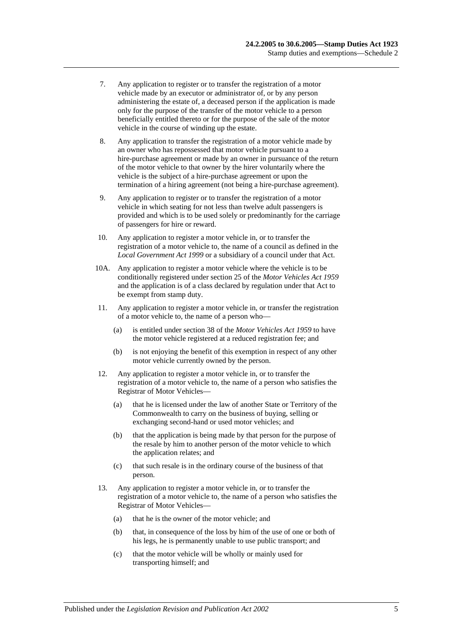- 7. Any application to register or to transfer the registration of a motor vehicle made by an executor or administrator of, or by any person administering the estate of, a deceased person if the application is made only for the purpose of the transfer of the motor vehicle to a person beneficially entitled thereto or for the purpose of the sale of the motor vehicle in the course of winding up the estate.
- 8. Any application to transfer the registration of a motor vehicle made by an owner who has repossessed that motor vehicle pursuant to a hire-purchase agreement or made by an owner in pursuance of the return of the motor vehicle to that owner by the hirer voluntarily where the vehicle is the subject of a hire-purchase agreement or upon the termination of a hiring agreement (not being a hire-purchase agreement).
- 9. Any application to register or to transfer the registration of a motor vehicle in which seating for not less than twelve adult passengers is provided and which is to be used solely or predominantly for the carriage of passengers for hire or reward.
- 10. Any application to register a motor vehicle in, or to transfer the registration of a motor vehicle to, the name of a council as defined in the *[Local Government Act](http://www.legislation.sa.gov.au/index.aspx?action=legref&type=act&legtitle=Local%20Government%20Act%201999) 1999* or a subsidiary of a council under that Act.
- 10A. Any application to register a motor vehicle where the vehicle is to be conditionally registered under section 25 of the *[Motor Vehicles Act](http://www.legislation.sa.gov.au/index.aspx?action=legref&type=act&legtitle=Motor%20Vehicles%20Act%201959) 1959* and the application is of a class declared by regulation under that Act to be exempt from stamp duty.
- 11. Any application to register a motor vehicle in, or transfer the registration of a motor vehicle to, the name of a person who—
	- (a) is entitled under section 38 of the *[Motor Vehicles Act](http://www.legislation.sa.gov.au/index.aspx?action=legref&type=act&legtitle=Motor%20Vehicles%20Act%201959) 1959* to have the motor vehicle registered at a reduced registration fee; and
	- (b) is not enjoying the benefit of this exemption in respect of any other motor vehicle currently owned by the person.
- 12. Any application to register a motor vehicle in, or to transfer the registration of a motor vehicle to, the name of a person who satisfies the Registrar of Motor Vehicles—
	- (a) that he is licensed under the law of another State or Territory of the Commonwealth to carry on the business of buying, selling or exchanging second-hand or used motor vehicles; and
	- (b) that the application is being made by that person for the purpose of the resale by him to another person of the motor vehicle to which the application relates; and
	- (c) that such resale is in the ordinary course of the business of that person.
- 13. Any application to register a motor vehicle in, or to transfer the registration of a motor vehicle to, the name of a person who satisfies the Registrar of Motor Vehicles—
	- (a) that he is the owner of the motor vehicle; and
	- (b) that, in consequence of the loss by him of the use of one or both of his legs, he is permanently unable to use public transport; and
	- (c) that the motor vehicle will be wholly or mainly used for transporting himself; and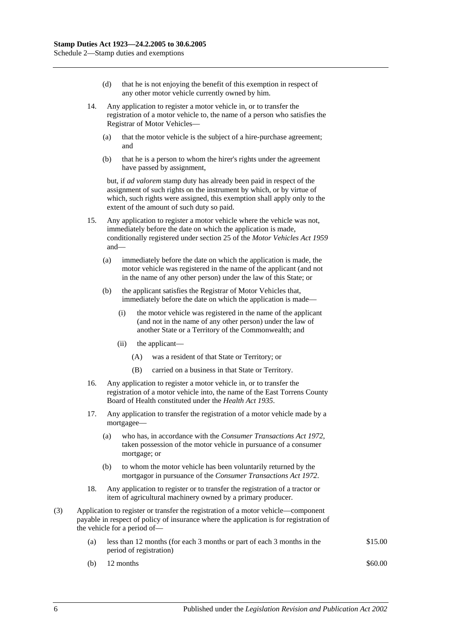- (d) that he is not enjoying the benefit of this exemption in respect of any other motor vehicle currently owned by him.
- 14. Any application to register a motor vehicle in, or to transfer the registration of a motor vehicle to, the name of a person who satisfies the Registrar of Motor Vehicles—
	- (a) that the motor vehicle is the subject of a hire-purchase agreement; and
	- (b) that he is a person to whom the hirer's rights under the agreement have passed by assignment,

but, if *ad valorem* stamp duty has already been paid in respect of the assignment of such rights on the instrument by which, or by virtue of which, such rights were assigned, this exemption shall apply only to the extent of the amount of such duty so paid.

- 15. Any application to register a motor vehicle where the vehicle was not, immediately before the date on which the application is made, conditionally registered under section 25 of the *[Motor Vehicles Act](http://www.legislation.sa.gov.au/index.aspx?action=legref&type=act&legtitle=Motor%20Vehicles%20Act%201959) 1959* and—
	- (a) immediately before the date on which the application is made, the motor vehicle was registered in the name of the applicant (and not in the name of any other person) under the law of this State; or
	- (b) the applicant satisfies the Registrar of Motor Vehicles that, immediately before the date on which the application is made—
		- (i) the motor vehicle was registered in the name of the applicant (and not in the name of any other person) under the law of another State or a Territory of the Commonwealth; and
		- (ii) the applicant—
			- (A) was a resident of that State or Territory; or
			- (B) carried on a business in that State or Territory.
- 16. Any application to register a motor vehicle in, or to transfer the registration of a motor vehicle into, the name of the East Torrens County Board of Health constituted under the *[Health Act](http://www.legislation.sa.gov.au/index.aspx?action=legref&type=act&legtitle=Health%20Act%201935) 1935*.
- 17. Any application to transfer the registration of a motor vehicle made by a mortgagee—
	- (a) who has, in accordance with the *[Consumer Transactions Act](http://www.legislation.sa.gov.au/index.aspx?action=legref&type=act&legtitle=Consumer%20Transactions%20Act%201972) 1972*, taken possession of the motor vehicle in pursuance of a consumer mortgage; or
	- (b) to whom the motor vehicle has been voluntarily returned by the mortgagor in pursuance of the *[Consumer Transactions Act](http://www.legislation.sa.gov.au/index.aspx?action=legref&type=act&legtitle=Consumer%20Transactions%20Act%201972) 1972*.
- 18. Any application to register or to transfer the registration of a tractor or item of agricultural machinery owned by a primary producer.
- (3) Application to register or transfer the registration of a motor vehicle—component payable in respect of policy of insurance where the application is for registration of the vehicle for a period of—
	- (a) less than 12 months (for each 3 months or part of each 3 months in the period of registration) \$15.00
	- (b)  $12 \text{ months}$  \$60.00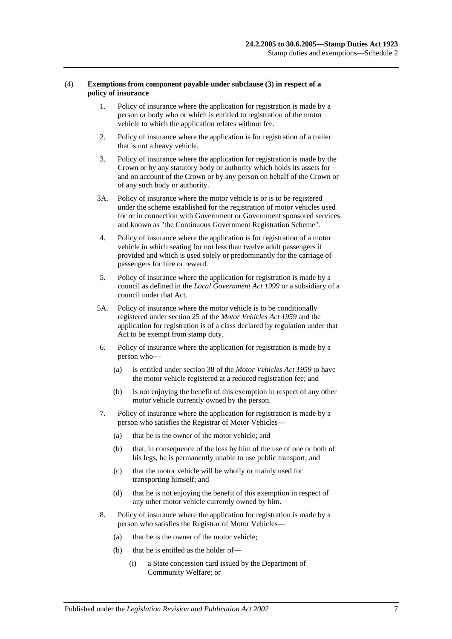#### (4) **Exemptions from component payable under subclause (3) in respect of a policy of insurance**

- 1. Policy of insurance where the application for registration is made by a person or body who or which is entitled to registration of the motor vehicle to which the application relates without fee.
- 2. Policy of insurance where the application is for registration of a trailer that is not a heavy vehicle.
- 3. Policy of insurance where the application for registration is made by the Crown or by any statutory body or authority which holds its assets for and on account of the Crown or by any person on behalf of the Crown or of any such body or authority.
- 3A. Policy of insurance where the motor vehicle is or is to be registered under the scheme established for the registration of motor vehicles used for or in connection with Government or Government sponsored services and known as "the Continuous Government Registration Scheme".
- 4. Policy of insurance where the application is for registration of a motor vehicle in which seating for not less than twelve adult passengers if provided and which is used solely or predominantly for the carriage of passengers for hire or reward.
- 5. Policy of insurance where the application for registration is made by a council as defined in the *[Local Government Act](http://www.legislation.sa.gov.au/index.aspx?action=legref&type=act&legtitle=Local%20Government%20Act%201999) 1999* or a subsidiary of a council under that Act.
- 5A. Policy of insurance where the motor vehicle is to be conditionally registered under section 25 of the *[Motor Vehicles Act](http://www.legislation.sa.gov.au/index.aspx?action=legref&type=act&legtitle=Motor%20Vehicles%20Act%201959) 1959* and the application for registration is of a class declared by regulation under that Act to be exempt from stamp duty.
- 6. Policy of insurance where the application for registration is made by a person who—
	- (a) is entitled under section 38 of the *[Motor Vehicles](http://www.legislation.sa.gov.au/index.aspx?action=legref&type=act&legtitle=Motor%20Vehicles%20Act%201959) Act 1959* to have the motor vehicle registered at a reduced registration fee; and
	- (b) is not enjoying the benefit of this exemption in respect of any other motor vehicle currently owned by the person.
- 7. Policy of insurance where the application for registration is made by a person who satisfies the Registrar of Motor Vehicles—
	- (a) that he is the owner of the motor vehicle; and
	- (b) that, in consequence of the loss by him of the use of one or both of his legs, he is permanently unable to use public transport; and
	- (c) that the motor vehicle will be wholly or mainly used for transporting himself; and
	- (d) that he is not enjoying the benefit of this exemption in respect of any other motor vehicle currently owned by him.
- 8. Policy of insurance where the application for registration is made by a person who satisfies the Registrar of Motor Vehicles—
	- (a) that he is the owner of the motor vehicle;
	- (b) that he is entitled as the holder of—
		- (i) a State concession card issued by the Department of Community Welfare; or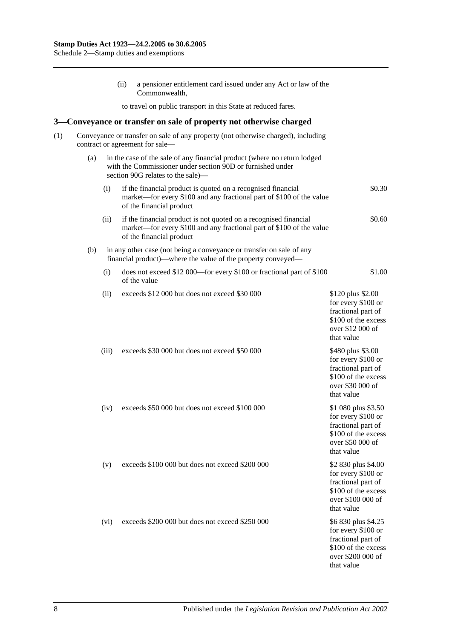(ii) a pensioner entitlement card issued under any Act or law of the Commonwealth, to travel on public transport in this State at reduced fares. **3—Conveyance or transfer on sale of property not otherwise charged** (1) Conveyance or transfer on sale of any property (not otherwise charged), including contract or agreement for sale— (a) in the case of the sale of any financial product (where no return lodged with the Commissioner under [section](#page-80-0) 90D or furnished under [section](#page-81-0) 90G relates to the sale)— (i) if the financial product is quoted on a recognised financial market—for every \$100 and any fractional part of \$100 of the value of the financial product \$0.30 (ii) if the financial product is not quoted on a recognised financial market—for every \$100 and any fractional part of \$100 of the value of the financial product \$0.60 (b) in any other case (not being a conveyance or transfer on sale of any financial product)—where the value of the property conveyed— (i) does not exceed \$12 000—for every \$100 or fractional part of \$100 of the value \$1.00 (ii) exceeds  $$12,000$  but does not exceed  $$30,000$  \$120 plus \$2.00 for every \$100 or fractional part of \$100 of the excess over \$12 000 of that value (iii) exceeds \$30 000 but does not exceed \$50 000 \$480 plus \$3.00 for every \$100 or fractional part of \$100 of the excess over \$30 000 of that value (iv) exceeds \$50 000 but does not exceed \$100 000 \$1 080 plus \$3.50 for every \$100 or fractional part of \$100 of the excess over \$50 000 of that value (v) exceeds \$100 000 but does not exceed \$200 000 \$2 830 plus \$4.00 for every \$100 or fractional part of \$100 of the excess over \$100 000 of that value (vi) exceeds  $$200,000$  but does not exceed  $$250,000$  \$6 830 plus \$4.25 for every \$100 or fractional part of \$100 of the excess over \$200 000 of that value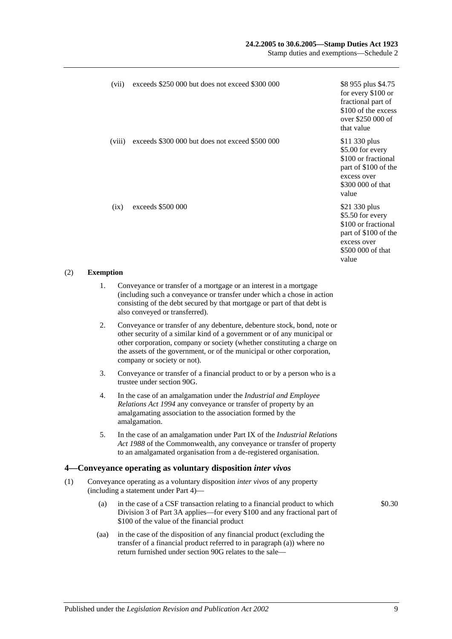## **24.2.2005 to 30.6.2005—Stamp Duties Act 1923**

Stamp duties and exemptions—Schedule 2

| (vii)  | exceeds \$250 000 but does not exceed \$300 000 | \$8 955 plus \$4.75<br>for every \$100 or<br>fractional part of<br>\$100 of the excess<br>over \$250 000 of<br>that value     |
|--------|-------------------------------------------------|-------------------------------------------------------------------------------------------------------------------------------|
| (viii) | exceeds \$300 000 but does not exceed \$500 000 | \$11 330 plus<br>\$5.00 for every<br>\$100 or fractional<br>part of \$100 of the<br>excess over<br>\$300 000 of that<br>value |
| (ix)   | exceeds \$500 000                               | \$21 330 plus<br>\$5.50 for every<br>\$100 or fractional<br>part of \$100 of the<br>excess over<br>\$500 000 of that<br>value |

#### (2) **Exemption**

- 1. Conveyance or transfer of a mortgage or an interest in a mortgage (including such a conveyance or transfer under which a chose in action consisting of the debt secured by that mortgage or part of that debt is also conveyed or transferred).
- 2. Conveyance or transfer of any debenture, debenture stock, bond, note or other security of a similar kind of a government or of any municipal or other corporation, company or society (whether constituting a charge on the assets of the government, or of the municipal or other corporation, company or society or not).
- 3. Conveyance or transfer of a financial product to or by a person who is a trustee unde[r section](#page-81-0) 90G.
- 4. In the case of an amalgamation under the *[Industrial and Employee](http://www.legislation.sa.gov.au/index.aspx?action=legref&type=act&legtitle=Industrial%20and%20Employee%20Relations%20Act%201994)  [Relations Act](http://www.legislation.sa.gov.au/index.aspx?action=legref&type=act&legtitle=Industrial%20and%20Employee%20Relations%20Act%201994) 1994* any conveyance or transfer of property by an amalgamating association to the association formed by the amalgamation.
- 5. In the case of an amalgamation under Part IX of the *Industrial Relations Act 1988* of the Commonwealth, any conveyance or transfer of property to an amalgamated organisation from a de-registered organisation.

## **4—Conveyance operating as voluntary disposition** *inter vivos*

- (1) Conveyance operating as a voluntary disposition *inter vivos* of any property (including a statement under [Part 4\)](#page-88-0)—
	- (a) in the case of a CSF transaction relating to a financial product to which [Division 3](#page-83-0) of [Part 3A](#page-76-0) applies—for every \$100 and any fractional part of \$100 of the value of the financial product
	- (aa) in the case of the disposition of any financial product (excluding the transfer of a financial product referred to in paragraph (a)) where no return furnished under [section](#page-81-0) 90G relates to the sale—

\$0.30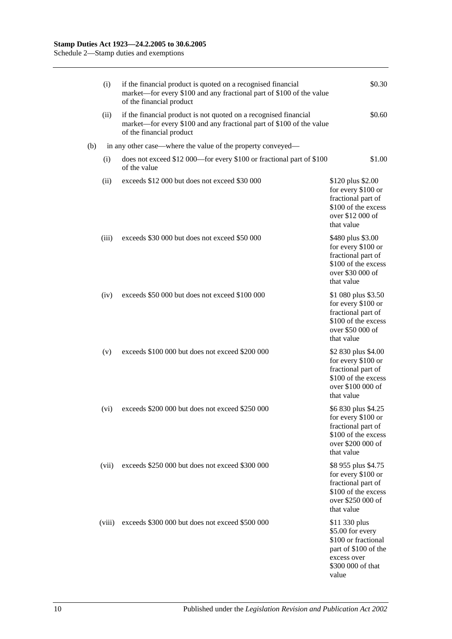|     | (i)    | if the financial product is quoted on a recognised financial<br>market—for every \$100 and any fractional part of \$100 of the value<br>of the financial product     | \$0.30                                                                                                                        |
|-----|--------|----------------------------------------------------------------------------------------------------------------------------------------------------------------------|-------------------------------------------------------------------------------------------------------------------------------|
|     | (ii)   | if the financial product is not quoted on a recognised financial<br>market—for every \$100 and any fractional part of \$100 of the value<br>of the financial product | \$0.60                                                                                                                        |
| (b) |        | in any other case—where the value of the property conveyed—                                                                                                          |                                                                                                                               |
|     | (i)    | does not exceed \$12 000—for every \$100 or fractional part of \$100<br>of the value                                                                                 | \$1.00                                                                                                                        |
|     | (ii)   | exceeds \$12 000 but does not exceed \$30 000                                                                                                                        | \$120 plus \$2.00<br>for every \$100 or<br>fractional part of<br>\$100 of the excess<br>over \$12 000 of<br>that value        |
|     | (iii)  | exceeds \$30 000 but does not exceed \$50 000                                                                                                                        | \$480 plus \$3.00<br>for every \$100 or<br>fractional part of<br>\$100 of the excess<br>over \$30 000 of<br>that value        |
|     | (iv)   | exceeds \$50 000 but does not exceed \$100 000                                                                                                                       | \$1 080 plus \$3.50<br>for every \$100 or<br>fractional part of<br>\$100 of the excess<br>over \$50 000 of<br>that value      |
|     | (v)    | exceeds \$100 000 but does not exceed \$200 000                                                                                                                      | \$2 830 plus \$4.00<br>for every \$100 or<br>fractional part of<br>\$100 of the excess<br>over \$100 000 of<br>that value     |
|     | (vi)   | exceeds \$200 000 but does not exceed \$250 000                                                                                                                      | \$6 830 plus \$4.25<br>for every \$100 or<br>fractional part of<br>\$100 of the excess<br>over \$200 000 of<br>that value     |
|     | (vii)  | exceeds \$250 000 but does not exceed \$300 000                                                                                                                      | \$8 955 plus \$4.75<br>for every \$100 or<br>fractional part of<br>\$100 of the excess<br>over \$250 000 of<br>that value     |
|     | (viii) | exceeds \$300 000 but does not exceed \$500 000                                                                                                                      | \$11 330 plus<br>\$5.00 for every<br>\$100 or fractional<br>part of \$100 of the<br>excess over<br>\$300 000 of that<br>value |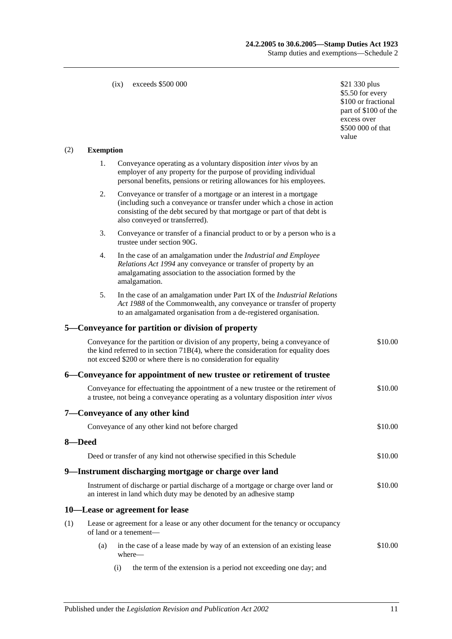#### (ix) exceeds \$500 000 \$21 330 plus

\$5.50 for every \$100 or fractional part of \$100 of the excess over \$500 000 of that value

## (2) **Exemption**

|        | 1. | Conveyance operating as a voluntary disposition <i>inter vivos</i> by an                                                                                                                                                                                 |         |
|--------|----|----------------------------------------------------------------------------------------------------------------------------------------------------------------------------------------------------------------------------------------------------------|---------|
|        |    | employer of any property for the purpose of providing individual<br>personal benefits, pensions or retiring allowances for his employees.                                                                                                                |         |
|        | 2. | Conveyance or transfer of a mortgage or an interest in a mortgage<br>(including such a conveyance or transfer under which a chose in action<br>consisting of the debt secured by that mortgage or part of that debt is<br>also conveyed or transferred). |         |
|        | 3. | Conveyance or transfer of a financial product to or by a person who is a<br>trustee under section 90G.                                                                                                                                                   |         |
|        | 4. | In the case of an amalgamation under the Industrial and Employee<br>Relations Act 1994 any conveyance or transfer of property by an<br>amalgamating association to the association formed by the<br>amalgamation.                                        |         |
|        | 5. | In the case of an amalgamation under Part IX of the Industrial Relations<br>Act 1988 of the Commonwealth, any conveyance or transfer of property<br>to an amalgamated organisation from a de-registered organisation.                                    |         |
|        |    | 5—Conveyance for partition or division of property                                                                                                                                                                                                       |         |
|        |    | Conveyance for the partition or division of any property, being a conveyance of<br>the kind referred to in section $71B(4)$ , where the consideration for equality does<br>not exceed \$200 or where there is no consideration for equality              | \$10.00 |
|        |    | 6—Conveyance for appointment of new trustee or retirement of trustee                                                                                                                                                                                     |         |
|        |    | Conveyance for effectuating the appointment of a new trustee or the retirement of<br>a trustee, not being a conveyance operating as a voluntary disposition inter vivos                                                                                  | \$10.00 |
|        |    | 7—Conveyance of any other kind                                                                                                                                                                                                                           |         |
|        |    | Conveyance of any other kind not before charged                                                                                                                                                                                                          | \$10.00 |
| 8-Deed |    |                                                                                                                                                                                                                                                          |         |
|        |    | Deed or transfer of any kind not otherwise specified in this Schedule                                                                                                                                                                                    | \$10.00 |
|        |    | 9-Instrument discharging mortgage or charge over land                                                                                                                                                                                                    |         |
|        |    | Instrument of discharge or partial discharge of a mortgage or charge over land or<br>an interest in land which duty may be denoted by an adhesive stamp                                                                                                  | \$10.00 |
|        |    | 10—Lease or agreement for lease                                                                                                                                                                                                                          |         |
| (1)    |    | Lease or agreement for a lease or any other document for the tenancy or occupancy<br>of land or a tenement-                                                                                                                                              |         |

- (a) in the case of a lease made by way of an extension of an existing lease where— \$10.00
	- (i) the term of the extension is a period not exceeding one day; and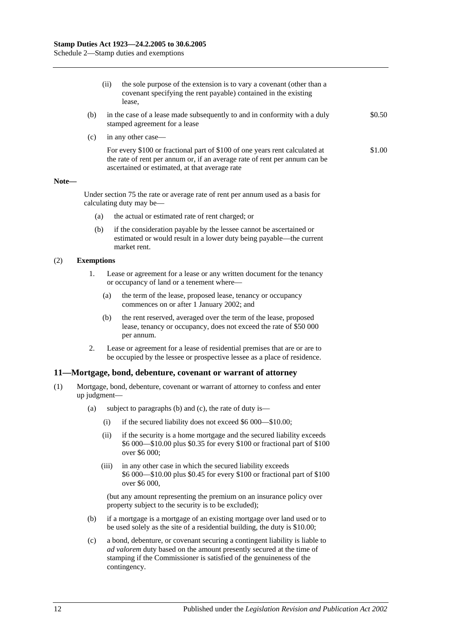(ii) the sole purpose of the extension is to vary a covenant (other than a covenant specifying the rent payable) contained in the existing lease,

- (b) in the case of a lease made subsequently to and in conformity with a duly stamped agreement for a lease
- (c) in any other case—

For every \$100 or fractional part of \$100 of one years rent calculated at the rate of rent per annum or, if an average rate of rent per annum can be ascertained or estimated, at that average rate \$1.00

\$0.50

#### **Note—**

Under [section](#page-67-0) 75 the rate or average rate of rent per annum used as a basis for calculating duty may be—

- (a) the actual or estimated rate of rent charged; or
- (b) if the consideration payable by the lessee cannot be ascertained or estimated or would result in a lower duty being payable—the current market rent.

#### (2) **Exemptions**

- 1. Lease or agreement for a lease or any written document for the tenancy or occupancy of land or a tenement where—
	- (a) the term of the lease, proposed lease, tenancy or occupancy commences on or after 1 January 2002; and
	- (b) the rent reserved, averaged over the term of the lease, proposed lease, tenancy or occupancy, does not exceed the rate of \$50 000 per annum.
- 2. Lease or agreement for a lease of residential premises that are or are to be occupied by the lessee or prospective lessee as a place of residence.

## **11—Mortgage, bond, debenture, covenant or warrant of attorney**

- (1) Mortgage, bond, debenture, covenant or warrant of attorney to confess and enter up judgment—
	- (a) subject to paragraphs (b) and (c), the rate of duty is—
		- (i) if the secured liability does not exceed \$6 000—\$10.00;
		- (ii) if the security is a home mortgage and the secured liability exceeds \$6 000—\$10.00 plus \$0.35 for every \$100 or fractional part of \$100 over \$6 000;
		- (iii) in any other case in which the secured liability exceeds \$6 000—\$10.00 plus \$0.45 for every \$100 or fractional part of \$100 over \$6 000,

(but any amount representing the premium on an insurance policy over property subject to the security is to be excluded);

- (b) if a mortgage is a mortgage of an existing mortgage over land used or to be used solely as the site of a residential building, the duty is \$10.00;
- (c) a bond, debenture, or covenant securing a contingent liability is liable to *ad valorem* duty based on the amount presently secured at the time of stamping if the Commissioner is satisfied of the genuineness of the contingency.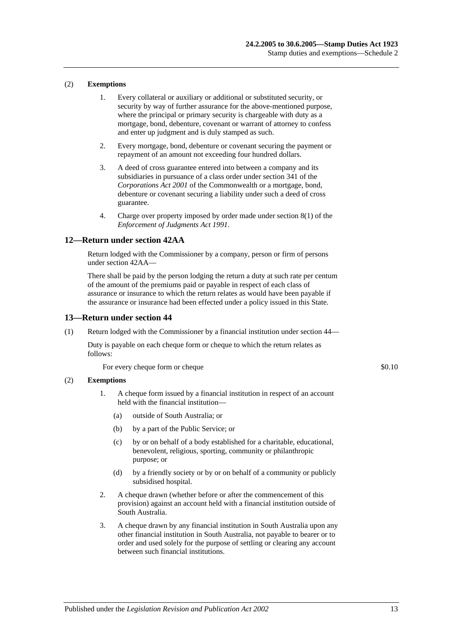#### (2) **Exemptions**

- 1. Every collateral or auxiliary or additional or substituted security, or security by way of further assurance for the above-mentioned purpose, where the principal or primary security is chargeable with duty as a mortgage, bond, debenture, covenant or warrant of attorney to confess and enter up judgment and is duly stamped as such.
- 2. Every mortgage, bond, debenture or covenant securing the payment or repayment of an amount not exceeding four hundred dollars.
- 3. A deed of cross guarantee entered into between a company and its subsidiaries in pursuance of a class order under section 341 of the *Corporations Act 2001* of the Commonwealth or a mortgage, bond, debenture or covenant securing a liability under such a deed of cross guarantee.
- 4. Charge over property imposed by order made under section 8(1) of the *[Enforcement of Judgments Act](http://www.legislation.sa.gov.au/index.aspx?action=legref&type=act&legtitle=Enforcement%20of%20Judgments%20Act%201991) 1991*.

#### **12—Return under section 42AA**

Return lodged with the Commissioner by a company, person or firm of persons unde[r section](#page-28-0) 42AA—

There shall be paid by the person lodging the return a duty at such rate per centum of the amount of the premiums paid or payable in respect of each class of assurance or insurance to which the return relates as would have been payable if the assurance or insurance had been effected under a policy issued in this State.

#### **13—Return under section 44**

(1) Return lodged with the Commissioner by a financial institution under [section](#page-34-0) 44—

Duty is payable on each cheque form or cheque to which the return relates as follows:

For every cheque form or cheque  $\$0.10$ 

#### (2) **Exemptions**

- 1. A cheque form issued by a financial institution in respect of an account held with the financial institution—
	- (a) outside of South Australia; or
	- (b) by a part of the Public Service; or
	- (c) by or on behalf of a body established for a charitable, educational, benevolent, religious, sporting, community or philanthropic purpose; or
	- (d) by a friendly society or by or on behalf of a community or publicly subsidised hospital.
- 2. A cheque drawn (whether before or after the commencement of this provision) against an account held with a financial institution outside of South Australia.
- 3. A cheque drawn by any financial institution in South Australia upon any other financial institution in South Australia, not payable to bearer or to order and used solely for the purpose of settling or clearing any account between such financial institutions.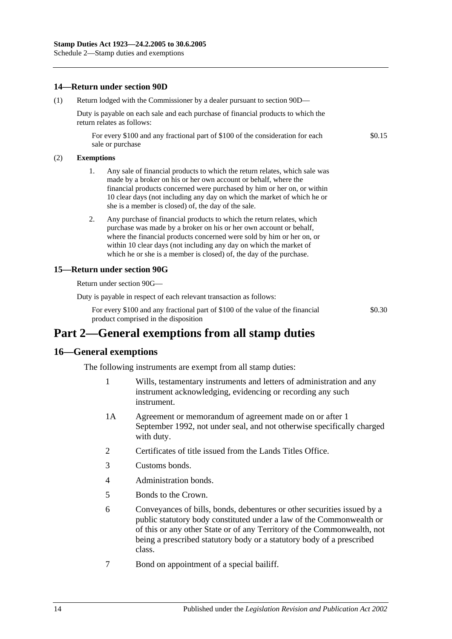## **14—Return under section 90D**

(1) Return lodged with the Commissioner by a dealer pursuant to [section](#page-80-0) 90D—

Duty is payable on each sale and each purchase of financial products to which the return relates as follows:

For every \$100 and any fractional part of \$100 of the consideration for each sale or purchase

#### (2) **Exemptions**

- 1. Any sale of financial products to which the return relates, which sale was made by a broker on his or her own account or behalf, where the financial products concerned were purchased by him or her on, or within 10 clear days (not including any day on which the market of which he or she is a member is closed) of, the day of the sale.
- 2. Any purchase of financial products to which the return relates, which purchase was made by a broker on his or her own account or behalf, where the financial products concerned were sold by him or her on, or within 10 clear days (not including any day on which the market of which he or she is a member is closed) of, the day of the purchase.

## **15—Return under section 90G**

Return under [section](#page-81-0) 90G—

Duty is payable in respect of each relevant transaction as follows:

For every \$100 and any fractional part of \$100 of the value of the financial product comprised in the disposition

\$0.30

\$0.15

# **Part 2—General exemptions from all stamp duties**

## **16—General exemptions**

The following instruments are exempt from all stamp duties:

- 1 Wills, testamentary instruments and letters of administration and any instrument acknowledging, evidencing or recording any such instrument.
- 1A Agreement or memorandum of agreement made on or after 1 September 1992, not under seal, and not otherwise specifically charged with duty.
- 2 Certificates of title issued from the Lands Titles Office.
- 3 Customs bonds.
- 4 Administration bonds.
- 5 Bonds to the Crown.
- 6 Conveyances of bills, bonds, debentures or other securities issued by a public statutory body constituted under a law of the Commonwealth or of this or any other State or of any Territory of the Commonwealth, not being a prescribed statutory body or a statutory body of a prescribed class.
- 7 Bond on appointment of a special bailiff.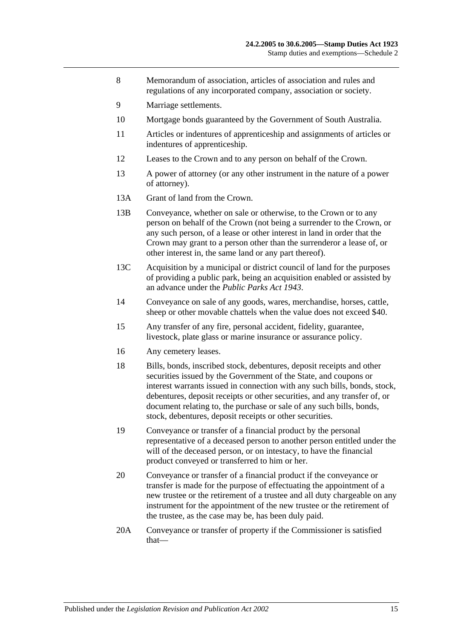- 8 Memorandum of association, articles of association and rules and regulations of any incorporated company, association or society.
- 9 Marriage settlements.
- 10 Mortgage bonds guaranteed by the Government of South Australia.
- 11 Articles or indentures of apprenticeship and assignments of articles or indentures of apprenticeship.
- 12 Leases to the Crown and to any person on behalf of the Crown.
- 13 A power of attorney (or any other instrument in the nature of a power of attorney).
- 13A Grant of land from the Crown.
- 13B Conveyance, whether on sale or otherwise, to the Crown or to any person on behalf of the Crown (not being a surrender to the Crown, or any such person, of a lease or other interest in land in order that the Crown may grant to a person other than the surrenderor a lease of, or other interest in, the same land or any part thereof).
- 13C Acquisition by a municipal or district council of land for the purposes of providing a public park, being an acquisition enabled or assisted by an advance under the *[Public Parks Act](http://www.legislation.sa.gov.au/index.aspx?action=legref&type=act&legtitle=Public%20Parks%20Act%201943) 1943*.
- 14 Conveyance on sale of any goods, wares, merchandise, horses, cattle, sheep or other movable chattels when the value does not exceed \$40.
- 15 Any transfer of any fire, personal accident, fidelity, guarantee, livestock, plate glass or marine insurance or assurance policy.
- 16 Any cemetery leases.
- 18 Bills, bonds, inscribed stock, debentures, deposit receipts and other securities issued by the Government of the State, and coupons or interest warrants issued in connection with any such bills, bonds, stock, debentures, deposit receipts or other securities, and any transfer of, or document relating to, the purchase or sale of any such bills, bonds, stock, debentures, deposit receipts or other securities.
- 19 Conveyance or transfer of a financial product by the personal representative of a deceased person to another person entitled under the will of the deceased person, or on intestacy, to have the financial product conveyed or transferred to him or her.
- 20 Conveyance or transfer of a financial product if the conveyance or transfer is made for the purpose of effectuating the appointment of a new trustee or the retirement of a trustee and all duty chargeable on any instrument for the appointment of the new trustee or the retirement of the trustee, as the case may be, has been duly paid.
- 20A Conveyance or transfer of property if the Commissioner is satisfied that—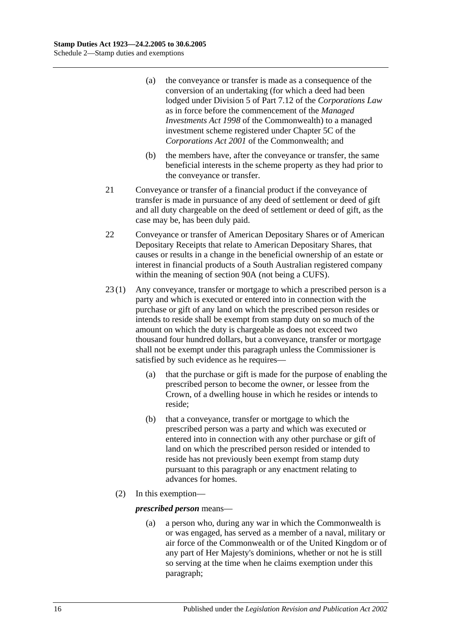- (a) the conveyance or transfer is made as a consequence of the conversion of an undertaking (for which a deed had been lodged under Division 5 of Part 7.12 of the *Corporations Law* as in force before the commencement of the *Managed Investments Act 1998* of the Commonwealth) to a managed investment scheme registered under Chapter 5C of the *Corporations Act 2001* of the Commonwealth; and
- (b) the members have, after the conveyance or transfer, the same beneficial interests in the scheme property as they had prior to the conveyance or transfer.
- 21 Conveyance or transfer of a financial product if the conveyance of transfer is made in pursuance of any deed of settlement or deed of gift and all duty chargeable on the deed of settlement or deed of gift, as the case may be, has been duly paid.
- 22 Conveyance or transfer of American Depositary Shares or of American Depositary Receipts that relate to American Depositary Shares, that causes or results in a change in the beneficial ownership of an estate or interest in financial products of a South Australian registered company within the meaning of [section](#page-76-1) 90A (not being a CUFS).
- 23 (1) Any conveyance, transfer or mortgage to which a prescribed person is a party and which is executed or entered into in connection with the purchase or gift of any land on which the prescribed person resides or intends to reside shall be exempt from stamp duty on so much of the amount on which the duty is chargeable as does not exceed two thousand four hundred dollars, but a conveyance, transfer or mortgage shall not be exempt under this paragraph unless the Commissioner is satisfied by such evidence as he requires—
	- (a) that the purchase or gift is made for the purpose of enabling the prescribed person to become the owner, or lessee from the Crown, of a dwelling house in which he resides or intends to reside;
	- (b) that a conveyance, transfer or mortgage to which the prescribed person was a party and which was executed or entered into in connection with any other purchase or gift of land on which the prescribed person resided or intended to reside has not previously been exempt from stamp duty pursuant to this paragraph or any enactment relating to advances for homes.
	- (2) In this exemption—

## <span id="page-117-0"></span>*prescribed person* means—

(a) a person who, during any war in which the Commonwealth is or was engaged, has served as a member of a naval, military or air force of the Commonwealth or of the United Kingdom or of any part of Her Majesty's dominions, whether or not he is still so serving at the time when he claims exemption under this paragraph;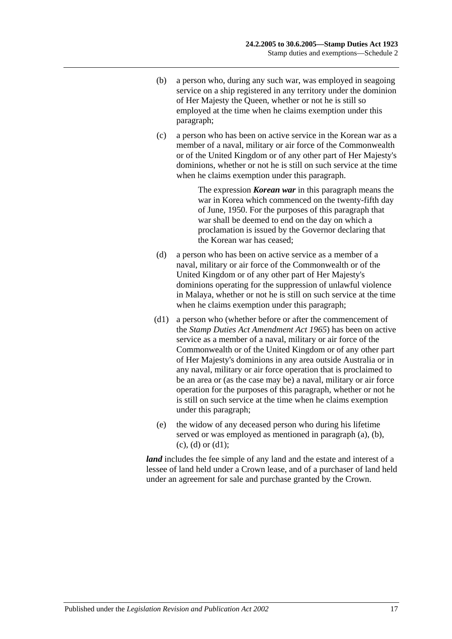- <span id="page-118-0"></span>(b) a person who, during any such war, was employed in seagoing service on a ship registered in any territory under the dominion of Her Majesty the Queen, whether or not he is still so employed at the time when he claims exemption under this paragraph;
- <span id="page-118-1"></span>(c) a person who has been on active service in the Korean war as a member of a naval, military or air force of the Commonwealth or of the United Kingdom or of any other part of Her Majesty's dominions, whether or not he is still on such service at the time when he claims exemption under this paragraph.

The expression *Korean war* in this paragraph means the war in Korea which commenced on the twenty-fifth day of June, 1950. For the purposes of this paragraph that war shall be deemed to end on the day on which a proclamation is issued by the Governor declaring that the Korean war has ceased;

- <span id="page-118-2"></span>(d) a person who has been on active service as a member of a naval, military or air force of the Commonwealth or of the United Kingdom or of any other part of Her Majesty's dominions operating for the suppression of unlawful violence in Malaya, whether or not he is still on such service at the time when he claims exemption under this paragraph;
- <span id="page-118-3"></span>(d1) a person who (whether before or after the commencement of the *[Stamp Duties Act Amendment Act](http://www.legislation.sa.gov.au/index.aspx?action=legref&type=act&legtitle=Stamp%20Duties%20Act%20Amendment%20Act%201965) 1965*) has been on active service as a member of a naval, military or air force of the Commonwealth or of the United Kingdom or of any other part of Her Majesty's dominions in any area outside Australia or in any naval, military or air force operation that is proclaimed to be an area or (as the case may be) a naval, military or air force operation for the purposes of this paragraph, whether or not he is still on such service at the time when he claims exemption under this paragraph;
- (e) the widow of any deceased person who during his lifetime served or was employed as mentioned in [paragraph](#page-117-0) (a), [\(b\),](#page-118-0)  $(c)$ ,  $(d)$  or  $(d1)$ ;

*land* includes the fee simple of any land and the estate and interest of a lessee of land held under a Crown lease, and of a purchaser of land held under an agreement for sale and purchase granted by the Crown.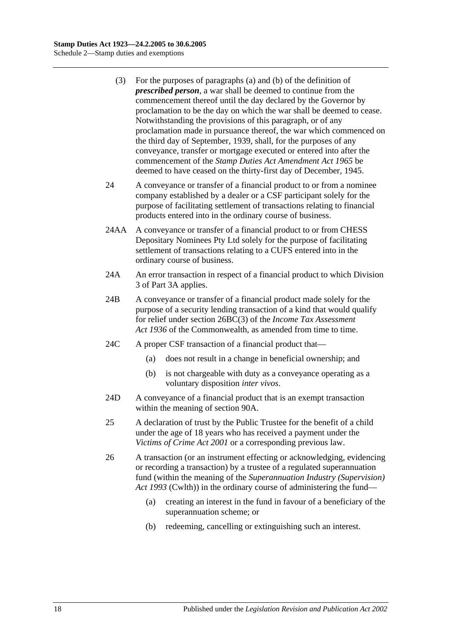- (3) For the purposes of [paragraphs](#page-117-0) (a) and [\(b\)](#page-118-0) of the definition of *prescribed person*, a war shall be deemed to continue from the commencement thereof until the day declared by the Governor by proclamation to be the day on which the war shall be deemed to cease. Notwithstanding the provisions of this paragraph, or of any proclamation made in pursuance thereof, the war which commenced on the third day of September, 1939, shall, for the purposes of any conveyance, transfer or mortgage executed or entered into after the commencement of the *[Stamp Duties Act Amendment Act](http://www.legislation.sa.gov.au/index.aspx?action=legref&type=act&legtitle=Stamp%20Duties%20Act%20Amendment%20Act%201965) 1965* be deemed to have ceased on the thirty-first day of December, 1945.
- 24 A conveyance or transfer of a financial product to or from a nominee company established by a dealer or a CSF participant solely for the purpose of facilitating settlement of transactions relating to financial products entered into in the ordinary course of business.
- 24AA A conveyance or transfer of a financial product to or from CHESS Depositary Nominees Pty Ltd solely for the purpose of facilitating settlement of transactions relating to a CUFS entered into in the ordinary course of business.
- 24A An error transaction in respect of a financial product to which [Division](#page-83-0)  [3](#page-83-0) of [Part 3A](#page-76-0) applies.
- 24B A conveyance or transfer of a financial product made solely for the purpose of a security lending transaction of a kind that would qualify for relief under section 26BC(3) of the *Income Tax Assessment*  Act 1936 of the Commonwealth, as amended from time to time.
- 24C A proper CSF transaction of a financial product that—
	- (a) does not result in a change in beneficial ownership; and
	- (b) is not chargeable with duty as a conveyance operating as a voluntary disposition *inter vivos*.
- 24D A conveyance of a financial product that is an exempt transaction within the meaning of [section](#page-76-1) 90A.
- 25 A declaration of trust by the Public Trustee for the benefit of a child under the age of 18 years who has received a payment under the *[Victims of Crime Act](http://www.legislation.sa.gov.au/index.aspx?action=legref&type=act&legtitle=Victims%20of%20Crime%20Act%202001) 2001* or a corresponding previous law.
- 26 A transaction (or an instrument effecting or acknowledging, evidencing or recording a transaction) by a trustee of a regulated superannuation fund (within the meaning of the *Superannuation Industry (Supervision) Act 1993* (Cwlth)) in the ordinary course of administering the fund—
	- (a) creating an interest in the fund in favour of a beneficiary of the superannuation scheme; or
	- (b) redeeming, cancelling or extinguishing such an interest.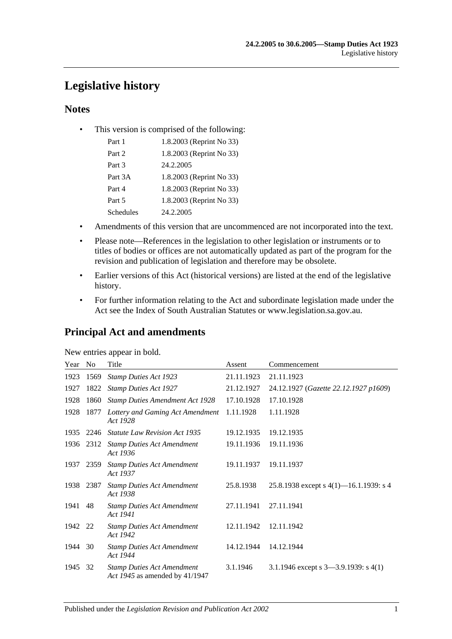# **Legislative history**

## **Notes**

• This version is comprised of the following:

| Part 1    | 1.8.2003 (Reprint No 33) |
|-----------|--------------------------|
| Part 2    | 1.8.2003 (Reprint No 33) |
| Part 3    | 24.2.2005                |
| Part 3A   | 1.8.2003 (Reprint No 33) |
| Part 4    | 1.8.2003 (Reprint No 33) |
| Part 5    | 1.8.2003 (Reprint No 33) |
| Schedules | 24.2.2005                |

- Amendments of this version that are uncommenced are not incorporated into the text.
- Please note—References in the legislation to other legislation or instruments or to titles of bodies or offices are not automatically updated as part of the program for the revision and publication of legislation and therefore may be obsolete.
- Earlier versions of this Act (historical versions) are listed at the end of the legislative history.
- For further information relating to the Act and subordinate legislation made under the Act see the Index of South Australian Statutes or www.legislation.sa.gov.au.

# **Principal Act and amendments**

| New entries appear in bold. |  |  |
|-----------------------------|--|--|
|                             |  |  |

| Year | No   | Title                                                               | Assent     | Commencement                              |
|------|------|---------------------------------------------------------------------|------------|-------------------------------------------|
| 1923 | 1569 | <b>Stamp Duties Act 1923</b>                                        | 21.11.1923 | 21.11.1923                                |
| 1927 | 1822 | <b>Stamp Duties Act 1927</b>                                        | 21.12.1927 | 24.12.1927 (Gazette 22.12.1927 p1609)     |
| 1928 | 1860 | <b>Stamp Duties Amendment Act 1928</b>                              | 17.10.1928 | 17.10.1928                                |
| 1928 | 1877 | Lottery and Gaming Act Amendment<br>Act 1928                        | 1.11.1928  | 1.11.1928                                 |
| 1935 | 2246 | <b>Statute Law Revision Act 1935</b>                                | 19.12.1935 | 19.12.1935                                |
| 1936 | 2312 | <b>Stamp Duties Act Amendment</b><br>Act 1936                       | 19.11.1936 | 19.11.1936                                |
| 1937 | 2359 | <b>Stamp Duties Act Amendment</b><br>Act 1937                       | 19.11.1937 | 19.11.1937                                |
| 1938 | 2387 | <b>Stamp Duties Act Amendment</b><br>Act 1938                       | 25.8.1938  | 25.8.1938 except s $4(1)$ —16.1.1939: s 4 |
| 1941 | 48   | <b>Stamp Duties Act Amendment</b><br>Act 1941                       | 27.11.1941 | 27.11.1941                                |
| 1942 | 22   | <b>Stamp Duties Act Amendment</b><br>Act 1942                       | 12.11.1942 | 12.11.1942                                |
| 1944 | 30   | <b>Stamp Duties Act Amendment</b><br>Act 1944                       | 14.12.1944 | 14.12.1944                                |
| 1945 | 32   | <b>Stamp Duties Act Amendment</b><br>Act 1945 as amended by 41/1947 | 3.1.1946   | 3.1.1946 except s $3-3.9.1939$ : s $4(1)$ |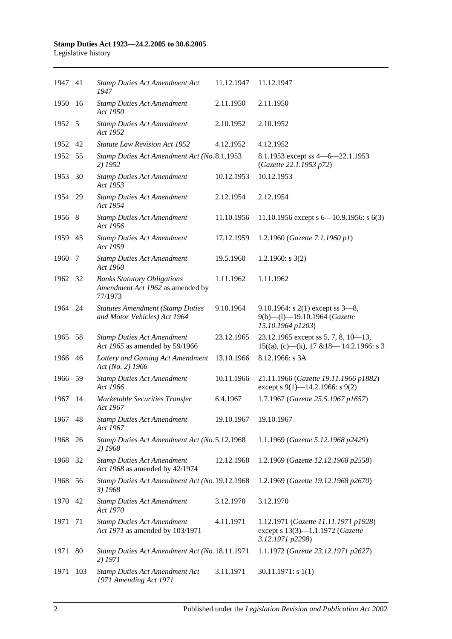| 1947 41 |     | <b>Stamp Duties Act Amendment Act</b><br>1947                                     | 11.12.1947 | 11.12.1947                                                                                   |
|---------|-----|-----------------------------------------------------------------------------------|------------|----------------------------------------------------------------------------------------------|
| 1950    | -16 | <b>Stamp Duties Act Amendment</b><br>Act 1950                                     | 2.11.1950  | 2.11.1950                                                                                    |
| 1952 5  |     | <b>Stamp Duties Act Amendment</b><br>Act 1952                                     | 2.10.1952  | 2.10.1952                                                                                    |
| 1952 42 |     | <b>Statute Law Revision Act 1952</b>                                              | 4.12.1952  | 4.12.1952                                                                                    |
| 1952 55 |     | Stamp Duties Act Amendment Act (No. 8.1.1953<br>2) 1952                           |            | 8.1.1953 except ss 4 - 6 - 22.1.1953<br>(Gazette 22.1.1953 p72)                              |
| 1953    | 30  | <b>Stamp Duties Act Amendment</b><br>Act 1953                                     | 10.12.1953 | 10.12.1953                                                                                   |
| 1954 29 |     | <b>Stamp Duties Act Amendment</b><br>Act 1954                                     | 2.12.1954  | 2.12.1954                                                                                    |
| 1956 8  |     | <b>Stamp Duties Act Amendment</b><br>Act 1956                                     | 11.10.1956 | 11.10.1956 except s $6-10.9.1956$ : s $6(3)$                                                 |
| 1959 45 |     | <b>Stamp Duties Act Amendment</b><br>Act 1959                                     | 17.12.1959 | 1.2.1960 (Gazette 7.1.1960 p1)                                                               |
| 1960    | 7   | <b>Stamp Duties Act Amendment</b><br>Act 1960                                     | 19.5.1960  | 1.2.1960: $s$ 3(2)                                                                           |
| 1962 32 |     | <b>Banks Statutory Obligations</b><br>Amendment Act 1962 as amended by<br>77/1973 | 1.11.1962  | 1.11.1962                                                                                    |
| 1964 24 |     | <b>Statutes Amendment (Stamp Duties</b><br>and Motor Vehicles) Act 1964           | 9.10.1964  | 9.10.1964: s $2(1)$ except ss $3-8$ ,<br>9(b)-(l)-19.10.1964 (Gazette<br>15.10.1964 p1203)   |
| 1965 58 |     | <b>Stamp Duties Act Amendment</b><br>Act 1965 as amended by 59/1966               | 23.12.1965 | 23.12.1965 except ss 5, 7, 8, $10-13$ ,<br>$15((a), (c)$ —(k), 17 & 18—14.2.1966: s 3        |
| 1966 46 |     | Lottery and Gaming Act Amendment<br>Act (No. 2) 1966                              | 13.10.1966 | 8.12.1966: s 3A                                                                              |
| 1966 59 |     | <b>Stamp Duties Act Amendment</b><br>Act 1966                                     | 10.11.1966 | 21.11.1966 (Gazette 19.11.1966 p1882)<br>except s $9(1)$ —14.2.1966: s $9(2)$                |
| 1967    | -14 | Marketable Securities Transfer<br>Act 1967                                        | 6.4.1967   | 1.7.1967 (Gazette 25.5.1967 p1657)                                                           |
| 1967 48 |     | <b>Stamp Duties Act Amendment</b><br>Act 1967                                     | 19.10.1967 | 19.10.1967                                                                                   |
| 1968    | 26  | Stamp Duties Act Amendment Act (No. 5.12.1968<br>2) 1968                          |            | 1.1.1969 (Gazette 5.12.1968 p2429)                                                           |
| 1968    | 32  | <b>Stamp Duties Act Amendment</b><br>Act 1968 as amended by 42/1974               | 12.12.1968 | 1.2.1969 (Gazette 12.12.1968 p2558)                                                          |
| 1968    | 56  | Stamp Duties Act Amendment Act (No. 19.12.1968<br>3) 1968                         |            | 1.2.1969 (Gazette 19.12.1968 p2670)                                                          |
| 1970    | 42  | <b>Stamp Duties Act Amendment</b><br>Act 1970                                     | 3.12.1970  | 3.12.1970                                                                                    |
| 1971    | 71  | <b>Stamp Duties Act Amendment</b><br>Act 1971 as amended by 103/1971              | 4.11.1971  | 1.12.1971 (Gazette 11.11.1971 p1928)<br>except s 13(3)-1.1.1972 (Gazette<br>3.12.1971 p2298) |
| 1971    | 80  | Stamp Duties Act Amendment Act (No. 18.11.1971<br>2) 1971                         |            | 1.1.1972 (Gazette 23.12.1971 p2627)                                                          |
| 1971    | 103 | <b>Stamp Duties Act Amendment Act</b><br>1971 Amending Act 1971                   | 3.11.1971  | $30.11.1971$ : s 1(1)                                                                        |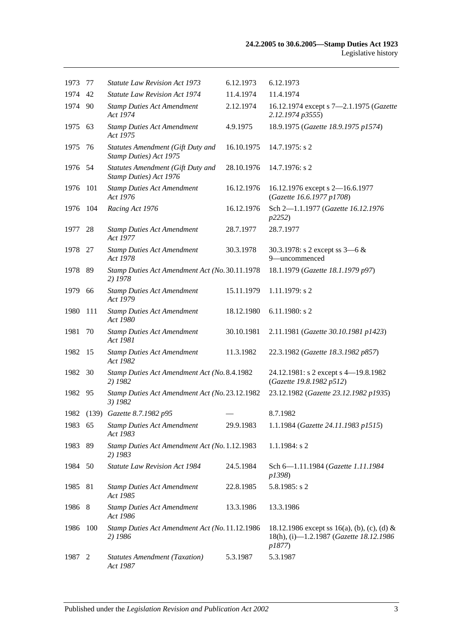| 1973     | 77   | <b>Statute Law Revision Act 1973</b>                               | 6.12.1973  | 6.12.1973                                                                                        |
|----------|------|--------------------------------------------------------------------|------------|--------------------------------------------------------------------------------------------------|
| 1974     | 42   | <b>Statute Law Revision Act 1974</b>                               | 11.4.1974  | 11.4.1974                                                                                        |
| 1974 90  |      | <b>Stamp Duties Act Amendment</b><br>Act 1974                      | 2.12.1974  | 16.12.1974 except s 7-2.1.1975 (Gazette<br>2.12.1974 p3555)                                      |
| 1975 63  |      | <b>Stamp Duties Act Amendment</b><br>Act 1975                      | 4.9.1975   | 18.9.1975 (Gazette 18.9.1975 p1574)                                                              |
| 1975     | 76   | <b>Statutes Amendment (Gift Duty and</b><br>Stamp Duties) Act 1975 | 16.10.1975 | $14.7.1975$ : s 2                                                                                |
| 1976 54  |      | <b>Statutes Amendment (Gift Duty and</b><br>Stamp Duties) Act 1976 | 28.10.1976 | 14.7.1976: s 2                                                                                   |
| 1976     | 101  | <b>Stamp Duties Act Amendment</b><br>Act 1976                      | 16.12.1976 | 16.12.1976 except s 2-16.6.1977<br>(Gazette 16.6.1977 p1708)                                     |
| 1976 104 |      | Racing Act 1976                                                    | 16.12.1976 | Sch 2-1.1.1977 (Gazette 16.12.1976<br>p2252)                                                     |
| 1977     | 28   | <b>Stamp Duties Act Amendment</b><br>Act 1977                      | 28.7.1977  | 28.7.1977                                                                                        |
| 1978 27  |      | <b>Stamp Duties Act Amendment</b><br>Act 1978                      | 30.3.1978  | 30.3.1978: s 2 except ss $3-6 &$<br>9-uncommenced                                                |
| 1978     | - 89 | Stamp Duties Act Amendment Act (No. 30.11.1978<br>2) 1978          |            | 18.1.1979 (Gazette 18.1.1979 p97)                                                                |
| 1979     | 66   | <b>Stamp Duties Act Amendment</b><br>Act 1979                      | 15.11.1979 | 1.11.1979: s 2                                                                                   |
| 1980     | 111  | <b>Stamp Duties Act Amendment</b><br>Act 1980                      | 18.12.1980 | $6.11.1980$ : s 2                                                                                |
| 1981     | 70   | <b>Stamp Duties Act Amendment</b><br>Act 1981                      | 30.10.1981 | 2.11.1981 (Gazette 30.10.1981 p1423)                                                             |
| 1982     | -15  | <b>Stamp Duties Act Amendment</b><br>Act 1982                      | 11.3.1982  | 22.3.1982 (Gazette 18.3.1982 p857)                                                               |
| 1982 30  |      | Stamp Duties Act Amendment Act (No. 8.4.1982<br>2) 1982            |            | 24.12.1981: s 2 except s 4-19.8.1982<br>(Gazette 19.8.1982 p512)                                 |
| 1982 95  |      | Stamp Duties Act Amendment Act (No. 23.12.1982<br>3) 1982          |            | 23.12.1982 (Gazette 23.12.1982 p1935)                                                            |
|          |      | 1982 (139) Gazette 8.7.1982 p95                                    |            | 8.7.1982                                                                                         |
| 1983 65  |      | <b>Stamp Duties Act Amendment</b><br>Act 1983                      | 29.9.1983  | 1.1.1984 (Gazette 24.11.1983 p1515)                                                              |
| 1983     | 89   | Stamp Duties Act Amendment Act (No. 1.12.1983<br>2) 1983           |            | $1.1.1984$ : s 2                                                                                 |
| 1984 50  |      | Statute Law Revision Act 1984                                      | 24.5.1984  | Sch 6-1.11.1984 (Gazette 1.11.1984<br>p1398)                                                     |
| 1985     | 81   | <b>Stamp Duties Act Amendment</b><br>Act 1985                      | 22.8.1985  | $5.8.1985$ : s 2                                                                                 |
| 1986     | 8    | <b>Stamp Duties Act Amendment</b><br>Act 1986                      | 13.3.1986  | 13.3.1986                                                                                        |
| 1986     | 100  | Stamp Duties Act Amendment Act (No. 11.12.1986<br>2) 1986          |            | 18.12.1986 except ss 16(a), (b), (c), (d) &<br>18(h), (i)-1.2.1987 (Gazette 18.12.1986<br>p1877) |
| 1987     | 2    | <b>Statutes Amendment (Taxation)</b><br>Act 1987                   | 5.3.1987   | 5.3.1987                                                                                         |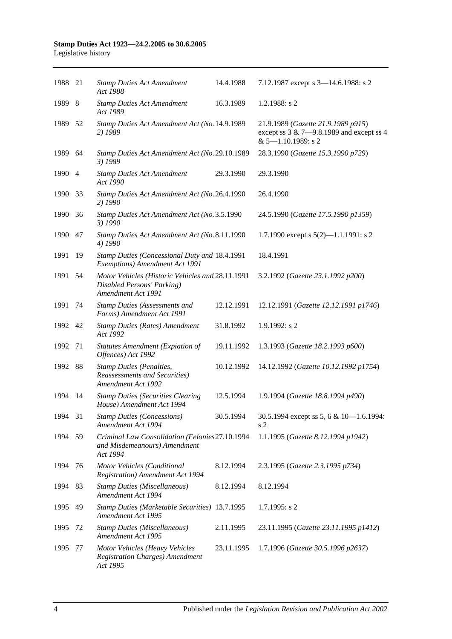| 1988 21 |     | <b>Stamp Duties Act Amendment</b><br>Act 1988                                                        | 14.4.1988  | 7.12.1987 except s 3-14.6.1988: s 2                                                                           |
|---------|-----|------------------------------------------------------------------------------------------------------|------------|---------------------------------------------------------------------------------------------------------------|
| 1989    | 8   | <b>Stamp Duties Act Amendment</b><br>Act 1989                                                        | 16.3.1989  | 1.2.1988: $s$ 2                                                                                               |
| 1989    | 52  | Stamp Duties Act Amendment Act (No. 14.9.1989<br>2) 1989                                             |            | 21.9.1989 (Gazette 21.9.1989 p915)<br>except ss $3 & 7 - 9.8.1989$ and except ss 4<br>$& 5 - 1.10.1989$ : s 2 |
| 1989    | 64  | Stamp Duties Act Amendment Act (No. 29.10.1989<br>3) 1989                                            |            | 28.3.1990 (Gazette 15.3.1990 p729)                                                                            |
| 1990 4  |     | <b>Stamp Duties Act Amendment</b><br>Act 1990                                                        | 29.3.1990  | 29.3.1990                                                                                                     |
| 1990    | 33  | Stamp Duties Act Amendment Act (No. 26.4.1990<br>2) 1990                                             |            | 26.4.1990                                                                                                     |
| 1990    | 36  | Stamp Duties Act Amendment Act (No. 3.5.1990<br>3) 1990                                              |            | 24.5.1990 (Gazette 17.5.1990 p1359)                                                                           |
| 1990    | 47  | Stamp Duties Act Amendment Act (No. 8.11.1990<br>4) 1990                                             |            | 1.7.1990 except s $5(2)$ —1.1.1991: s 2                                                                       |
| 1991    | 19  | Stamp Duties (Concessional Duty and 18.4.1991<br>Exemptions) Amendment Act 1991                      |            | 18.4.1991                                                                                                     |
| 1991    | 54  | Motor Vehicles (Historic Vehicles and 28.11.1991<br>Disabled Persons' Parking)<br>Amendment Act 1991 |            | 3.2.1992 (Gazette 23.1.1992 p200)                                                                             |
| 1991    | 74  | <b>Stamp Duties (Assessments and</b><br>Forms) Amendment Act 1991                                    | 12.12.1991 | 12.12.1991 (Gazette 12.12.1991 p1746)                                                                         |
| 1992 42 |     | <b>Stamp Duties (Rates) Amendment</b><br>Act 1992                                                    | 31.8.1992  | $1.9.1992$ : s 2                                                                                              |
| 1992    | 71  | Statutes Amendment (Expiation of<br>Offences) Act 1992                                               | 19.11.1992 | 1.3.1993 (Gazette 18.2.1993 p600)                                                                             |
| 1992    | -88 | <b>Stamp Duties (Penalties,</b><br><b>Reassessments and Securities</b> )<br>Amendment Act 1992       | 10.12.1992 | 14.12.1992 (Gazette 10.12.1992 p1754)                                                                         |
| 1994    | 14  | <b>Stamp Duties (Securities Clearing</b><br>House) Amendment Act 1994                                | 12.5.1994  | 1.9.1994 (Gazette 18.8.1994 p490)                                                                             |
| 1994 31 |     | <b>Stamp Duties (Concessions)</b><br>Amendment Act 1994                                              | 30.5.1994  | 30.5.1994 except ss 5, 6 & 10-1.6.1994:<br>s 2                                                                |
| 1994 59 |     | Criminal Law Consolidation (Felonies 27.10.1994<br>and Misdemeanours) Amendment<br>Act 1994          |            | 1.1.1995 (Gazette 8.12.1994 p1942)                                                                            |
| 1994    | 76  | Motor Vehicles (Conditional<br><b>Registration</b> ) Amendment Act 1994                              | 8.12.1994  | 2.3.1995 (Gazette 2.3.1995 p734)                                                                              |
| 1994    | -83 | <b>Stamp Duties (Miscellaneous)</b><br>Amendment Act 1994                                            | 8.12.1994  | 8.12.1994                                                                                                     |
| 1995    | 49  | Stamp Duties (Marketable Securities) 13.7.1995<br>Amendment Act 1995                                 |            | $1.7.1995$ : s 2                                                                                              |
| 1995    | 72  | <b>Stamp Duties (Miscellaneous)</b><br>Amendment Act 1995                                            | 2.11.1995  | 23.11.1995 (Gazette 23.11.1995 p1412)                                                                         |
| 1995    | 77  | Motor Vehicles (Heavy Vehicles<br><b>Registration Charges)</b> Amendment<br>Act 1995                 | 23.11.1995 | 1.7.1996 (Gazette 30.5.1996 p2637)                                                                            |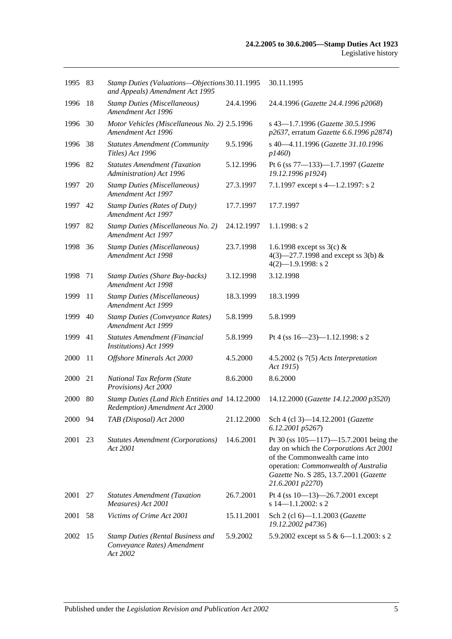| 1995 83 |     | Stamp Duties (Valuations-Objections 30.11.1995<br>and Appeals) Amendment Act 1995   |            | 30.11.1995                                                                                                                                                                                                                   |
|---------|-----|-------------------------------------------------------------------------------------|------------|------------------------------------------------------------------------------------------------------------------------------------------------------------------------------------------------------------------------------|
| 1996    | 18  | <b>Stamp Duties (Miscellaneous)</b><br>Amendment Act 1996                           | 24.4.1996  | 24.4.1996 (Gazette 24.4.1996 p2068)                                                                                                                                                                                          |
| 1996    | 30  | Motor Vehicles (Miscellaneous No. 2) 2.5.1996<br>Amendment Act 1996                 |            | s 43-1.7.1996 (Gazette 30.5.1996<br>p2637, erratum Gazette 6.6.1996 p2874)                                                                                                                                                   |
| 1996    | 38  | <b>Statutes Amendment (Community</b><br>Titles) Act 1996                            | 9.5.1996   | s 40-4.11.1996 (Gazette 31.10.1996<br>p1460                                                                                                                                                                                  |
| 1996 82 |     | <b>Statutes Amendment (Taxation</b><br>Administration) Act 1996                     | 5.12.1996  | Pt 6 (ss 77-133)-1.7.1997 (Gazette<br>19.12.1996 p1924)                                                                                                                                                                      |
| 1997    | 20  | <b>Stamp Duties (Miscellaneous)</b><br>Amendment Act 1997                           | 27.3.1997  | 7.1.1997 except s 4-1.2.1997: s 2                                                                                                                                                                                            |
| 1997    | 42  | <b>Stamp Duties (Rates of Duty)</b><br>Amendment Act 1997                           | 17.7.1997  | 17.7.1997                                                                                                                                                                                                                    |
| 1997    | 82  | Stamp Duties (Miscellaneous No. 2)<br>Amendment Act 1997                            | 24.12.1997 | $1.1.1998$ : s 2                                                                                                                                                                                                             |
| 1998    | 36  | <b>Stamp Duties (Miscellaneous)</b><br>Amendment Act 1998                           | 23.7.1998  | 1.6.1998 except ss $3(c)$ &<br>4(3)–27.7.1998 and except ss 3(b) &<br>$4(2)$ -1.9.1998: s 2                                                                                                                                  |
| 1998    | 71  | <b>Stamp Duties (Share Buy-backs)</b><br>Amendment Act 1998                         | 3.12.1998  | 3.12.1998                                                                                                                                                                                                                    |
| 1999    | 11  | <b>Stamp Duties (Miscellaneous)</b><br>Amendment Act 1999                           | 18.3.1999  | 18.3.1999                                                                                                                                                                                                                    |
| 1999    | 40  | <b>Stamp Duties (Conveyance Rates)</b><br>Amendment Act 1999                        | 5.8.1999   | 5.8.1999                                                                                                                                                                                                                     |
| 1999    | 41  | Statutes Amendment (Financial<br>Institutions) Act 1999                             | 5.8.1999   | Pt 4 (ss $16 - 23$ )-1.12.1998: s 2                                                                                                                                                                                          |
| 2000    | -11 | Offshore Minerals Act 2000                                                          | 4.5.2000   | $4.5.2002$ (s $7(5)$ Acts Interpretation<br>Act 1915)                                                                                                                                                                        |
| 2000    | 21  | National Tax Reform (State<br>Provisions) Act 2000                                  | 8.6.2000   | 8.6.2000                                                                                                                                                                                                                     |
| 2000    | -80 | Stamp Duties (Land Rich Entities and 14.12.2000)<br>Redemption) Amendment Act 2000  |            | 14.12.2000 (Gazette 14.12.2000 p3520)                                                                                                                                                                                        |
| 2000 94 |     | TAB (Disposal) Act 2000                                                             | 21.12.2000 | Sch 4 (cl 3)-14.12.2001 (Gazette<br>6.12.2001 p5267)                                                                                                                                                                         |
| 2001    | 23  | <b>Statutes Amendment (Corporations)</b><br>Act 2001                                | 14.6.2001  | Pt 30 (ss $105 - 117$ ) -15.7.2001 being the<br>day on which the Corporations Act 2001<br>of the Commonwealth came into<br>operation: Commonwealth of Australia<br>Gazette No. S 285, 13.7.2001 (Gazette<br>21.6.2001 p2270) |
| 2001    | 27  | <b>Statutes Amendment (Taxation</b><br>Measures) Act 2001                           | 26.7.2001  | Pt 4 (ss 10-13)-26.7.2001 except<br>$s$ 14-1.1.2002: s 2                                                                                                                                                                     |
| 2001    | 58  | Victims of Crime Act 2001                                                           | 15.11.2001 | Sch 2 (cl 6)-1.1.2003 (Gazette<br>19.12.2002 p4736)                                                                                                                                                                          |
| 2002    | 15  | <b>Stamp Duties (Rental Business and</b><br>Conveyance Rates) Amendment<br>Act 2002 | 5.9.2002   | 5.9.2002 except ss 5 & 6-1.1.2003: s 2                                                                                                                                                                                       |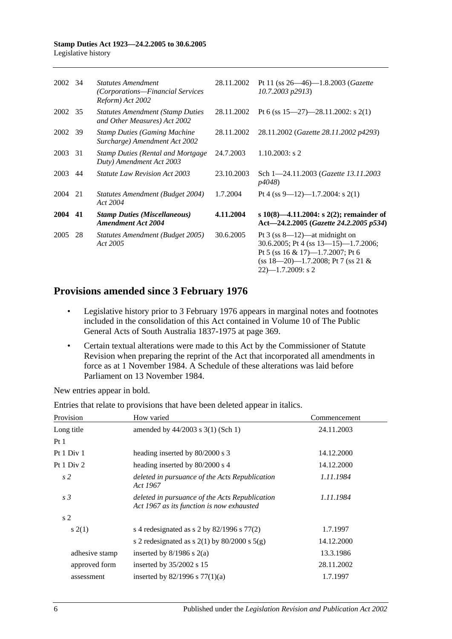| 2002 34 |     | <b>Statutes Amendment</b><br>(Corporations—Financial Services<br>Reform) Act 2002 | 28.11.2002 | Pt 11 (ss $26 - 46$ )-1.8.2003 ( <i>Gazette</i><br>10.7.2003 p2913)                                                                                                                       |
|---------|-----|-----------------------------------------------------------------------------------|------------|-------------------------------------------------------------------------------------------------------------------------------------------------------------------------------------------|
| 2002 35 |     | <b>Statutes Amendment (Stamp Duties)</b><br>and Other Measures) Act 2002          | 28.11.2002 | Pt 6 (ss $15-27$ )-28.11.2002: s 2(1)                                                                                                                                                     |
| 2002    | -39 | <b>Stamp Duties (Gaming Machine</b><br>Surcharge) Amendment Act 2002              | 28.11.2002 | 28.11.2002 (Gazette 28.11.2002 p4293)                                                                                                                                                     |
| 2003    | 31  | <b>Stamp Duties (Rental and Mortgage)</b><br>Duty) Amendment Act 2003             | 24.7.2003  | $1.10.2003$ : s 2                                                                                                                                                                         |
| 2003    | 44  | <i>Statute Law Revision Act 2003</i>                                              | 23.10.2003 | Sch 1-24.11.2003 ( <i>Gazette 13.11.2003</i><br><i>p4048</i> )                                                                                                                            |
| 2004    | 21  | Statutes Amendment (Budget 2004)<br>Act 2004                                      | 1.7.2004   | Pt 4 (ss 9—12)—1.7.2004: s 2(1)                                                                                                                                                           |
| 2004    | 41  | <b>Stamp Duties (Miscellaneous)</b><br><b>Amendment Act 2004</b>                  | 4.11.2004  | s 10(8)—4.11.2004: s 2(2); remainder of<br>Act-24.2.2005 (Gazette 24.2.2005 p534)                                                                                                         |
| 2005    | 28  | Statutes Amendment (Budget 2005)<br>Act 2005                                      | 30.6.2005  | Pt $3$ (ss $8-12$ )—at midnight on<br>30.6.2005; Pt 4 (ss $13-15$ )-1.7.2006;<br>Pt 5 (ss $16 \& 17$ )-1.7.2007; Pt 6<br>$(s\ s\ 18-20)$ -1.7.2008; Pt 7 (ss 21 &<br>$22$ )-1.7.2009: s 2 |

## **Provisions amended since 3 February 1976**

- Legislative history prior to 3 February 1976 appears in marginal notes and footnotes included in the consolidation of this Act contained in Volume 10 of The Public General Acts of South Australia 1837-1975 at page 369.
- Certain textual alterations were made to this Act by the Commissioner of Statute Revision when preparing the reprint of the Act that incorporated all amendments in force as at 1 November 1984. A Schedule of these alterations was laid before Parliament on 13 November 1984.

New entries appear in bold.

| Provision      | How varied                                                                                  | Commencement |
|----------------|---------------------------------------------------------------------------------------------|--------------|
| Long title     | amended by $44/2003$ s 3(1) (Sch 1)                                                         | 24.11.2003   |
| Pt1            |                                                                                             |              |
| Pt 1 Div 1     | heading inserted by 80/2000 s 3                                                             | 14.12.2000   |
| Pt $1$ Div $2$ | heading inserted by 80/2000 s 4                                                             | 14.12.2000   |
| s <sub>2</sub> | deleted in pursuance of the Acts Republication<br>Act 1967                                  | 1.11.1984    |
| s <sub>3</sub> | deleted in pursuance of the Acts Republication<br>Act 1967 as its function is now exhausted | 1.11.1984    |
| s <sub>2</sub> |                                                                                             |              |
| s(2(1))        | s 4 redesignated as s 2 by $82/1996$ s $77(2)$                                              | 1.7.1997     |
|                | s 2 redesignated as s $2(1)$ by $80/2000$ s $5(g)$                                          | 14.12.2000   |
| adhesive stamp | inserted by $8/1986$ s $2(a)$                                                               | 13.3.1986    |
| approved form  | inserted by $35/2002$ s 15                                                                  | 28.11.2002   |
| assessment     | inserted by $82/1996$ s $77(1)(a)$                                                          | 1.7.1997     |

Entries that relate to provisions that have been deleted appear in italics.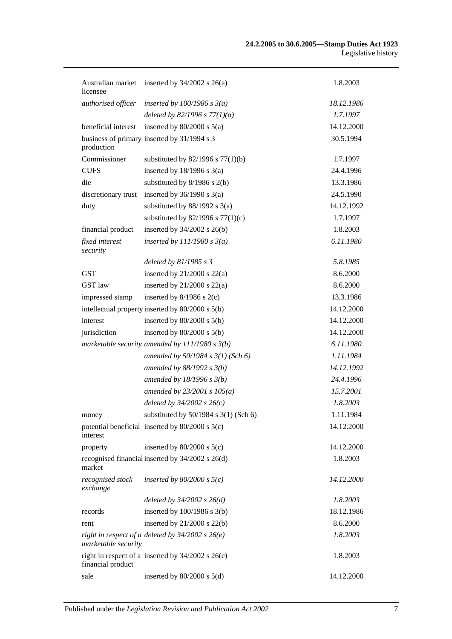| licensee                     | Australian market inserted by 34/2002 s 26(a)         | 1.8.2003   |
|------------------------------|-------------------------------------------------------|------------|
| authorised officer           | inserted by $100/1986$ s $3(a)$                       | 18.12.1986 |
|                              | deleted by 82/1996 s $77(1)(a)$                       | 1.7.1997   |
| beneficial interest          | inserted by $80/2000$ s $5(a)$                        | 14.12.2000 |
| production                   | business of primary inserted by 31/1994 s 3           | 30.5.1994  |
| Commissioner                 | substituted by $82/1996$ s $77(1)(b)$                 | 1.7.1997   |
| <b>CUFS</b>                  | inserted by $18/1996$ s $3(a)$                        | 24.4.1996  |
| die                          | substituted by 8/1986 s 2(b)                          | 13.3.1986  |
| discretionary trust          | inserted by $36/1990$ s $3(a)$                        | 24.5.1990  |
| duty                         | substituted by $88/1992$ s 3(a)                       | 14.12.1992 |
|                              | substituted by $82/1996$ s $77(1)(c)$                 | 1.7.1997   |
| financial product            | inserted by $34/2002$ s $26(b)$                       | 1.8.2003   |
| fixed interest<br>security   | inserted by $111/1980 s 3(a)$                         | 6.11.1980  |
|                              | deleted by $81/1985 s 3$                              | 5.8.1985   |
| <b>GST</b>                   | inserted by $21/2000$ s $22(a)$                       | 8.6.2000   |
| GST law                      | inserted by $21/2000$ s $22(a)$                       | 8.6.2000   |
| impressed stamp              | inserted by $8/1986$ s $2(c)$                         | 13.3.1986  |
|                              | intellectual property inserted by 80/2000 s 5(b)      | 14.12.2000 |
| interest                     | inserted by $80/2000$ s $5(b)$                        | 14.12.2000 |
| jurisdiction                 | inserted by $80/2000$ s $5(b)$                        | 14.12.2000 |
|                              | marketable security amended by $111/1980 s 3(b)$      | 6.11.1980  |
|                              | amended by $50/1984 s 3(1)$ (Sch 6)                   | 1.11.1984  |
|                              | amended by $88/1992 s 3(b)$                           | 14.12.1992 |
|                              | amended by $18/1996$ s $3(b)$                         | 24.4.1996  |
|                              | amended by $23/2001 s 105(a)$                         | 15.7.2001  |
|                              | deleted by $34/2002 s 26(c)$                          | 1.8.2003   |
| money                        | substituted by $50/1984$ s $3(1)$ (Sch 6)             | 1.11.1984  |
| interest                     | potential beneficial inserted by $80/2000$ s $5(c)$   | 14.12.2000 |
| property                     | inserted by $80/2000$ s $5(c)$                        | 14.12.2000 |
| market                       | recognised financial inserted by 34/2002 s 26(d)      | 1.8.2003   |
| recognised stock<br>exchange | inserted by $80/2000$ s $5(c)$                        | 14.12.2000 |
|                              | deleted by $34/2002$ s $26(d)$                        | 1.8.2003   |
| records                      | inserted by $100/1986$ s $3(b)$                       | 18.12.1986 |
| rent                         | inserted by $21/2000$ s $22(b)$                       | 8.6.2000   |
| marketable security          | right in respect of a deleted by $34/2002$ s $26(e)$  | 1.8.2003   |
| financial product            | right in respect of a inserted by $34/2002$ s $26(e)$ | 1.8.2003   |
| sale                         | inserted by $80/2000$ s $5(d)$                        | 14.12.2000 |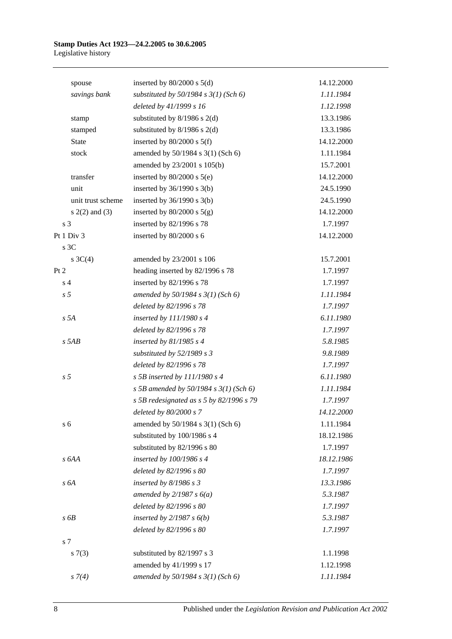| spouse             | inserted by $80/2000$ s $5(d)$            | 14.12.2000 |
|--------------------|-------------------------------------------|------------|
| savings bank       | substituted by $50/1984$ s $3(1)$ (Sch 6) | 1.11.1984  |
|                    | deleted by 41/1999 s 16                   | 1.12.1998  |
| stamp              | substituted by $8/1986$ s $2(d)$          | 13.3.1986  |
| stamped            | substituted by $8/1986$ s $2(d)$          | 13.3.1986  |
| State              | inserted by $80/2000$ s $5(f)$            | 14.12.2000 |
| stock              | amended by 50/1984 s 3(1) (Sch 6)         | 1.11.1984  |
|                    | amended by 23/2001 s 105(b)               | 15.7.2001  |
| transfer           | inserted by $80/2000$ s $5(e)$            | 14.12.2000 |
| unit               | inserted by $36/1990$ s $3(b)$            | 24.5.1990  |
| unit trust scheme  | inserted by $36/1990$ s $3(b)$            | 24.5.1990  |
| $s(2(2)$ and $(3)$ | inserted by $80/2000$ s $5(g)$            | 14.12.2000 |
| s <sub>3</sub>     | inserted by 82/1996 s 78                  | 1.7.1997   |
| Pt 1 Div 3         | inserted by 80/2000 s 6                   | 14.12.2000 |
| s 3C               |                                           |            |
| s $3C(4)$          | amended by 23/2001 s 106                  | 15.7.2001  |
| Pt 2               | heading inserted by 82/1996 s 78          | 1.7.1997   |
| s <sub>4</sub>     | inserted by 82/1996 s 78                  | 1.7.1997   |
| s <sub>5</sub>     | amended by $50/1984 s 3(1)$ (Sch 6)       | 1.11.1984  |
|                    | deleted by 82/1996 s 78                   | 1.7.1997   |
| s 5A               | inserted by 111/1980 s 4                  | 6.11.1980  |
|                    | deleted by 82/1996 s 78                   | 1.7.1997   |
| $s$ 5AB            | inserted by $81/1985$ s 4                 | 5.8.1985   |
|                    | substituted by 52/1989 s 3                | 9.8.1989   |
|                    | deleted by 82/1996 s 78                   | 1.7.1997   |
| s <sub>5</sub>     | $s$ 5B inserted by 111/1980 $s$ 4         | 6.11.1980  |
|                    | s 5B amended by 50/1984 s $3(1)$ (Sch 6)  | 1.11.1984  |
|                    | s 5B redesignated as s 5 by 82/1996 s 79  | 1.7.1997   |
|                    | deleted by 80/2000 s 7                    | 14.12.2000 |
| s <sub>6</sub>     | amended by 50/1984 s 3(1) (Sch 6)         | 1.11.1984  |
|                    | substituted by 100/1986 s 4               | 18.12.1986 |
|                    | substituted by 82/1996 s 80               | 1.7.1997   |
| s 6AA              | inserted by 100/1986 s 4                  | 18.12.1986 |
|                    | deleted by 82/1996 s 80                   | 1.7.1997   |
| s 6A               | inserted by $8/1986$ s 3                  | 13.3.1986  |
|                    | amended by $2/1987 s 6(a)$                | 5.3.1987   |
|                    | deleted by 82/1996 s 80                   | 1.7.1997   |
| s6B                | inserted by $2/1987 s 6(b)$               | 5.3.1987   |
|                    | deleted by 82/1996 s 80                   | 1.7.1997   |
| s 7                |                                           |            |
| s(7(3))            | substituted by 82/1997 s 3                | 1.1.1998   |
|                    | amended by 41/1999 s 17                   | 1.12.1998  |
| $s \, 7(4)$        | amended by 50/1984 s 3(1) (Sch 6)         | 1.11.1984  |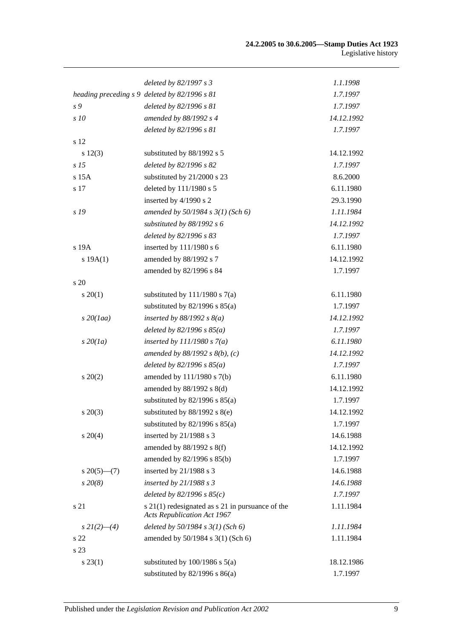|                  | deleted by 82/1997 s 3                                                                     | 1.1.1998   |
|------------------|--------------------------------------------------------------------------------------------|------------|
|                  | heading preceding s 9 deleted by 82/1996 s 81                                              | 1.7.1997   |
| s 9              | deleted by 82/1996 s 81                                                                    | 1.7.1997   |
| s 10             | amended by 88/1992 s 4                                                                     | 14.12.1992 |
|                  | deleted by 82/1996 s 81                                                                    | 1.7.1997   |
| s 12             |                                                                                            |            |
| s 12(3)          | substituted by 88/1992 s 5                                                                 | 14.12.1992 |
| s <sub>15</sub>  | deleted by 82/1996 s 82                                                                    | 1.7.1997   |
| s 15A            | substituted by 21/2000 s 23                                                                | 8.6.2000   |
| s 17             | deleted by 111/1980 s 5                                                                    | 6.11.1980  |
|                  | inserted by 4/1990 s 2                                                                     | 29.3.1990  |
| s 19             | amended by $50/1984$ s $3(1)$ (Sch 6)                                                      | 1.11.1984  |
|                  | substituted by $88/1992 s 6$                                                               | 14.12.1992 |
|                  | deleted by 82/1996 s 83                                                                    | 1.7.1997   |
| s 19A            | inserted by 111/1980 s 6                                                                   | 6.11.1980  |
| s 19A(1)         | amended by 88/1992 s 7                                                                     | 14.12.1992 |
|                  | amended by 82/1996 s 84                                                                    | 1.7.1997   |
| s 20             |                                                                                            |            |
| $s \ 20(1)$      | substituted by $111/1980$ s $7(a)$                                                         | 6.11.1980  |
|                  | substituted by $82/1996$ s $85(a)$                                                         | 1.7.1997   |
| $s$ 20(1aa)      | inserted by $88/1992 s 8(a)$                                                               | 14.12.1992 |
|                  | deleted by $82/1996 s 85(a)$                                                               | 1.7.1997   |
| $s\,20(1a)$      | inserted by $111/1980 s 7(a)$                                                              | 6.11.1980  |
|                  | amended by $88/1992 s 8(b)$ , (c)                                                          | 14.12.1992 |
|                  | deleted by $82/1996 s 85(a)$                                                               | 1.7.1997   |
| $s \ 20(2)$      | amended by 111/1980 s 7(b)                                                                 | 6.11.1980  |
|                  | amended by 88/1992 s 8(d)                                                                  | 14.12.1992 |
|                  | substituted by $82/1996$ s $85(a)$                                                         | 1.7.1997   |
| $s\,20(3)$       | substituted by $88/1992$ s $8(e)$                                                          | 14.12.1992 |
|                  | substituted by $82/1996$ s $85(a)$                                                         | 1.7.1997   |
| $s \ 20(4)$      | inserted by 21/1988 s 3                                                                    | 14.6.1988  |
|                  | amended by 88/1992 s 8(f)                                                                  | 14.12.1992 |
|                  | amended by 82/1996 s 85(b)                                                                 | 1.7.1997   |
| $s \ 20(5)$ —(7) | inserted by 21/1988 s 3                                                                    | 14.6.1988  |
| $s\,20(8)$       | inserted by $21/1988 s3$                                                                   | 14.6.1988  |
|                  | deleted by $82/1996 s 85(c)$                                                               | 1.7.1997   |
| s 21             | $s$ 21(1) redesignated as $s$ 21 in pursuance of the<br><b>Acts Republication Act 1967</b> | 1.11.1984  |
| $s\,2I(2)$ —(4)  | deleted by $50/1984$ s $3(1)$ (Sch 6)                                                      | 1.11.1984  |
| s 22             | amended by 50/1984 s 3(1) (Sch 6)                                                          | 1.11.1984  |
| s 23             |                                                                                            |            |
| $s\,23(1)$       | substituted by $100/1986$ s $5(a)$                                                         | 18.12.1986 |
|                  | substituted by $82/1996$ s $86(a)$                                                         | 1.7.1997   |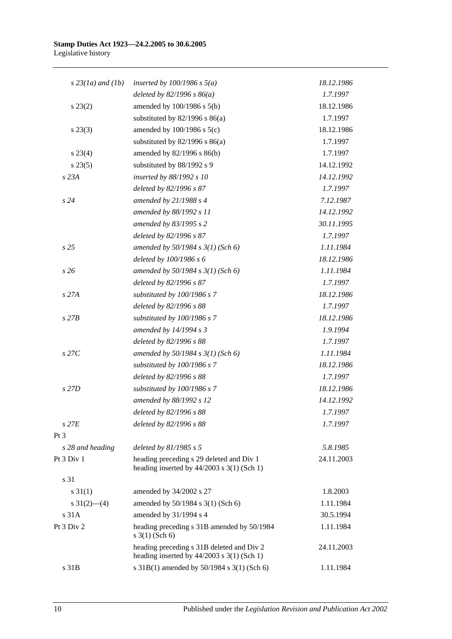| $s$ 23(1a) and (1b) | inserted by $100/1986$ s $5(a)$                                                           | 18.12.1986 |
|---------------------|-------------------------------------------------------------------------------------------|------------|
|                     | deleted by $82/1996 s 86(a)$                                                              | 1.7.1997   |
| $s\,23(2)$          | amended by 100/1986 s 5(b)                                                                | 18.12.1986 |
|                     | substituted by $82/1996$ s $86(a)$                                                        | 1.7.1997   |
| $s\,23(3)$          | amended by $100/1986$ s $5(c)$                                                            | 18.12.1986 |
|                     | substituted by $82/1996$ s $86(a)$                                                        | 1.7.1997   |
| $s\,23(4)$          | amended by 82/1996 s 86(b)                                                                | 1.7.1997   |
| $s\,23(5)$          | substituted by 88/1992 s 9                                                                | 14.12.1992 |
| s 23A               | inserted by 88/1992 s 10                                                                  | 14.12.1992 |
|                     | deleted by 82/1996 s 87                                                                   | 1.7.1997   |
| s24                 | amended by $21/1988 s 4$                                                                  | 7.12.1987  |
|                     | amended by 88/1992 s 11                                                                   | 14.12.1992 |
|                     | amended by 83/1995 s 2                                                                    | 30.11.1995 |
|                     | deleted by 82/1996 s 87                                                                   | 1.7.1997   |
| s <sub>25</sub>     | amended by $50/1984$ s $3(1)$ (Sch 6)                                                     | 1.11.1984  |
|                     | deleted by 100/1986 s 6                                                                   | 18.12.1986 |
| s26                 | amended by $50/1984$ s $3(1)$ (Sch 6)                                                     | 1.11.1984  |
|                     | deleted by 82/1996 s 87                                                                   | 1.7.1997   |
| s 27A               | substituted by 100/1986 s 7                                                               | 18.12.1986 |
|                     | deleted by 82/1996 s 88                                                                   | 1.7.1997   |
| $s$ 27 $B$          | substituted by 100/1986 s 7                                                               | 18.12.1986 |
|                     | amended by 14/1994 s 3                                                                    | 1.9.1994   |
|                     | deleted by 82/1996 s 88                                                                   | 1.7.1997   |
| $s$ 27 $C$          | amended by $50/1984$ s $3(1)$ (Sch 6)                                                     | 1.11.1984  |
|                     | substituted by 100/1986 s 7                                                               | 18.12.1986 |
|                     | deleted by 82/1996 s 88                                                                   | 1.7.1997   |
| s 27D               | substituted by 100/1986 s 7                                                               | 18.12.1986 |
|                     | amended by 88/1992 s 12                                                                   | 14.12.1992 |
|                     | deleted by 82/1996 s 88                                                                   | 1.7.1997   |
| $s$ 27 $E$          | deleted by 82/1996 s 88                                                                   | 1.7.1997   |
| Pt <sub>3</sub>     |                                                                                           |            |
| s 28 and heading    | deleted by $81/1985 s 5$                                                                  | 5.8.1985   |
| Pt 3 Div 1          | heading preceding s 29 deleted and Div 1<br>heading inserted by $44/2003$ s 3(1) (Sch 1)  | 24.11.2003 |
| s 31                |                                                                                           |            |
| $s \, 31(1)$        | amended by 34/2002 s 27                                                                   | 1.8.2003   |
| s $31(2)$ - (4)     | amended by 50/1984 s 3(1) (Sch 6)                                                         | 1.11.1984  |
| s 31A               | amended by 31/1994 s 4                                                                    | 30.5.1994  |
| Pt 3 Div 2          | heading preceding s 31B amended by 50/1984<br>$s \; 3(1)$ (Sch 6)                         | 1.11.1984  |
|                     | heading preceding s 31B deleted and Div 2<br>heading inserted by $44/2003$ s 3(1) (Sch 1) | 24.11.2003 |
| s 31B               | s 31B(1) amended by 50/1984 s 3(1) (Sch 6)                                                | 1.11.1984  |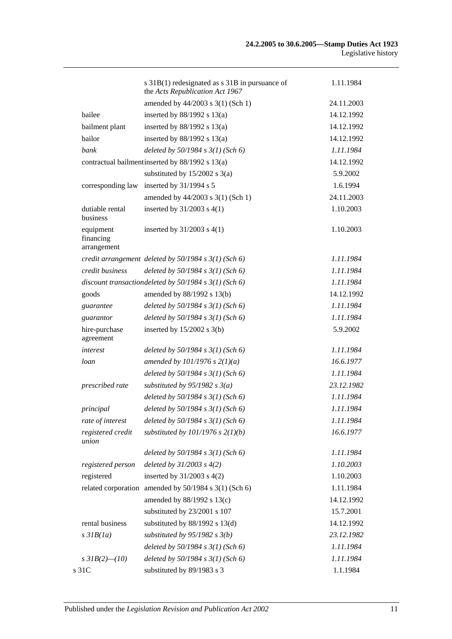|                                       | s 31B(1) redesignated as s 31B in pursuance of<br>the Acts Republication Act 1967 | 1.11.1984  |
|---------------------------------------|-----------------------------------------------------------------------------------|------------|
|                                       | amended by 44/2003 s 3(1) (Sch 1)                                                 | 24.11.2003 |
| bailee                                | inserted by $88/1992$ s $13(a)$                                                   | 14.12.1992 |
| bailment plant                        | inserted by $88/1992$ s $13(a)$                                                   | 14.12.1992 |
| bailor                                | inserted by $88/1992$ s $13(a)$                                                   | 14.12.1992 |
| bank                                  | deleted by $50/1984$ s $3(1)$ (Sch 6)                                             | 1.11.1984  |
|                                       | contractual bailment inserted by 88/1992 s 13(a)                                  | 14.12.1992 |
|                                       | substituted by $15/2002$ s $3(a)$                                                 | 5.9.2002   |
| corresponding law                     | inserted by 31/1994 s 5                                                           | 1.6.1994   |
|                                       | amended by 44/2003 s 3(1) (Sch 1)                                                 | 24.11.2003 |
| dutiable rental<br>business           | inserted by $31/2003$ s $4(1)$                                                    | 1.10.2003  |
| equipment<br>financing<br>arrangement | inserted by $31/2003$ s $4(1)$                                                    | 1.10.2003  |
|                                       | credit arrangement deleted by $50/1984$ s $3(1)$ (Sch 6)                          | 1.11.1984  |
| credit business                       | deleted by $50/1984$ s $3(1)$ (Sch 6)                                             | 1.11.1984  |
|                                       | discount transaction deleted by $50/1984$ s $3(1)$ (Sch 6)                        | 1.11.1984  |
| goods                                 | amended by 88/1992 s 13(b)                                                        | 14.12.1992 |
| guarantee                             | deleted by $50/1984$ s $3(1)$ (Sch 6)                                             | 1.11.1984  |
| guarantor                             | deleted by $50/1984$ s $3(1)$ (Sch 6)                                             | 1.11.1984  |
| hire-purchase<br>agreement            | inserted by $15/2002$ s 3(b)                                                      | 5.9.2002   |
| interest                              | deleted by $50/1984$ s $3(1)$ (Sch 6)                                             | 1.11.1984  |
| loan                                  | amended by $101/1976$ s $2(1)(a)$                                                 | 16.6.1977  |
|                                       | deleted by $50/1984$ s $3(1)$ (Sch 6)                                             | 1.11.1984  |
| prescribed rate                       | substituted by $95/1982$ s $3(a)$                                                 | 23.12.1982 |
|                                       | deleted by $50/1984 s 3(1)$ (Sch 6)                                               | 1.11.1984  |
| principal                             | deleted by $50/1984$ s $3(1)$ (Sch 6)                                             | 1.11.1984  |
| rate of interest                      | deleted by $50/1984$ s $3(1)$ (Sch 6)                                             | 1.11.1984  |
| registered credit<br>union            | substituted by $101/1976$ s $2(1)(b)$                                             | 16.6.1977  |
|                                       | deleted by $50/1984$ s $3(1)$ (Sch 6)                                             | 1.11.1984  |
| registered person                     | deleted by $31/2003$ s $4(2)$                                                     | 1.10.2003  |
| registered                            | inserted by $31/2003$ s $4(2)$                                                    | 1.10.2003  |
|                                       | related corporation amended by 50/1984 s 3(1) (Sch 6)                             | 1.11.1984  |
|                                       | amended by 88/1992 s 13(c)                                                        | 14.12.1992 |
|                                       | substituted by 23/2001 s 107                                                      | 15.7.2001  |
| rental business                       | substituted by $88/1992$ s $13(d)$                                                | 14.12.1992 |
| $s$ 31 $B(1a)$                        | substituted by $95/1982$ s $3(b)$                                                 | 23.12.1982 |
|                                       | deleted by $50/1984$ s $3(1)$ (Sch 6)                                             | 1.11.1984  |
| s $3IB(2)$ (10)                       | deleted by $50/1984$ s $3(1)$ (Sch 6)                                             | 1.11.1984  |
| s 31C                                 | substituted by 89/1983 s 3                                                        | 1.1.1984   |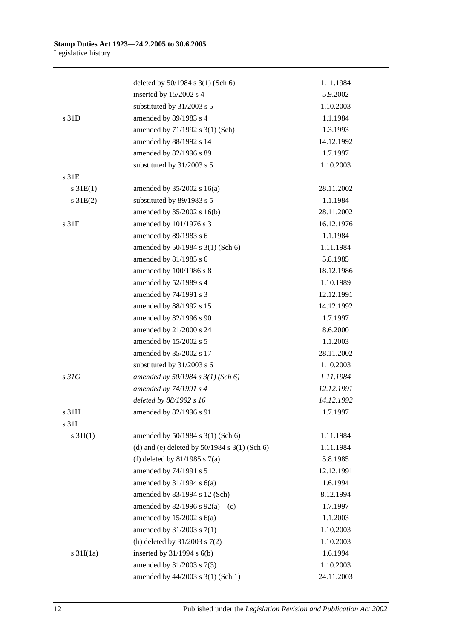|                       | deleted by 50/1984 s 3(1) (Sch 6)                 | 1.11.1984  |
|-----------------------|---------------------------------------------------|------------|
|                       | inserted by 15/2002 s 4                           | 5.9.2002   |
|                       | substituted by 31/2003 s 5                        | 1.10.2003  |
| s 31D                 | amended by 89/1983 s 4                            | 1.1.1984   |
|                       | amended by 71/1992 s 3(1) (Sch)                   | 1.3.1993   |
|                       | amended by 88/1992 s 14                           | 14.12.1992 |
|                       | amended by 82/1996 s 89                           | 1.7.1997   |
|                       | substituted by $31/2003$ s 5                      | 1.10.2003  |
| s 31E                 |                                                   |            |
| $s \, 31E(1)$         | amended by $35/2002$ s 16(a)                      | 28.11.2002 |
| $s \, 31E(2)$         | substituted by 89/1983 s 5                        | 1.1.1984   |
|                       | amended by 35/2002 s 16(b)                        | 28.11.2002 |
| s 31F                 | amended by 101/1976 s 3                           | 16.12.1976 |
|                       | amended by 89/1983 s 6                            | 1.1.1984   |
|                       | amended by 50/1984 s 3(1) (Sch 6)                 | 1.11.1984  |
|                       | amended by 81/1985 s 6                            | 5.8.1985   |
|                       | amended by 100/1986 s 8                           | 18.12.1986 |
|                       | amended by 52/1989 s 4                            | 1.10.1989  |
|                       | amended by 74/1991 s 3                            | 12.12.1991 |
|                       | amended by 88/1992 s 15                           | 14.12.1992 |
|                       | amended by 82/1996 s 90                           | 1.7.1997   |
|                       | amended by 21/2000 s 24                           | 8.6.2000   |
|                       | amended by 15/2002 s 5                            | 1.1.2003   |
|                       | amended by 35/2002 s 17                           | 28.11.2002 |
|                       | substituted by 31/2003 s 6                        | 1.10.2003  |
| s31G                  | amended by $50/1984$ s $3(1)$ (Sch 6)             | 1.11.1984  |
|                       | amended by 74/1991 s 4                            | 12.12.1991 |
|                       | deleted by 88/1992 s 16                           | 14.12.1992 |
| s 31H                 | amended by 82/1996 s 91                           | 1.7.1997   |
| s 31I                 |                                                   |            |
| $s \, 31I(1)$         | amended by 50/1984 s 3(1) (Sch 6)                 | 1.11.1984  |
|                       | (d) and (e) deleted by $50/1984$ s $3(1)$ (Sch 6) | 1.11.1984  |
|                       | (f) deleted by $81/1985$ s $7(a)$                 | 5.8.1985   |
|                       | amended by 74/1991 s 5                            | 12.12.1991 |
|                       | amended by $31/1994$ s $6(a)$                     | 1.6.1994   |
|                       | amended by 83/1994 s 12 (Sch)                     | 8.12.1994  |
|                       | amended by $82/1996$ s $92(a)$ —(c)               | 1.7.1997   |
|                       | amended by $15/2002$ s $6(a)$                     | 1.1.2003   |
|                       | amended by 31/2003 s 7(1)                         | 1.10.2003  |
|                       | (h) deleted by $31/2003$ s $7(2)$                 | 1.10.2003  |
| $s \frac{31I(1a)}{2}$ | inserted by $31/1994$ s $6(b)$                    | 1.6.1994   |
|                       | amended by 31/2003 s 7(3)                         | 1.10.2003  |
|                       | amended by 44/2003 s 3(1) (Sch 1)                 | 24.11.2003 |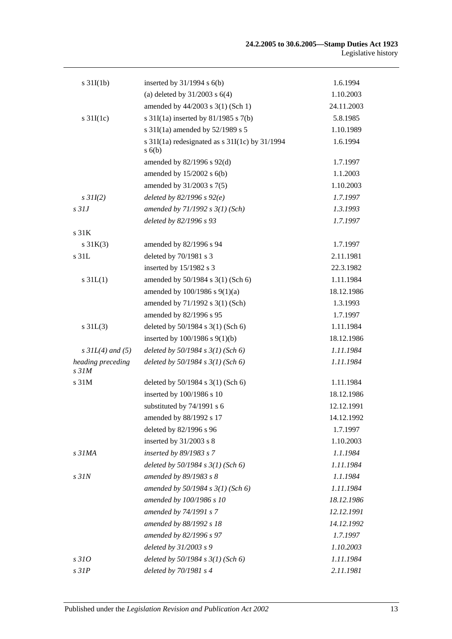| $s \frac{31I(1b)}{2}$      | inserted by $31/1994$ s $6(b)$                         | 1.6.1994   |
|----------------------------|--------------------------------------------------------|------------|
|                            | (a) deleted by $31/2003$ s $6(4)$                      | 1.10.2003  |
|                            | amended by 44/2003 s 3(1) (Sch 1)                      | 24.11.2003 |
| $s \frac{31I(1c)}{2}$      | s $31I(1a)$ inserted by $81/1985$ s $7(b)$             | 5.8.1985   |
|                            | s 31I(1a) amended by 52/1989 s 5                       | 1.10.1989  |
|                            | s 31I(1a) redesignated as s 31I(1c) by 31/1994<br>s(6) | 1.6.1994   |
|                            | amended by 82/1996 s 92(d)                             | 1.7.1997   |
|                            | amended by $15/2002$ s $6(b)$                          | 1.1.2003   |
|                            | amended by 31/2003 s 7(5)                              | 1.10.2003  |
| $s$ 31I(2)                 | deleted by $82/1996 s 92(e)$                           | 1.7.1997   |
| $s$ 31J                    | amended by $71/1992 s 3(1)$ (Sch)                      | 1.3.1993   |
|                            | deleted by 82/1996 s 93                                | 1.7.1997   |
| s <sub>31K</sub>           |                                                        |            |
| $s \, 31K(3)$              | amended by 82/1996 s 94                                | 1.7.1997   |
| s 31L                      | deleted by 70/1981 s 3                                 | 2.11.1981  |
|                            | inserted by 15/1982 s 3                                | 22.3.1982  |
| $s \, 31L(1)$              | amended by 50/1984 s 3(1) (Sch 6)                      | 1.11.1984  |
|                            | amended by 100/1986 s 9(1)(a)                          | 18.12.1986 |
|                            | amended by 71/1992 s 3(1) (Sch)                        | 1.3.1993   |
|                            | amended by 82/1996 s 95                                | 1.7.1997   |
| $s \, 31L(3)$              | deleted by 50/1984 s 3(1) (Sch 6)                      | 1.11.1984  |
|                            | inserted by $100/1986$ s $9(1)(b)$                     | 18.12.1986 |
| $s$ 31L(4) and (5)         | deleted by $50/1984$ s $3(1)$ (Sch 6)                  | 1.11.1984  |
| heading preceding<br>s 31M | deleted by $50/1984$ s $3(1)$ (Sch 6)                  | 1.11.1984  |
| s 31M                      | deleted by 50/1984 s 3(1) (Sch 6)                      | 1.11.1984  |
|                            | inserted by 100/1986 s 10                              | 18.12.1986 |
|                            | substituted by 74/1991 s 6                             | 12.12.1991 |
|                            | amended by 88/1992 s 17                                | 14.12.1992 |
|                            | deleted by 82/1996 s 96                                | 1.7.1997   |
|                            | inserted by $31/2003$ s 8                              | 1.10.2003  |
| s 31MA                     | inserted by 89/1983 s 7                                | 1.1.1984   |
|                            | deleted by $50/1984$ s $3(1)$ (Sch 6)                  | 1.11.1984  |
| $s$ 31 $N$                 | amended by 89/1983 s 8                                 | 1.1.1984   |
|                            | amended by $50/1984 s 3(1)$ (Sch 6)                    | 1.11.1984  |
|                            | amended by 100/1986 s 10                               | 18.12.1986 |
|                            | amended by 74/1991 s 7                                 | 12.12.1991 |
|                            | amended by 88/1992 s 18                                | 14.12.1992 |
|                            | amended by 82/1996 s 97                                | 1.7.1997   |
|                            | deleted by $31/2003 s9$                                | 1.10.2003  |
| s 310                      | deleted by $50/1984$ s $3(1)$ (Sch 6)                  | 1.11.1984  |
| $s$ 31 $P$                 | deleted by $70/1981 s4$                                | 2.11.1981  |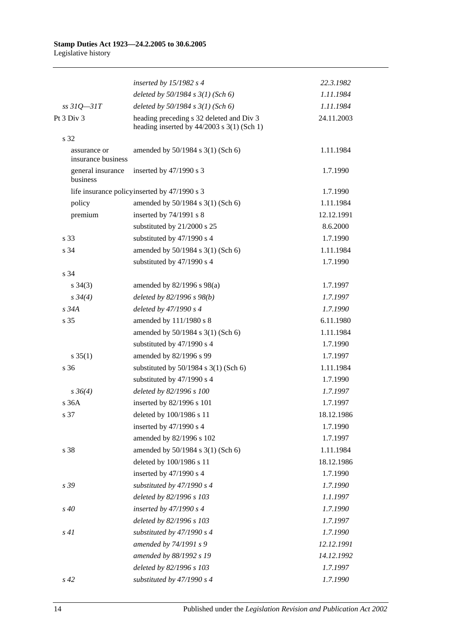|                                    | inserted by $15/1982$ s 4                                                                | 22.3.1982  |
|------------------------------------|------------------------------------------------------------------------------------------|------------|
|                                    | deleted by $50/1984$ s $3(1)$ (Sch 6)                                                    | 1.11.1984  |
| $ss31Q - 31T$                      | deleted by 50/1984 s 3(1) (Sch 6)                                                        | 1.11.1984  |
| Pt 3 Div 3                         | heading preceding s 32 deleted and Div 3<br>heading inserted by $44/2003$ s 3(1) (Sch 1) | 24.11.2003 |
| s 32                               |                                                                                          |            |
| assurance or<br>insurance business | amended by 50/1984 s 3(1) (Sch 6)                                                        | 1.11.1984  |
| general insurance<br>business      | inserted by 47/1990 s 3                                                                  | 1.7.1990   |
|                                    | life insurance policy inserted by 47/1990 s 3                                            | 1.7.1990   |
| policy                             | amended by 50/1984 s 3(1) (Sch 6)                                                        | 1.11.1984  |
| premium                            | inserted by 74/1991 s 8                                                                  | 12.12.1991 |
|                                    | substituted by 21/2000 s 25                                                              | 8.6.2000   |
| s 33                               | substituted by 47/1990 s 4                                                               | 1.7.1990   |
| s 34                               | amended by 50/1984 s 3(1) (Sch 6)                                                        | 1.11.1984  |
|                                    | substituted by 47/1990 s 4                                                               | 1.7.1990   |
| s 34                               |                                                                                          |            |
| $s \; 34(3)$                       | amended by 82/1996 s 98(a)                                                               | 1.7.1997   |
| $s \, 34(4)$                       | deleted by $82/1996 s 98(b)$                                                             | 1.7.1997   |
| $s\,34A$                           | deleted by 47/1990 s 4                                                                   | 1.7.1990   |
| s 35                               | amended by 111/1980 s 8                                                                  | 6.11.1980  |
|                                    | amended by 50/1984 s 3(1) (Sch 6)                                                        | 1.11.1984  |
|                                    | substituted by 47/1990 s 4                                                               | 1.7.1990   |
| $s \; 35(1)$                       | amended by 82/1996 s 99                                                                  | 1.7.1997   |
| s 36                               | substituted by $50/1984$ s $3(1)$ (Sch 6)                                                | 1.11.1984  |
|                                    | substituted by 47/1990 s 4                                                               | 1.7.1990   |
| $s \, 36(4)$                       | deleted by 82/1996 s 100                                                                 | 1.7.1997   |
| s 36A                              | inserted by 82/1996 s 101                                                                | 1.7.1997   |
| s 37                               | deleted by 100/1986 s 11                                                                 | 18.12.1986 |
|                                    | inserted by 47/1990 s 4                                                                  | 1.7.1990   |
|                                    | amended by 82/1996 s 102                                                                 | 1.7.1997   |
| s 38                               | amended by 50/1984 s 3(1) (Sch 6)                                                        | 1.11.1984  |
|                                    | deleted by 100/1986 s 11                                                                 | 18.12.1986 |
|                                    | inserted by 47/1990 s 4                                                                  | 1.7.1990   |
| s 39                               | substituted by 47/1990 s 4                                                               | 1.7.1990   |
|                                    | deleted by 82/1996 s 103                                                                 | 1.1.1997   |
| $s\,40$                            | inserted by $47/1990 s 4$                                                                | 1.7.1990   |
|                                    | deleted by 82/1996 s 103                                                                 | 1.7.1997   |
| s41                                | substituted by $47/1990 s 4$                                                             | 1.7.1990   |
|                                    | amended by 74/1991 s 9                                                                   | 12.12.1991 |
|                                    | amended by 88/1992 s 19                                                                  | 14.12.1992 |
|                                    | deleted by 82/1996 s 103                                                                 | 1.7.1997   |
| $s\,42$                            | substituted by 47/1990 s 4                                                               | 1.7.1990   |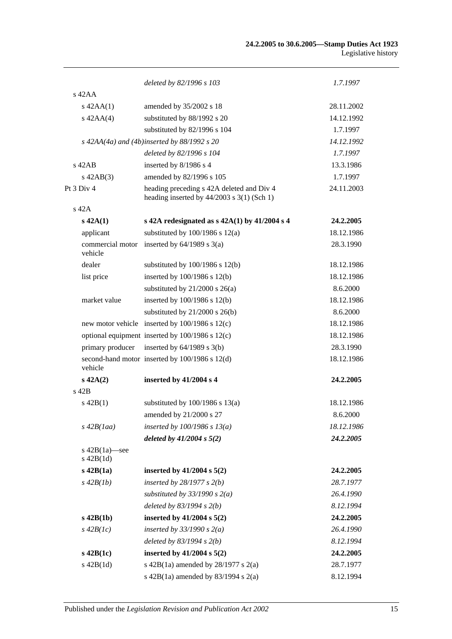|                                  | deleted by 82/1996 s 103                                                                  | 1.7.1997   |
|----------------------------------|-------------------------------------------------------------------------------------------|------------|
| $s$ 42AA                         |                                                                                           |            |
| $s$ 42AA $(1)$                   | amended by 35/2002 s 18                                                                   | 28.11.2002 |
| $s$ 42AA $(4)$                   | substituted by 88/1992 s 20                                                               | 14.12.1992 |
|                                  | substituted by 82/1996 s 104                                                              | 1.7.1997   |
|                                  | s $42AA(4a)$ and $(4b)$ inserted by $88/1992$ s 20                                        | 14.12.1992 |
|                                  | deleted by 82/1996 s 104                                                                  | 1.7.1997   |
| $s$ 42AB                         | inserted by 8/1986 s 4                                                                    | 13.3.1986  |
| $s\ 42AB(3)$                     | amended by 82/1996 s 105                                                                  | 1.7.1997   |
| Pt 3 Div 4                       | heading preceding s 42A deleted and Div 4<br>heading inserted by $44/2003$ s 3(1) (Sch 1) | 24.11.2003 |
| s 42A                            |                                                                                           |            |
| $s\,42A(1)$                      | s 42A redesignated as $s$ 42A(1) by 41/2004 s 4                                           | 24.2.2005  |
| applicant                        | substituted by $100/1986$ s $12(a)$                                                       | 18.12.1986 |
| commercial motor<br>vehicle      | inserted by $64/1989$ s $3(a)$                                                            | 28.3.1990  |
| dealer                           | substituted by $100/1986$ s $12(b)$                                                       | 18.12.1986 |
| list price                       | inserted by 100/1986 s 12(b)                                                              | 18.12.1986 |
|                                  | substituted by $21/2000$ s $26(a)$                                                        | 8.6.2000   |
| market value                     | inserted by $100/1986$ s $12(b)$                                                          | 18.12.1986 |
|                                  | substituted by $21/2000$ s $26(b)$                                                        | 8.6.2000   |
|                                  | new motor vehicle inserted by $100/1986$ s $12(c)$                                        | 18.12.1986 |
|                                  | optional equipment inserted by $100/1986$ s $12(c)$                                       | 18.12.1986 |
| primary producer                 | inserted by $64/1989$ s $3(b)$                                                            | 28.3.1990  |
| vehicle                          | second-hand motor inserted by 100/1986 s 12(d)                                            | 18.12.1986 |
| $s\ 42A(2)$                      | inserted by 41/2004 s 4                                                                   | 24.2.2005  |
| s 42B                            |                                                                                           |            |
| $s\ 42B(1)$                      | substituted by $100/1986$ s $13(a)$                                                       | 18.12.1986 |
|                                  | amended by 21/2000 s 27                                                                   | 8.6.2000   |
| $s\,42B(1aa)$                    | inserted by $100/1986$ s $13(a)$                                                          | 18.12.1986 |
|                                  | deleted by $41/2004 s 5(2)$                                                               | 24.2.2005  |
| s $42B(1a)$ —see<br>$s\ 42B(1d)$ |                                                                                           |            |
| $s$ 42B $(1a)$                   | inserted by $41/2004$ s $5(2)$                                                            | 24.2.2005  |
| $s\,42B(1b)$                     | inserted by $28/1977 s 2(b)$                                                              | 28.7.1977  |
|                                  | substituted by $33/1990 s 2(a)$                                                           | 26.4.1990  |
|                                  | deleted by $83/1994 s 2(b)$                                                               | 8.12.1994  |
| $s$ 42B(1b)                      | inserted by $41/2004$ s $5(2)$                                                            | 24.2.2005  |
| $s\,42B(1c)$                     | inserted by $33/1990 s 2(a)$                                                              | 26.4.1990  |
|                                  | deleted by $83/1994 s 2(b)$                                                               | 8.12.1994  |
| $s$ 42B(1c)                      | inserted by $41/2004$ s $5(2)$                                                            | 24.2.2005  |
| $s$ 42B $(1d)$                   | s 42B(1a) amended by $28/1977$ s $2(a)$                                                   | 28.7.1977  |
|                                  | s $42B(1a)$ amended by $83/1994$ s $2(a)$                                                 | 8.12.1994  |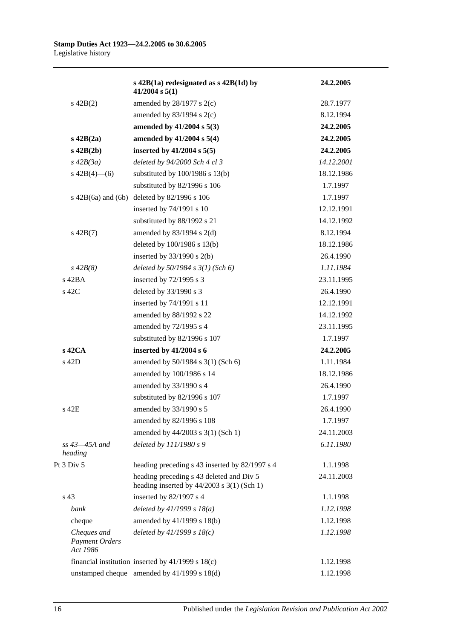|                                                  | s $42B(1a)$ redesignated as s $42B(1d)$ by<br>$41/2004$ s $5(1)$                         | 24.2.2005  |
|--------------------------------------------------|------------------------------------------------------------------------------------------|------------|
| $s\ 42B(2)$                                      | amended by $28/1977$ s $2(c)$                                                            | 28.7.1977  |
|                                                  | amended by $83/1994$ s $2(c)$                                                            | 8.12.1994  |
|                                                  | amended by 41/2004 s 5(3)                                                                | 24.2.2005  |
| $s$ 42B $(2a)$                                   | amended by 41/2004 s 5(4)                                                                | 24.2.2005  |
| $s\ 42B(2b)$                                     | inserted by $41/2004$ s $5(5)$                                                           | 24.2.2005  |
| $s\,42B(3a)$                                     | deleted by 94/2000 Sch 4 cl 3                                                            | 14.12.2001 |
| $s\ 42B(4)$ (6)                                  | substituted by $100/1986$ s $13(b)$                                                      | 18.12.1986 |
|                                                  | substituted by 82/1996 s 106                                                             | 1.7.1997   |
| $s\ 42B(6a)$ and $(6b)$                          | deleted by 82/1996 s 106                                                                 | 1.7.1997   |
|                                                  | inserted by 74/1991 s 10                                                                 | 12.12.1991 |
|                                                  | substituted by 88/1992 s 21                                                              | 14.12.1992 |
| $s\ 42B(7)$                                      | amended by $83/1994$ s $2(d)$                                                            | 8.12.1994  |
|                                                  | deleted by 100/1986 s 13(b)                                                              | 18.12.1986 |
|                                                  | inserted by $33/1990$ s 2(b)                                                             | 26.4.1990  |
| $s\,42B(8)$                                      | deleted by $50/1984$ s $3(1)$ (Sch 6)                                                    | 1.11.1984  |
| $s$ 42BA                                         | inserted by 72/1995 s 3                                                                  | 23.11.1995 |
| s 42C                                            | deleted by 33/1990 s 3                                                                   | 26.4.1990  |
|                                                  | inserted by 74/1991 s 11                                                                 | 12.12.1991 |
|                                                  | amended by 88/1992 s 22                                                                  | 14.12.1992 |
|                                                  | amended by 72/1995 s 4                                                                   | 23.11.1995 |
|                                                  | substituted by 82/1996 s 107                                                             | 1.7.1997   |
| $s$ 42CA                                         | inserted by 41/2004 s 6                                                                  | 24.2.2005  |
| $s$ 42D                                          | amended by 50/1984 s 3(1) (Sch 6)                                                        | 1.11.1984  |
|                                                  | amended by 100/1986 s 14                                                                 | 18.12.1986 |
|                                                  | amended by 33/1990 s 4                                                                   | 26.4.1990  |
|                                                  | substituted by 82/1996 s 107                                                             | 1.7.1997   |
| s 42E                                            | amended by 33/1990 s 5                                                                   | 26.4.1990  |
|                                                  | amended by 82/1996 s 108                                                                 | 1.7.1997   |
|                                                  | amended by 44/2003 s 3(1) (Sch 1)                                                        | 24.11.2003 |
| $ss$ 43 $-45A$ and<br>heading                    | deleted by 111/1980 s 9                                                                  | 6.11.1980  |
| Pt 3 Div 5                                       | heading preceding s 43 inserted by 82/1997 s 4                                           | 1.1.1998   |
|                                                  | heading preceding s 43 deleted and Div 5<br>heading inserted by $44/2003$ s 3(1) (Sch 1) | 24.11.2003 |
| s 43                                             | inserted by 82/1997 s 4                                                                  | 1.1.1998   |
| bank                                             | deleted by $41/1999 s 18(a)$                                                             | 1.12.1998  |
| cheque                                           | amended by 41/1999 s 18(b)                                                               | 1.12.1998  |
| Cheques and<br><b>Payment Orders</b><br>Act 1986 | deleted by $41/1999 s 18(c)$                                                             | 1.12.1998  |
|                                                  | financial institution inserted by 41/1999 s 18(c)                                        | 1.12.1998  |
|                                                  | unstamped cheque amended by 41/1999 s 18(d)                                              | 1.12.1998  |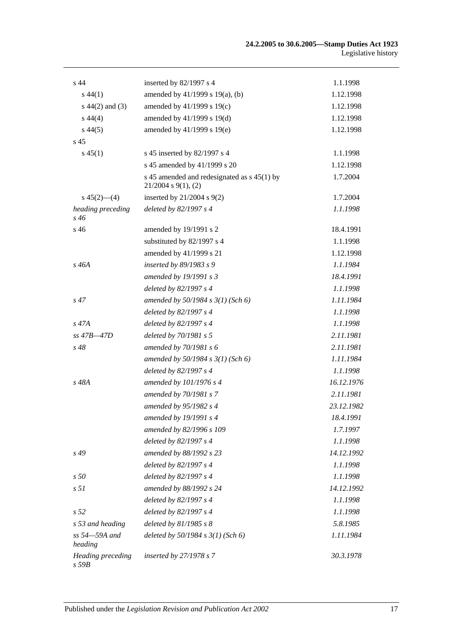| s <sub>44</sub>                        | inserted by 82/1997 s 4                                                   | 1.1.1998   |
|----------------------------------------|---------------------------------------------------------------------------|------------|
| $s\,44(1)$                             | amended by 41/1999 s 19(a), (b)                                           | 1.12.1998  |
| s $44(2)$ and $(3)$                    | amended by 41/1999 s 19(c)                                                | 1.12.1998  |
| $s\,44(4)$                             | amended by 41/1999 s 19(d)                                                | 1.12.1998  |
| $s\,44(5)$                             | amended by 41/1999 s 19(e)                                                | 1.12.1998  |
| s <sub>45</sub>                        |                                                                           |            |
| $s\,45(1)$                             | s 45 inserted by 82/1997 s 4                                              | 1.1.1998   |
|                                        | s 45 amended by 41/1999 s 20                                              | 1.12.1998  |
|                                        | s 45 amended and redesignated as $s$ 45(1) by<br>$21/2004$ s $9(1)$ , (2) | 1.7.2004   |
| $s\,45(2)$ —(4)                        | inserted by 21/2004 s 9(2)                                                | 1.7.2004   |
| heading preceding<br>$s\,46$           | deleted by 82/1997 s 4                                                    | 1.1.1998   |
| s 46                                   | amended by 19/1991 s 2                                                    | 18.4.1991  |
|                                        | substituted by 82/1997 s 4                                                | 1.1.1998   |
|                                        | amended by 41/1999 s 21                                                   | 1.12.1998  |
| $s$ 46A                                | inserted by 89/1983 s 9                                                   | 1.1.1984   |
|                                        | amended by 19/1991 s 3                                                    | 18.4.1991  |
|                                        | deleted by 82/1997 s 4                                                    | 1.1.1998   |
| $s\,47$                                | amended by $50/1984$ s $3(1)$ (Sch 6)                                     | 1.11.1984  |
|                                        | deleted by 82/1997 s 4                                                    | 1.1.1998   |
| $s\,47A$                               | deleted by 82/1997 s 4                                                    | 1.1.1998   |
| $ss$ 47B $-47D$                        | deleted by 70/1981 s 5                                                    | 2.11.1981  |
| $s\,48$                                | amended by 70/1981 s 6                                                    | 2.11.1981  |
|                                        | amended by $50/1984$ s $3(1)$ (Sch 6)                                     | 1.11.1984  |
|                                        | deleted by 82/1997 s 4                                                    | 1.1.1998   |
| s 48A                                  | amended by 101/1976 s 4                                                   | 16.12.1976 |
|                                        | amended by 70/1981 s 7                                                    | 2.11.1981  |
|                                        | amended by 95/1982 s 4                                                    | 23.12.1982 |
|                                        | amended by 19/1991 s 4                                                    | 18.4.1991  |
|                                        | amended by 82/1996 s 109                                                  | 1.7.1997   |
|                                        | deleted by 82/1997 s 4                                                    | 1.1.1998   |
| $s\,49$                                | amended by 88/1992 s 23                                                   | 14.12.1992 |
|                                        | deleted by 82/1997 s 4                                                    | 1.1.1998   |
| s50                                    | deleted by 82/1997 s 4                                                    | 1.1.1998   |
| s <sub>51</sub>                        | amended by 88/1992 s 24                                                   | 14.12.1992 |
|                                        | deleted by 82/1997 s 4                                                    | 1.1.1998   |
| s <sub>52</sub>                        | deleted by 82/1997 s 4                                                    | 1.1.1998   |
| s 53 and heading                       | deleted by $81/1985 s 8$                                                  | 5.8.1985   |
| ss 54-59A and<br>heading               | deleted by $50/1984$ s $3(1)$ (Sch 6)                                     | 1.11.1984  |
| <b>Heading</b> preceding<br>$s$ 59 $B$ | inserted by 27/1978 s 7                                                   | 30.3.1978  |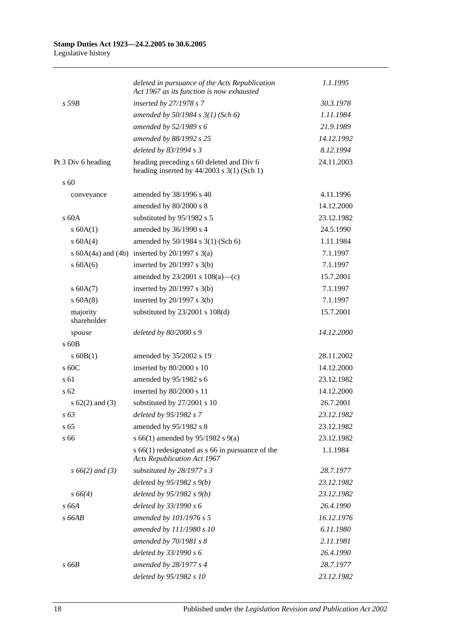|                         | deleted in pursuance of the Acts Republication<br>Act 1967 as its function is now exhausted | 1.1.1995   |
|-------------------------|---------------------------------------------------------------------------------------------|------------|
| $s$ 59 $B$              | inserted by 27/1978 s 7                                                                     | 30.3.1978  |
|                         | amended by $50/1984$ s $3(1)$ (Sch 6)                                                       | 1.11.1984  |
|                         | amended by 52/1989 s 6                                                                      | 21.9.1989  |
|                         | amended by 88/1992 s 25                                                                     | 14.12.1992 |
|                         | deleted by 83/1994 s 3                                                                      | 8.12.1994  |
| Pt 3 Div 6 heading      | heading preceding s 60 deleted and Div 6<br>heading inserted by $44/2003$ s $3(1)$ (Sch 1)  | 24.11.2003 |
| $\mathrm{s}$ 60         |                                                                                             |            |
| conveyance              | amended by 38/1996 s 40                                                                     | 4.11.1996  |
|                         | amended by 80/2000 s 8                                                                      | 14.12.2000 |
| $\rm s$ 60A             | substituted by 95/1982 s 5                                                                  | 23.12.1982 |
| s 60A(1)                | amended by 36/1990 s 4                                                                      | 24.5.1990  |
| s 60A(4)                | amended by 50/1984 s 3(1) (Sch 6)                                                           | 1.11.1984  |
|                         | s $60A(4a)$ and $(4b)$ inserted by $20/1997$ s $3(a)$                                       | 7.1.1997   |
| $s$ 60A(6)              | inserted by $20/1997$ s $3(b)$                                                              | 7.1.1997   |
|                         | amended by $23/2001$ s $108(a)$ —(c)                                                        | 15.7.2001  |
| s 60A(7)                | inserted by $20/1997$ s $3(b)$                                                              | 7.1.1997   |
| $s$ 60A(8)              | inserted by $20/1997$ s $3(b)$                                                              | 7.1.1997   |
| majority<br>shareholder | substituted by $23/2001$ s $108(d)$                                                         | 15.7.2001  |
| spouse                  | deleted by 80/2000 s 9                                                                      | 14.12.2000 |
| $\sqrt{60B}$            |                                                                                             |            |
| $s$ 60B(1)              | amended by 35/2002 s 19                                                                     | 28.11.2002 |
| s 60C                   | inserted by 80/2000 s 10                                                                    | 14.12.2000 |
| s 61                    | amended by 95/1982 s 6                                                                      | 23.12.1982 |
| s <sub>62</sub>         | inserted by 80/2000 s 11                                                                    | 14.12.2000 |
| s $62(2)$ and $(3)$     | substituted by 27/2001 s 10                                                                 | 26.7.2001  |
| s 63                    | deleted by 95/1982 s 7                                                                      | 23.12.1982 |
| s <sub>65</sub>         | amended by 95/1982 s 8                                                                      | 23.12.1982 |
| s 66                    | s 66(1) amended by 95/1982 s 9(a)                                                           | 23.12.1982 |
|                         | $s$ 66(1) redesignated as $s$ 66 in pursuance of the<br><b>Acts Republication Act 1967</b>  | 1.1.1984   |
| $s\,66(2)$ and (3)      | substituted by 28/1977 s 3                                                                  | 28.7.1977  |
|                         | deleted by $95/1982 s(9b)$                                                                  | 23.12.1982 |
| $s\,66(4)$              | deleted by $95/1982 s(9)$                                                                   | 23.12.1982 |
| s 66A                   | deleted by 33/1990 s 6                                                                      | 26.4.1990  |
| s66AB                   | amended by 101/1976 s 5                                                                     | 16.12.1976 |
|                         | amended by 111/1980 s 10                                                                    | 6.11.1980  |
|                         | amended by 70/1981 s 8                                                                      | 2.11.1981  |
|                         | deleted by 33/1990 s 6                                                                      | 26.4.1990  |
| $s$ 66 $B$              | amended by 28/1977 s 4                                                                      | 28.7.1977  |
|                         | deleted by 95/1982 s 10                                                                     | 23.12.1982 |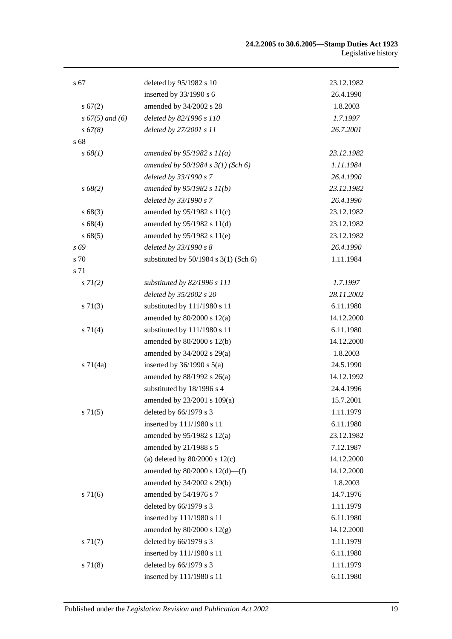| s 67               | deleted by 95/1982 s 10                   | 23.12.1982 |
|--------------------|-------------------------------------------|------------|
|                    | inserted by $33/1990$ s 6                 | 26.4.1990  |
| s 67(2)            | amended by 34/2002 s 28                   | 1.8.2003   |
| $s\,67(5)$ and (6) | deleted by 82/1996 s 110                  | 1.7.1997   |
| $s\,67(8)$         | deleted by 27/2001 s 11                   | 26.7.2001  |
| s 68               |                                           |            |
| s 68(1)            | amended by $95/1982 s 11(a)$              | 23.12.1982 |
|                    | amended by $50/1984 s 3(1)$ (Sch 6)       | 1.11.1984  |
|                    | deleted by 33/1990 s 7                    | 26.4.1990  |
| $s\,68(2)$         | amended by 95/1982 s 11(b)                | 23.12.1982 |
|                    | deleted by 33/1990 s 7                    | 26.4.1990  |
| s 68(3)            | amended by 95/1982 s 11(c)                | 23.12.1982 |
| s 68(4)            | amended by 95/1982 s 11(d)                | 23.12.1982 |
| s 68(5)            | amended by 95/1982 s 11(e)                | 23.12.1982 |
| s 69               | deleted by 33/1990 s 8                    | 26.4.1990  |
| s 70               | substituted by $50/1984$ s $3(1)$ (Sch 6) | 1.11.1984  |
| s 71               |                                           |            |
| $s \, 7I(2)$       | substituted by 82/1996 s 111              | 1.7.1997   |
|                    | deleted by 35/2002 s 20                   | 28.11.2002 |
| $s \, 71(3)$       | substituted by 111/1980 s 11              | 6.11.1980  |
|                    | amended by $80/2000$ s $12(a)$            | 14.12.2000 |
| s 71(4)            | substituted by 111/1980 s 11              | 6.11.1980  |
|                    | amended by 80/2000 s 12(b)                | 14.12.2000 |
|                    | amended by 34/2002 s 29(a)                | 1.8.2003   |
| $s \, 71(4a)$      | inserted by $36/1990$ s $5(a)$            | 24.5.1990  |
|                    | amended by 88/1992 s 26(a)                | 14.12.1992 |
|                    | substituted by 18/1996 s 4                | 24.4.1996  |
|                    | amended by 23/2001 s 109(a)               | 15.7.2001  |
| $s \, 71(5)$       | deleted by 66/1979 s 3                    | 1.11.1979  |
|                    | inserted by 111/1980 s 11                 | 6.11.1980  |
|                    | amended by $95/1982$ s $12(a)$            | 23.12.1982 |
|                    | amended by 21/1988 s 5                    | 7.12.1987  |
|                    | (a) deleted by $80/2000$ s $12(c)$        | 14.12.2000 |
|                    | amended by $80/2000$ s $12(d)$ —(f)       | 14.12.2000 |
|                    | amended by 34/2002 s 29(b)                | 1.8.2003   |
| $s \, 71(6)$       | amended by 54/1976 s 7                    | 14.7.1976  |
|                    | deleted by 66/1979 s 3                    | 1.11.1979  |
|                    | inserted by 111/1980 s 11                 | 6.11.1980  |
|                    | amended by $80/2000$ s $12(g)$            | 14.12.2000 |
| $s \, 71(7)$       | deleted by 66/1979 s 3                    | 1.11.1979  |
|                    | inserted by 111/1980 s 11                 | 6.11.1980  |
| s 71(8)            | deleted by 66/1979 s 3                    | 1.11.1979  |
|                    | inserted by 111/1980 s 11                 | 6.11.1980  |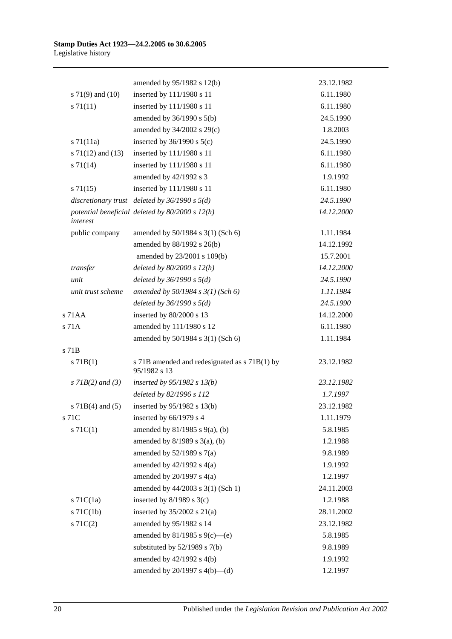|                       | amended by 95/1982 s 12(b)                                    | 23.12.1982 |
|-----------------------|---------------------------------------------------------------|------------|
| s 71(9) and (10)      | inserted by 111/1980 s 11                                     | 6.11.1980  |
| $s \, 71(11)$         | inserted by 111/1980 s 11                                     | 6.11.1980  |
|                       | amended by 36/1990 s 5(b)                                     | 24.5.1990  |
|                       | amended by 34/2002 s 29(c)                                    | 1.8.2003   |
| $s \, 71(11a)$        | inserted by $36/1990$ s $5(c)$                                | 24.5.1990  |
| s $71(12)$ and $(13)$ | inserted by 111/1980 s 11                                     | 6.11.1980  |
| $s \, 71(14)$         | inserted by 111/1980 s 11                                     | 6.11.1980  |
|                       | amended by 42/1992 s 3                                        | 1.9.1992   |
| $s \, 71(15)$         | inserted by 111/1980 s 11                                     | 6.11.1980  |
|                       | discretionary trust deleted by $36/1990 s 5(d)$               | 24.5.1990  |
| interest              | potential beneficial deleted by $80/2000 s 12(h)$             | 14.12.2000 |
| public company        | amended by 50/1984 s 3(1) (Sch 6)                             | 1.11.1984  |
|                       | amended by 88/1992 s 26(b)                                    | 14.12.1992 |
|                       | amended by 23/2001 s 109(b)                                   | 15.7.2001  |
| transfer              | deleted by $80/2000 s 12(h)$                                  | 14.12.2000 |
| unit                  | deleted by $36/1990 s 5(d)$                                   | 24.5.1990  |
| unit trust scheme     | amended by $50/1984 s 3(1)$ (Sch 6)                           | 1.11.1984  |
|                       | deleted by $36/1990 s 5(d)$                                   | 24.5.1990  |
| s 71AA                | inserted by 80/2000 s 13                                      | 14.12.2000 |
| s 71A                 | amended by 111/1980 s 12                                      | 6.11.1980  |
|                       | amended by 50/1984 s 3(1) (Sch 6)                             | 1.11.1984  |
| s 71B                 |                                                               |            |
| $s$ 71B(1)            | s 71B amended and redesignated as s 71B(1) by<br>95/1982 s 13 | 23.12.1982 |
| $s$ 71B(2) and (3)    | inserted by $95/1982$ s $13(b)$                               | 23.12.1982 |
|                       | deleted by 82/1996 s 112                                      | 1.7.1997   |
| s $71B(4)$ and $(5)$  | inserted by 95/1982 s 13(b)                                   | 23.12.1982 |
| s 71C                 | inserted by 66/1979 s 4                                       | 1.11.1979  |
| $s \, 71C(1)$         | amended by $81/1985$ s $9(a)$ , (b)                           | 5.8.1985   |
|                       | amended by $8/1989$ s $3(a)$ , (b)                            | 1.2.1988   |
|                       | amended by $52/1989$ s $7(a)$                                 | 9.8.1989   |
|                       | amended by $42/1992$ s $4(a)$                                 | 1.9.1992   |
|                       | amended by $20/1997$ s $4(a)$                                 | 1.2.1997   |
|                       | amended by 44/2003 s 3(1) (Sch 1)                             | 24.11.2003 |
| $s$ 71 $C(1a)$        | inserted by $8/1989$ s $3(c)$                                 | 1.2.1988   |
| $s$ 71 $C(1b)$        | inserted by $35/2002$ s $21(a)$                               | 28.11.2002 |
| $s \, 71C(2)$         | amended by 95/1982 s 14                                       | 23.12.1982 |
|                       | amended by 81/1985 s 9(c)—(e)                                 | 5.8.1985   |
|                       | substituted by $52/1989$ s $7(b)$                             | 9.8.1989   |
|                       | amended by $42/1992$ s $4(b)$                                 | 1.9.1992   |
|                       | amended by $20/1997$ s $4(b)$ —(d)                            | 1.2.1997   |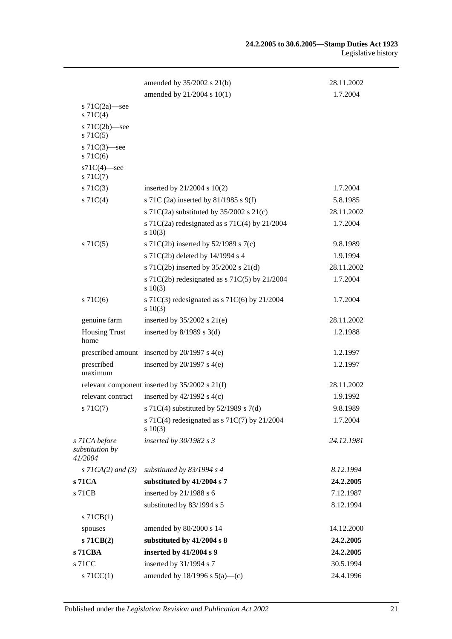|                                                    | amended by $35/2002$ s $21(b)$                              | 28.11.2002 |
|----------------------------------------------------|-------------------------------------------------------------|------------|
|                                                    | amended by 21/2004 s 10(1)                                  | 1.7.2004   |
| s $71C(2a)$ —see<br>S71C(4)                        |                                                             |            |
| s $71C(2b)$ —see<br>$s \, 71C(5)$                  |                                                             |            |
| s $71C(3)$ —see<br>$s$ 71 $C(6)$                   |                                                             |            |
| $s71C(4)$ -see<br>$s \, 71C(7)$                    |                                                             |            |
| $s \, 71C(3)$                                      | inserted by $21/2004$ s $10(2)$                             | 1.7.2004   |
| $s \, 71C(4)$                                      | s 71C (2a) inserted by 81/1985 s 9(f)                       | 5.8.1985   |
|                                                    | s 71C(2a) substituted by $35/2002$ s 21(c)                  | 28.11.2002 |
|                                                    | s 71C(2a) redesignated as s 71C(4) by 21/2004<br>$s\ 10(3)$ | 1.7.2004   |
| $s \, 71C(5)$                                      | s 71C(2b) inserted by $52/1989$ s 7(c)                      | 9.8.1989   |
|                                                    | s 71C(2b) deleted by 14/1994 s 4                            | 1.9.1994   |
|                                                    | s 71C(2b) inserted by 35/2002 s 21(d)                       | 28.11.2002 |
|                                                    | s 71C(2b) redesignated as s 71C(5) by $21/2004$<br>s 10(3)  | 1.7.2004   |
| $s$ 71 $C(6)$                                      | s 71C(3) redesignated as s 71C(6) by $21/2004$<br>s 10(3)   | 1.7.2004   |
| genuine farm                                       | inserted by $35/2002$ s $21(e)$                             | 28.11.2002 |
| <b>Housing Trust</b><br>home                       | inserted by $8/1989$ s 3(d)                                 | 1.2.1988   |
|                                                    | prescribed amount inserted by $20/1997$ s $4(e)$            | 1.2.1997   |
| prescribed<br>maximum                              | inserted by $20/1997$ s $4(e)$                              | 1.2.1997   |
|                                                    | relevant component inserted by 35/2002 s 21(f)              | 28.11.2002 |
| relevant contract                                  | inserted by $42/1992$ s $4(c)$                              | 1.9.1992   |
| $s \, 71C(7)$                                      | s 71C(4) substituted by $52/1989$ s 7(d)                    | 9.8.1989   |
|                                                    | s 71C(4) redesignated as s 71C(7) by 21/2004<br>$s\ 10(3)$  | 1.7.2004   |
| s 71CA before<br>substitution by<br><i>41/2004</i> | inserted by $30/1982 s3$                                    | 24.12.1981 |
| $s$ 71CA(2) and (3)                                | substituted by $83/1994$ s 4                                | 8.12.1994  |
| s 71 CA                                            | substituted by 41/2004 s 7                                  | 24.2.2005  |
| s 71CB                                             | inserted by 21/1988 s 6                                     | 7.12.1987  |
|                                                    | substituted by 83/1994 s 5                                  | 8.12.1994  |
| $s$ 71CB(1)                                        |                                                             |            |
| spouses                                            | amended by 80/2000 s 14                                     | 14.12.2000 |
| $s$ 71 $CB(2)$                                     | substituted by 41/2004 s 8                                  | 24.2.2005  |
| s71CBA                                             | inserted by 41/2004 s 9                                     | 24.2.2005  |
| s 71CC                                             | inserted by 31/1994 s 7                                     | 30.5.1994  |
| $s$ 71CC(1)                                        | amended by $18/1996$ s $5(a)$ —(c)                          | 24.4.1996  |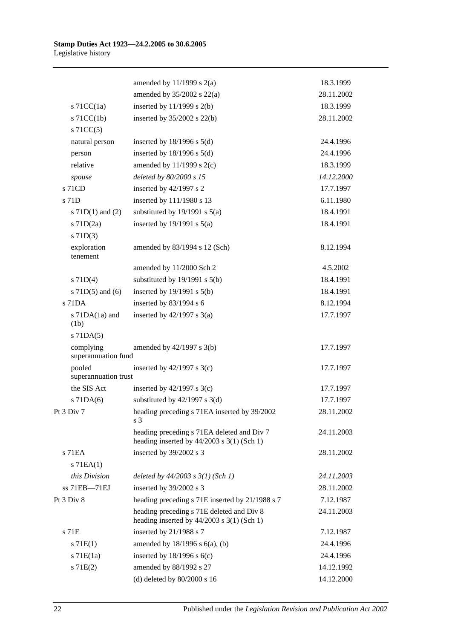|                                  | amended by $11/1999$ s $2(a)$                                                                | 18.3.1999  |
|----------------------------------|----------------------------------------------------------------------------------------------|------------|
|                                  | amended by $35/2002$ s $22(a)$                                                               | 28.11.2002 |
| s $71CC(1a)$                     | inserted by $11/1999$ s $2(b)$                                                               | 18.3.1999  |
| $s$ 71CC(1b)                     | inserted by $35/2002$ s $22(b)$                                                              | 28.11.2002 |
| $s$ 71CC(5)                      |                                                                                              |            |
| natural person                   | inserted by $18/1996$ s $5(d)$                                                               | 24.4.1996  |
| person                           | inserted by $18/1996$ s $5(d)$                                                               | 24.4.1996  |
| relative                         | amended by $11/1999$ s $2(c)$                                                                | 18.3.1999  |
| spouse                           | deleted by 80/2000 s 15                                                                      | 14.12.2000 |
| s 71CD                           | inserted by 42/1997 s 2                                                                      | 17.7.1997  |
| s 71D                            | inserted by 111/1980 s 13                                                                    | 6.11.1980  |
| s $71D(1)$ and $(2)$             | substituted by $19/1991$ s $5(a)$                                                            | 18.4.1991  |
| s 71D(2a)                        | inserted by $19/1991$ s $5(a)$                                                               | 18.4.1991  |
| $s$ 71D(3)                       |                                                                                              |            |
| exploration<br>tenement          | amended by 83/1994 s 12 (Sch)                                                                | 8.12.1994  |
|                                  | amended by 11/2000 Sch 2                                                                     | 4.5.2002   |
| $s$ 71D(4)                       | substituted by $19/1991$ s $5(b)$                                                            | 18.4.1991  |
| s $71D(5)$ and $(6)$             | inserted by $19/1991$ s $5(b)$                                                               | 18.4.1991  |
| $s$ 71DA                         | inserted by 83/1994 s 6                                                                      | 8.12.1994  |
| s $71DA(1a)$ and<br>(1b)         | inserted by $42/1997$ s $3(a)$                                                               | 17.7.1997  |
| $s$ 71DA $(5)$                   |                                                                                              |            |
| complying<br>superannuation fund | amended by $42/1997$ s $3(b)$                                                                | 17.7.1997  |
| pooled<br>superannuation trust   | inserted by $42/1997$ s 3(c)                                                                 | 17.7.1997  |
| the SIS Act                      | inserted by $42/1997$ s 3(c)                                                                 | 17.7.1997  |
| s 71DA(6)                        | substituted by $42/1997$ s 3(d)                                                              | 17.7.1997  |
| Pt 3 Div 7                       | heading preceding s 71EA inserted by 39/2002<br>s <sub>3</sub>                               | 28.11.2002 |
|                                  | heading preceding s 71EA deleted and Div 7<br>heading inserted by $44/2003$ s $3(1)$ (Sch 1) | 24.11.2003 |
| $s$ 71 $EA$                      | inserted by 39/2002 s 3                                                                      | 28.11.2002 |
| $s$ 71EA $(1)$                   |                                                                                              |            |
| this Division                    | deleted by $44/2003$ s $3(1)$ (Sch 1)                                                        | 24.11.2003 |
| ss 71EB-71EJ                     | inserted by 39/2002 s 3                                                                      | 28.11.2002 |
| Pt 3 Div 8                       | heading preceding s 71E inserted by 21/1988 s 7                                              | 7.12.1987  |
|                                  | heading preceding s 71E deleted and Div 8<br>heading inserted by $44/2003$ s $3(1)$ (Sch 1)  | 24.11.2003 |
| s 71E                            | inserted by 21/1988 s 7                                                                      | 7.12.1987  |
| s 71E(1)                         | amended by 18/1996 s 6(a), (b)                                                               | 24.4.1996  |
| $s$ 71 $E(1a)$                   | inserted by $18/1996$ s $6(c)$                                                               | 24.4.1996  |
| s 71E(2)                         | amended by 88/1992 s 27                                                                      | 14.12.1992 |
|                                  | (d) deleted by $80/2000$ s 16                                                                | 14.12.2000 |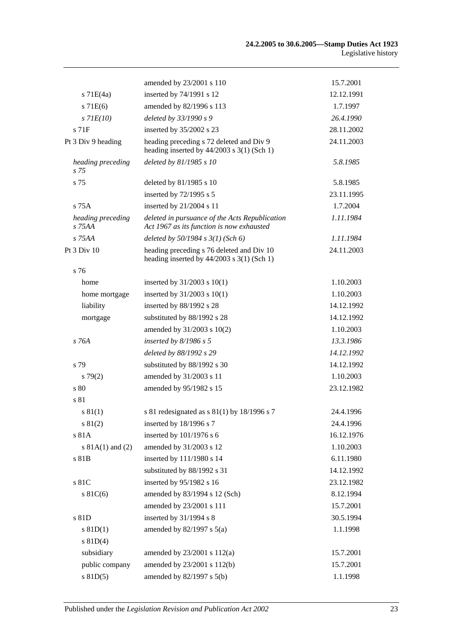|                               | amended by 23/2001 s 110                                                                    | 15.7.2001  |
|-------------------------------|---------------------------------------------------------------------------------------------|------------|
| $s$ 71 $E(4a)$                | inserted by 74/1991 s 12                                                                    | 12.12.1991 |
| $s$ 71 $E(6)$                 | amended by 82/1996 s 113                                                                    | 1.7.1997   |
| $s$ 71 $E(10)$                | deleted by 33/1990 s 9                                                                      | 26.4.1990  |
| $s$ 71 $F$                    | inserted by 35/2002 s 23                                                                    | 28.11.2002 |
| Pt 3 Div 9 heading            | heading preceding s 72 deleted and Div 9<br>heading inserted by $44/2003$ s 3(1) (Sch 1)    | 24.11.2003 |
| heading preceding<br>$s$ 75   | deleted by 81/1985 s 10                                                                     | 5.8.1985   |
| s 75                          | deleted by 81/1985 s 10                                                                     | 5.8.1985   |
|                               | inserted by 72/1995 s 5                                                                     | 23.11.1995 |
| $s$ 75 $A$                    | inserted by 21/2004 s 11                                                                    | 1.7.2004   |
| heading preceding<br>$S$ 75AA | deleted in pursuance of the Acts Republication<br>Act 1967 as its function is now exhausted | 1.11.1984  |
| s 75AA                        | deleted by $50/1984$ s $3(1)$ (Sch 6)                                                       | 1.11.1984  |
| Pt 3 Div 10                   | heading preceding s 76 deleted and Div 10<br>heading inserted by $44/2003$ s 3(1) (Sch 1)   | 24.11.2003 |
| s 76                          |                                                                                             |            |
| home                          | inserted by $31/2003$ s $10(1)$                                                             | 1.10.2003  |
| home mortgage                 | inserted by $31/2003$ s $10(1)$                                                             | 1.10.2003  |
| liability                     | inserted by 88/1992 s 28                                                                    | 14.12.1992 |
| mortgage                      | substituted by 88/1992 s 28                                                                 | 14.12.1992 |
|                               | amended by 31/2003 s 10(2)                                                                  | 1.10.2003  |
| s 76A                         | inserted by $8/1986$ s 5                                                                    | 13.3.1986  |
|                               | deleted by 88/1992 s 29                                                                     | 14.12.1992 |
| s 79                          | substituted by 88/1992 s 30                                                                 | 14.12.1992 |
| s79(2)                        | amended by 31/2003 s 11                                                                     | 1.10.2003  |
| s 80                          | amended by 95/1982 s 15                                                                     | 23.12.1982 |
| s 81                          |                                                                                             |            |
| s 81(1)                       | s 81 redesignated as s 81(1) by 18/1996 s 7                                                 | 24.4.1996  |
| s 81(2)                       | inserted by 18/1996 s 7                                                                     | 24.4.1996  |
| s 81A                         | inserted by 101/1976 s 6                                                                    | 16.12.1976 |
| s $81A(1)$ and $(2)$          | amended by 31/2003 s 12                                                                     | 1.10.2003  |
| s 81B                         | inserted by 111/1980 s 14                                                                   | 6.11.1980  |
|                               | substituted by 88/1992 s 31                                                                 | 14.12.1992 |
| s 81C                         | inserted by 95/1982 s 16                                                                    | 23.12.1982 |
| s 81C(6)                      | amended by 83/1994 s 12 (Sch)                                                               | 8.12.1994  |
|                               | amended by 23/2001 s 111                                                                    | 15.7.2001  |
| s 81D                         | inserted by 31/1994 s 8                                                                     | 30.5.1994  |
| $s$ 81D(1)                    | amended by 82/1997 s 5(a)                                                                   | 1.1.1998   |
| s 81D(4)                      |                                                                                             |            |
| subsidiary                    | amended by 23/2001 s 112(a)                                                                 | 15.7.2001  |
| public company                | amended by 23/2001 s 112(b)                                                                 | 15.7.2001  |
| $s$ 81D(5)                    | amended by 82/1997 s 5(b)                                                                   | 1.1.1998   |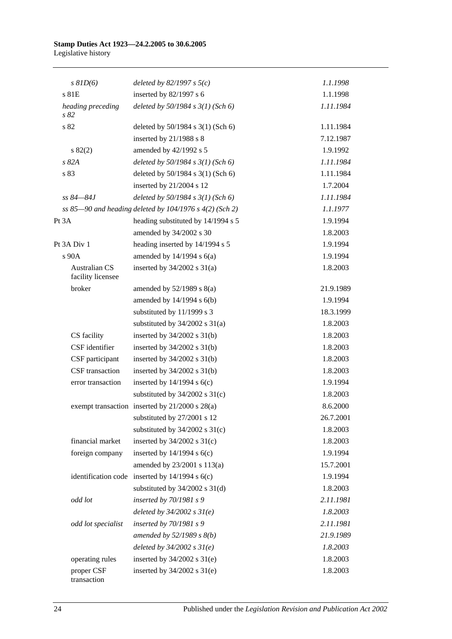| $s$ $81D(6)$                              | deleted by $82/1997 s 5(c)$                             | 1.1.1998  |
|-------------------------------------------|---------------------------------------------------------|-----------|
| s 81E                                     | inserted by $82/1997$ s 6                               | 1.1.1998  |
| heading preceding<br>s 82                 | deleted by 50/1984 s 3(1) (Sch 6)                       | 1.11.1984 |
| s 82                                      | deleted by $50/1984$ s $3(1)$ (Sch 6)                   | 1.11.1984 |
|                                           | inserted by $21/1988$ s 8                               | 7.12.1987 |
| $s\,82(2)$                                | amended by 42/1992 s 5                                  | 1.9.1992  |
| s 82A                                     | deleted by $50/1984$ s $3(1)$ (Sch 6)                   | 1.11.1984 |
| s 83                                      | deleted by 50/1984 s 3(1) (Sch 6)                       | 1.11.1984 |
|                                           | inserted by 21/2004 s 12                                | 1.7.2004  |
| ss 84–84J                                 | deleted by $50/1984 s 3(1)$ (Sch 6)                     | 1.11.1984 |
|                                           | ss 85-90 and heading deleted by 104/1976 s 4(2) (Sch 2) | 1.1.1977  |
| Pt 3A                                     | heading substituted by 14/1994 s 5                      | 1.9.1994  |
|                                           | amended by 34/2002 s 30                                 | 1.8.2003  |
| Pt 3A Div 1                               | heading inserted by 14/1994 s 5                         | 1.9.1994  |
| $s$ 90 $A$                                | amended by $14/1994$ s $6(a)$                           | 1.9.1994  |
| <b>Australian CS</b><br>facility licensee | inserted by $34/2002$ s $31(a)$                         | 1.8.2003  |
| broker                                    | amended by $52/1989$ s $8(a)$                           | 21.9.1989 |
|                                           | amended by $14/1994$ s $6(b)$                           | 1.9.1994  |
|                                           | substituted by 11/1999 s 3                              | 18.3.1999 |
|                                           | substituted by 34/2002 s 31(a)                          | 1.8.2003  |
| CS facility                               | inserted by $34/2002$ s $31(b)$                         | 1.8.2003  |
| CSF identifier                            | inserted by $34/2002$ s $31(b)$                         | 1.8.2003  |
| CSF participant                           | inserted by $34/2002$ s $31(b)$                         | 1.8.2003  |
| CSF transaction                           | inserted by $34/2002$ s $31(b)$                         | 1.8.2003  |
| error transaction                         | inserted by $14/1994$ s $6(c)$                          | 1.9.1994  |
|                                           | substituted by $34/2002$ s $31(c)$                      | 1.8.2003  |
|                                           | exempt transaction inserted by 21/2000 s 28(a)          | 8.6.2000  |
|                                           | substituted by 27/2001 s 12                             | 26.7.2001 |
|                                           | substituted by $34/2002$ s $31(c)$                      | 1.8.2003  |
| financial market                          | inserted by $34/2002$ s $31(c)$                         | 1.8.2003  |
| foreign company                           | inserted by $14/1994$ s $6(c)$                          | 1.9.1994  |
|                                           | amended by 23/2001 s 113(a)                             | 15.7.2001 |
|                                           | identification code inserted by $14/1994$ s $6(c)$      | 1.9.1994  |
|                                           | substituted by $34/2002$ s $31(d)$                      | 1.8.2003  |
| odd lot                                   | inserted by $70/1981 s$ 9                               | 2.11.1981 |
|                                           | deleted by $34/2002 s 31(e)$                            | 1.8.2003  |
| odd lot specialist                        | inserted by $70/1981 s$ 9                               | 2.11.1981 |
|                                           | amended by $52/1989$ s $8(b)$                           | 21.9.1989 |
|                                           | deleted by $34/2002 s 31(e)$                            | 1.8.2003  |
| operating rules                           | inserted by $34/2002$ s $31(e)$                         | 1.8.2003  |
| proper CSF<br>transaction                 | inserted by $34/2002$ s $31(e)$                         | 1.8.2003  |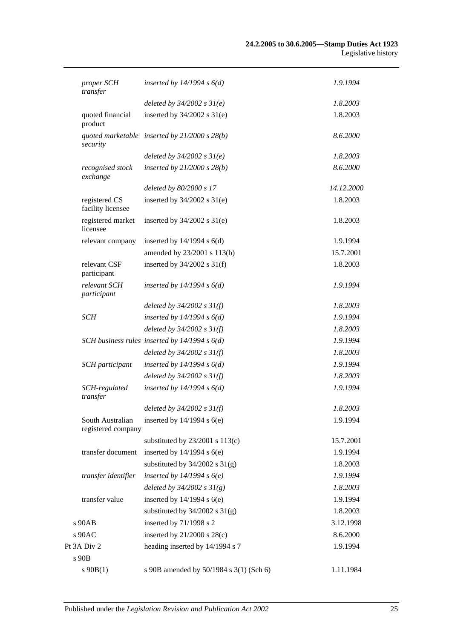| proper SCH<br>transfer                 | inserted by $14/1994 s 6(d)$                    | 1.9.1994   |
|----------------------------------------|-------------------------------------------------|------------|
|                                        | deleted by $34/2002 s 31(e)$                    | 1.8.2003   |
| quoted financial<br>product            | inserted by $34/2002$ s $31(e)$                 | 1.8.2003   |
| security                               | quoted marketable inserted by $21/2000 s 28(b)$ | 8.6.2000   |
|                                        | deleted by $34/2002$ s $31(e)$                  | 1.8.2003   |
| recognised stock<br>exchange           | inserted by $21/2000 s 28(b)$                   | 8.6.2000   |
|                                        | deleted by 80/2000 s 17                         | 14.12.2000 |
| registered CS<br>facility licensee     | inserted by $34/2002$ s $31(e)$                 | 1.8.2003   |
| registered market<br>licensee          | inserted by $34/2002$ s $31(e)$                 | 1.8.2003   |
| relevant company                       | inserted by $14/1994$ s $6(d)$                  | 1.9.1994   |
|                                        | amended by 23/2001 s 113(b)                     | 15.7.2001  |
| relevant CSF<br>participant            | inserted by $34/2002$ s $31(f)$                 | 1.8.2003   |
| relevant SCH<br>participant            | inserted by $14/1994 s 6(d)$                    | 1.9.1994   |
|                                        | deleted by $34/2002$ s $31(f)$                  | 1.8.2003   |
| <b>SCH</b>                             | inserted by $14/1994 s 6(d)$                    | 1.9.1994   |
|                                        | deleted by $34/2002 s 31(f)$                    | 1.8.2003   |
|                                        | SCH business rules inserted by $14/1994 s 6(d)$ | 1.9.1994   |
|                                        | deleted by $34/2002$ s $31(f)$                  | 1.8.2003   |
| <b>SCH</b> participant                 | inserted by $14/1994 s 6(d)$                    | 1.9.1994   |
|                                        | deleted by $34/2002 s 31(f)$                    | 1.8.2003   |
| SCH-regulated<br>transfer              | inserted by $14/1994 s 6(d)$                    | 1.9.1994   |
|                                        | deleted by $34/2002$ s $31(f)$                  | 1.8.2003   |
| South Australian<br>registered company | inserted by $14/1994$ s $6(e)$                  | 1.9.1994   |
|                                        | substituted by $23/2001$ s $113(c)$             | 15.7.2001  |
| transfer document                      | inserted by $14/1994$ s $6(e)$                  | 1.9.1994   |
|                                        | substituted by $34/2002$ s $31(g)$              | 1.8.2003   |
| transfer identifier                    | inserted by $14/1994 s6(e)$                     | 1.9.1994   |
|                                        | deleted by $34/2002 s 31(g)$                    | 1.8.2003   |
| transfer value                         | inserted by $14/1994$ s $6(e)$                  | 1.9.1994   |
|                                        | substituted by $34/2002$ s $31(g)$              | 1.8.2003   |
| s 90AB                                 | inserted by 71/1998 s 2                         | 3.12.1998  |
| s 90AC                                 | inserted by $21/2000$ s $28(c)$                 | 8.6.2000   |
| Pt 3A Div 2                            | heading inserted by 14/1994 s 7                 | 1.9.1994   |
| s 90B                                  |                                                 |            |
| $s\,90B(1)$                            | s 90B amended by 50/1984 s 3(1) (Sch 6)         | 1.11.1984  |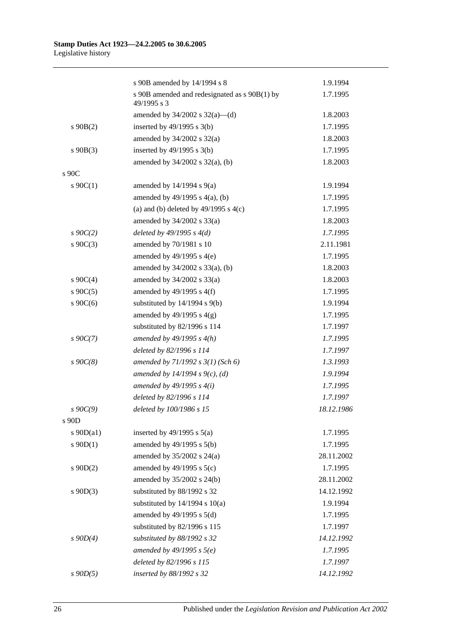|               | s 90B amended by 14/1994 s 8                                 | 1.9.1994   |
|---------------|--------------------------------------------------------------|------------|
|               | s 90B amended and redesignated as s 90B(1) by<br>49/1995 s 3 | 1.7.1995   |
|               | amended by $34/2002$ s $32(a)$ —(d)                          | 1.8.2003   |
| $s\ 90B(2)$   | inserted by $49/1995$ s 3(b)                                 | 1.7.1995   |
|               | amended by $34/2002$ s $32(a)$                               | 1.8.2003   |
| $s\ 90B(3)$   | inserted by $49/1995$ s $3(b)$                               | 1.7.1995   |
|               | amended by $34/2002$ s $32(a)$ , (b)                         | 1.8.2003   |
| s 90C         |                                                              |            |
| $s \ 90C(1)$  | amended by $14/1994$ s $9(a)$                                | 1.9.1994   |
|               | amended by $49/1995$ s $4(a)$ , (b)                          | 1.7.1995   |
|               | (a) and (b) deleted by $49/1995$ s $4(c)$                    | 1.7.1995   |
|               | amended by $34/2002$ s $33(a)$                               | 1.8.2003   |
| $s \, 90C(2)$ | deleted by $49/1995 s 4(d)$                                  | 1.7.1995   |
| $s \ 90C(3)$  | amended by 70/1981 s 10                                      | 2.11.1981  |
|               | amended by $49/1995$ s $4(e)$                                | 1.7.1995   |
|               | amended by 34/2002 s 33(a), (b)                              | 1.8.2003   |
| $s \ 90C(4)$  | amended by $34/2002$ s $33(a)$                               | 1.8.2003   |
| $s \ 90C(5)$  | amended by $49/1995$ s $4(f)$                                | 1.7.1995   |
| s $90C(6)$    | substituted by $14/1994$ s $9(b)$                            | 1.9.1994   |
|               | amended by $49/1995$ s $4(g)$                                | 1.7.1995   |
|               | substituted by 82/1996 s 114                                 | 1.7.1997   |
| $s \, 90C(7)$ | amended by $49/1995 s 4(h)$                                  | 1.7.1995   |
|               | deleted by 82/1996 s 114                                     | 1.7.1997   |
| $s\ 90C(8)$   | amended by $71/1992$ s $3(1)$ (Sch 6)                        | 1.3.1993   |
|               | amended by 14/1994 s 9(c), (d)                               | 1.9.1994   |
|               | amended by $49/1995 s 4(i)$                                  | 1.7.1995   |
|               | deleted by 82/1996 s 114                                     | 1.7.1997   |
| $s \, 90C(9)$ | deleted by 100/1986 s 15                                     | 18.12.1986 |
| s 90D         |                                                              |            |
| s $90D(a1)$   | inserted by $49/1995$ s $5(a)$                               | 1.7.1995   |
| $s \ 90D(1)$  | amended by 49/1995 s 5(b)                                    | 1.7.1995   |
|               | amended by $35/2002$ s $24(a)$                               | 28.11.2002 |
| $s$ 90D(2)    | amended by $49/1995$ s $5(c)$                                | 1.7.1995   |
|               | amended by 35/2002 s 24(b)                                   | 28.11.2002 |
| $s \ 90D(3)$  | substituted by 88/1992 s 32                                  | 14.12.1992 |
|               | substituted by $14/1994$ s $10(a)$                           | 1.9.1994   |
|               | amended by $49/1995$ s $5(d)$                                | 1.7.1995   |
|               | substituted by 82/1996 s 115                                 | 1.7.1997   |
| $s$ 90D(4)    | substituted by 88/1992 s 32                                  | 14.12.1992 |
|               | amended by 49/1995 s $5(e)$                                  | 1.7.1995   |
|               | deleted by 82/1996 s 115                                     | 1.7.1997   |
| $s$ 90 $D(5)$ | inserted by 88/1992 s 32                                     | 14.12.1992 |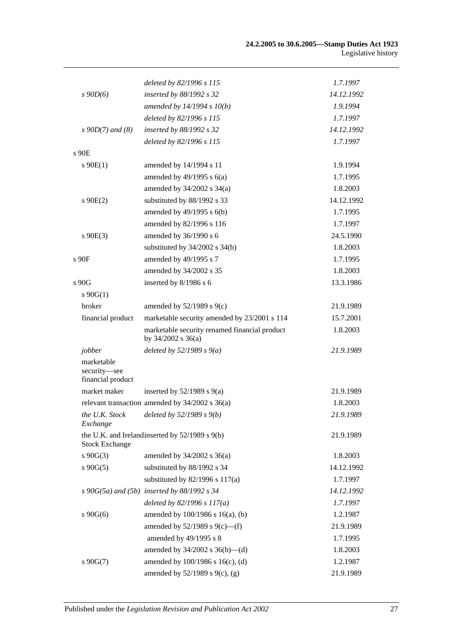|                                                 | deleted by 82/1996 s 115                                            | 1.7.1997   |
|-------------------------------------------------|---------------------------------------------------------------------|------------|
| $s\,90D(6)$                                     | inserted by 88/1992 s 32                                            | 14.12.1992 |
|                                                 | amended by $14/1994 s 10(b)$                                        | 1.9.1994   |
|                                                 | deleted by 82/1996 s 115                                            | 1.7.1997   |
| $s \, 90D(7)$ and (8)                           | inserted by 88/1992 s 32                                            | 14.12.1992 |
|                                                 | deleted by 82/1996 s 115                                            | 1.7.1997   |
| $s$ 90 $E$                                      |                                                                     |            |
| $s \ 90E(1)$                                    | amended by 14/1994 s 11                                             | 1.9.1994   |
|                                                 | amended by $49/1995$ s $6(a)$                                       | 1.7.1995   |
|                                                 | amended by $34/2002$ s $34(a)$                                      | 1.8.2003   |
| $s$ 90E(2)                                      | substituted by 88/1992 s 33                                         | 14.12.1992 |
|                                                 | amended by $49/1995$ s $6(b)$                                       | 1.7.1995   |
|                                                 | amended by 82/1996 s 116                                            | 1.7.1997   |
| $s\ 90E(3)$                                     | amended by 36/1990 s 6                                              | 24.5.1990  |
|                                                 | substituted by $34/2002$ s $34(b)$                                  | 1.8.2003   |
| s 90F                                           | amended by 49/1995 s 7                                              | 1.7.1995   |
|                                                 | amended by 34/2002 s 35                                             | 1.8.2003   |
| s 90G                                           | inserted by 8/1986 s 6                                              | 13.3.1986  |
| $s \ 90G(1)$                                    |                                                                     |            |
| broker                                          | amended by $52/1989$ s $9(c)$                                       | 21.9.1989  |
| financial product                               | marketable security amended by 23/2001 s 114                        | 15.7.2001  |
|                                                 | marketable security renamed financial product<br>by 34/2002 s 36(a) | 1.8.2003   |
| jobber                                          | deleted by $52/1989 s 9(a)$                                         | 21.9.1989  |
| marketable<br>security-see<br>financial product |                                                                     |            |
| market maker                                    | inserted by $52/1989$ s $9(a)$                                      | 21.9.1989  |
|                                                 | relevant transaction amended by $34/2002$ s $36(a)$                 | 1.8.2003   |
| Exchange                                        | the U.K. Stock deleted by $52/1989 s 9(b)$                          | 21.9.1989  |
| <b>Stock Exchange</b>                           | the U.K. and Irelandinserted by 52/1989 s 9(b)                      | 21.9.1989  |
| $s\ 90G(3)$                                     | amended by $34/2002$ s $36(a)$                                      | 1.8.2003   |
| $s\ 90G(5)$                                     | substituted by 88/1992 s 34                                         | 14.12.1992 |
|                                                 | substituted by 82/1996 s 117(a)                                     | 1.7.1997   |
|                                                 | $s$ 90G(5a) and (5b) inserted by 88/1992 $s$ 34                     | 14.12.1992 |
|                                                 | deleted by $82/1996 s 117(a)$                                       | 1.7.1997   |
| $s\ 90G(6)$                                     | amended by 100/1986 s 16(a), (b)                                    | 1.2.1987   |
|                                                 | amended by $52/1989$ s $9(c)$ —(f)                                  | 21.9.1989  |
|                                                 | amended by 49/1995 s 8                                              | 1.7.1995   |
|                                                 | amended by 34/2002 s 36(b)-(d)                                      | 1.8.2003   |
| $s\ 90G(7)$                                     | amended by 100/1986 s 16(c), (d)                                    | 1.2.1987   |
|                                                 | amended by $52/1989$ s $9(c)$ , (g)                                 | 21.9.1989  |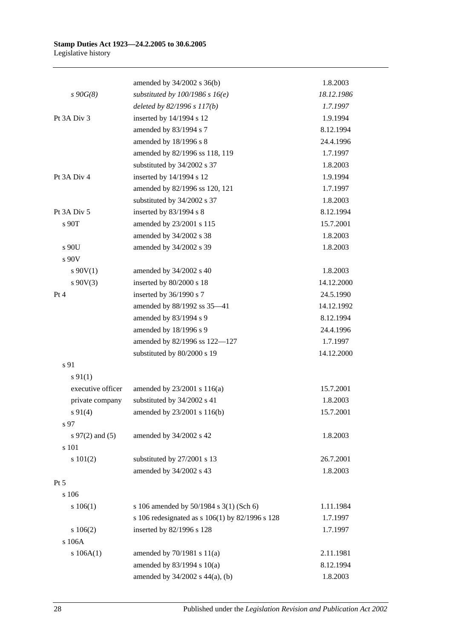#### **Stamp Duties Act 1923—24.2.2005 to 30.6.2005** Legislative history

|                     | amended by 34/2002 s 36(b)                      | 1.8.2003   |
|---------------------|-------------------------------------------------|------------|
| $s\,90G(8)$         | substituted by $100/1986$ s $16(e)$             | 18.12.1986 |
|                     | deleted by 82/1996 s 117(b)                     | 1.7.1997   |
| Pt 3A Div 3         | inserted by 14/1994 s 12                        | 1.9.1994   |
|                     | amended by 83/1994 s 7                          | 8.12.1994  |
|                     | amended by 18/1996 s 8                          | 24.4.1996  |
|                     | amended by 82/1996 ss 118, 119                  | 1.7.1997   |
|                     | substituted by 34/2002 s 37                     | 1.8.2003   |
| Pt 3A Div 4         | inserted by 14/1994 s 12                        | 1.9.1994   |
|                     | amended by 82/1996 ss 120, 121                  | 1.7.1997   |
|                     | substituted by 34/2002 s 37                     | 1.8.2003   |
| Pt 3A Div 5         | inserted by 83/1994 s 8                         | 8.12.1994  |
| s 90T               | amended by 23/2001 s 115                        | 15.7.2001  |
|                     | amended by 34/2002 s 38                         | 1.8.2003   |
| s 90U               | amended by 34/2002 s 39                         | 1.8.2003   |
| s 90V               |                                                 |            |
| $s\ 90V(1)$         | amended by 34/2002 s 40                         | 1.8.2003   |
| $s\ 90V(3)$         | inserted by 80/2000 s 18                        | 14.12.2000 |
| Pt 4                | inserted by 36/1990 s 7                         | 24.5.1990  |
|                     | amended by 88/1992 ss 35-41                     | 14.12.1992 |
|                     | amended by 83/1994 s 9                          | 8.12.1994  |
|                     | amended by 18/1996 s 9                          | 24.4.1996  |
|                     | amended by 82/1996 ss 122-127                   | 1.7.1997   |
|                     | substituted by 80/2000 s 19                     | 14.12.2000 |
| s 91                |                                                 |            |
| $s \, 91(1)$        |                                                 |            |
| executive officer   | amended by 23/2001 s 116(a)                     | 15.7.2001  |
| private company     | substituted by 34/2002 s 41                     | 1.8.2003   |
| $s\ 91(4)$          | amended by 23/2001 s 116(b)                     | 15.7.2001  |
| s 97                |                                                 |            |
| s $97(2)$ and $(5)$ | amended by 34/2002 s 42                         | 1.8.2003   |
| s 101               |                                                 |            |
| s 101(2)            | substituted by 27/2001 s 13                     | 26.7.2001  |
|                     | amended by 34/2002 s 43                         | 1.8.2003   |
| $Pt\,5$             |                                                 |            |
| s 106               |                                                 |            |
| 106(1)              | s 106 amended by 50/1984 s 3(1) (Sch 6)         | 1.11.1984  |
|                     | s 106 redesignated as s 106(1) by 82/1996 s 128 | 1.7.1997   |
| 106(2)              | inserted by 82/1996 s 128                       | 1.7.1997   |
| s 106A              |                                                 |            |
| s 106A(1)           | amended by 70/1981 s 11(a)                      | 2.11.1981  |
|                     | amended by 83/1994 s 10(a)                      | 8.12.1994  |
|                     | amended by 34/2002 s 44(a), (b)                 | 1.8.2003   |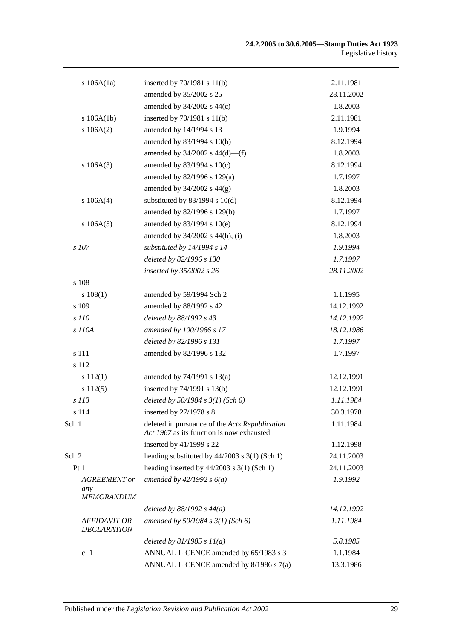| s $106A(1a)$                              | inserted by 70/1981 s 11(b)                                                                 | 2.11.1981  |
|-------------------------------------------|---------------------------------------------------------------------------------------------|------------|
|                                           | amended by 35/2002 s 25                                                                     | 28.11.2002 |
|                                           | amended by 34/2002 s 44(c)                                                                  | 1.8.2003   |
| s 106A(1b)                                | inserted by $70/1981$ s $11(b)$                                                             | 2.11.1981  |
| s 106A(2)                                 | amended by 14/1994 s 13                                                                     | 1.9.1994   |
|                                           | amended by 83/1994 s 10(b)                                                                  | 8.12.1994  |
|                                           | amended by $34/2002$ s $44(d)$ —(f)                                                         | 1.8.2003   |
| s 106A(3)                                 | amended by 83/1994 s 10(c)                                                                  | 8.12.1994  |
|                                           | amended by 82/1996 s 129(a)                                                                 | 1.7.1997   |
|                                           | amended by $34/2002$ s $44(g)$                                                              | 1.8.2003   |
| s 106A(4)                                 | substituted by $83/1994$ s $10(d)$                                                          | 8.12.1994  |
|                                           | amended by 82/1996 s 129(b)                                                                 | 1.7.1997   |
| s 106A(5)                                 | amended by 83/1994 s 10(e)                                                                  | 8.12.1994  |
|                                           | amended by 34/2002 s 44(h), (i)                                                             | 1.8.2003   |
| s 107                                     | substituted by 14/1994 s 14                                                                 | 1.9.1994   |
|                                           | deleted by 82/1996 s 130                                                                    | 1.7.1997   |
|                                           | inserted by 35/2002 s 26                                                                    | 28.11.2002 |
| s 108                                     |                                                                                             |            |
| s 108(1)                                  | amended by 59/1994 Sch 2                                                                    | 1.1.1995   |
| s 109                                     | amended by 88/1992 s 42                                                                     | 14.12.1992 |
| s 110                                     | deleted by 88/1992 s 43                                                                     | 14.12.1992 |
| s 110A                                    | amended by 100/1986 s 17                                                                    | 18.12.1986 |
|                                           | deleted by 82/1996 s 131                                                                    | 1.7.1997   |
| s 111                                     | amended by 82/1996 s 132                                                                    | 1.7.1997   |
| s 112                                     |                                                                                             |            |
| s 112(1)                                  | amended by 74/1991 s 13(a)                                                                  | 12.12.1991 |
| s 112(5)                                  | inserted by 74/1991 s 13(b)                                                                 | 12.12.1991 |
| s 113                                     | deleted by $50/1984 s 3(1)$ (Sch 6)                                                         | 1.11.1984  |
| s 114                                     | inserted by $27/1978$ s 8                                                                   | 30.3.1978  |
| Sch 1                                     | deleted in pursuance of the Acts Republication<br>Act 1967 as its function is now exhausted | 1.11.1984  |
|                                           | inserted by 41/1999 s 22                                                                    | 1.12.1998  |
| Sch 2                                     | heading substituted by $44/2003$ s $3(1)$ (Sch 1)                                           | 24.11.2003 |
| Pt 1                                      | heading inserted by $44/2003$ s 3(1) (Sch 1)                                                | 24.11.2003 |
| AGREEMENT or<br>any                       | amended by $42/1992 s 6(a)$                                                                 | 1.9.1992   |
| <b>MEMORANDUM</b>                         |                                                                                             |            |
|                                           | deleted by $88/1992 s 44(a)$                                                                | 14.12.1992 |
| <b>AFFIDAVIT OR</b><br><b>DECLARATION</b> | amended by 50/1984 s 3(1) (Sch 6)                                                           | 1.11.1984  |
|                                           | deleted by $81/1985 s 11(a)$                                                                | 5.8.1985   |
| cl 1                                      | ANNUAL LICENCE amended by 65/1983 s 3                                                       | 1.1.1984   |
|                                           | ANNUAL LICENCE amended by 8/1986 s 7(a)                                                     | 13.3.1986  |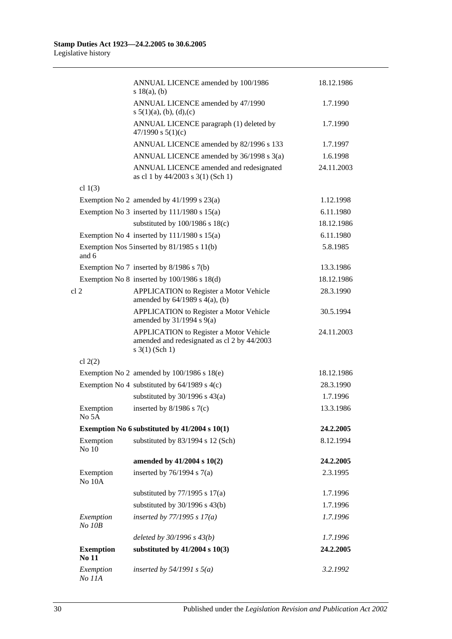|                           | ANNUAL LICENCE amended by 100/1986<br>s $18(a)$ , (b)                                                                | 18.12.1986 |
|---------------------------|----------------------------------------------------------------------------------------------------------------------|------------|
|                           | ANNUAL LICENCE amended by 47/1990<br>s $5(1)(a)$ , (b), (d), (c)                                                     | 1.7.1990   |
|                           | ANNUAL LICENCE paragraph (1) deleted by<br>47/1990 s $5(1)(c)$                                                       | 1.7.1990   |
|                           | ANNUAL LICENCE amended by 82/1996 s 133                                                                              | 1.7.1997   |
|                           | ANNUAL LICENCE amended by 36/1998 s 3(a)                                                                             | 1.6.1998   |
|                           | ANNUAL LICENCE amended and redesignated<br>as cl 1 by 44/2003 s 3(1) (Sch 1)                                         | 24.11.2003 |
| cl $1(3)$                 |                                                                                                                      |            |
|                           | Exemption No 2 amended by $41/1999$ s $23(a)$                                                                        | 1.12.1998  |
|                           | Exemption No 3 inserted by $111/1980$ s $15(a)$                                                                      | 6.11.1980  |
|                           | substituted by $100/1986$ s $18(c)$                                                                                  | 18.12.1986 |
|                           | Exemption No 4 inserted by $111/1980$ s $15(a)$                                                                      | 6.11.1980  |
| and 6                     | Exemption Nos 5 inserted by 81/1985 s 11(b)                                                                          | 5.8.1985   |
|                           | Exemption No 7 inserted by 8/1986 s 7(b)                                                                             | 13.3.1986  |
|                           | Exemption No $8$ inserted by $100/1986$ s $18(d)$                                                                    | 18.12.1986 |
| cl <sub>2</sub>           | APPLICATION to Register a Motor Vehicle<br>amended by $64/1989$ s $4(a)$ , (b)                                       | 28.3.1990  |
|                           | <b>APPLICATION</b> to Register a Motor Vehicle<br>amended by $31/1994$ s $9(a)$                                      | 30.5.1994  |
|                           | <b>APPLICATION</b> to Register a Motor Vehicle<br>amended and redesignated as cl 2 by 44/2003<br>$s \; 3(1)$ (Sch 1) | 24.11.2003 |
| cl $2(2)$                 |                                                                                                                      |            |
|                           | Exemption No 2 amended by $100/1986$ s $18(e)$                                                                       | 18.12.1986 |
|                           | Exemption No 4 substituted by $64/1989$ s $4(c)$                                                                     | 28.3.1990  |
|                           | substituted by $30/1996$ s $43(a)$                                                                                   | 1.7.1996   |
| Exemption<br>No 5A        | inserted by $8/1986$ s $7(c)$                                                                                        | 13.3.1986  |
|                           | Exemption No 6 substituted by $41/2004$ s $10(1)$                                                                    | 24.2.2005  |
| Exemption<br>No 10        | substituted by 83/1994 s 12 (Sch)                                                                                    | 8.12.1994  |
|                           | amended by 41/2004 s 10(2)                                                                                           | 24.2.2005  |
| Exemption<br>No 10A       | inserted by $76/1994$ s $7(a)$                                                                                       | 2.3.1995   |
|                           | substituted by $77/1995$ s $17(a)$                                                                                   | 1.7.1996   |
|                           | substituted by $30/1996$ s $43(b)$                                                                                   | 1.7.1996   |
| Exemption<br>$No$ $10B$   | inserted by $77/1995 s 17(a)$                                                                                        | 1.7.1996   |
|                           | deleted by $30/1996 s 43(b)$                                                                                         | 1.7.1996   |
| <b>Exemption</b><br>No 11 | substituted by $41/2004$ s $10(3)$                                                                                   | 24.2.2005  |
| Exemption<br>No 11A       | inserted by $54/1991$ s $5(a)$                                                                                       | 3.2.1992   |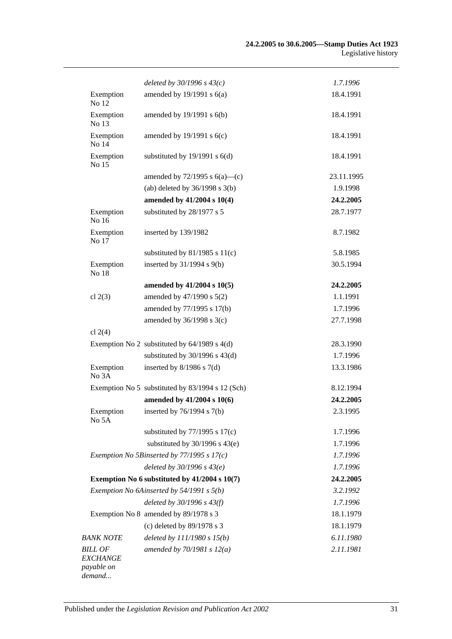|                                   | deleted by $30/1996 s 43(c)$                     | 1.7.1996   |
|-----------------------------------|--------------------------------------------------|------------|
| Exemption<br>No 12                | amended by $19/1991$ s $6(a)$                    | 18.4.1991  |
| Exemption<br>No 13                | amended by 19/1991 s 6(b)                        | 18.4.1991  |
| Exemption<br>No 14                | amended by $19/1991$ s $6(c)$                    | 18.4.1991  |
| Exemption<br>No 15                | substituted by $19/1991$ s $6(d)$                | 18.4.1991  |
|                                   | amended by $72/1995$ s $6(a)$ —(c)               | 23.11.1995 |
|                                   | (ab) deleted by $36/1998$ s $3(b)$               | 1.9.1998   |
|                                   | amended by 41/2004 s 10(4)                       | 24.2.2005  |
| Exemption<br>No 16                | substituted by 28/1977 s 5                       | 28.7.1977  |
| Exemption<br>No 17                | inserted by 139/1982                             | 8.7.1982   |
|                                   | substituted by $81/1985$ s $11(c)$               | 5.8.1985   |
| Exemption<br>No 18                | inserted by $31/1994$ s $9(b)$                   | 30.5.1994  |
|                                   | amended by $41/2004$ s $10(5)$                   | 24.2.2005  |
| cl $2(3)$                         | amended by 47/1990 s 5(2)                        | 1.1.1991   |
|                                   | amended by 77/1995 s 17(b)                       | 1.7.1996   |
|                                   | amended by $36/1998$ s $3(c)$                    | 27.7.1998  |
| cl $2(4)$                         |                                                  |            |
|                                   | Exemption No 2 substituted by $64/1989$ s $4(d)$ | 28.3.1990  |
|                                   | substituted by $30/1996$ s $43(d)$               | 1.7.1996   |
| Exemption<br>No 3A                | inserted by $8/1986$ s $7(d)$                    | 13.3.1986  |
|                                   | Exemption No 5 substituted by 83/1994 s 12 (Sch) | 8.12.1994  |
|                                   | amended by 41/2004 s 10(6)                       | 24.2.2005  |
| Exemption<br>No 5A                | inserted by 76/1994 s 7(b)                       | 2.3.1995   |
|                                   | substituted by $77/1995$ s $17(c)$               | 1.7.1996   |
|                                   | substituted by $30/1996$ s $43(e)$               | 1.7.1996   |
|                                   | Exemption No 5Binserted by $77/1995 s 17(c)$     | 1.7.1996   |
|                                   | deleted by $30/1996 s 43(e)$                     | 1.7.1996   |
|                                   | Exemption No 6 substituted by 41/2004 s 10(7)    | 24.2.2005  |
|                                   | Exemption No 6Ainserted by 54/1991 s 5(b)        | 3.2.1992   |
|                                   | deleted by $30/1996 s 43(f)$                     | 1.7.1996   |
|                                   | Exemption No 8 amended by 89/1978 s 3            | 18.1.1979  |
|                                   | (c) deleted by $89/1978$ s 3                     | 18.1.1979  |
| <b>BANK NOTE</b>                  | deleted by $111/1980 s 15(b)$                    | 6.11.1980  |
| <b>BILL OF</b><br><b>EXCHANGE</b> | amended by $70/1981 s 12(a)$                     | 2.11.1981  |
| payable on<br>demand              |                                                  |            |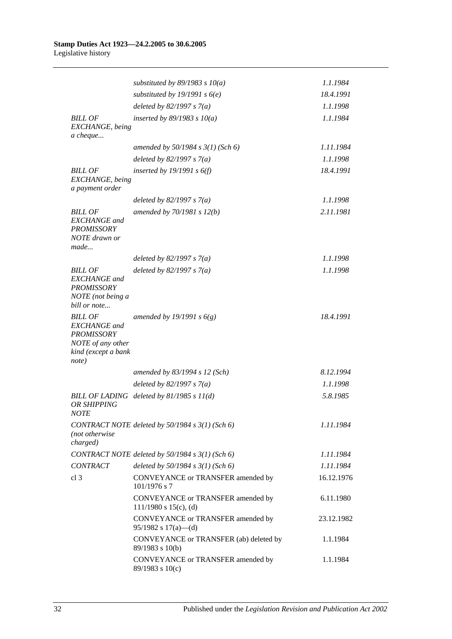|                                                                                                                 | substituted by 89/1983 s $10(a)$                                | 1.1.1984   |
|-----------------------------------------------------------------------------------------------------------------|-----------------------------------------------------------------|------------|
|                                                                                                                 | substituted by 19/1991 s $6(e)$                                 | 18.4.1991  |
|                                                                                                                 | deleted by $82/1997 s 7(a)$                                     | 1.1.1998   |
| <b>BILL OF</b><br>EXCHANGE, being<br>a cheque                                                                   | inserted by $89/1983$ s $10(a)$                                 | 1.1.1984   |
|                                                                                                                 | amended by $50/1984 s 3(1)$ (Sch 6)                             | 1.11.1984  |
|                                                                                                                 | deleted by $82/1997 s 7(a)$                                     | 1.1.1998   |
| <b>BILL OF</b><br>EXCHANGE, being<br>a payment order                                                            | inserted by $19/1991 s 6(f)$                                    | 18.4.1991  |
|                                                                                                                 | deleted by $82/1997 s 7(a)$                                     | 1.1.1998   |
| <b>BILL OF</b><br><b>EXCHANGE</b> and<br><b>PROMISSORY</b><br>NOTE drawn or<br>made                             | amended by $70/1981 s 12(b)$                                    | 2.11.1981  |
|                                                                                                                 | deleted by $82/1997 s 7(a)$                                     | 1.1.1998   |
| <b>BILL OF</b><br><b>EXCHANGE</b> and<br><b>PROMISSORY</b><br>NOTE (not being a<br>bill or note                 | deleted by $82/1997 s 7(a)$                                     | 1.1.1998   |
| <b>BILL OF</b><br><b>EXCHANGE</b> and<br><b>PROMISSORY</b><br>NOTE of any other<br>kind (except a bank<br>note) | amended by 19/1991 s $6(g)$                                     | 18.4.1991  |
|                                                                                                                 | amended by 83/1994 s 12 (Sch)                                   | 8.12.1994  |
|                                                                                                                 | deleted by $82/1997 s 7(a)$                                     | 1.1.1998   |
| OR SHIPPING<br><i>NOTE</i>                                                                                      | BILL OF LADING deleted by $81/1985 s 11(d)$                     | 5.8.1985   |
| (not otherwise<br>charged)                                                                                      | CONTRACT NOTE deleted by $50/1984 s 3(1)$ (Sch 6)               | 1.11.1984  |
|                                                                                                                 | CONTRACT NOTE deleted by 50/1984 s 3(1) (Sch 6)                 | 1.11.1984  |
| <b>CONTRACT</b>                                                                                                 | deleted by $50/1984$ s $3(1)$ (Sch 6)                           | 1.11.1984  |
| cl <sub>3</sub>                                                                                                 | CONVEYANCE or TRANSFER amended by<br>$101/1976$ s 7             | 16.12.1976 |
|                                                                                                                 | CONVEYANCE or TRANSFER amended by<br>$111/1980$ s $15(c)$ , (d) | 6.11.1980  |
|                                                                                                                 | CONVEYANCE or TRANSFER amended by<br>$95/1982$ s $17(a)$ —(d)   | 23.12.1982 |
|                                                                                                                 | CONVEYANCE or TRANSFER (ab) deleted by<br>89/1983 s 10(b)       | 1.1.1984   |
|                                                                                                                 | CONVEYANCE or TRANSFER amended by<br>$89/1983$ s $10(c)$        | 1.1.1984   |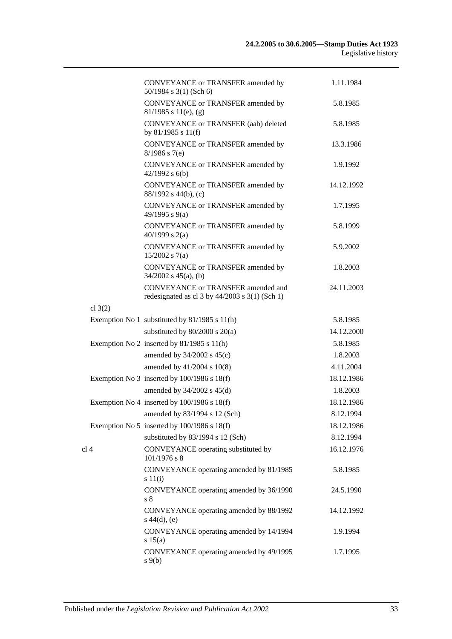|                 | CONVEYANCE or TRANSFER amended by<br>$50/1984$ s 3(1) (Sch 6)                                     | 1.11.1984  |
|-----------------|---------------------------------------------------------------------------------------------------|------------|
|                 | CONVEYANCE or TRANSFER amended by<br>$81/1985$ s $11(e)$ , (g)                                    | 5.8.1985   |
|                 | CONVEYANCE or TRANSFER (aab) deleted<br>by 81/1985 s 11(f)                                        | 5.8.1985   |
|                 | CONVEYANCE or TRANSFER amended by<br>$8/1986$ s 7(e)                                              | 13.3.1986  |
|                 | CONVEYANCE or TRANSFER amended by<br>$42/1992$ s $6(b)$                                           | 1.9.1992   |
|                 | CONVEYANCE or TRANSFER amended by<br>88/1992 s 44(b), (c)                                         | 14.12.1992 |
|                 | CONVEYANCE or TRANSFER amended by<br>49/1995 s 9(a)                                               | 1.7.1995   |
|                 | CONVEYANCE or TRANSFER amended by<br>40/1999 s $2(a)$                                             | 5.8.1999   |
|                 | CONVEYANCE or TRANSFER amended by<br>$15/2002$ s 7(a)                                             | 5.9.2002   |
|                 | CONVEYANCE or TRANSFER amended by<br>$34/2002$ s $45(a)$ , (b)                                    | 1.8.2003   |
|                 | <b>CONVEYANCE or TRANSFER amended and</b><br>redesignated as cl $3$ by $44/2003$ s $3(1)$ (Sch 1) | 24.11.2003 |
| cl $3(2)$       |                                                                                                   |            |
|                 | Exemption No 1 substituted by 81/1985 s 11(h)                                                     | 5.8.1985   |
|                 | substituted by $80/2000$ s $20(a)$                                                                | 14.12.2000 |
|                 | Exemption No 2 inserted by $81/1985$ s $11(h)$                                                    | 5.8.1985   |
|                 | amended by $34/2002$ s $45(c)$                                                                    | 1.8.2003   |
|                 | amended by 41/2004 s 10(8)                                                                        | 4.11.2004  |
|                 | Exemption No 3 inserted by $100/1986$ s $18(f)$                                                   | 18.12.1986 |
|                 | amended by $34/2002$ s $45(d)$                                                                    | 1.8.2003   |
|                 | Exemption No 4 inserted by $100/1986$ s $18(f)$                                                   | 18.12.1986 |
|                 | amended by 83/1994 s 12 (Sch)                                                                     | 8.12.1994  |
|                 | Exemption No 5 inserted by $100/1986$ s $18(f)$                                                   | 18.12.1986 |
|                 | substituted by 83/1994 s 12 (Sch)                                                                 | 8.12.1994  |
| cl <sub>4</sub> | CONVEYANCE operating substituted by<br>101/1976 s 8                                               | 16.12.1976 |
|                 | CONVEYANCE operating amended by 81/1985<br>$s\ 11(i)$                                             | 5.8.1985   |
|                 | CONVEYANCE operating amended by 36/1990<br>s <sub>8</sub>                                         | 24.5.1990  |
|                 | CONVEYANCE operating amended by 88/1992<br>$s\ 44(d), (e)$                                        | 14.12.1992 |
|                 | CONVEYANCE operating amended by 14/1994<br>s 15(a)                                                | 1.9.1994   |
|                 | CONVEYANCE operating amended by 49/1995<br>$s \theta(b)$                                          | 1.7.1995   |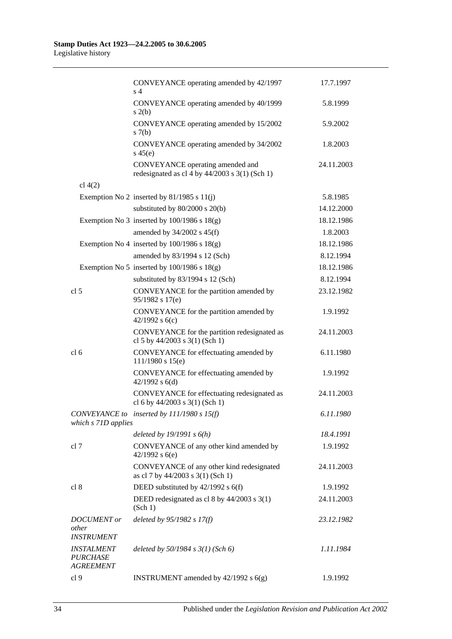|                                                                 | CONVEYANCE operating amended by 42/1997<br>s <sub>4</sub>                            | 17.7.1997  |
|-----------------------------------------------------------------|--------------------------------------------------------------------------------------|------------|
|                                                                 | CONVEYANCE operating amended by 40/1999<br>s(2(b)                                    | 5.8.1999   |
|                                                                 | CONVEYANCE operating amended by 15/2002<br>s(7(b)                                    | 5.9.2002   |
|                                                                 | CONVEYANCE operating amended by 34/2002<br>$s\ 45(e)$                                | 1.8.2003   |
|                                                                 | CONVEYANCE operating amended and<br>redesignated as cl 4 by $44/2003$ s 3(1) (Sch 1) | 24.11.2003 |
| cl $4(2)$                                                       |                                                                                      |            |
|                                                                 | Exemption No 2 inserted by $81/1985$ s $11(j)$                                       | 5.8.1985   |
|                                                                 | substituted by $80/2000$ s $20(b)$                                                   | 14.12.2000 |
|                                                                 | Exemption No 3 inserted by $100/1986$ s $18(g)$                                      | 18.12.1986 |
|                                                                 | amended by $34/2002$ s $45(f)$                                                       | 1.8.2003   |
|                                                                 | Exemption No 4 inserted by $100/1986$ s $18(g)$                                      | 18.12.1986 |
|                                                                 | amended by 83/1994 s 12 (Sch)                                                        | 8.12.1994  |
|                                                                 | Exemption No 5 inserted by $100/1986$ s $18(g)$                                      | 18.12.1986 |
|                                                                 | substituted by 83/1994 s 12 (Sch)                                                    | 8.12.1994  |
| cl <sub>5</sub>                                                 | CONVEYANCE for the partition amended by<br>95/1982 s 17(e)                           | 23.12.1982 |
|                                                                 | CONVEYANCE for the partition amended by<br>42/1992 s $6(c)$                          | 1.9.1992   |
|                                                                 | CONVEYANCE for the partition redesignated as<br>cl 5 by 44/2003 s 3(1) (Sch 1)       | 24.11.2003 |
| cl <sub>6</sub>                                                 | CONVEYANCE for effectuating amended by<br>$111/1980$ s $15(e)$                       | 6.11.1980  |
|                                                                 | CONVEYANCE for effectuating amended by<br>$42/1992$ s $6(d)$                         | 1.9.1992   |
|                                                                 | CONVEYANCE for effectuating redesignated as<br>cl 6 by $44/2003$ s 3(1) (Sch 1)      | 24.11.2003 |
| which s 71D applies                                             | CONVEYANCE to inserted by 111/1980 s 15(f)                                           | 6.11.1980  |
|                                                                 | deleted by $19/1991 s 6(h)$                                                          | 18.4.1991  |
| cl 7                                                            | CONVEYANCE of any other kind amended by<br>42/1992 s $6(e)$                          | 1.9.1992   |
|                                                                 | CONVEYANCE of any other kind redesignated<br>as cl 7 by 44/2003 s 3(1) (Sch 1)       | 24.11.2003 |
| cl 8                                                            | DEED substituted by 42/1992 s 6(f)                                                   | 1.9.1992   |
|                                                                 | DEED redesignated as cl 8 by 44/2003 s 3(1)<br>(Sch 1)                               | 24.11.2003 |
| <b>DOCUMENT</b> or<br>other<br><b>INSTRUMENT</b>                | deleted by $95/1982 s 17(f)$                                                         | 23.12.1982 |
| <i><b>INSTALMENT</b></i><br><b>PURCHASE</b><br><b>AGREEMENT</b> | deleted by $50/1984$ s $3(1)$ (Sch 6)                                                | 1.11.1984  |
| cl 9                                                            | INSTRUMENT amended by 42/1992 s 6(g)                                                 | 1.9.1992   |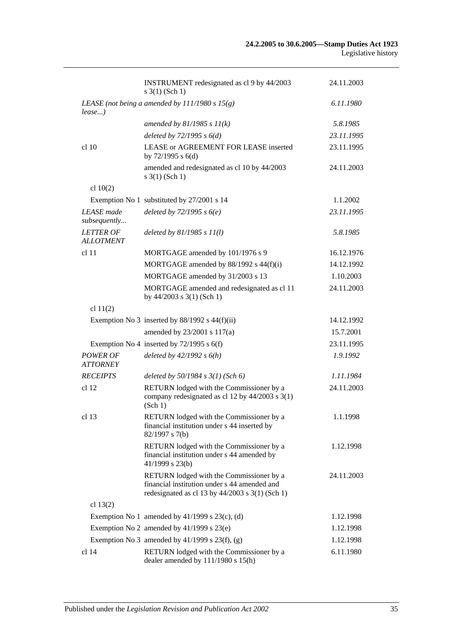|                                      | INSTRUMENT redesignated as cl 9 by 44/2003<br>s 3(1) (Sch 1)                                                                                  | 24.11.2003 |
|--------------------------------------|-----------------------------------------------------------------------------------------------------------------------------------------------|------------|
| $lease$ )                            | LEASE (not being a amended by $111/1980 s 15(g)$ )                                                                                            | 6.11.1980  |
|                                      | amended by $81/1985 s 11(k)$                                                                                                                  | 5.8.1985   |
|                                      | deleted by $72/1995 s 6(d)$                                                                                                                   | 23.11.1995 |
| cl 10                                | LEASE or AGREEMENT FOR LEASE inserted<br>by $72/1995$ s $6(d)$                                                                                | 23.11.1995 |
|                                      | amended and redesignated as cl 10 by 44/2003<br>$s \; 3(1)$ (Sch 1)                                                                           | 24.11.2003 |
| cl $10(2)$                           |                                                                                                                                               |            |
|                                      | Exemption No 1 substituted by 27/2001 s 14                                                                                                    | 1.1.2002   |
| <b>LEASE</b> made<br>subsequently    | deleted by $72/1995 s 6(e)$                                                                                                                   | 23.11.1995 |
| <b>LETTER OF</b><br><b>ALLOTMENT</b> | deleted by $81/1985 s 11(l)$                                                                                                                  | 5.8.1985   |
| cl <sub>11</sub>                     | MORTGAGE amended by 101/1976 s 9                                                                                                              | 16.12.1976 |
|                                      | MORTGAGE amended by 88/1992 s 44(f)(i)                                                                                                        | 14.12.1992 |
|                                      | MORTGAGE amended by 31/2003 s 13                                                                                                              | 1.10.2003  |
|                                      | MORTGAGE amended and redesignated as cl 11<br>by $44/2003$ s $3(1)$ (Sch 1)                                                                   | 24.11.2003 |
| cl $11(2)$                           |                                                                                                                                               |            |
|                                      | Exemption No 3 inserted by $88/1992$ s $44(f)(ii)$                                                                                            | 14.12.1992 |
|                                      | amended by 23/2001 s 117(a)                                                                                                                   | 15.7.2001  |
|                                      | Exemption No 4 inserted by $72/1995$ s $6(f)$                                                                                                 | 23.11.1995 |
| <b>POWER OF</b><br><b>ATTORNEY</b>   | deleted by $42/1992 s 6(h)$                                                                                                                   | 1.9.1992   |
| <b>RECEIPTS</b>                      | deleted by $50/1984$ s $3(1)$ (Sch 6)                                                                                                         | 1.11.1984  |
| cl 12                                | RETURN lodged with the Commissioner by a<br>company redesignated as cl 12 by 44/2003 s 3(1)<br>(Sch 1)                                        | 24.11.2003 |
| cl 13                                | RETURN lodged with the Commissioner by a<br>financial institution under s 44 inserted by<br>82/1997 s 7(b)                                    | 1.1.1998   |
|                                      | RETURN lodged with the Commissioner by a<br>financial institution under s 44 amended by<br>41/1999 s 23(b)                                    | 1.12.1998  |
|                                      | RETURN lodged with the Commissioner by a<br>financial institution under s 44 amended and<br>redesignated as cl 13 by $44/2003$ s 3(1) (Sch 1) | 24.11.2003 |
| cl $13(2)$                           |                                                                                                                                               |            |
|                                      | Exemption No 1 amended by $41/1999$ s $23(c)$ , (d)                                                                                           | 1.12.1998  |
|                                      | Exemption No 2 amended by $41/1999$ s $23(e)$                                                                                                 | 1.12.1998  |
|                                      | Exemption No 3 amended by $41/1999$ s $23(f)$ , (g)                                                                                           | 1.12.1998  |
| cl 14                                | RETURN lodged with the Commissioner by a<br>dealer amended by 111/1980 s 15(h)                                                                | 6.11.1980  |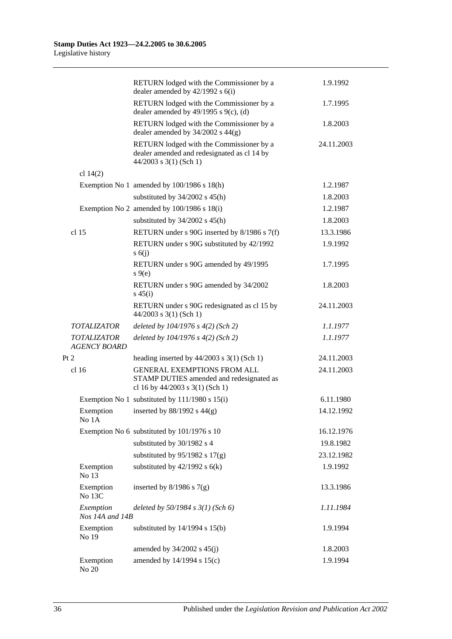|                                           | RETURN lodged with the Commissioner by a<br>dealer amended by $42/1992$ s $6(i)$                                    | 1.9.1992   |
|-------------------------------------------|---------------------------------------------------------------------------------------------------------------------|------------|
|                                           | RETURN lodged with the Commissioner by a<br>dealer amended by $49/1995$ s $9(c)$ , (d)                              | 1.7.1995   |
|                                           | RETURN lodged with the Commissioner by a<br>dealer amended by $34/2002$ s $44(g)$                                   | 1.8.2003   |
|                                           | RETURN lodged with the Commissioner by a<br>dealer amended and redesignated as cl 14 by<br>$44/2003$ s 3(1) (Sch 1) | 24.11.2003 |
| cl $14(2)$                                |                                                                                                                     |            |
|                                           | Exemption No 1 amended by 100/1986 s 18(h)                                                                          | 1.2.1987   |
|                                           | substituted by $34/2002$ s $45(h)$                                                                                  | 1.8.2003   |
|                                           | Exemption No 2 amended by 100/1986 s 18(i)                                                                          | 1.2.1987   |
|                                           | substituted by $34/2002$ s $45(h)$                                                                                  | 1.8.2003   |
| cl <sub>15</sub>                          | RETURN under s 90G inserted by 8/1986 s 7(f)                                                                        | 13.3.1986  |
|                                           | RETURN under s 90G substituted by 42/1992<br>s(6)                                                                   | 1.9.1992   |
|                                           | RETURN under s 90G amended by 49/1995<br>$s \theta(e)$                                                              | 1.7.1995   |
|                                           | RETURN under s 90G amended by 34/2002<br>$s\,45(i)$                                                                 | 1.8.2003   |
|                                           | RETURN under s 90G redesignated as cl 15 by<br>$44/2003$ s 3(1) (Sch 1)                                             | 24.11.2003 |
| <b>TOTALIZATOR</b>                        | deleted by $104/1976$ s $4(2)$ (Sch 2)                                                                              | 1.1.1977   |
| <b>TOTALIZATOR</b><br><b>AGENCY BOARD</b> | deleted by $104/1976$ s $4(2)$ (Sch 2)                                                                              | 1.1.1977   |
| Pt 2                                      | heading inserted by $44/2003$ s 3(1) (Sch 1)                                                                        | 24.11.2003 |
| $cl$ 16                                   | <b>GENERAL EXEMPTIONS FROM ALL</b><br>STAMP DUTIES amended and redesignated as<br>cl 16 by 44/2003 s 3(1) (Sch 1)   | 24.11.2003 |
|                                           | Exemption No 1 substituted by $111/1980$ s $15(i)$                                                                  | 6.11.1980  |
| Exemption<br>No 1A                        | inserted by $88/1992$ s $44(g)$                                                                                     | 14.12.1992 |
|                                           | Exemption No 6 substituted by 101/1976 s 10                                                                         | 16.12.1976 |
|                                           | substituted by 30/1982 s 4                                                                                          | 19.8.1982  |
|                                           | substituted by $95/1982$ s $17(g)$                                                                                  | 23.12.1982 |
| Exemption<br>No 13                        | substituted by $42/1992$ s $6(k)$                                                                                   | 1.9.1992   |
| Exemption<br>No 13C                       | inserted by $8/1986$ s $7(g)$                                                                                       | 13.3.1986  |
| Exemption<br>Nos 14A and 14B              | deleted by $50/1984$ s $3(1)$ (Sch 6)                                                                               | 1.11.1984  |
| Exemption<br>No 19                        | substituted by $14/1994$ s $15(b)$                                                                                  | 1.9.1994   |
|                                           | amended by $34/2002$ s $45(j)$                                                                                      | 1.8.2003   |
| Exemption<br>No 20                        | amended by 14/1994 s 15(c)                                                                                          | 1.9.1994   |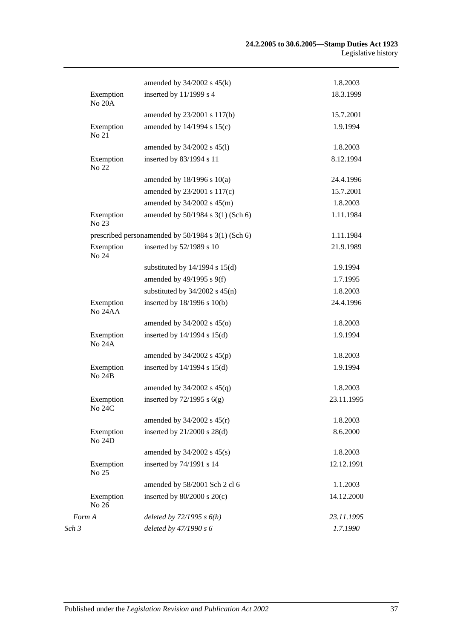|                                                    | amended by $34/2002$ s $45(k)$     | 1.8.2003   |
|----------------------------------------------------|------------------------------------|------------|
| Exemption<br><b>No 20A</b>                         | inserted by 11/1999 s 4            | 18.3.1999  |
|                                                    | amended by 23/2001 s 117(b)        | 15.7.2001  |
| Exemption<br>No 21                                 | amended by 14/1994 s 15(c)         | 1.9.1994   |
|                                                    | amended by 34/2002 s 45(l)         | 1.8.2003   |
| Exemption<br>No 22                                 | inserted by 83/1994 s 11           | 8.12.1994  |
|                                                    | amended by $18/1996$ s $10(a)$     | 24.4.1996  |
|                                                    | amended by 23/2001 s 117(c)        | 15.7.2001  |
|                                                    | amended by $34/2002$ s $45(m)$     | 1.8.2003   |
| Exemption<br>No 23                                 | amended by 50/1984 s 3(1) (Sch 6)  | 1.11.1984  |
| prescribed personamended by 50/1984 s 3(1) (Sch 6) |                                    | 1.11.1984  |
| Exemption<br>No 24                                 | inserted by 52/1989 s 10           | 21.9.1989  |
|                                                    | substituted by $14/1994$ s $15(d)$ | 1.9.1994   |
|                                                    | amended by $49/1995$ s $9(f)$      | 1.7.1995   |
|                                                    | substituted by $34/2002$ s $45(n)$ | 1.8.2003   |
| Exemption<br>No 24AA                               | inserted by 18/1996 s 10(b)        | 24.4.1996  |
|                                                    | amended by $34/2002$ s $45(0)$     | 1.8.2003   |
| Exemption<br><b>No 24A</b>                         | inserted by 14/1994 s 15(d)        | 1.9.1994   |
|                                                    | amended by $34/2002$ s $45(p)$     | 1.8.2003   |
| Exemption<br><b>No 24B</b>                         | inserted by 14/1994 s 15(d)        | 1.9.1994   |
|                                                    | amended by $34/2002$ s $45(q)$     | 1.8.2003   |
| Exemption<br><b>No 24C</b>                         | inserted by $72/1995$ s $6(g)$     | 23.11.1995 |
|                                                    | amended by $34/2002$ s $45(r)$     | 1.8.2003   |
| Exemption<br>No 24D                                | inserted by $21/2000$ s $28(d)$    | 8.6.2000   |
|                                                    | amended by $34/2002$ s $45(s)$     | 1.8.2003   |
| Exemption<br>No 25                                 | inserted by 74/1991 s 14           | 12.12.1991 |
|                                                    | amended by 58/2001 Sch 2 cl 6      | 1.1.2003   |
| Exemption<br>No 26                                 | inserted by $80/2000$ s $20(c)$    | 14.12.2000 |
| Form A                                             | deleted by $72/1995 s 6(h)$        | 23.11.1995 |
| Sch 3                                              | deleted by 47/1990 s 6             | 1.7.1990   |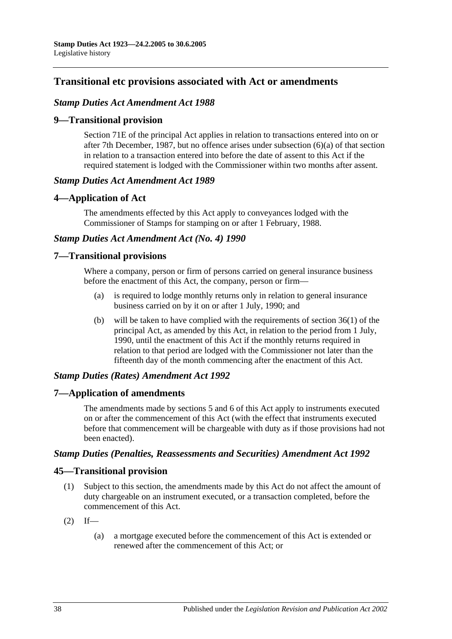# **Transitional etc provisions associated with Act or amendments**

### *Stamp Duties Act Amendment Act 1988*

### **9—Transitional provision**

Section 71E of the principal Act applies in relation to transactions entered into on or after 7th December, 1987, but no offence arises under subsection (6)(a) of that section in relation to a transaction entered into before the date of assent to this Act if the required statement is lodged with the Commissioner within two months after assent.

#### *Stamp Duties Act Amendment Act 1989*

### **4—Application of Act**

The amendments effected by this Act apply to conveyances lodged with the Commissioner of Stamps for stamping on or after 1 February, 1988.

### *Stamp Duties Act Amendment Act (No. 4) 1990*

### **7—Transitional provisions**

Where a company, person or firm of persons carried on general insurance business before the enactment of this Act, the company, person or firm—

- (a) is required to lodge monthly returns only in relation to general insurance business carried on by it on or after 1 July, 1990; and
- (b) will be taken to have complied with the requirements of section 36(1) of the principal Act, as amended by this Act, in relation to the period from 1 July, 1990, until the enactment of this Act if the monthly returns required in relation to that period are lodged with the Commissioner not later than the fifteenth day of the month commencing after the enactment of this Act.

## *Stamp Duties (Rates) Amendment Act 1992*

## **7—Application of amendments**

The amendments made by sections 5 and 6 of this Act apply to instruments executed on or after the commencement of this Act (with the effect that instruments executed before that commencement will be chargeable with duty as if those provisions had not been enacted).

#### *Stamp Duties (Penalties, Reassessments and Securities) Amendment Act 1992*

## **45—Transitional provision**

- (1) Subject to this section, the amendments made by this Act do not affect the amount of duty chargeable on an instrument executed, or a transaction completed, before the commencement of this Act.
- $(2)$  If—
	- (a) a mortgage executed before the commencement of this Act is extended or renewed after the commencement of this Act; or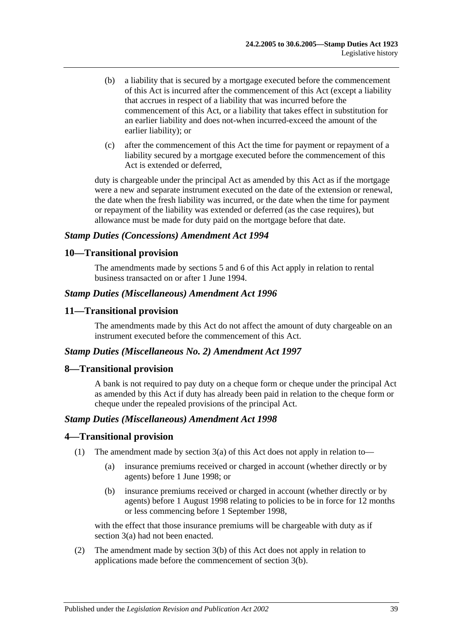- (b) a liability that is secured by a mortgage executed before the commencement of this Act is incurred after the commencement of this Act (except a liability that accrues in respect of a liability that was incurred before the commencement of this Act, or a liability that takes effect in substitution for an earlier liability and does not-when incurred-exceed the amount of the earlier liability); or
- (c) after the commencement of this Act the time for payment or repayment of a liability secured by a mortgage executed before the commencement of this Act is extended or deferred,

duty is chargeable under the principal Act as amended by this Act as if the mortgage were a new and separate instrument executed on the date of the extension or renewal, the date when the fresh liability was incurred, or the date when the time for payment or repayment of the liability was extended or deferred (as the case requires), but allowance must be made for duty paid on the mortgage before that date.

#### *Stamp Duties (Concessions) Amendment Act 1994*

### **10—Transitional provision**

The amendments made by sections 5 and 6 of this Act apply in relation to rental business transacted on or after 1 June 1994.

#### *Stamp Duties (Miscellaneous) Amendment Act 1996*

### **11—Transitional provision**

The amendments made by this Act do not affect the amount of duty chargeable on an instrument executed before the commencement of this Act.

#### *Stamp Duties (Miscellaneous No. 2) Amendment Act 1997*

#### **8—Transitional provision**

A bank is not required to pay duty on a cheque form or cheque under the principal Act as amended by this Act if duty has already been paid in relation to the cheque form or cheque under the repealed provisions of the principal Act.

#### *Stamp Duties (Miscellaneous) Amendment Act 1998*

#### **4—Transitional provision**

- (1) The amendment made by section 3(a) of this Act does not apply in relation to—
	- (a) insurance premiums received or charged in account (whether directly or by agents) before 1 June 1998; or
	- (b) insurance premiums received or charged in account (whether directly or by agents) before 1 August 1998 relating to policies to be in force for 12 months or less commencing before 1 September 1998,

with the effect that those insurance premiums will be chargeable with duty as if section 3(a) had not been enacted.

(2) The amendment made by section 3(b) of this Act does not apply in relation to applications made before the commencement of section 3(b).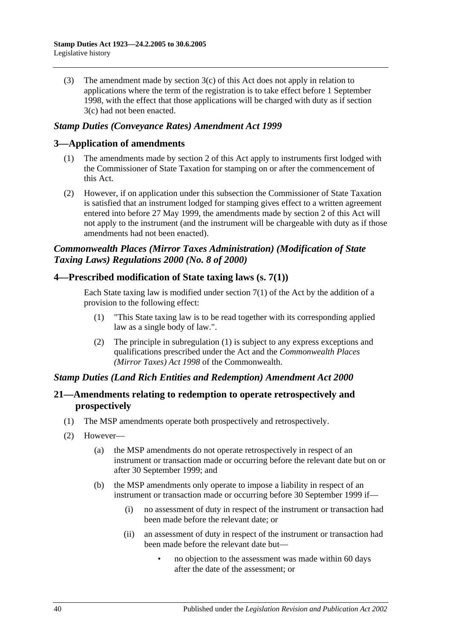(3) The amendment made by section 3(c) of this Act does not apply in relation to applications where the term of the registration is to take effect before 1 September 1998, with the effect that those applications will be charged with duty as if section 3(c) had not been enacted.

### *Stamp Duties (Conveyance Rates) Amendment Act 1999*

### **3—Application of amendments**

- (1) The amendments made by section 2 of this Act apply to instruments first lodged with the Commissioner of State Taxation for stamping on or after the commencement of this Act.
- (2) However, if on application under this subsection the Commissioner of State Taxation is satisfied that an instrument lodged for stamping gives effect to a written agreement entered into before 27 May 1999, the amendments made by section 2 of this Act will not apply to the instrument (and the instrument will be chargeable with duty as if those amendments had not been enacted).

## *Commonwealth Places (Mirror Taxes Administration) (Modification of State Taxing Laws) Regulations 2000 (No. 8 of 2000)*

### **4—Prescribed modification of State taxing laws (s. 7(1))**

Each State taxing law is modified under section  $7(1)$  of the Act by the addition of a provision to the following effect:

- (1) "This State taxing law is to be read together with its corresponding applied law as a single body of law.".
- (2) The principle in subregulation (1) is subject to any express exceptions and qualifications prescribed under the Act and the *Commonwealth Places (Mirror Taxes) Act 1998* of the Commonwealth.

## *Stamp Duties (Land Rich Entities and Redemption) Amendment Act 2000*

## **21—Amendments relating to redemption to operate retrospectively and prospectively**

- (1) The MSP amendments operate both prospectively and retrospectively.
- (2) However—
	- (a) the MSP amendments do not operate retrospectively in respect of an instrument or transaction made or occurring before the relevant date but on or after 30 September 1999; and
	- (b) the MSP amendments only operate to impose a liability in respect of an instrument or transaction made or occurring before 30 September 1999 if—
		- (i) no assessment of duty in respect of the instrument or transaction had been made before the relevant date; or
		- (ii) an assessment of duty in respect of the instrument or transaction had been made before the relevant date but—
			- no objection to the assessment was made within 60 days after the date of the assessment; or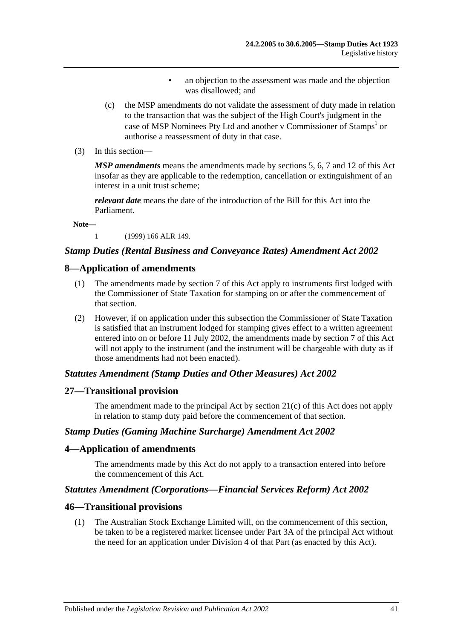- an objection to the assessment was made and the objection was disallowed; and
- (c) the MSP amendments do not validate the assessment of duty made in relation to the transaction that was the subject of the High Court's judgment in the case of MSP Nominees Pty Ltd and another v Commissioner of Stamps<sup>1</sup> or authorise a reassessment of duty in that case.
- (3) In this section—

*MSP amendments* means the amendments made by sections 5, 6, 7 and 12 of this Act insofar as they are applicable to the redemption, cancellation or extinguishment of an interest in a unit trust scheme;

*relevant date* means the date of the introduction of the Bill for this Act into the Parliament.

**Note—**

1 (1999) 166 ALR 149.

#### *Stamp Duties (Rental Business and Conveyance Rates) Amendment Act 2002*

#### **8—Application of amendments**

- (1) The amendments made by section 7 of this Act apply to instruments first lodged with the Commissioner of State Taxation for stamping on or after the commencement of that section.
- (2) However, if on application under this subsection the Commissioner of State Taxation is satisfied that an instrument lodged for stamping gives effect to a written agreement entered into on or before 11 July 2002, the amendments made by section 7 of this Act will not apply to the instrument (and the instrument will be chargeable with duty as if those amendments had not been enacted).

#### *Statutes Amendment (Stamp Duties and Other Measures) Act 2002*

#### **27—Transitional provision**

The amendment made to the principal Act by section 21(c) of this Act does not apply in relation to stamp duty paid before the commencement of that section.

#### *Stamp Duties (Gaming Machine Surcharge) Amendment Act 2002*

#### **4—Application of amendments**

The amendments made by this Act do not apply to a transaction entered into before the commencement of this Act.

### *Statutes Amendment (Corporations—Financial Services Reform) Act 2002*

#### **46—Transitional provisions**

(1) The Australian Stock Exchange Limited will, on the commencement of this section, be taken to be a registered market licensee under Part 3A of the principal Act without the need for an application under Division 4 of that Part (as enacted by this Act).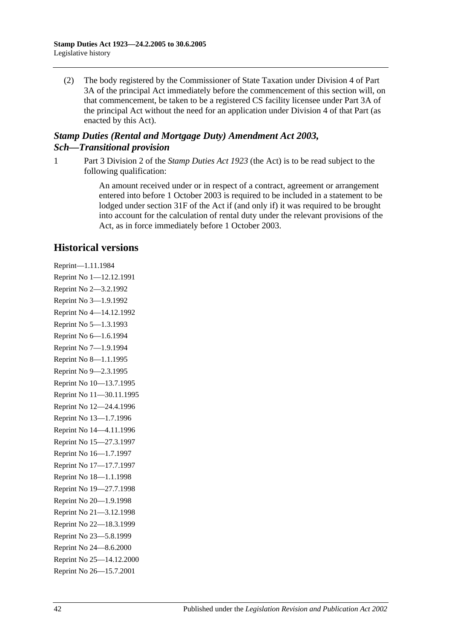(2) The body registered by the Commissioner of State Taxation under Division 4 of Part 3A of the principal Act immediately before the commencement of this section will, on that commencement, be taken to be a registered CS facility licensee under Part 3A of the principal Act without the need for an application under Division 4 of that Part (as enacted by this Act).

## *Stamp Duties (Rental and Mortgage Duty) Amendment Act 2003, Sch—Transitional provision*

1 Part 3 Division 2 of the *[Stamp Duties Act](http://www.legislation.sa.gov.au/index.aspx?action=legref&type=act&legtitle=Stamp%20Duties%20Act%201923) 1923* (the Act) is to be read subject to the following qualification:

> An amount received under or in respect of a contract, agreement or arrangement entered into before 1 October 2003 is required to be included in a statement to be lodged under section 31F of the Act if (and only if) it was required to be brought into account for the calculation of rental duty under the relevant provisions of the Act, as in force immediately before 1 October 2003.

# **Historical versions**

Reprint—1.11.1984 Reprint No 1—12.12.1991 Reprint No 2—3.2.1992 Reprint No 3—1.9.1992 Reprint No 4—14.12.1992 Reprint No 5—1.3.1993 Reprint No 6—1.6.1994 Reprint No 7—1.9.1994 Reprint No 8—1.1.1995 Reprint No 9—2.3.1995 Reprint No 10—13.7.1995 Reprint No 11—30.11.1995 Reprint No 12—24.4.1996 Reprint No 13—1.7.1996 Reprint No 14—4.11.1996 Reprint No 15—27.3.1997 Reprint No 16—1.7.1997 Reprint No 17—17.7.1997 Reprint No 18—1.1.1998 Reprint No 19—27.7.1998 Reprint No 20—1.9.1998 Reprint No 21—3.12.1998 Reprint No 22—18.3.1999 Reprint No 23—5.8.1999 Reprint No 24—8.6.2000 Reprint No 25—14.12.2000 Reprint No 26—15.7.2001